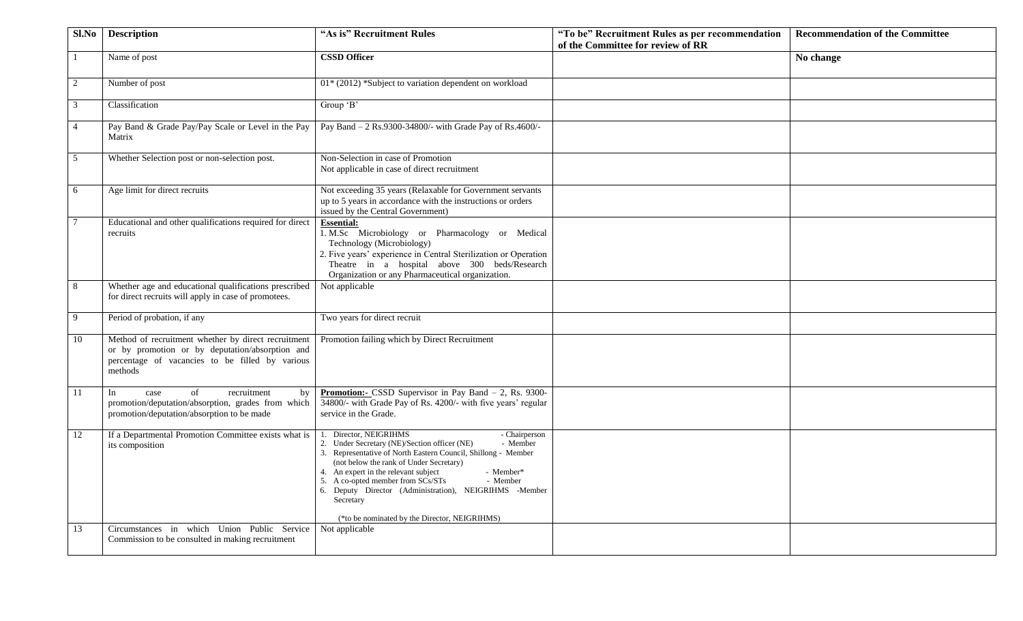| Sl.No          | <b>Description</b>                                                                                                                                                   | "As is" Recruitment Rules                                                                                                                                                                                                                                                                                                                                                                                                                  | "To be" Recruitment Rules as per recommendation<br>of the Committee for review of RR | <b>Recommendation of the Committee</b> |
|----------------|----------------------------------------------------------------------------------------------------------------------------------------------------------------------|--------------------------------------------------------------------------------------------------------------------------------------------------------------------------------------------------------------------------------------------------------------------------------------------------------------------------------------------------------------------------------------------------------------------------------------------|--------------------------------------------------------------------------------------|----------------------------------------|
|                | Name of post                                                                                                                                                         | <b>CSSD Officer</b>                                                                                                                                                                                                                                                                                                                                                                                                                        |                                                                                      | No change                              |
| 2              | Number of post                                                                                                                                                       | $01*$ (2012) *Subject to variation dependent on workload                                                                                                                                                                                                                                                                                                                                                                                   |                                                                                      |                                        |
| $\mathfrak{Z}$ | Classification                                                                                                                                                       | Group 'B'                                                                                                                                                                                                                                                                                                                                                                                                                                  |                                                                                      |                                        |
| $\overline{4}$ | Pay Band & Grade Pay/Pay Scale or Level in the Pay<br>Matrix                                                                                                         | Pay Band - 2 Rs.9300-34800/- with Grade Pay of Rs.4600/-                                                                                                                                                                                                                                                                                                                                                                                   |                                                                                      |                                        |
| 5              | Whether Selection post or non-selection post.                                                                                                                        | Non-Selection in case of Promotion<br>Not applicable in case of direct recruitment                                                                                                                                                                                                                                                                                                                                                         |                                                                                      |                                        |
| 6              | Age limit for direct recruits                                                                                                                                        | Not exceeding 35 years (Relaxable for Government servants<br>up to 5 years in accordance with the instructions or orders<br>issued by the Central Government)                                                                                                                                                                                                                                                                              |                                                                                      |                                        |
| $\tau$         | Educational and other qualifications required for direct<br>recruits                                                                                                 | <b>Essential:</b><br>1. M.Sc Microbiology or Pharmacology or Medical<br>Technology (Microbiology)<br>2. Five years' experience in Central Sterilization or Operation<br>Theatre in a hospital above 300 beds/Research<br>Organization or any Pharmaceutical organization.                                                                                                                                                                  |                                                                                      |                                        |
| 8              | Whether age and educational qualifications prescribed<br>for direct recruits will apply in case of promotees.                                                        | Not applicable                                                                                                                                                                                                                                                                                                                                                                                                                             |                                                                                      |                                        |
| 9              | Period of probation, if any                                                                                                                                          | Two years for direct recruit                                                                                                                                                                                                                                                                                                                                                                                                               |                                                                                      |                                        |
| 10             | Method of recruitment whether by direct recruitment<br>or by promotion or by deputation/absorption and<br>percentage of vacancies to be filled by various<br>methods | Promotion failing which by Direct Recruitment                                                                                                                                                                                                                                                                                                                                                                                              |                                                                                      |                                        |
| 11             | of<br>recruitment<br>In<br>case<br>by<br>promotion/deputation/absorption, grades from which<br>promotion/deputation/absorption to be made                            | Promotion:- CSSD Supervisor in Pay Band - 2, Rs. 9300-<br>34800/- with Grade Pay of Rs. 4200/- with five years' regular<br>service in the Grade.                                                                                                                                                                                                                                                                                           |                                                                                      |                                        |
| 12             | If a Departmental Promotion Committee exists what is<br>its composition                                                                                              | Director, NEIGRIHMS<br>- Chairperson<br>- Member<br>2. Under Secretary (NE)/Section officer (NE)<br>3. Representative of North Eastern Council, Shillong - Member<br>(not below the rank of Under Secretary)<br>4. An expert in the relevant subject<br>- Member*<br>- Member<br>5. A co-opted member from SCs/STs<br>6. Deputy Director (Administration), NEIGRIHMS -Member<br>Secretary<br>(*to be nominated by the Director, NEIGRIHMS) |                                                                                      |                                        |
| 13             | Circumstances in which Union Public Service<br>Commission to be consulted in making recruitment                                                                      | Not applicable                                                                                                                                                                                                                                                                                                                                                                                                                             |                                                                                      |                                        |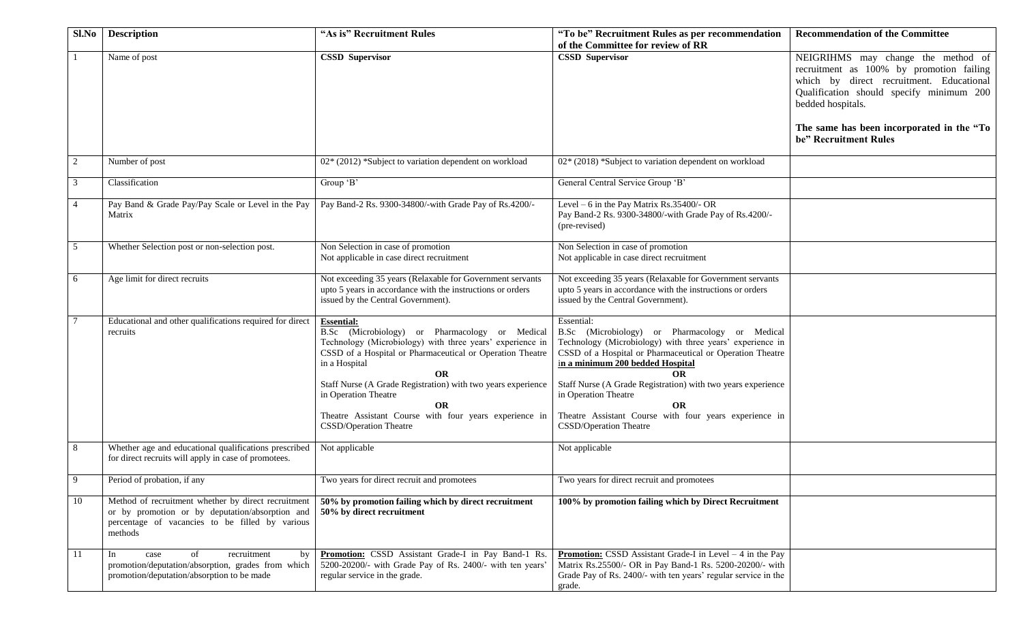| Sl.No       | <b>Description</b>                                                                                                                                                   | "As is" Recruitment Rules                                                                                                                                                                                                                                                                                                                                                                                            | "To be" Recruitment Rules as per recommendation                                                                                                                                                                                                                                                                                                                                                                           | <b>Recommendation of the Committee</b>                                                                                                                                 |
|-------------|----------------------------------------------------------------------------------------------------------------------------------------------------------------------|----------------------------------------------------------------------------------------------------------------------------------------------------------------------------------------------------------------------------------------------------------------------------------------------------------------------------------------------------------------------------------------------------------------------|---------------------------------------------------------------------------------------------------------------------------------------------------------------------------------------------------------------------------------------------------------------------------------------------------------------------------------------------------------------------------------------------------------------------------|------------------------------------------------------------------------------------------------------------------------------------------------------------------------|
|             | Name of post                                                                                                                                                         | <b>CSSD Supervisor</b>                                                                                                                                                                                                                                                                                                                                                                                               | of the Committee for review of RR<br><b>CSSD Supervisor</b>                                                                                                                                                                                                                                                                                                                                                               | NEIGRIHMS may change the method of<br>recruitment as 100% by promotion failing<br>which by direct recruitment. Educational<br>Qualification should specify minimum 200 |
|             |                                                                                                                                                                      |                                                                                                                                                                                                                                                                                                                                                                                                                      |                                                                                                                                                                                                                                                                                                                                                                                                                           | bedded hospitals.<br>The same has been incorporated in the "To<br>be" Recruitment Rules                                                                                |
|             | Number of post                                                                                                                                                       | 02* (2012) *Subject to variation dependent on workload                                                                                                                                                                                                                                                                                                                                                               | $02*(2018)$ *Subject to variation dependent on workload                                                                                                                                                                                                                                                                                                                                                                   |                                                                                                                                                                        |
|             | Classification                                                                                                                                                       | Group 'B'                                                                                                                                                                                                                                                                                                                                                                                                            | General Central Service Group 'B'                                                                                                                                                                                                                                                                                                                                                                                         |                                                                                                                                                                        |
|             | Pay Band & Grade Pay/Pay Scale or Level in the Pay<br>Matrix                                                                                                         | Pay Band-2 Rs. 9300-34800/-with Grade Pay of Rs.4200/-                                                                                                                                                                                                                                                                                                                                                               | Level - 6 in the Pay Matrix Rs.35400/- OR<br>Pay Band-2 Rs. 9300-34800/-with Grade Pay of Rs.4200/-<br>(pre-revised)                                                                                                                                                                                                                                                                                                      |                                                                                                                                                                        |
| 5           | Whether Selection post or non-selection post.                                                                                                                        | Non Selection in case of promotion<br>Not applicable in case direct recruitment                                                                                                                                                                                                                                                                                                                                      | Non Selection in case of promotion<br>Not applicable in case direct recruitment                                                                                                                                                                                                                                                                                                                                           |                                                                                                                                                                        |
| 6           | Age limit for direct recruits                                                                                                                                        | Not exceeding 35 years (Relaxable for Government servants<br>upto 5 years in accordance with the instructions or orders<br>issued by the Central Government).                                                                                                                                                                                                                                                        | Not exceeding 35 years (Relaxable for Government servants<br>upto 5 years in accordance with the instructions or orders<br>issued by the Central Government).                                                                                                                                                                                                                                                             |                                                                                                                                                                        |
|             | Educational and other qualifications required for direct<br>recruits                                                                                                 | <b>Essential:</b><br>B.Sc (Microbiology) or Pharmacology or Medical<br>Technology (Microbiology) with three years' experience in<br>CSSD of a Hospital or Pharmaceutical or Operation Theatre<br>in a Hospital<br><b>OR</b><br>Staff Nurse (A Grade Registration) with two years experience<br>in Operation Theatre<br><b>OR</b><br>Theatre Assistant Course with four years experience in<br>CSSD/Operation Theatre | Essential:<br>B.Sc (Microbiology) or Pharmacology or Medical<br>Technology (Microbiology) with three years' experience in<br>CSSD of a Hospital or Pharmaceutical or Operation Theatre<br>in a minimum 200 bedded Hospital<br>ОR<br>Staff Nurse (A Grade Registration) with two years experience<br>in Operation Theatre<br><b>OR</b><br>Theatre Assistant Course with four years experience in<br>CSSD/Operation Theatre |                                                                                                                                                                        |
| 8           | Whether age and educational qualifications prescribed<br>for direct recruits will apply in case of promotees.                                                        | Not applicable                                                                                                                                                                                                                                                                                                                                                                                                       | Not applicable                                                                                                                                                                                                                                                                                                                                                                                                            |                                                                                                                                                                        |
| $\mathbf Q$ | Period of probation, if any                                                                                                                                          | Two years for direct recruit and promotees                                                                                                                                                                                                                                                                                                                                                                           | Two years for direct recruit and promotees                                                                                                                                                                                                                                                                                                                                                                                |                                                                                                                                                                        |
| 10          | Method of recruitment whether by direct recruitment<br>or by promotion or by deputation/absorption and<br>percentage of vacancies to be filled by various<br>methods | 50% by promotion failing which by direct recruitment<br>50% by direct recruitment                                                                                                                                                                                                                                                                                                                                    | 100% by promotion failing which by Direct Recruitment                                                                                                                                                                                                                                                                                                                                                                     |                                                                                                                                                                        |
| 11          | In<br>of<br>recruitment<br>case<br>by<br>promotion/deputation/absorption, grades from which<br>promotion/deputation/absorption to be made                            | Promotion: CSSD Assistant Grade-I in Pay Band-1 Rs.<br>5200-20200/- with Grade Pay of Rs. 2400/- with ten years'<br>regular service in the grade.                                                                                                                                                                                                                                                                    | <b>Promotion:</b> CSSD Assistant Grade-I in Level $-4$ in the Pay<br>Matrix Rs.25500/- OR in Pay Band-1 Rs. 5200-20200/- with<br>Grade Pay of Rs. 2400/- with ten years' regular service in the<br>grade.                                                                                                                                                                                                                 |                                                                                                                                                                        |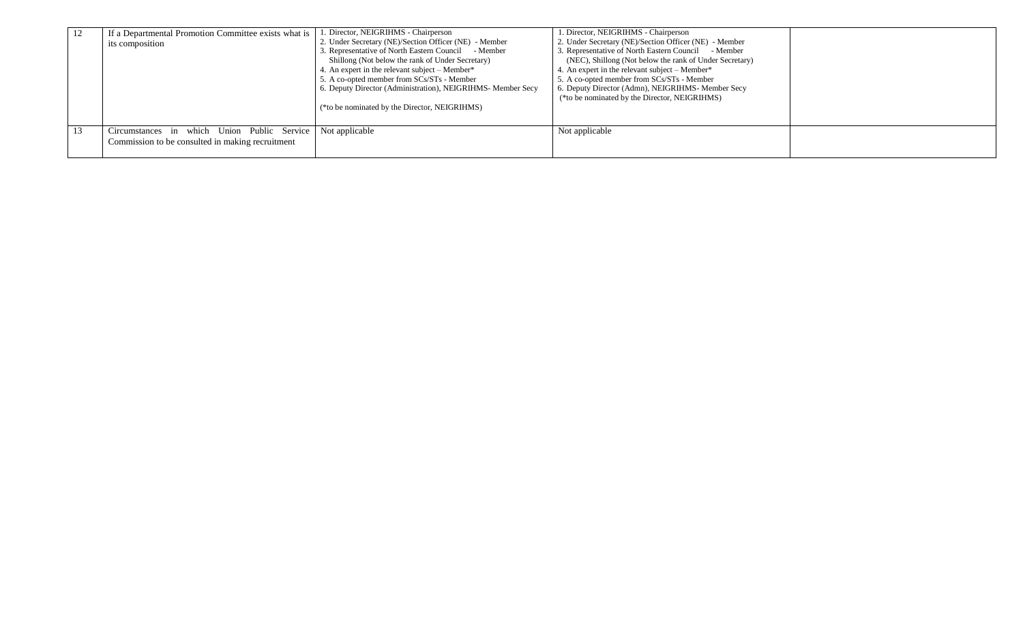| -12 | If a Departmental Promotion Committee exists what is<br>its composition                         | 1. Director, NEIGRIHMS - Chairperson<br>2. Under Secretary (NE)/Section Officer (NE) - Member<br>3. Representative of North Eastern Council - Member<br>Shillong (Not below the rank of Under Secretary)<br>4. An expert in the relevant subject – Member*<br>5. A co-opted member from SCs/STs - Member<br>6. Deputy Director (Administration), NEIGRIHMS- Member Secy<br>(*to be nominated by the Director, NEIGRIHMS) | 1. Director, NEIGRIHMS - Chairperson<br>2. Under Secretary (NE)/Section Officer (NE) - Member<br>3. Representative of North Eastern Council - Member<br>(NEC), Shillong (Not below the rank of Under Secretary)<br>4. An expert in the relevant subject – Member*<br>5. A co-opted member from SCs/STs - Member<br>6. Deputy Director (Admn), NEIGRIHMS- Member Secy<br>(*to be nominated by the Director, NEIGRIHMS) |  |
|-----|-------------------------------------------------------------------------------------------------|--------------------------------------------------------------------------------------------------------------------------------------------------------------------------------------------------------------------------------------------------------------------------------------------------------------------------------------------------------------------------------------------------------------------------|-----------------------------------------------------------------------------------------------------------------------------------------------------------------------------------------------------------------------------------------------------------------------------------------------------------------------------------------------------------------------------------------------------------------------|--|
| 13  | Circumstances in which Union Public Service<br>Commission to be consulted in making recruitment | Not applicable                                                                                                                                                                                                                                                                                                                                                                                                           | Not applicable                                                                                                                                                                                                                                                                                                                                                                                                        |  |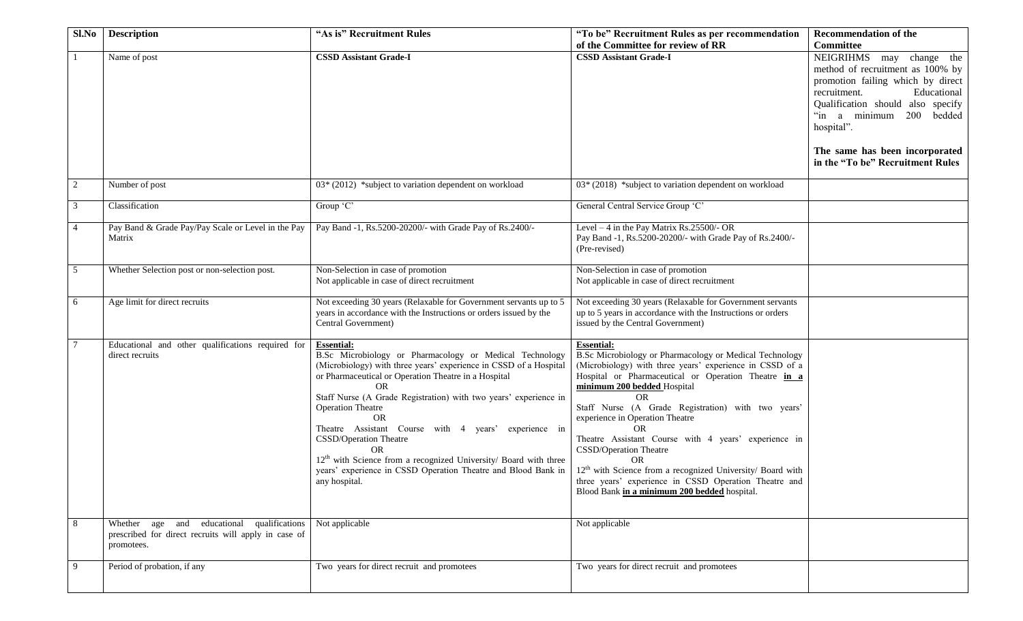| Sl.No          | <b>Description</b>                                                                                               | "As is" Recruitment Rules                                                                                                                                                                                                                                                                                                                                                                                                                                                                                                                                                           | "To be" Recruitment Rules as per recommendation                                                                                                                                                                                                                                                                                                                                                                                                                                                                                                                                                                            | <b>Recommendation of the</b>                                                                                                                                                                                                                                                                              |
|----------------|------------------------------------------------------------------------------------------------------------------|-------------------------------------------------------------------------------------------------------------------------------------------------------------------------------------------------------------------------------------------------------------------------------------------------------------------------------------------------------------------------------------------------------------------------------------------------------------------------------------------------------------------------------------------------------------------------------------|----------------------------------------------------------------------------------------------------------------------------------------------------------------------------------------------------------------------------------------------------------------------------------------------------------------------------------------------------------------------------------------------------------------------------------------------------------------------------------------------------------------------------------------------------------------------------------------------------------------------------|-----------------------------------------------------------------------------------------------------------------------------------------------------------------------------------------------------------------------------------------------------------------------------------------------------------|
|                | Name of post                                                                                                     | <b>CSSD Assistant Grade-I</b>                                                                                                                                                                                                                                                                                                                                                                                                                                                                                                                                                       | of the Committee for review of RR<br><b>CSSD Assistant Grade-I</b>                                                                                                                                                                                                                                                                                                                                                                                                                                                                                                                                                         | <b>Committee</b><br>NEIGRIHMS may change the<br>method of recruitment as 100% by<br>promotion failing which by direct<br>recruitment.<br>Educational<br>Qualification should also specify<br>"in a minimum 200 bedded<br>hospital".<br>The same has been incorporated<br>in the "To be" Recruitment Rules |
| 2              | Number of post                                                                                                   | 03* (2012) *subject to variation dependent on workload                                                                                                                                                                                                                                                                                                                                                                                                                                                                                                                              | 03* (2018) *subject to variation dependent on workload                                                                                                                                                                                                                                                                                                                                                                                                                                                                                                                                                                     |                                                                                                                                                                                                                                                                                                           |
| 3              | Classification                                                                                                   | Group 'C'                                                                                                                                                                                                                                                                                                                                                                                                                                                                                                                                                                           | General Central Service Group 'C'                                                                                                                                                                                                                                                                                                                                                                                                                                                                                                                                                                                          |                                                                                                                                                                                                                                                                                                           |
| $\overline{4}$ | Pay Band & Grade Pay/Pay Scale or Level in the Pay<br>Matrix                                                     | Pay Band -1, Rs.5200-20200/- with Grade Pay of Rs.2400/-                                                                                                                                                                                                                                                                                                                                                                                                                                                                                                                            | Level $-4$ in the Pay Matrix Rs.25500/- OR<br>Pay Band -1, Rs.5200-20200/- with Grade Pay of Rs.2400/-<br>(Pre-revised)                                                                                                                                                                                                                                                                                                                                                                                                                                                                                                    |                                                                                                                                                                                                                                                                                                           |
| 5              | Whether Selection post or non-selection post.                                                                    | Non-Selection in case of promotion<br>Not applicable in case of direct recruitment                                                                                                                                                                                                                                                                                                                                                                                                                                                                                                  | Non-Selection in case of promotion<br>Not applicable in case of direct recruitment                                                                                                                                                                                                                                                                                                                                                                                                                                                                                                                                         |                                                                                                                                                                                                                                                                                                           |
| 6              | Age limit for direct recruits                                                                                    | Not exceeding 30 years (Relaxable for Government servants up to 5<br>years in accordance with the Instructions or orders issued by the<br>Central Government)                                                                                                                                                                                                                                                                                                                                                                                                                       | Not exceeding 30 years (Relaxable for Government servants<br>up to 5 years in accordance with the Instructions or orders<br>issued by the Central Government)                                                                                                                                                                                                                                                                                                                                                                                                                                                              |                                                                                                                                                                                                                                                                                                           |
|                | Educational and other qualifications required for<br>direct recruits                                             | <b>Essential:</b><br>B.Sc Microbiology or Pharmacology or Medical Technology<br>(Microbiology) with three years' experience in CSSD of a Hospital<br>or Pharmaceutical or Operation Theatre in a Hospital<br>OR<br>Staff Nurse (A Grade Registration) with two years' experience in<br><b>Operation Theatre</b><br><b>OR</b><br>Theatre Assistant Course with 4 years' experience in<br>CSSD/Operation Theatre<br><b>OR</b><br>$12th$ with Science from a recognized University/ Board with three<br>years' experience in CSSD Operation Theatre and Blood Bank in<br>any hospital. | <b>Essential:</b><br>B.Sc Microbiology or Pharmacology or Medical Technology<br>(Microbiology) with three years' experience in CSSD of a<br>Hospital or Pharmaceutical or Operation Theatre in a<br>minimum 200 bedded Hospital<br><b>OR</b><br>Staff Nurse (A Grade Registration) with two years'<br>experience in Operation Theatre<br><b>OR</b><br>Theatre Assistant Course with 4 years' experience in<br>CSSD/Operation Theatre<br><b>OR</b><br>$12th$ with Science from a recognized University/ Board with<br>three years' experience in CSSD Operation Theatre and<br>Blood Bank in a minimum 200 bedded hospital. |                                                                                                                                                                                                                                                                                                           |
| 8              | Whether age and educational qualifications<br>prescribed for direct recruits will apply in case of<br>promotees. | Not applicable                                                                                                                                                                                                                                                                                                                                                                                                                                                                                                                                                                      | Not applicable                                                                                                                                                                                                                                                                                                                                                                                                                                                                                                                                                                                                             |                                                                                                                                                                                                                                                                                                           |
| 9              | Period of probation, if any                                                                                      | Two years for direct recruit and promotees                                                                                                                                                                                                                                                                                                                                                                                                                                                                                                                                          | Two years for direct recruit and promotees                                                                                                                                                                                                                                                                                                                                                                                                                                                                                                                                                                                 |                                                                                                                                                                                                                                                                                                           |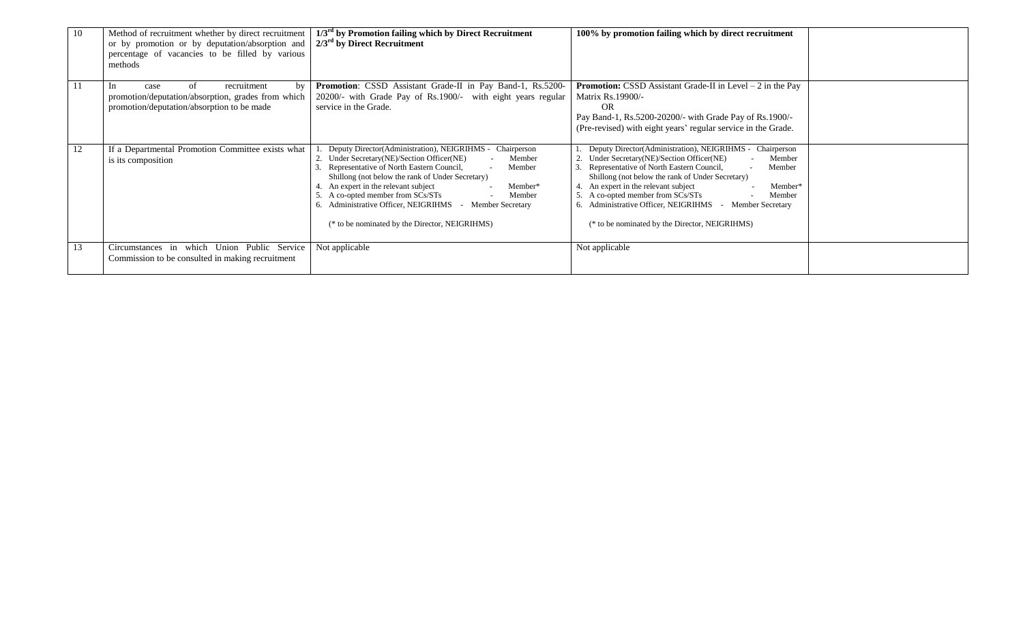| 10           | Method of recruitment whether by direct recruitment<br>or by promotion or by deputation/absorption and<br>percentage of vacancies to be filled by various<br>methods | $1/3rd$ by Promotion failing which by Direct Recruitment<br>$2/3^{\text{rd}}$ by Direct Recruitment                                                                                                                                                                                                                                                                                                                                                            | 100% by promotion failing which by direct recruitment                                                                                                                                                                                                                                                                                                                                                                                     |  |
|--------------|----------------------------------------------------------------------------------------------------------------------------------------------------------------------|----------------------------------------------------------------------------------------------------------------------------------------------------------------------------------------------------------------------------------------------------------------------------------------------------------------------------------------------------------------------------------------------------------------------------------------------------------------|-------------------------------------------------------------------------------------------------------------------------------------------------------------------------------------------------------------------------------------------------------------------------------------------------------------------------------------------------------------------------------------------------------------------------------------------|--|
| $\mathbf{1}$ | by<br>recruitment<br>case<br>of<br>1n<br>promotion/deputation/absorption, grades from which<br>promotion/deputation/absorption to be made                            | Promotion: CSSD Assistant Grade-II in Pay Band-1, Rs.5200-<br>20200/- with Grade Pay of Rs.1900/- with eight years regular<br>service in the Grade.                                                                                                                                                                                                                                                                                                            | <b>Promotion:</b> CSSD Assistant Grade-II in Level $-2$ in the Pay<br><b>Matrix Rs.19900/-</b><br>OR<br>Pay Band-1, Rs.5200-20200/- with Grade Pay of Rs.1900/-<br>(Pre-revised) with eight years' regular service in the Grade.                                                                                                                                                                                                          |  |
| 12           | If a Departmental Promotion Committee exists what<br>is its composition                                                                                              | Deputy Director(Administration), NEIGRIHMS -<br>Chairperson<br>2. Under Secretary(NE)/Section Officer(NE)<br>Member<br>Representative of North Eastern Council,<br>Member<br>Shillong (not below the rank of Under Secretary)<br>4. An expert in the relevant subject<br>Member*<br>5. A co-opted member from SCs/STs<br>Member<br>6. Administrative Officer, NEIGRIHMS<br><b>Member Secretary</b><br>$\sim$<br>(* to be nominated by the Director, NEIGRIHMS) | Deputy Director(Administration), NEIGRIHMS -<br>Chairperson<br>Under Secretary(NE)/Section Officer(NE)<br>Member<br>Representative of North Eastern Council,<br>Member<br>Shillong (not below the rank of Under Secretary)<br>An expert in the relevant subject<br>Member*<br>5. A co-opted member from SCs/STs<br>Member<br>6. Administrative Officer, NEIGRIHMS<br>- Member Secretary<br>(* to be nominated by the Director, NEIGRIHMS) |  |
| 13           | Circumstances in which Union Public Service<br>Commission to be consulted in making recruitment                                                                      | Not applicable                                                                                                                                                                                                                                                                                                                                                                                                                                                 | Not applicable                                                                                                                                                                                                                                                                                                                                                                                                                            |  |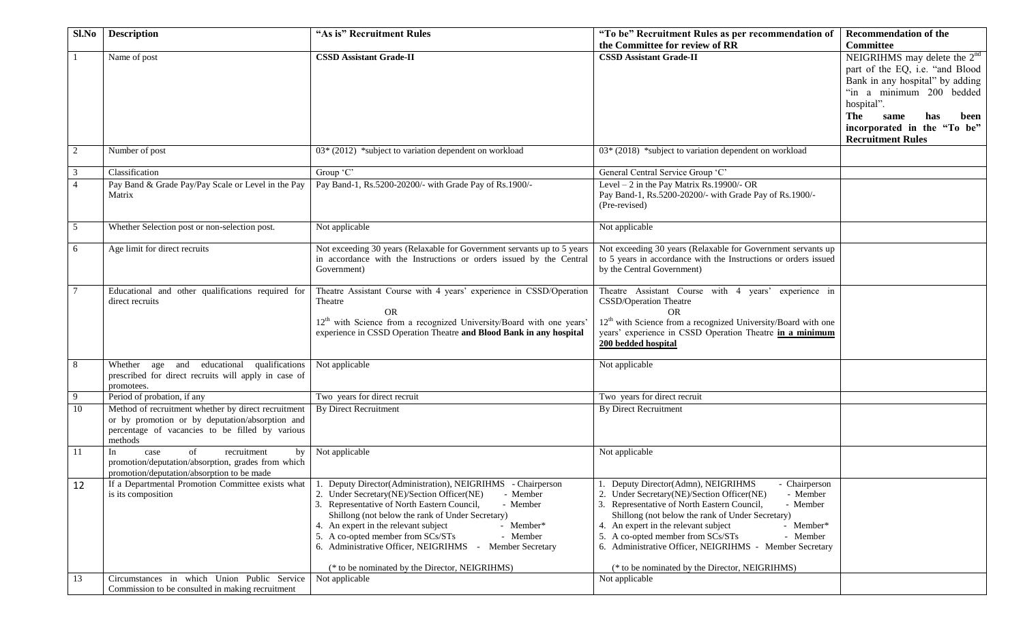| Sl.No            | <b>Description</b>                                         | "As is" Recruitment Rules                                                             | "To be" Recruitment Rules as per recommendation of                                                 | <b>Recommendation of the</b>    |
|------------------|------------------------------------------------------------|---------------------------------------------------------------------------------------|----------------------------------------------------------------------------------------------------|---------------------------------|
|                  |                                                            |                                                                                       | the Committee for review of RR                                                                     | <b>Committee</b>                |
|                  | Name of post                                               | <b>CSSD Assistant Grade-II</b>                                                        | <b>CSSD Assistant Grade-II</b>                                                                     | NEIGRIHMS may delete the $2nd$  |
|                  |                                                            |                                                                                       |                                                                                                    | part of the EQ, i.e. "and Blood |
|                  |                                                            |                                                                                       |                                                                                                    | Bank in any hospital" by adding |
|                  |                                                            |                                                                                       |                                                                                                    | "in a minimum 200 bedded        |
|                  |                                                            |                                                                                       |                                                                                                    | hospital".                      |
|                  |                                                            |                                                                                       |                                                                                                    | The<br>same<br>has<br>been      |
|                  |                                                            |                                                                                       |                                                                                                    | incorporated in the "To be"     |
|                  |                                                            |                                                                                       |                                                                                                    | <b>Recruitment Rules</b>        |
| $\boldsymbol{2}$ | Number of post                                             | $03*(2012)$ *subject to variation dependent on workload                               | 03* (2018) *subject to variation dependent on workload                                             |                                 |
| 3                | Classification                                             | Group 'C'                                                                             | General Central Service Group 'C'                                                                  |                                 |
| $\overline{4}$   | Pay Band & Grade Pay/Pay Scale or Level in the Pay         | Pay Band-1, Rs.5200-20200/- with Grade Pay of Rs.1900/-                               | Level $-2$ in the Pay Matrix Rs.19900/- OR                                                         |                                 |
|                  | Matrix                                                     |                                                                                       | Pay Band-1, Rs.5200-20200/- with Grade Pay of Rs.1900/-                                            |                                 |
|                  |                                                            |                                                                                       | (Pre-revised)                                                                                      |                                 |
|                  |                                                            |                                                                                       |                                                                                                    |                                 |
| 5                | Whether Selection post or non-selection post.              | Not applicable                                                                        | Not applicable                                                                                     |                                 |
|                  |                                                            |                                                                                       |                                                                                                    |                                 |
| 6                | Age limit for direct recruits                              | Not exceeding 30 years (Relaxable for Government servants up to 5 years               | Not exceeding 30 years (Relaxable for Government servants up                                       |                                 |
|                  |                                                            | in accordance with the Instructions or orders issued by the Central                   | to 5 years in accordance with the Instructions or orders issued<br>by the Central Government)      |                                 |
|                  |                                                            | Government)                                                                           |                                                                                                    |                                 |
|                  | Educational and other qualifications required for          | Theatre Assistant Course with 4 years' experience in CSSD/Operation                   | Theatre Assistant Course with 4 years' experience in                                               |                                 |
|                  | direct recruits                                            | Theatre                                                                               | CSSD/Operation Theatre                                                                             |                                 |
|                  |                                                            | <b>OR</b>                                                                             | <b>OR</b>                                                                                          |                                 |
|                  |                                                            | 12 <sup>th</sup> with Science from a recognized University/Board with one years       | $12^{th}$ with Science from a recognized University/Board with one                                 |                                 |
|                  |                                                            | experience in CSSD Operation Theatre and Blood Bank in any hospital                   | years' experience in CSSD Operation Theatre in a minimum                                           |                                 |
|                  |                                                            |                                                                                       | 200 bedded hospital                                                                                |                                 |
| 8                | Whether age and educational qualifications                 | Not applicable                                                                        | Not applicable                                                                                     |                                 |
|                  | prescribed for direct recruits will apply in case of       |                                                                                       |                                                                                                    |                                 |
|                  | promotees.                                                 |                                                                                       |                                                                                                    |                                 |
| 9                | Period of probation, if any                                | Two years for direct recruit                                                          | Two years for direct recruit                                                                       |                                 |
| 10               | Method of recruitment whether by direct recruitment        | <b>By Direct Recruitment</b>                                                          | <b>By Direct Recruitment</b>                                                                       |                                 |
|                  | or by promotion or by deputation/absorption and            |                                                                                       |                                                                                                    |                                 |
|                  | percentage of vacancies to be filled by various<br>methods |                                                                                       |                                                                                                    |                                 |
| 11               | of<br>In<br>recruitment<br>case<br>by                      | Not applicable                                                                        | Not applicable                                                                                     |                                 |
|                  | promotion/deputation/absorption, grades from which         |                                                                                       |                                                                                                    |                                 |
|                  | promotion/deputation/absorption to be made                 |                                                                                       |                                                                                                    |                                 |
| 12               | If a Departmental Promotion Committee exists what          | Deputy Director(Administration), NEIGRIHMS - Chairperson                              | 1. Deputy Director (Admn), NEIGRIHMS<br>- Chairperson                                              |                                 |
|                  | is its composition                                         | 2. Under Secretary(NE)/Section Officer(NE)<br>- Member                                | 2. Under Secretary(NE)/Section Officer(NE)<br>- Member                                             |                                 |
|                  |                                                            | 3. Representative of North Eastern Council,<br>- Member                               | 3. Representative of North Eastern Council,<br>- Member                                            |                                 |
|                  |                                                            | Shillong (not below the rank of Under Secretary)<br>- Member*                         | Shillong (not below the rank of Under Secretary)                                                   |                                 |
|                  |                                                            | 4. An expert in the relevant subject<br>5. A co-opted member from SCs/STs<br>- Member | 4. An expert in the relevant subject<br>- Member*<br>5. A co-opted member from SCs/STs<br>- Member |                                 |
|                  |                                                            | 6. Administrative Officer, NEIGRIHMS -<br><b>Member Secretary</b>                     | 6. Administrative Officer, NEIGRIHMS - Member Secretary                                            |                                 |
|                  |                                                            |                                                                                       |                                                                                                    |                                 |
|                  |                                                            | (* to be nominated by the Director, NEIGRIHMS)                                        | (* to be nominated by the Director, NEIGRIHMS)                                                     |                                 |
| 13               | Circumstances in which Union Public Service                | Not applicable                                                                        | Not applicable                                                                                     |                                 |
|                  | Commission to be consulted in making recruitment           |                                                                                       |                                                                                                    |                                 |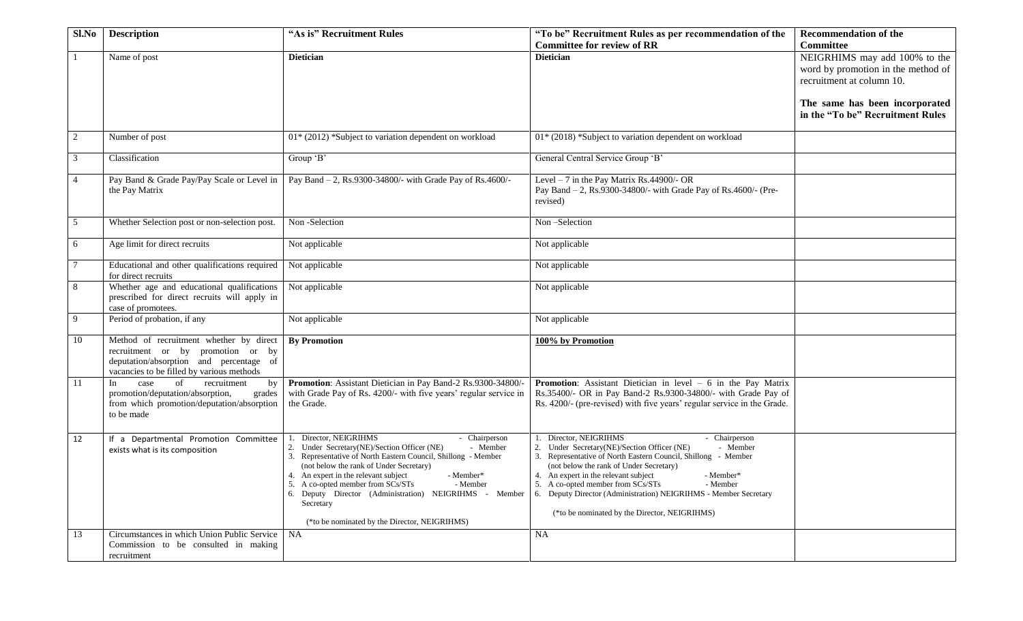| Sl.No          | <b>Description</b>                            | "As is" Recruitment Rules                                                                               | "To be" Recruitment Rules as per recommendation of the                                                            | <b>Recommendation of the</b>       |
|----------------|-----------------------------------------------|---------------------------------------------------------------------------------------------------------|-------------------------------------------------------------------------------------------------------------------|------------------------------------|
|                |                                               |                                                                                                         | <b>Committee for review of RR</b>                                                                                 | <b>Committee</b>                   |
|                | Name of post                                  | <b>Dietician</b>                                                                                        | <b>Dietician</b>                                                                                                  | NEIGRHIMS may add 100% to the      |
|                |                                               |                                                                                                         |                                                                                                                   | word by promotion in the method of |
|                |                                               |                                                                                                         |                                                                                                                   | recruitment at column 10.          |
|                |                                               |                                                                                                         |                                                                                                                   |                                    |
|                |                                               |                                                                                                         |                                                                                                                   | The same has been incorporated     |
|                |                                               |                                                                                                         |                                                                                                                   | in the "To be" Recruitment Rules   |
|                |                                               |                                                                                                         |                                                                                                                   |                                    |
| $\overline{2}$ | Number of post                                | 01* (2012) *Subject to variation dependent on workload                                                  | 01* (2018) *Subject to variation dependent on workload                                                            |                                    |
|                |                                               |                                                                                                         |                                                                                                                   |                                    |
| 3              | Classification                                | Group 'B'                                                                                               | General Central Service Group 'B'                                                                                 |                                    |
|                |                                               |                                                                                                         |                                                                                                                   |                                    |
| $\overline{4}$ | Pay Band & Grade Pay/Pay Scale or Level in    | Pay Band - 2, Rs.9300-34800/- with Grade Pay of Rs.4600/-                                               | Level $-7$ in the Pay Matrix Rs.44900/- OR                                                                        |                                    |
|                | the Pay Matrix                                |                                                                                                         | Pay Band - 2, Rs.9300-34800/- with Grade Pay of Rs.4600/- (Pre-                                                   |                                    |
|                |                                               |                                                                                                         | revised)                                                                                                          |                                    |
|                |                                               |                                                                                                         |                                                                                                                   |                                    |
| 5              | Whether Selection post or non-selection post. | Non-Selection                                                                                           | Non-Selection                                                                                                     |                                    |
|                |                                               |                                                                                                         |                                                                                                                   |                                    |
| 6              | Age limit for direct recruits                 | Not applicable                                                                                          | Not applicable                                                                                                    |                                    |
|                |                                               |                                                                                                         |                                                                                                                   |                                    |
|                | Educational and other qualifications required | Not applicable                                                                                          | Not applicable                                                                                                    |                                    |
|                | for direct recruits                           |                                                                                                         |                                                                                                                   |                                    |
| 8              | Whether age and educational qualifications    | Not applicable                                                                                          | Not applicable                                                                                                    |                                    |
|                | prescribed for direct recruits will apply in  |                                                                                                         |                                                                                                                   |                                    |
|                | case of promotees.                            |                                                                                                         |                                                                                                                   |                                    |
| 9              | Period of probation, if any                   | Not applicable                                                                                          | Not applicable                                                                                                    |                                    |
| 10             | Method of recruitment whether by direct       | <b>By Promotion</b>                                                                                     | 100% by Promotion                                                                                                 |                                    |
|                | recruitment or by promotion or by             |                                                                                                         |                                                                                                                   |                                    |
|                | deputation/absorption and percentage of       |                                                                                                         |                                                                                                                   |                                    |
|                | vacancies to be filled by various methods     |                                                                                                         |                                                                                                                   |                                    |
| <sup>11</sup>  | of<br>In<br>case<br>recruitment<br>by         | Promotion: Assistant Dietician in Pay Band-2 Rs.9300-34800/-                                            | <b>Promotion:</b> Assistant Dietician $\overline{in}$ level $- 6$ in the Pay Matrix                               |                                    |
|                | promotion/deputation/absorption,<br>grades    | with Grade Pay of Rs. 4200/- with five years' regular service in                                        | Rs.35400/- OR in Pay Band-2 Rs.9300-34800/- with Grade Pay of                                                     |                                    |
|                | from which promotion/deputation/absorption    | the Grade.                                                                                              | Rs. 4200/- (pre-revised) with five years' regular service in the Grade.                                           |                                    |
|                | to be made                                    |                                                                                                         |                                                                                                                   |                                    |
|                |                                               |                                                                                                         |                                                                                                                   |                                    |
| 12             | If a Departmental Promotion Committee         | Director, NEIGRIHMS<br>- Chairperson                                                                    | Director, NEIGRIHMS<br>- Chairperson                                                                              |                                    |
|                | exists what is its composition                | 2. Under Secretary(NE)/Section Officer (NE)<br>- Member                                                 | 2. Under Secretary(NE)/Section Officer (NE)<br>- Member                                                           |                                    |
|                |                                               | 3. Representative of North Eastern Council, Shillong - Member                                           | 3. Representative of North Eastern Council, Shillong - Member                                                     |                                    |
|                |                                               | (not below the rank of Under Secretary)                                                                 | (not below the rank of Under Secretary)                                                                           |                                    |
|                |                                               | 4. An expert in the relevant subject<br>- Member*                                                       | 4. An expert in the relevant subject<br>- Member*                                                                 |                                    |
|                |                                               | 5. A co-opted member from SCs/STs<br>- Member<br>6. Deputy Director (Administration) NEIGRIHMS - Member | 5. A co-opted member from SCs/STs<br>- Member<br>6. Deputy Director (Administration) NEIGRIHMS - Member Secretary |                                    |
|                |                                               | Secretary                                                                                               |                                                                                                                   |                                    |
|                |                                               |                                                                                                         | (*to be nominated by the Director, NEIGRIHMS)                                                                     |                                    |
|                |                                               | (*to be nominated by the Director, NEIGRIHMS)                                                           |                                                                                                                   |                                    |
| 13             | Circumstances in which Union Public Service   | NA                                                                                                      | <b>NA</b>                                                                                                         |                                    |
|                | Commission to be consulted in making          |                                                                                                         |                                                                                                                   |                                    |
|                | recruitment                                   |                                                                                                         |                                                                                                                   |                                    |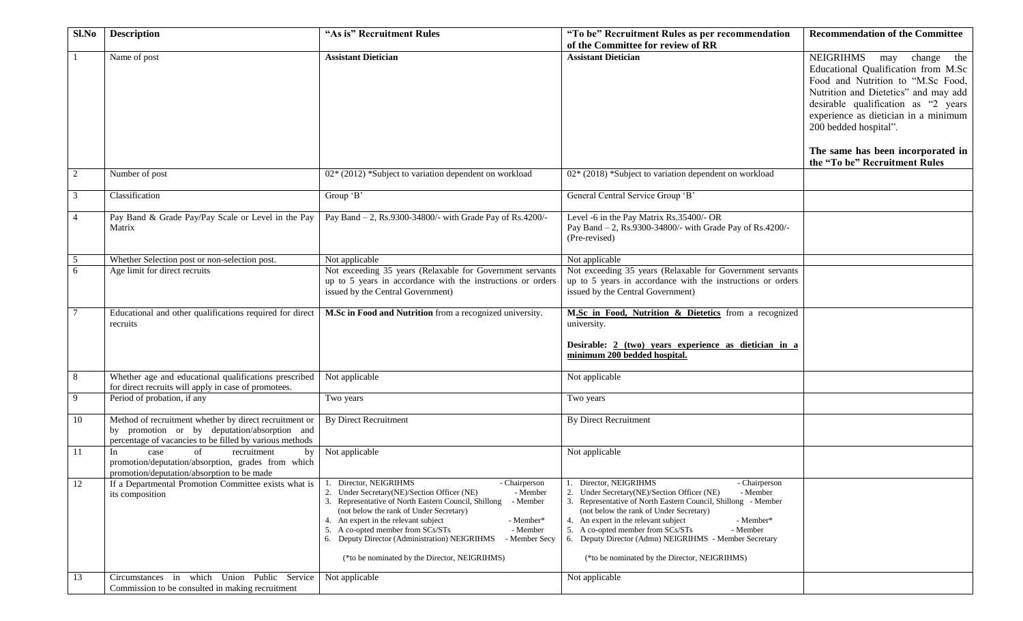| $Sl$ . No      | <b>Description</b>                                                                                                                                                | "As is" Recruitment Rules                                                                                                                                                                                                                                                                                                                                                                                                                     | "To be" Recruitment Rules as per recommendation                                                                                                                                                                                                                                                                                                                                                                                     | <b>Recommendation of the Committee</b>                                                                                                                                                                                                                                                                                               |
|----------------|-------------------------------------------------------------------------------------------------------------------------------------------------------------------|-----------------------------------------------------------------------------------------------------------------------------------------------------------------------------------------------------------------------------------------------------------------------------------------------------------------------------------------------------------------------------------------------------------------------------------------------|-------------------------------------------------------------------------------------------------------------------------------------------------------------------------------------------------------------------------------------------------------------------------------------------------------------------------------------------------------------------------------------------------------------------------------------|--------------------------------------------------------------------------------------------------------------------------------------------------------------------------------------------------------------------------------------------------------------------------------------------------------------------------------------|
|                |                                                                                                                                                                   |                                                                                                                                                                                                                                                                                                                                                                                                                                               | of the Committee for review of RR                                                                                                                                                                                                                                                                                                                                                                                                   |                                                                                                                                                                                                                                                                                                                                      |
|                | Name of post                                                                                                                                                      | <b>Assistant Dietician</b>                                                                                                                                                                                                                                                                                                                                                                                                                    | <b>Assistant Dietician</b>                                                                                                                                                                                                                                                                                                                                                                                                          | <b>NEIGRIHMS</b><br>may change the<br>Educational Qualification from M.Sc<br>Food and Nutrition to "M.Sc Food,<br>Nutrition and Dietetics" and may add<br>desirable qualification as "2 years<br>experience as dietician in a minimum<br>200 bedded hospital".<br>The same has been incorporated in<br>the "To be" Recruitment Rules |
| $\overline{c}$ | Number of post                                                                                                                                                    | 02* (2012) *Subject to variation dependent on workload                                                                                                                                                                                                                                                                                                                                                                                        | $02*(2018)$ *Subject to variation dependent on workload                                                                                                                                                                                                                                                                                                                                                                             |                                                                                                                                                                                                                                                                                                                                      |
| 3              | Classification                                                                                                                                                    | Group 'B'                                                                                                                                                                                                                                                                                                                                                                                                                                     | General Central Service Group 'B'                                                                                                                                                                                                                                                                                                                                                                                                   |                                                                                                                                                                                                                                                                                                                                      |
| 4              | Pay Band & Grade Pay/Pay Scale or Level in the Pay<br>Matrix                                                                                                      | Pay Band - 2, Rs.9300-34800/- with Grade Pay of Rs.4200/-                                                                                                                                                                                                                                                                                                                                                                                     | Level -6 in the Pay Matrix Rs.35400/- OR<br>Pay Band - 2, Rs.9300-34800/- with Grade Pay of Rs.4200/-<br>(Pre-revised)                                                                                                                                                                                                                                                                                                              |                                                                                                                                                                                                                                                                                                                                      |
| 5              | Whether Selection post or non-selection post.                                                                                                                     | Not applicable                                                                                                                                                                                                                                                                                                                                                                                                                                | Not applicable                                                                                                                                                                                                                                                                                                                                                                                                                      |                                                                                                                                                                                                                                                                                                                                      |
| 6              | Age limit for direct recruits                                                                                                                                     | Not exceeding 35 years (Relaxable for Government servants<br>up to 5 years in accordance with the instructions or orders<br>issued by the Central Government)                                                                                                                                                                                                                                                                                 | Not exceeding 35 years (Relaxable for Government servants<br>up to 5 years in accordance with the instructions or orders<br>issued by the Central Government)                                                                                                                                                                                                                                                                       |                                                                                                                                                                                                                                                                                                                                      |
|                | Educational and other qualifications required for direct<br>recruits                                                                                              | M.Sc in Food and Nutrition from a recognized university.                                                                                                                                                                                                                                                                                                                                                                                      | M.Sc in Food, Nutrition & Dietetics from a recognized<br>university.<br>Desirable: 2 (two) years experience as dietician in a<br>minimum 200 bedded hospital.                                                                                                                                                                                                                                                                       |                                                                                                                                                                                                                                                                                                                                      |
| 8              | Whether age and educational qualifications prescribed<br>for direct recruits will apply in case of promotees.                                                     | Not applicable                                                                                                                                                                                                                                                                                                                                                                                                                                | Not applicable                                                                                                                                                                                                                                                                                                                                                                                                                      |                                                                                                                                                                                                                                                                                                                                      |
| 9              | Period of probation, if any                                                                                                                                       | Two years                                                                                                                                                                                                                                                                                                                                                                                                                                     | Two years                                                                                                                                                                                                                                                                                                                                                                                                                           |                                                                                                                                                                                                                                                                                                                                      |
| 10             | Method of recruitment whether by direct recruitment or<br>by promotion or by deputation/absorption and<br>percentage of vacancies to be filled by various methods | <b>By Direct Recruitment</b>                                                                                                                                                                                                                                                                                                                                                                                                                  | <b>By Direct Recruitment</b>                                                                                                                                                                                                                                                                                                                                                                                                        |                                                                                                                                                                                                                                                                                                                                      |
| 11             | case<br>recruitment<br>of<br>by<br>In<br>promotion/deputation/absorption, grades from which<br>promotion/deputation/absorption to be made                         | Not applicable                                                                                                                                                                                                                                                                                                                                                                                                                                | Not applicable                                                                                                                                                                                                                                                                                                                                                                                                                      |                                                                                                                                                                                                                                                                                                                                      |
| 12             | If a Departmental Promotion Committee exists what is<br>its composition                                                                                           | 1. Director, NEIGRIHMS<br>- Chairperson<br>2. Under Secretary(NE)/Section Officer (NE)<br>- Member<br>3. Representative of North Eastern Council, Shillong<br>- Member<br>(not below the rank of Under Secretary)<br>4. An expert in the relevant subject<br>- Member*<br>A co-opted member from SCs/STs<br>- Member<br>5.<br>6. Deputy Director (Administration) NEIGRIHMS<br>- Member Secy<br>(*to be nominated by the Director, NEIGRIHMS) | 1. Director, NEIGRIHMS<br>- Chairperson<br>2. Under Secretary (NE)/Section Officer (NE)<br>- Member<br>3. Representative of North Eastern Council, Shillong - Member<br>(not below the rank of Under Secretary)<br>4. An expert in the relevant subject<br>- Member*<br>A co-opted member from SCs/STs<br>- Member<br>5.<br>6. Deputy Director (Admn) NEIGRIHMS - Member Secretary<br>(*to be nominated by the Director, NEIGRIHMS) |                                                                                                                                                                                                                                                                                                                                      |
| 13             | Circumstances in which Union Public Service<br>Commission to be consulted in making recruitment                                                                   | Not applicable                                                                                                                                                                                                                                                                                                                                                                                                                                | Not applicable                                                                                                                                                                                                                                                                                                                                                                                                                      |                                                                                                                                                                                                                                                                                                                                      |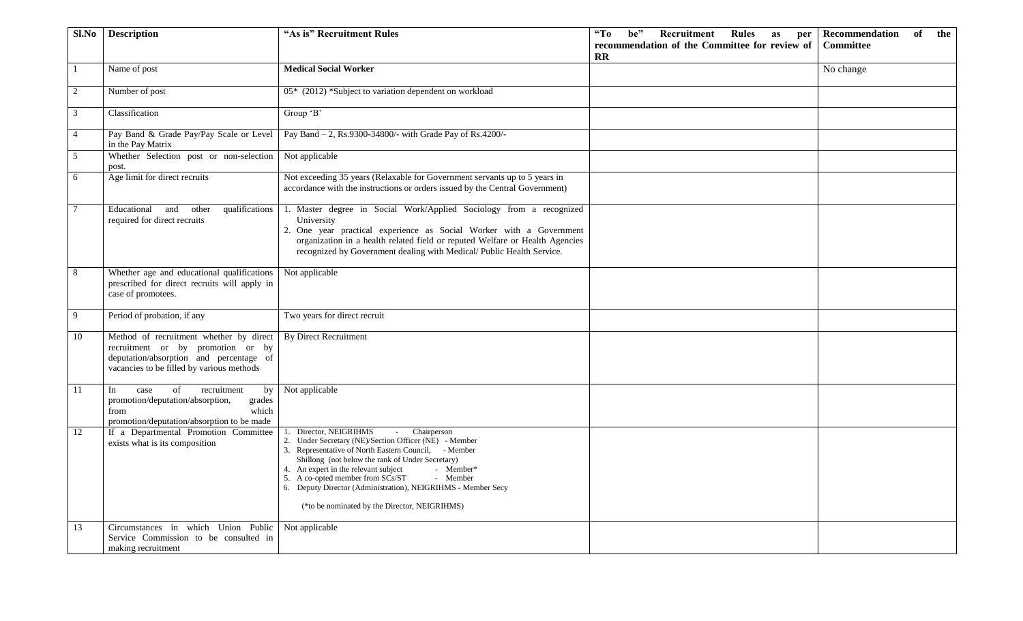| Sl.No          | <b>Description</b>                                                                                                                                                   | "As is" Recruitment Rules                                                                                                                                                                                                                                                                                                                                                                                                       | $\mathbf{G}$<br><b>Recruitment Rules</b><br>be"<br>Recommendation<br>of<br>the<br>as<br>per<br>recommendation of the Committee for review of<br>Committee |
|----------------|----------------------------------------------------------------------------------------------------------------------------------------------------------------------|---------------------------------------------------------------------------------------------------------------------------------------------------------------------------------------------------------------------------------------------------------------------------------------------------------------------------------------------------------------------------------------------------------------------------------|-----------------------------------------------------------------------------------------------------------------------------------------------------------|
|                |                                                                                                                                                                      |                                                                                                                                                                                                                                                                                                                                                                                                                                 | $\mathbf{R}$                                                                                                                                              |
|                | Name of post                                                                                                                                                         | <b>Medical Social Worker</b>                                                                                                                                                                                                                                                                                                                                                                                                    | No change                                                                                                                                                 |
| 2              | Number of post                                                                                                                                                       | 05* (2012) *Subject to variation dependent on workload                                                                                                                                                                                                                                                                                                                                                                          |                                                                                                                                                           |
| 3              | Classification                                                                                                                                                       | Group 'B'                                                                                                                                                                                                                                                                                                                                                                                                                       |                                                                                                                                                           |
| $\overline{4}$ | Pay Band & Grade Pay/Pay Scale or Level<br>in the Pay Matrix                                                                                                         | Pay Band - 2, Rs.9300-34800/- with Grade Pay of Rs.4200/-                                                                                                                                                                                                                                                                                                                                                                       |                                                                                                                                                           |
| 5 <sup>5</sup> | Whether Selection post or non-selection<br>post.                                                                                                                     | Not applicable                                                                                                                                                                                                                                                                                                                                                                                                                  |                                                                                                                                                           |
| 6              | Age limit for direct recruits                                                                                                                                        | Not exceeding 35 years (Relaxable for Government servants up to 5 years in<br>accordance with the instructions or orders issued by the Central Government)                                                                                                                                                                                                                                                                      |                                                                                                                                                           |
| $\tau$         | qualifications<br>Educational and other<br>required for direct recruits                                                                                              | 1. Master degree in Social Work/Applied Sociology from a recognized<br>University<br>2. One year practical experience as Social Worker with a Government<br>organization in a health related field or reputed Welfare or Health Agencies<br>recognized by Government dealing with Medical/ Public Health Service.                                                                                                               |                                                                                                                                                           |
| 8              | Whether age and educational qualifications<br>prescribed for direct recruits will apply in<br>case of promotees.                                                     | Not applicable                                                                                                                                                                                                                                                                                                                                                                                                                  |                                                                                                                                                           |
| 9              | Period of probation, if any                                                                                                                                          | Two years for direct recruit                                                                                                                                                                                                                                                                                                                                                                                                    |                                                                                                                                                           |
| 10             | Method of recruitment whether by direct<br>recruitment or by promotion or by<br>deputation/absorption and percentage of<br>vacancies to be filled by various methods | <b>By Direct Recruitment</b>                                                                                                                                                                                                                                                                                                                                                                                                    |                                                                                                                                                           |
| 11             | of<br>recruitment<br>In<br>case<br>by<br>promotion/deputation/absorption,<br>grades<br>which<br>from<br>promotion/deputation/absorption to be made                   | Not applicable                                                                                                                                                                                                                                                                                                                                                                                                                  |                                                                                                                                                           |
| 12             | If a Departmental Promotion Committee<br>exists what is its composition                                                                                              | Director, NEIGRIHMS<br>- Chairperson<br>2. Under Secretary (NE)/Section Officer (NE) - Member<br>3. Representative of North Eastern Council, - Member<br>Shillong (not below the rank of Under Secretary)<br>4. An expert in the relevant subject<br>- Member*<br>5. A co-opted member from SCs/ST<br>- Member<br>6. Deputy Director (Administration), NEIGRIHMS - Member Secy<br>(*to be nominated by the Director, NEIGRIHMS) |                                                                                                                                                           |
| 13             | Circumstances in which Union Public Not applicable<br>Service Commission to be consulted in<br>making recruitment                                                    |                                                                                                                                                                                                                                                                                                                                                                                                                                 |                                                                                                                                                           |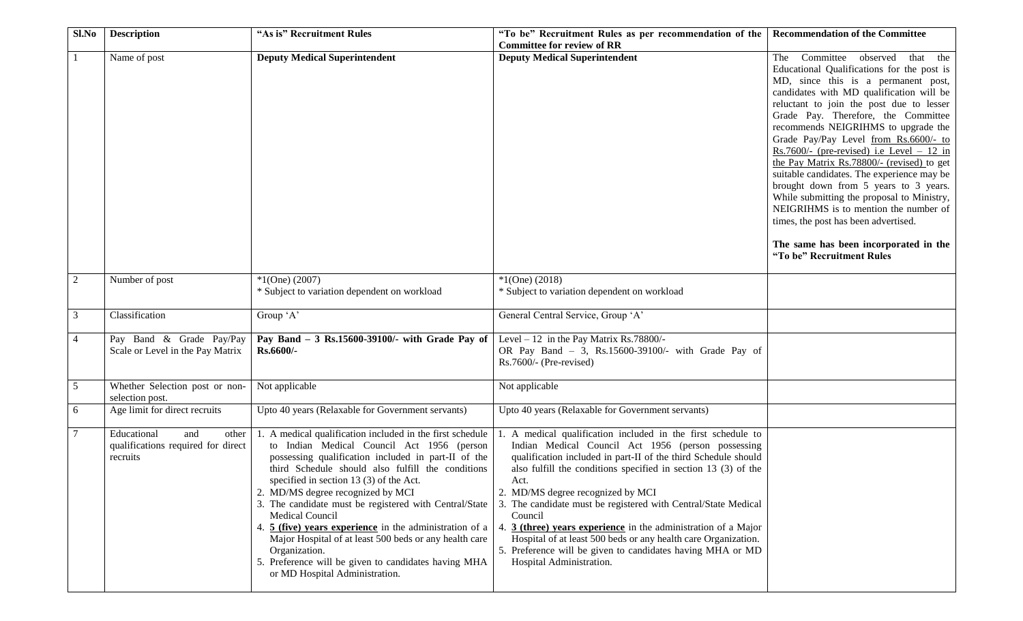| Sl.No          | <b>Description</b>                                                            | "As is" Recruitment Rules                                                                                                                                                                                                                                                                                                                                                                                                                                                                                                                                                                                        | "To be" Recruitment Rules as per recommendation of the                                                                                                                                                                                                                                                                                                                                                                                                                                                                                                                                                              | <b>Recommendation of the Committee</b>                                                                                                                                                                                                                                                                                                                                                                                                                                                                                                                                                                                                                                                                                            |
|----------------|-------------------------------------------------------------------------------|------------------------------------------------------------------------------------------------------------------------------------------------------------------------------------------------------------------------------------------------------------------------------------------------------------------------------------------------------------------------------------------------------------------------------------------------------------------------------------------------------------------------------------------------------------------------------------------------------------------|---------------------------------------------------------------------------------------------------------------------------------------------------------------------------------------------------------------------------------------------------------------------------------------------------------------------------------------------------------------------------------------------------------------------------------------------------------------------------------------------------------------------------------------------------------------------------------------------------------------------|-----------------------------------------------------------------------------------------------------------------------------------------------------------------------------------------------------------------------------------------------------------------------------------------------------------------------------------------------------------------------------------------------------------------------------------------------------------------------------------------------------------------------------------------------------------------------------------------------------------------------------------------------------------------------------------------------------------------------------------|
|                |                                                                               |                                                                                                                                                                                                                                                                                                                                                                                                                                                                                                                                                                                                                  | <b>Committee for review of RR</b>                                                                                                                                                                                                                                                                                                                                                                                                                                                                                                                                                                                   |                                                                                                                                                                                                                                                                                                                                                                                                                                                                                                                                                                                                                                                                                                                                   |
|                | Name of post                                                                  | <b>Deputy Medical Superintendent</b>                                                                                                                                                                                                                                                                                                                                                                                                                                                                                                                                                                             | <b>Deputy Medical Superintendent</b>                                                                                                                                                                                                                                                                                                                                                                                                                                                                                                                                                                                | Committee observed<br>The<br>that the<br>Educational Qualifications for the post is<br>MD, since this is a permanent post,<br>candidates with MD qualification will be<br>reluctant to join the post due to lesser<br>Grade Pay. Therefore, the Committee<br>recommends NEIGRIHMS to upgrade the<br>Grade Pay/Pay Level from Rs.6600/- to<br>Rs.7600/- (pre-revised) i.e Level $-12$ in<br>the Pay Matrix Rs.78800/- (revised) to get<br>suitable candidates. The experience may be<br>brought down from 5 years to 3 years.<br>While submitting the proposal to Ministry,<br>NEIGRIHMS is to mention the number of<br>times, the post has been advertised.<br>The same has been incorporated in the<br>"To be" Recruitment Rules |
|                |                                                                               |                                                                                                                                                                                                                                                                                                                                                                                                                                                                                                                                                                                                                  |                                                                                                                                                                                                                                                                                                                                                                                                                                                                                                                                                                                                                     |                                                                                                                                                                                                                                                                                                                                                                                                                                                                                                                                                                                                                                                                                                                                   |
| $\overline{2}$ | Number of post                                                                | $*1$ (One) (2007)<br>* Subject to variation dependent on workload                                                                                                                                                                                                                                                                                                                                                                                                                                                                                                                                                | $*1$ (One) (2018)<br>* Subject to variation dependent on workload                                                                                                                                                                                                                                                                                                                                                                                                                                                                                                                                                   |                                                                                                                                                                                                                                                                                                                                                                                                                                                                                                                                                                                                                                                                                                                                   |
|                |                                                                               |                                                                                                                                                                                                                                                                                                                                                                                                                                                                                                                                                                                                                  |                                                                                                                                                                                                                                                                                                                                                                                                                                                                                                                                                                                                                     |                                                                                                                                                                                                                                                                                                                                                                                                                                                                                                                                                                                                                                                                                                                                   |
| 3              | Classification                                                                | Group 'A'                                                                                                                                                                                                                                                                                                                                                                                                                                                                                                                                                                                                        | General Central Service, Group 'A'                                                                                                                                                                                                                                                                                                                                                                                                                                                                                                                                                                                  |                                                                                                                                                                                                                                                                                                                                                                                                                                                                                                                                                                                                                                                                                                                                   |
| 4              | Pay Band & Grade Pay/Pay<br>Scale or Level in the Pay Matrix                  | Pay Band $-3$ Rs.15600-39100/- with Grade Pay of<br>Rs.6600/-                                                                                                                                                                                                                                                                                                                                                                                                                                                                                                                                                    | Level $-12$ in the Pay Matrix Rs.78800/-<br>OR Pay Band - 3, Rs.15600-39100/- with Grade Pay of<br>Rs.7600/- (Pre-revised)                                                                                                                                                                                                                                                                                                                                                                                                                                                                                          |                                                                                                                                                                                                                                                                                                                                                                                                                                                                                                                                                                                                                                                                                                                                   |
| 5              | Whether Selection post or non-<br>selection post.                             | Not applicable                                                                                                                                                                                                                                                                                                                                                                                                                                                                                                                                                                                                   | Not applicable                                                                                                                                                                                                                                                                                                                                                                                                                                                                                                                                                                                                      |                                                                                                                                                                                                                                                                                                                                                                                                                                                                                                                                                                                                                                                                                                                                   |
| 6              | Age limit for direct recruits                                                 | Upto 40 years (Relaxable for Government servants)                                                                                                                                                                                                                                                                                                                                                                                                                                                                                                                                                                | Upto 40 years (Relaxable for Government servants)                                                                                                                                                                                                                                                                                                                                                                                                                                                                                                                                                                   |                                                                                                                                                                                                                                                                                                                                                                                                                                                                                                                                                                                                                                                                                                                                   |
| 7              | Educational<br>and<br>other<br>qualifications required for direct<br>recruits | 1. A medical qualification included in the first schedule<br>to Indian Medical Council Act 1956 (person<br>possessing qualification included in part-II of the<br>third Schedule should also fulfill the conditions<br>specified in section 13 (3) of the Act.<br>2. MD/MS degree recognized by MCI<br>3. The candidate must be registered with Central/State<br>Medical Council<br>4. 5 (five) years experience in the administration of a<br>Major Hospital of at least 500 beds or any health care<br>Organization.<br>5. Preference will be given to candidates having MHA<br>or MD Hospital Administration. | 1. A medical qualification included in the first schedule to<br>Indian Medical Council Act 1956 (person possessing<br>qualification included in part-II of the third Schedule should<br>also fulfill the conditions specified in section 13 (3) of the<br>Act.<br>2. MD/MS degree recognized by MCI<br>3. The candidate must be registered with Central/State Medical<br>Council<br>$3$ (three) years experience in the administration of a Major<br>4.<br>Hospital of at least 500 beds or any health care Organization.<br>5. Preference will be given to candidates having MHA or MD<br>Hospital Administration. |                                                                                                                                                                                                                                                                                                                                                                                                                                                                                                                                                                                                                                                                                                                                   |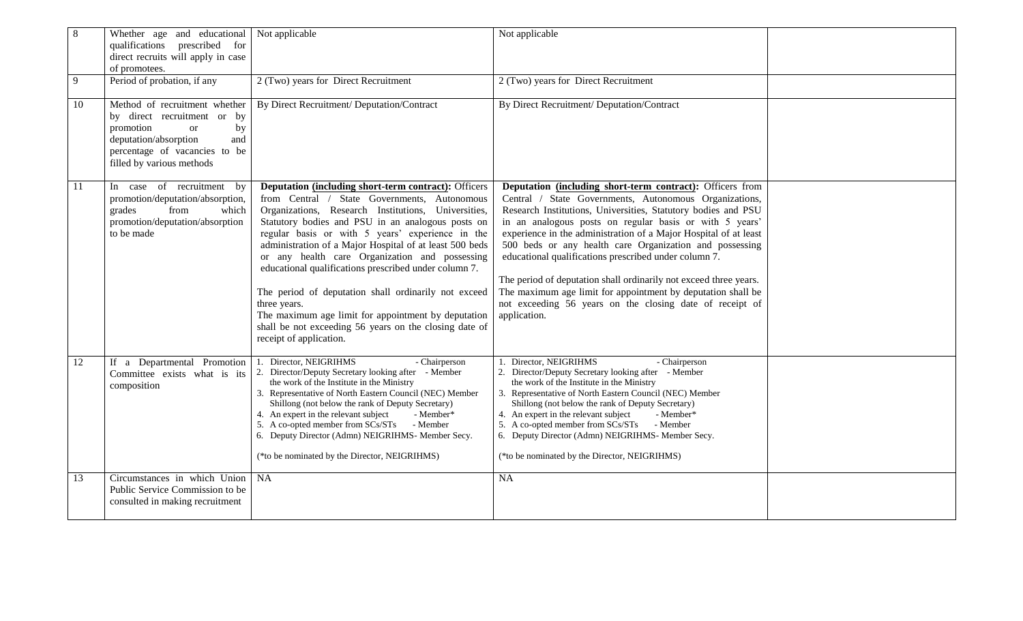| $8\,$ | Whether age and educational Not applicable<br>qualifications prescribed for<br>direct recruits will apply in case<br>of promotees.                                                             |                                                                                                                                                                                                                                                                                                                                                                                                                                                                                                                                                                                                                                                                       | Not applicable                                                                                                                                                                                                                                                                                                                                                                                                                                                                                                                                                                                                                                           |
|-------|------------------------------------------------------------------------------------------------------------------------------------------------------------------------------------------------|-----------------------------------------------------------------------------------------------------------------------------------------------------------------------------------------------------------------------------------------------------------------------------------------------------------------------------------------------------------------------------------------------------------------------------------------------------------------------------------------------------------------------------------------------------------------------------------------------------------------------------------------------------------------------|----------------------------------------------------------------------------------------------------------------------------------------------------------------------------------------------------------------------------------------------------------------------------------------------------------------------------------------------------------------------------------------------------------------------------------------------------------------------------------------------------------------------------------------------------------------------------------------------------------------------------------------------------------|
| 9     | Period of probation, if any                                                                                                                                                                    | 2 (Two) years for Direct Recruitment                                                                                                                                                                                                                                                                                                                                                                                                                                                                                                                                                                                                                                  | 2 (Two) years for Direct Recruitment                                                                                                                                                                                                                                                                                                                                                                                                                                                                                                                                                                                                                     |
| 10    | Method of recruitment whether<br>by direct recruitment or by<br>promotion<br><sub>or</sub><br>by<br>deputation/absorption<br>and<br>percentage of vacancies to be<br>filled by various methods | By Direct Recruitment/ Deputation/Contract                                                                                                                                                                                                                                                                                                                                                                                                                                                                                                                                                                                                                            | By Direct Recruitment/ Deputation/Contract                                                                                                                                                                                                                                                                                                                                                                                                                                                                                                                                                                                                               |
| 11    | In case of recruitment by<br>promotion/deputation/absorption,<br>grades<br>from<br>which<br>promotion/deputation/absorption<br>to be made                                                      | <b>Deputation (including short-term contract): Officers</b><br>from Central / State Governments, Autonomous<br>Organizations, Research Institutions, Universities,<br>Statutory bodies and PSU in an analogous posts on<br>regular basis or with 5 years' experience in the<br>administration of a Major Hospital of at least 500 beds<br>or any health care Organization and possessing<br>educational qualifications prescribed under column 7.<br>The period of deputation shall ordinarily not exceed<br>three years.<br>The maximum age limit for appointment by deputation<br>shall be not exceeding 56 years on the closing date of<br>receipt of application. | Deputation (including short-term contract): Officers from<br>Central / State Governments, Autonomous Organizations,<br>Research Institutions, Universities, Statutory bodies and PSU<br>in an analogous posts on regular basis or with 5 years'<br>experience in the administration of a Major Hospital of at least<br>500 beds or any health care Organization and possessing<br>educational qualifications prescribed under column 7.<br>The period of deputation shall ordinarily not exceed three years.<br>The maximum age limit for appointment by deputation shall be<br>not exceeding 56 years on the closing date of receipt of<br>application. |
| 12    | If a Departmental Promotion<br>Committee exists what is its<br>composition                                                                                                                     | 1. Director, NEIGRIHMS<br>- Chairperson<br>2. Director/Deputy Secretary looking after - Member<br>the work of the Institute in the Ministry<br>3. Representative of North Eastern Council (NEC) Member<br>Shillong (not below the rank of Deputy Secretary)<br>4. An expert in the relevant subject<br>- Member*<br>5. A co-opted member from SCs/STs<br>- Member<br>6. Deputy Director (Admn) NEIGRIHMS- Member Secy.<br>(*to be nominated by the Director, NEIGRIHMS)                                                                                                                                                                                               | Director, NEIGRIHMS<br>- Chairperson<br>2. Director/Deputy Secretary looking after - Member<br>the work of the Institute in the Ministry<br>3. Representative of North Eastern Council (NEC) Member<br>Shillong (not below the rank of Deputy Secretary)<br>4. An expert in the relevant subject<br>- Member*<br>5. A co-opted member from SCs/STs<br>- Member<br>6. Deputy Director (Admn) NEIGRIHMS- Member Secy.<br>(*to be nominated by the Director, NEIGRIHMS)                                                                                                                                                                                     |
| 13    | Circumstances in which Union<br>Public Service Commission to be<br>consulted in making recruitment                                                                                             | NA                                                                                                                                                                                                                                                                                                                                                                                                                                                                                                                                                                                                                                                                    | <b>NA</b>                                                                                                                                                                                                                                                                                                                                                                                                                                                                                                                                                                                                                                                |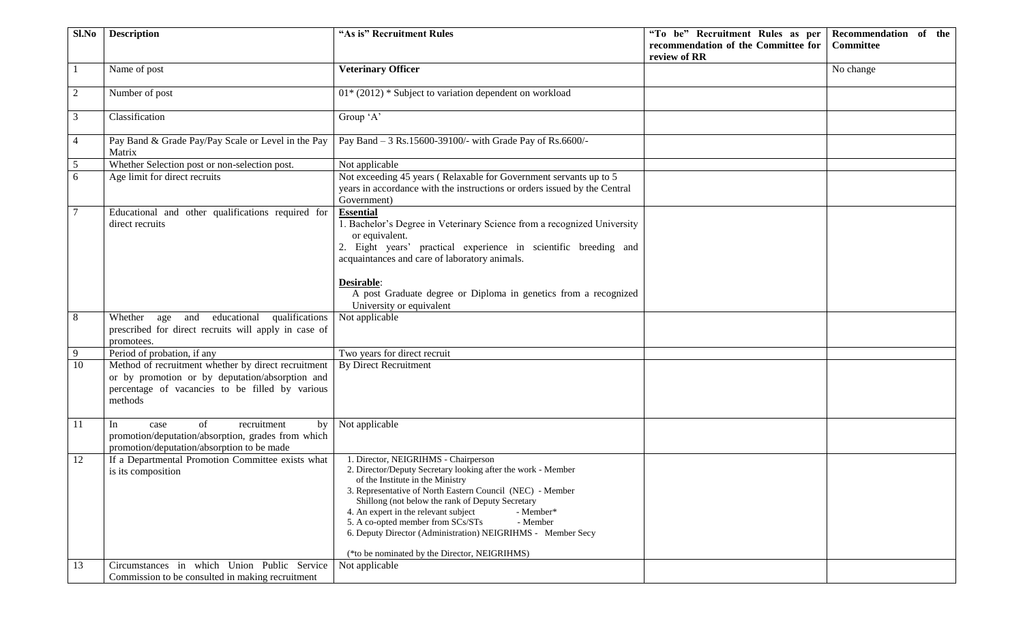| Sl.No          | <b>Description</b>                                                                                                                                                   | "As is" Recruitment Rules                                                                                                                                                                                                                                                                                                                                                                                                                                                       | "To be" Recruitment Rules as per    | Recommendation of the |
|----------------|----------------------------------------------------------------------------------------------------------------------------------------------------------------------|---------------------------------------------------------------------------------------------------------------------------------------------------------------------------------------------------------------------------------------------------------------------------------------------------------------------------------------------------------------------------------------------------------------------------------------------------------------------------------|-------------------------------------|-----------------------|
|                |                                                                                                                                                                      |                                                                                                                                                                                                                                                                                                                                                                                                                                                                                 | recommendation of the Committee for | <b>Committee</b>      |
|                |                                                                                                                                                                      |                                                                                                                                                                                                                                                                                                                                                                                                                                                                                 | review of RR                        |                       |
|                | Name of post                                                                                                                                                         | <b>Veterinary Officer</b>                                                                                                                                                                                                                                                                                                                                                                                                                                                       |                                     | No change             |
| 2              | Number of post                                                                                                                                                       | $01*$ (2012) * Subject to variation dependent on workload                                                                                                                                                                                                                                                                                                                                                                                                                       |                                     |                       |
| 3              | Classification                                                                                                                                                       | Group 'A'                                                                                                                                                                                                                                                                                                                                                                                                                                                                       |                                     |                       |
| 4              | Pay Band & Grade Pay/Pay Scale or Level in the Pay<br>Matrix                                                                                                         | Pay Band - 3 Rs.15600-39100/- with Grade Pay of Rs.6600/-                                                                                                                                                                                                                                                                                                                                                                                                                       |                                     |                       |
| $\overline{5}$ | Whether Selection post or non-selection post.                                                                                                                        | Not applicable                                                                                                                                                                                                                                                                                                                                                                                                                                                                  |                                     |                       |
| 6              | Age limit for direct recruits                                                                                                                                        | Not exceeding 45 years (Relaxable for Government servants up to 5<br>years in accordance with the instructions or orders issued by the Central<br>Government)                                                                                                                                                                                                                                                                                                                   |                                     |                       |
|                | Educational and other qualifications required for<br>direct recruits                                                                                                 | <b>Essential</b><br>. Bachelor's Degree in Veterinary Science from a recognized University<br>or equivalent.<br>2. Eight years' practical experience in scientific breeding and<br>acquaintances and care of laboratory animals.<br>Desirable:<br>A post Graduate degree or Diploma in genetics from a recognized                                                                                                                                                               |                                     |                       |
|                |                                                                                                                                                                      | University or equivalent                                                                                                                                                                                                                                                                                                                                                                                                                                                        |                                     |                       |
| 8              | Whether age and educational qualifications<br>prescribed for direct recruits will apply in case of<br>promotees.                                                     | Not applicable                                                                                                                                                                                                                                                                                                                                                                                                                                                                  |                                     |                       |
| 9              | Period of probation, if any                                                                                                                                          | Two years for direct recruit                                                                                                                                                                                                                                                                                                                                                                                                                                                    |                                     |                       |
| 10             | Method of recruitment whether by direct recruitment<br>or by promotion or by deputation/absorption and<br>percentage of vacancies to be filled by various<br>methods | <b>By Direct Recruitment</b>                                                                                                                                                                                                                                                                                                                                                                                                                                                    |                                     |                       |
| 11             | of<br>recruitment<br>by<br>In<br>case<br>promotion/deputation/absorption, grades from which<br>promotion/deputation/absorption to be made                            | Not applicable                                                                                                                                                                                                                                                                                                                                                                                                                                                                  |                                     |                       |
| 12             | If a Departmental Promotion Committee exists what<br>is its composition                                                                                              | 1. Director, NEIGRIHMS - Chairperson<br>2. Director/Deputy Secretary looking after the work - Member<br>of the Institute in the Ministry<br>3. Representative of North Eastern Council (NEC) - Member<br>Shillong (not below the rank of Deputy Secretary<br>4. An expert in the relevant subject<br>- Member*<br>5. A co-opted member from SCs/STs<br>- Member<br>6. Deputy Director (Administration) NEIGRIHMS - Member Secy<br>(*to be nominated by the Director, NEIGRIHMS) |                                     |                       |
| 13             | Circumstances in which Union Public Service<br>Commission to be consulted in making recruitment                                                                      | Not applicable                                                                                                                                                                                                                                                                                                                                                                                                                                                                  |                                     |                       |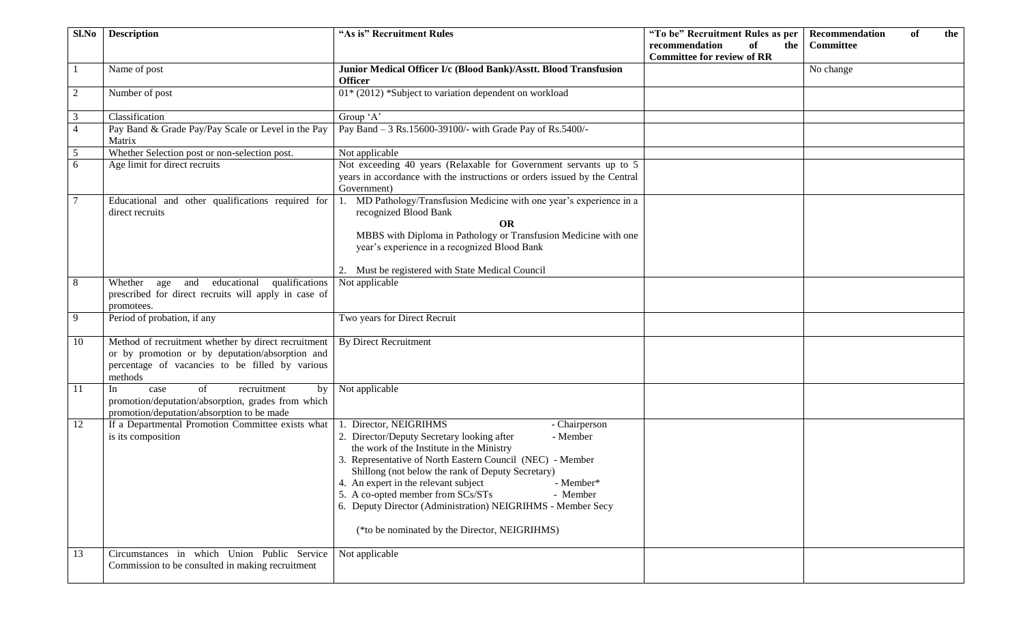| Sl.No          | <b>Description</b>                                                                                                                                                   | "As is" Recruitment Rules                                                                                                                                                                                                                                                                                                                                                                                                                                                              | "To be" Recruitment Rules as per                                            | Recommendation<br>of<br>the |
|----------------|----------------------------------------------------------------------------------------------------------------------------------------------------------------------|----------------------------------------------------------------------------------------------------------------------------------------------------------------------------------------------------------------------------------------------------------------------------------------------------------------------------------------------------------------------------------------------------------------------------------------------------------------------------------------|-----------------------------------------------------------------------------|-----------------------------|
|                |                                                                                                                                                                      |                                                                                                                                                                                                                                                                                                                                                                                                                                                                                        | recommendation<br><sub>of</sub><br>the<br><b>Committee for review of RR</b> | <b>Committee</b>            |
|                | Name of post                                                                                                                                                         | Junior Medical Officer I/c (Blood Bank)/Asstt. Blood Transfusion                                                                                                                                                                                                                                                                                                                                                                                                                       |                                                                             | No change                   |
|                |                                                                                                                                                                      | <b>Officer</b>                                                                                                                                                                                                                                                                                                                                                                                                                                                                         |                                                                             |                             |
| 2              | Number of post                                                                                                                                                       | 01* (2012) *Subject to variation dependent on workload                                                                                                                                                                                                                                                                                                                                                                                                                                 |                                                                             |                             |
| 3              | Classification                                                                                                                                                       | Group 'A'                                                                                                                                                                                                                                                                                                                                                                                                                                                                              |                                                                             |                             |
| $\overline{4}$ | Pay Band & Grade Pay/Pay Scale or Level in the Pay<br>Matrix                                                                                                         | Pay Band - 3 Rs.15600-39100/- with Grade Pay of Rs.5400/-                                                                                                                                                                                                                                                                                                                                                                                                                              |                                                                             |                             |
| 5              | Whether Selection post or non-selection post.                                                                                                                        | Not applicable                                                                                                                                                                                                                                                                                                                                                                                                                                                                         |                                                                             |                             |
| 6              | Age limit for direct recruits                                                                                                                                        | Not exceeding 40 years (Relaxable for Government servants up to 5<br>years in accordance with the instructions or orders issued by the Central<br>Government)                                                                                                                                                                                                                                                                                                                          |                                                                             |                             |
|                | Educational and other qualifications required for<br>direct recruits                                                                                                 | 1. MD Pathology/Transfusion Medicine with one year's experience in a<br>recognized Blood Bank<br><b>OR</b>                                                                                                                                                                                                                                                                                                                                                                             |                                                                             |                             |
|                |                                                                                                                                                                      | MBBS with Diploma in Pathology or Transfusion Medicine with one<br>year's experience in a recognized Blood Bank                                                                                                                                                                                                                                                                                                                                                                        |                                                                             |                             |
|                |                                                                                                                                                                      | 2. Must be registered with State Medical Council                                                                                                                                                                                                                                                                                                                                                                                                                                       |                                                                             |                             |
| 8              | qualifications<br>Whether age and educational<br>prescribed for direct recruits will apply in case of<br>promotees.                                                  | Not applicable                                                                                                                                                                                                                                                                                                                                                                                                                                                                         |                                                                             |                             |
| 9              | Period of probation, if any                                                                                                                                          | Two years for Direct Recruit                                                                                                                                                                                                                                                                                                                                                                                                                                                           |                                                                             |                             |
| 10             | Method of recruitment whether by direct recruitment<br>or by promotion or by deputation/absorption and<br>percentage of vacancies to be filled by various<br>methods | <b>By Direct Recruitment</b>                                                                                                                                                                                                                                                                                                                                                                                                                                                           |                                                                             |                             |
| 11             | of<br>In<br>case<br>recruitment<br>by<br>promotion/deputation/absorption, grades from which<br>promotion/deputation/absorption to be made                            | Not applicable                                                                                                                                                                                                                                                                                                                                                                                                                                                                         |                                                                             |                             |
| 12             | If a Departmental Promotion Committee exists what<br>is its composition                                                                                              | 1. Director, NEIGRIHMS<br>- Chairperson<br>2. Director/Deputy Secretary looking after<br>- Member<br>the work of the Institute in the Ministry<br>3. Representative of North Eastern Council (NEC) - Member<br>Shillong (not below the rank of Deputy Secretary)<br>4. An expert in the relevant subject<br>- Member*<br>5. A co-opted member from SCs/STs<br>- Member<br>6. Deputy Director (Administration) NEIGRIHMS - Member Secy<br>(*to be nominated by the Director, NEIGRIHMS) |                                                                             |                             |
| 13             | Circumstances in which Union Public Service<br>Commission to be consulted in making recruitment                                                                      | Not applicable                                                                                                                                                                                                                                                                                                                                                                                                                                                                         |                                                                             |                             |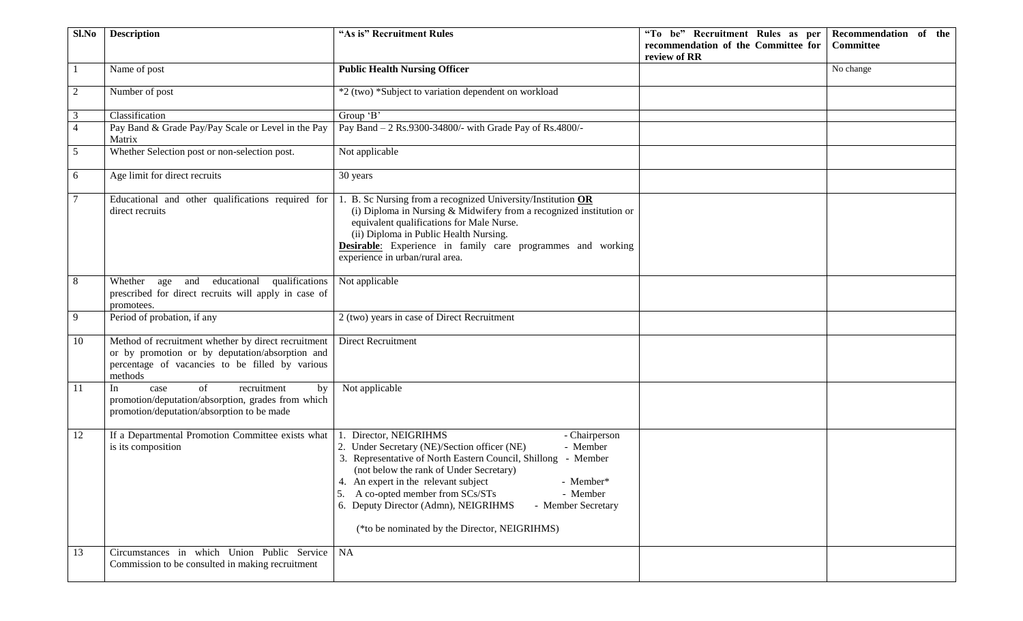| Sl.No          | <b>Description</b>                                                                                                                                                   | "As is" Recruitment Rules                                                                                                                                                                                                                                                                                                                                                                                                         | "To be" Recruitment Rules as per<br>recommendation of the Committee for<br>review of RR | Recommendation of the<br><b>Committee</b> |
|----------------|----------------------------------------------------------------------------------------------------------------------------------------------------------------------|-----------------------------------------------------------------------------------------------------------------------------------------------------------------------------------------------------------------------------------------------------------------------------------------------------------------------------------------------------------------------------------------------------------------------------------|-----------------------------------------------------------------------------------------|-------------------------------------------|
|                | Name of post                                                                                                                                                         | <b>Public Health Nursing Officer</b>                                                                                                                                                                                                                                                                                                                                                                                              |                                                                                         | No change                                 |
| 2              | Number of post                                                                                                                                                       | *2 (two) *Subject to variation dependent on workload                                                                                                                                                                                                                                                                                                                                                                              |                                                                                         |                                           |
| 3              | Classification                                                                                                                                                       | Group 'B'                                                                                                                                                                                                                                                                                                                                                                                                                         |                                                                                         |                                           |
| $\overline{4}$ | Pay Band & Grade Pay/Pay Scale or Level in the Pay<br>Matrix                                                                                                         | Pay Band - 2 Rs.9300-34800/- with Grade Pay of Rs.4800/-                                                                                                                                                                                                                                                                                                                                                                          |                                                                                         |                                           |
| 5 <sup>5</sup> | Whether Selection post or non-selection post.                                                                                                                        | Not applicable                                                                                                                                                                                                                                                                                                                                                                                                                    |                                                                                         |                                           |
| 6              | Age limit for direct recruits                                                                                                                                        | 30 years                                                                                                                                                                                                                                                                                                                                                                                                                          |                                                                                         |                                           |
|                | Educational and other qualifications required for<br>direct recruits                                                                                                 | . B. Sc Nursing from a recognized University/Institution $OR$<br>(i) Diploma in Nursing & Midwifery from a recognized institution or<br>equivalent qualifications for Male Nurse.<br>(ii) Diploma in Public Health Nursing.<br><b>Desirable:</b> Experience in family care programmes and working<br>experience in urban/rural area.                                                                                              |                                                                                         |                                           |
| 8              | Whether age and educational qualifications<br>prescribed for direct recruits will apply in case of<br>promotees.                                                     | Not applicable                                                                                                                                                                                                                                                                                                                                                                                                                    |                                                                                         |                                           |
| 9              | Period of probation, if any                                                                                                                                          | 2 (two) years in case of Direct Recruitment                                                                                                                                                                                                                                                                                                                                                                                       |                                                                                         |                                           |
| 10             | Method of recruitment whether by direct recruitment<br>or by promotion or by deputation/absorption and<br>percentage of vacancies to be filled by various<br>methods | <b>Direct Recruitment</b>                                                                                                                                                                                                                                                                                                                                                                                                         |                                                                                         |                                           |
| 11             | of<br>recruitment<br>In<br>by<br>case<br>promotion/deputation/absorption, grades from which<br>promotion/deputation/absorption to be made                            | Not applicable                                                                                                                                                                                                                                                                                                                                                                                                                    |                                                                                         |                                           |
| 12             | If a Departmental Promotion Committee exists what<br>is its composition                                                                                              | Director, NEIGRIHMS<br>- Chairperson<br>2. Under Secretary (NE)/Section officer (NE)<br>- Member<br>3. Representative of North Eastern Council, Shillong - Member<br>(not below the rank of Under Secretary)<br>4. An expert in the relevant subject<br>- Member*<br>5. A co-opted member from SCs/STs<br>- Member<br>6. Deputy Director (Admn), NEIGRIHMS<br>- Member Secretary<br>(*to be nominated by the Director, NEIGRIHMS) |                                                                                         |                                           |
| 13             | Circumstances in which Union Public Service<br>Commission to be consulted in making recruitment                                                                      | <b>NA</b>                                                                                                                                                                                                                                                                                                                                                                                                                         |                                                                                         |                                           |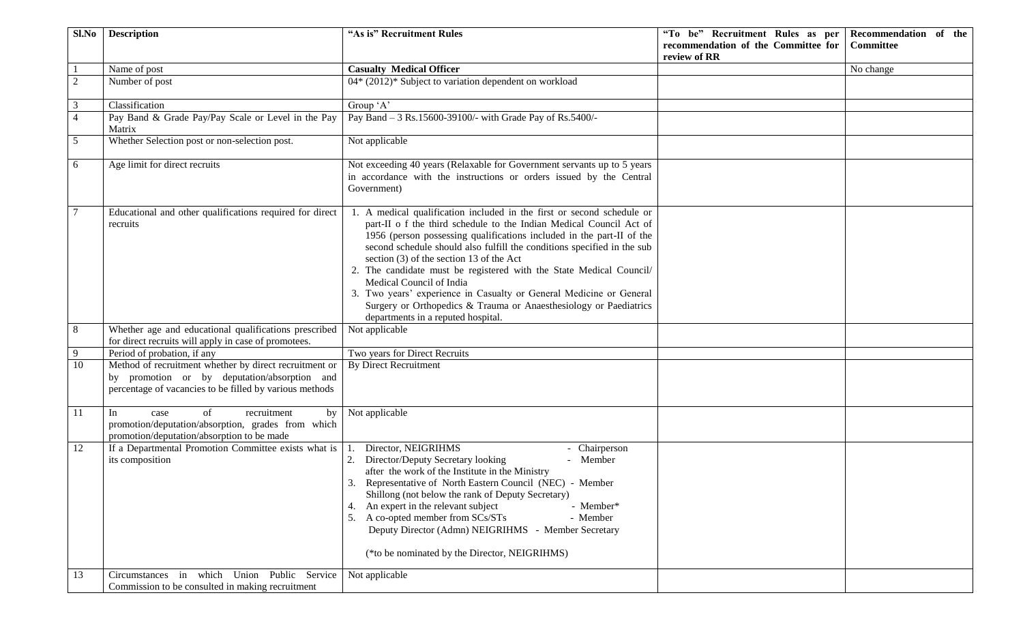| Sl.No           | <b>Description</b>                                                                                                                                                | "As is" Recruitment Rules                                                                                                                                                                                                                                                                                                                                                                                                                                                                                                                                                                                                            | "To be" Recruitment Rules as per    | Recommendation of the |
|-----------------|-------------------------------------------------------------------------------------------------------------------------------------------------------------------|--------------------------------------------------------------------------------------------------------------------------------------------------------------------------------------------------------------------------------------------------------------------------------------------------------------------------------------------------------------------------------------------------------------------------------------------------------------------------------------------------------------------------------------------------------------------------------------------------------------------------------------|-------------------------------------|-----------------------|
|                 |                                                                                                                                                                   |                                                                                                                                                                                                                                                                                                                                                                                                                                                                                                                                                                                                                                      | recommendation of the Committee for | <b>Committee</b>      |
|                 |                                                                                                                                                                   |                                                                                                                                                                                                                                                                                                                                                                                                                                                                                                                                                                                                                                      | review of RR                        |                       |
|                 | Name of post                                                                                                                                                      | <b>Casualty Medical Officer</b>                                                                                                                                                                                                                                                                                                                                                                                                                                                                                                                                                                                                      |                                     | No change             |
| $\overline{2}$  | Number of post                                                                                                                                                    | 04* (2012)* Subject to variation dependent on workload                                                                                                                                                                                                                                                                                                                                                                                                                                                                                                                                                                               |                                     |                       |
| 3               | Classification                                                                                                                                                    | Group 'A'                                                                                                                                                                                                                                                                                                                                                                                                                                                                                                                                                                                                                            |                                     |                       |
| $\overline{4}$  | Pay Band & Grade Pay/Pay Scale or Level in the Pay<br>Matrix                                                                                                      | Pay Band - 3 Rs.15600-39100/- with Grade Pay of Rs.5400/-                                                                                                                                                                                                                                                                                                                                                                                                                                                                                                                                                                            |                                     |                       |
| $5\overline{)}$ | Whether Selection post or non-selection post.                                                                                                                     | Not applicable                                                                                                                                                                                                                                                                                                                                                                                                                                                                                                                                                                                                                       |                                     |                       |
| 6               | Age limit for direct recruits                                                                                                                                     | Not exceeding 40 years (Relaxable for Government servants up to 5 years<br>in accordance with the instructions or orders issued by the Central<br>Government)                                                                                                                                                                                                                                                                                                                                                                                                                                                                        |                                     |                       |
|                 | Educational and other qualifications required for direct<br>recruits                                                                                              | 1. A medical qualification included in the first or second schedule or<br>part-II o f the third schedule to the Indian Medical Council Act of<br>1956 (person possessing qualifications included in the part-II of the<br>second schedule should also fulfill the conditions specified in the sub<br>section $(3)$ of the section 13 of the Act<br>2. The candidate must be registered with the State Medical Council/<br>Medical Council of India<br>3. Two years' experience in Casualty or General Medicine or General<br>Surgery or Orthopedics & Trauma or Anaesthesiology or Paediatrics<br>departments in a reputed hospital. |                                     |                       |
| 8               | Whether age and educational qualifications prescribed<br>for direct recruits will apply in case of promotees.                                                     | Not applicable                                                                                                                                                                                                                                                                                                                                                                                                                                                                                                                                                                                                                       |                                     |                       |
| 9               | Period of probation, if any                                                                                                                                       | Two years for Direct Recruits                                                                                                                                                                                                                                                                                                                                                                                                                                                                                                                                                                                                        |                                     |                       |
| 10              | Method of recruitment whether by direct recruitment or<br>by promotion or by deputation/absorption and<br>percentage of vacancies to be filled by various methods | <b>By Direct Recruitment</b>                                                                                                                                                                                                                                                                                                                                                                                                                                                                                                                                                                                                         |                                     |                       |
| 11              | of<br>recruitment<br>In<br>by<br>case<br>promotion/deputation/absorption, grades from which<br>promotion/deputation/absorption to be made                         | Not applicable                                                                                                                                                                                                                                                                                                                                                                                                                                                                                                                                                                                                                       |                                     |                       |
| 12              | If a Departmental Promotion Committee exists what is<br>its composition                                                                                           | Director, NEIGRIHMS<br>- Chairperson<br>1.<br>- Member<br>Director/Deputy Secretary looking<br>after the work of the Institute in the Ministry<br>3. Representative of North Eastern Council (NEC) - Member<br>Shillong (not below the rank of Deputy Secretary)<br>An expert in the relevant subject<br>- Member*<br>4.<br>5. A co-opted member from SCs/STs<br>- Member<br>Deputy Director (Admn) NEIGRIHMS - Member Secretary<br>(*to be nominated by the Director, NEIGRIHMS)                                                                                                                                                    |                                     |                       |
| 13              | Circumstances in which Union Public Service<br>Commission to be consulted in making recruitment                                                                   | Not applicable                                                                                                                                                                                                                                                                                                                                                                                                                                                                                                                                                                                                                       |                                     |                       |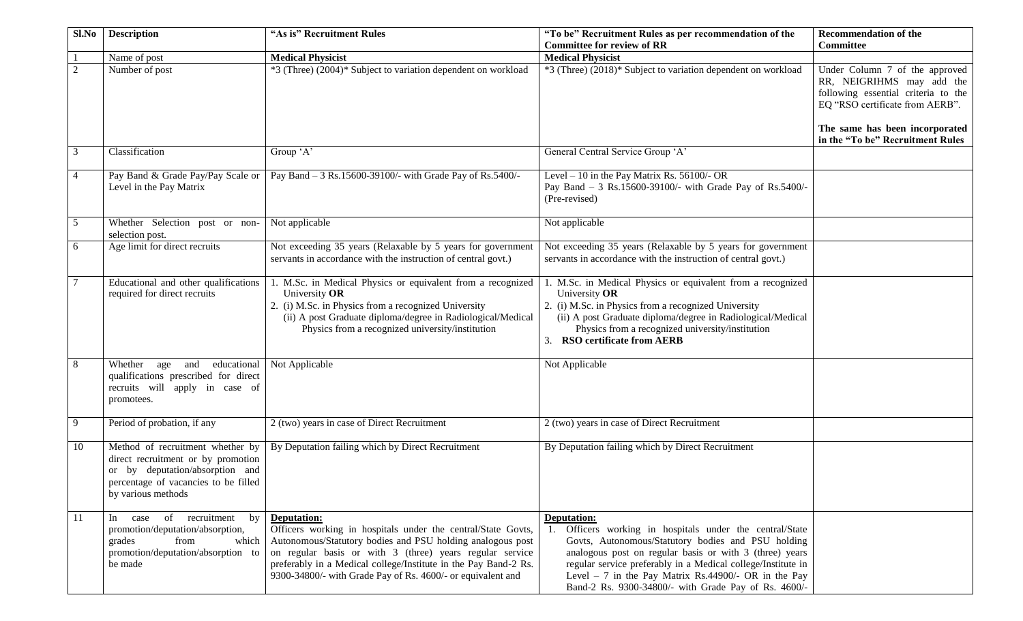| Sl.No          | <b>Description</b>                                                                                                                                                      | "As is" Recruitment Rules                                                                                                                                                                                                                                                                                                               | "To be" Recruitment Rules as per recommendation of the<br><b>Committee for review of RR</b>                                                                                                                                                                                                                                                                            | <b>Recommendation of the</b><br><b>Committee</b>                                                                                                                                                            |
|----------------|-------------------------------------------------------------------------------------------------------------------------------------------------------------------------|-----------------------------------------------------------------------------------------------------------------------------------------------------------------------------------------------------------------------------------------------------------------------------------------------------------------------------------------|------------------------------------------------------------------------------------------------------------------------------------------------------------------------------------------------------------------------------------------------------------------------------------------------------------------------------------------------------------------------|-------------------------------------------------------------------------------------------------------------------------------------------------------------------------------------------------------------|
|                | Name of post                                                                                                                                                            | <b>Medical Physicist</b>                                                                                                                                                                                                                                                                                                                | <b>Medical Physicist</b>                                                                                                                                                                                                                                                                                                                                               |                                                                                                                                                                                                             |
| 2              | Number of post                                                                                                                                                          | *3 (Three) (2004)* Subject to variation dependent on workload                                                                                                                                                                                                                                                                           | *3 (Three) (2018)* Subject to variation dependent on workload                                                                                                                                                                                                                                                                                                          | Under Column 7 of the approved<br>RR, NEIGRIHMS may add the<br>following essential criteria to the<br>EQ "RSO certificate from AERB".<br>The same has been incorporated<br>in the "To be" Recruitment Rules |
| 3              | Classification                                                                                                                                                          | Group 'A'                                                                                                                                                                                                                                                                                                                               | General Central Service Group 'A'                                                                                                                                                                                                                                                                                                                                      |                                                                                                                                                                                                             |
| $\overline{4}$ | Pay Band & Grade Pay/Pay Scale or<br>Level in the Pay Matrix                                                                                                            | Pay Band - 3 Rs.15600-39100/- with Grade Pay of Rs.5400/-                                                                                                                                                                                                                                                                               | Level $-10$ in the Pay Matrix Rs. 56100/- OR<br>Pay Band - 3 Rs.15600-39100/- with Grade Pay of Rs.5400/-<br>(Pre-revised)                                                                                                                                                                                                                                             |                                                                                                                                                                                                             |
| 5              | Whether Selection post or non-<br>selection post.                                                                                                                       | Not applicable                                                                                                                                                                                                                                                                                                                          | Not applicable                                                                                                                                                                                                                                                                                                                                                         |                                                                                                                                                                                                             |
| 6              | Age limit for direct recruits                                                                                                                                           | Not exceeding 35 years (Relaxable by 5 years for government<br>servants in accordance with the instruction of central govt.)                                                                                                                                                                                                            | Not exceeding 35 years (Relaxable by 5 years for government<br>servants in accordance with the instruction of central govt.)                                                                                                                                                                                                                                           |                                                                                                                                                                                                             |
| 7              | Educational and other qualifications<br>required for direct recruits                                                                                                    | 1. M.Sc. in Medical Physics or equivalent from a recognized<br>University OR<br>2. (i) M.Sc. in Physics from a recognized University<br>(ii) A post Graduate diploma/degree in Radiological/Medical<br>Physics from a recognized university/institution                                                                                 | 1. M.Sc. in Medical Physics or equivalent from a recognized<br>University OR<br>2. (i) M.Sc. in Physics from a recognized University<br>(ii) A post Graduate diploma/degree in Radiological/Medical<br>Physics from a recognized university/institution<br>3. RSO certificate from AERB                                                                                |                                                                                                                                                                                                             |
| 8              | educational<br>Whether age<br>and<br>qualifications prescribed for direct<br>recruits will apply in case of<br>promotees.                                               | Not Applicable                                                                                                                                                                                                                                                                                                                          | Not Applicable                                                                                                                                                                                                                                                                                                                                                         |                                                                                                                                                                                                             |
| 9              | Period of probation, if any                                                                                                                                             | 2 (two) years in case of Direct Recruitment                                                                                                                                                                                                                                                                                             | 2 (two) years in case of Direct Recruitment                                                                                                                                                                                                                                                                                                                            |                                                                                                                                                                                                             |
| 10             | Method of recruitment whether by<br>direct recruitment or by promotion<br>or by deputation/absorption and<br>percentage of vacancies to be filled<br>by various methods | By Deputation failing which by Direct Recruitment                                                                                                                                                                                                                                                                                       | By Deputation failing which by Direct Recruitment                                                                                                                                                                                                                                                                                                                      |                                                                                                                                                                                                             |
| -11            | of recruitment<br>by<br>case<br>$\ln$<br>promotion/deputation/absorption,<br>grades<br>from<br>which<br>promotion/deputation/absorption to<br>be made                   | Deputation:<br>Officers working in hospitals under the central/State Govts,<br>Autonomous/Statutory bodies and PSU holding analogous post<br>on regular basis or with 3 (three) years regular service<br>preferably in a Medical college/Institute in the Pay Band-2 Rs.<br>9300-34800/- with Grade Pay of Rs. 4600/- or equivalent and | Deputation:<br>Officers working in hospitals under the central/State<br>Govts, Autonomous/Statutory bodies and PSU holding<br>analogous post on regular basis or with 3 (three) years<br>regular service preferably in a Medical college/Institute in<br>Level $-7$ in the Pay Matrix Rs.44900/- OR in the Pay<br>Band-2 Rs. 9300-34800/- with Grade Pay of Rs. 4600/- |                                                                                                                                                                                                             |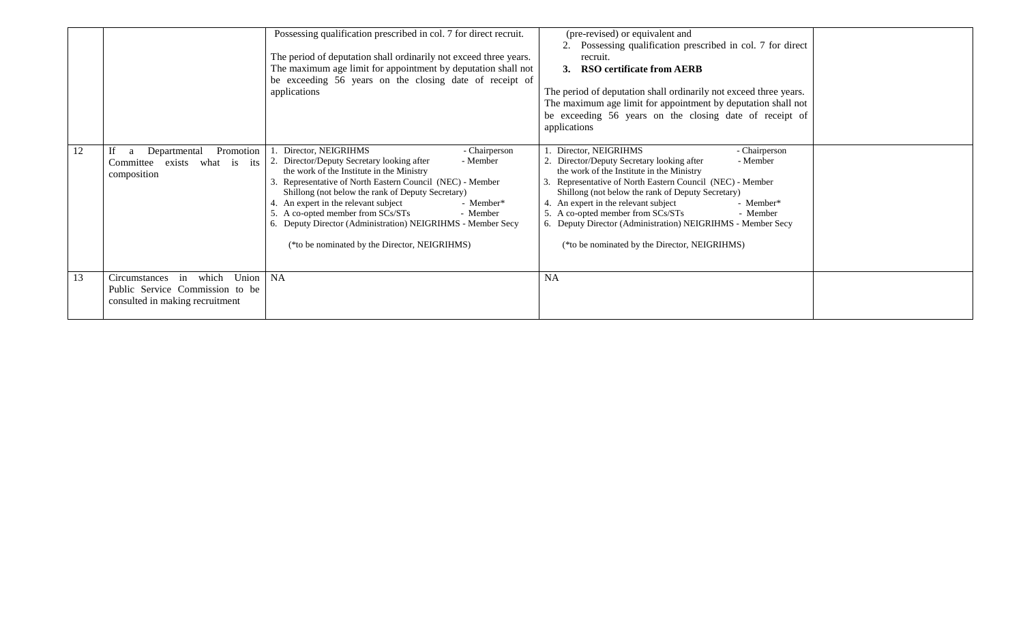|    |                                                                                                             | Possessing qualification prescribed in col. 7 for direct recruit.<br>The period of deputation shall ordinarily not exceed three years.<br>The maximum age limit for appointment by deputation shall not<br>be exceeding 56 years on the closing date of receipt of<br>applications                                                                                                                                                                                                  | (pre-revised) or equivalent and<br>Possessing qualification prescribed in col. 7 for direct<br>2.<br>recruit.<br><b>RSO certificate from AERB</b><br>3.<br>The period of deputation shall ordinarily not exceed three years.<br>The maximum age limit for appointment by deputation shall not<br>be exceeding 56 years on the closing date of receipt of<br>applications                                                                                                         |  |
|----|-------------------------------------------------------------------------------------------------------------|-------------------------------------------------------------------------------------------------------------------------------------------------------------------------------------------------------------------------------------------------------------------------------------------------------------------------------------------------------------------------------------------------------------------------------------------------------------------------------------|----------------------------------------------------------------------------------------------------------------------------------------------------------------------------------------------------------------------------------------------------------------------------------------------------------------------------------------------------------------------------------------------------------------------------------------------------------------------------------|--|
| 12 | Departmental<br>Promotion<br>If<br>a<br>what is its<br>Committee<br>exists<br>composition                   | Director, NEIGRIHMS<br>- Chairperson<br>2. Director/Deputy Secretary looking after<br>- Member<br>the work of the Institute in the Ministry<br>3. Representative of North Eastern Council (NEC) - Member<br>Shillong (not below the rank of Deputy Secretary)<br>4. An expert in the relevant subject<br>- Member*<br>5. A co-opted member from SCs/STs<br>- Member<br>6. Deputy Director (Administration) NEIGRIHMS - Member Secy<br>(*to be nominated by the Director, NEIGRIHMS) | Director, NEIGRIHMS<br>- Chairperson<br>2. Director/Deputy Secretary looking after<br>- Member<br>the work of the Institute in the Ministry<br>Representative of North Eastern Council (NEC) - Member<br>Shillong (not below the rank of Deputy Secretary)<br>4. An expert in the relevant subject<br>- Member*<br>5. A co-opted member from SCs/STs<br>- Member<br>6. Deputy Director (Administration) NEIGRIHMS - Member Secy<br>(*to be nominated by the Director, NEIGRIHMS) |  |
| 13 | which<br>Union<br>in<br>Circumstances<br>Public Service Commission to be<br>consulted in making recruitment | <b>NA</b>                                                                                                                                                                                                                                                                                                                                                                                                                                                                           | <b>NA</b>                                                                                                                                                                                                                                                                                                                                                                                                                                                                        |  |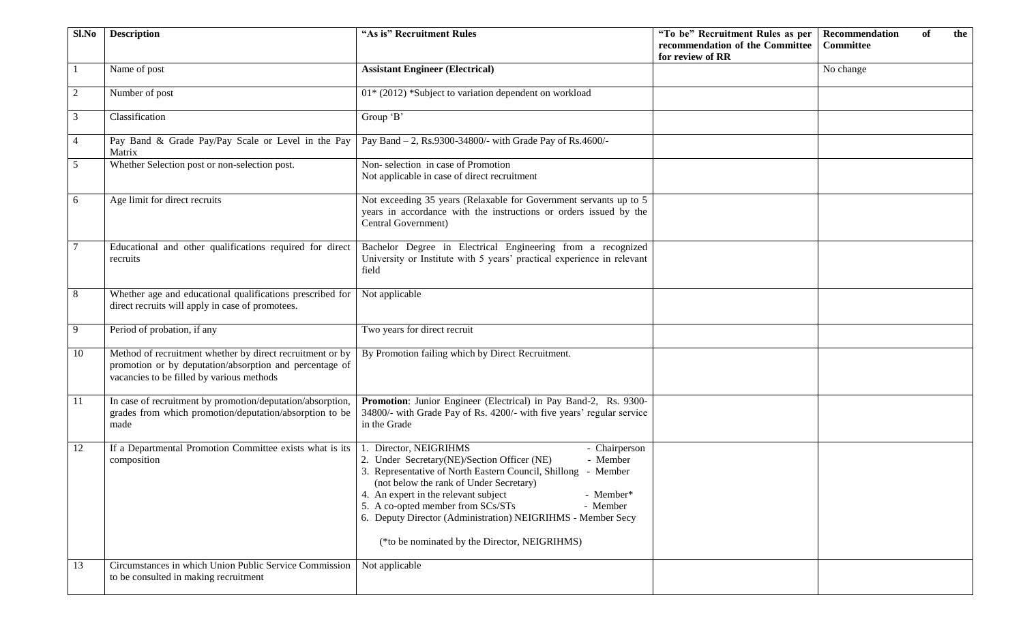| Sl.No          | <b>Description</b>                                                                                                                                                | "As is" Recruitment Rules                                                                                                                                                                                                                                                                                                                                                                                                         | "To be" Recruitment Rules as per<br>recommendation of the Committee<br>for review of RR | Recommendation<br>of<br><b>Committee</b> | the |
|----------------|-------------------------------------------------------------------------------------------------------------------------------------------------------------------|-----------------------------------------------------------------------------------------------------------------------------------------------------------------------------------------------------------------------------------------------------------------------------------------------------------------------------------------------------------------------------------------------------------------------------------|-----------------------------------------------------------------------------------------|------------------------------------------|-----|
|                | Name of post                                                                                                                                                      | <b>Assistant Engineer (Electrical)</b>                                                                                                                                                                                                                                                                                                                                                                                            |                                                                                         | No change                                |     |
| 2              | Number of post                                                                                                                                                    | 01* (2012) *Subject to variation dependent on workload                                                                                                                                                                                                                                                                                                                                                                            |                                                                                         |                                          |     |
| 3              | Classification                                                                                                                                                    | Group 'B'                                                                                                                                                                                                                                                                                                                                                                                                                         |                                                                                         |                                          |     |
| $\overline{4}$ | Pay Band & Grade Pay/Pay Scale or Level in the Pay<br>Matrix                                                                                                      | Pay Band - 2, Rs.9300-34800/- with Grade Pay of Rs.4600/-                                                                                                                                                                                                                                                                                                                                                                         |                                                                                         |                                          |     |
| 5              | Whether Selection post or non-selection post.                                                                                                                     | Non-selection in case of Promotion<br>Not applicable in case of direct recruitment                                                                                                                                                                                                                                                                                                                                                |                                                                                         |                                          |     |
| 6              | Age limit for direct recruits                                                                                                                                     | Not exceeding 35 years (Relaxable for Government servants up to 5<br>years in accordance with the instructions or orders issued by the<br>Central Government)                                                                                                                                                                                                                                                                     |                                                                                         |                                          |     |
|                | Educational and other qualifications required for direct<br>recruits                                                                                              | Bachelor Degree in Electrical Engineering from a recognized<br>University or Institute with 5 years' practical experience in relevant<br>field                                                                                                                                                                                                                                                                                    |                                                                                         |                                          |     |
| $8\,$          | Whether age and educational qualifications prescribed for<br>direct recruits will apply in case of promotees.                                                     | Not applicable                                                                                                                                                                                                                                                                                                                                                                                                                    |                                                                                         |                                          |     |
| 9              | Period of probation, if any                                                                                                                                       | Two years for direct recruit                                                                                                                                                                                                                                                                                                                                                                                                      |                                                                                         |                                          |     |
| 10             | Method of recruitment whether by direct recruitment or by<br>promotion or by deputation/absorption and percentage of<br>vacancies to be filled by various methods | By Promotion failing which by Direct Recruitment.                                                                                                                                                                                                                                                                                                                                                                                 |                                                                                         |                                          |     |
| <b>11</b>      | In case of recruitment by promotion/deputation/absorption,<br>grades from which promotion/deputation/absorption to be<br>made                                     | Promotion: Junior Engineer (Electrical) in Pay Band-2, Rs. 9300-<br>34800/- with Grade Pay of Rs. 4200/- with five years' regular service<br>in the Grade                                                                                                                                                                                                                                                                         |                                                                                         |                                          |     |
| 12             | If a Departmental Promotion Committee exists what is its<br>composition                                                                                           | Director, NEIGRIHMS<br>- Chairperson<br>2. Under Secretary(NE)/Section Officer (NE)<br>- Member<br>3. Representative of North Eastern Council, Shillong - Member<br>(not below the rank of Under Secretary)<br>4. An expert in the relevant subject<br>- Member*<br>5. A co-opted member from SCs/STs<br>- Member<br>6. Deputy Director (Administration) NEIGRIHMS - Member Secy<br>(*to be nominated by the Director, NEIGRIHMS) |                                                                                         |                                          |     |
| 13             | Circumstances in which Union Public Service Commission<br>to be consulted in making recruitment                                                                   | Not applicable                                                                                                                                                                                                                                                                                                                                                                                                                    |                                                                                         |                                          |     |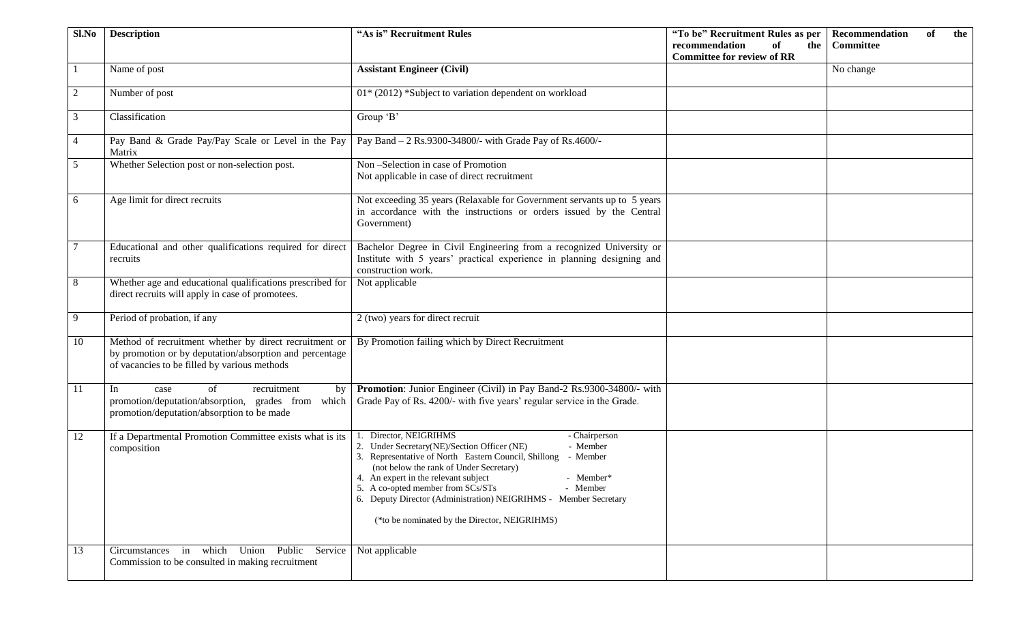| Sl.No          | <b>Description</b>                                                                                                                                                | "As is" Recruitment Rules                                                                                                                                                                                                                                                                                                                                                                                                                 | "To be" Recruitment Rules as per<br>recommendation<br>of<br>the<br><b>Committee for review of RR</b> | Recommendation<br>of<br><b>Committee</b> | the |
|----------------|-------------------------------------------------------------------------------------------------------------------------------------------------------------------|-------------------------------------------------------------------------------------------------------------------------------------------------------------------------------------------------------------------------------------------------------------------------------------------------------------------------------------------------------------------------------------------------------------------------------------------|------------------------------------------------------------------------------------------------------|------------------------------------------|-----|
|                | Name of post                                                                                                                                                      | <b>Assistant Engineer (Civil)</b>                                                                                                                                                                                                                                                                                                                                                                                                         |                                                                                                      | No change                                |     |
| 2              | Number of post                                                                                                                                                    | 01* (2012) *Subject to variation dependent on workload                                                                                                                                                                                                                                                                                                                                                                                    |                                                                                                      |                                          |     |
| $\mathfrak{Z}$ | Classification                                                                                                                                                    | Group 'B'                                                                                                                                                                                                                                                                                                                                                                                                                                 |                                                                                                      |                                          |     |
| $\overline{4}$ | Pay Band & Grade Pay/Pay Scale or Level in the Pay<br>Matrix                                                                                                      | Pay Band - 2 Rs.9300-34800/- with Grade Pay of Rs.4600/-                                                                                                                                                                                                                                                                                                                                                                                  |                                                                                                      |                                          |     |
| 5              | Whether Selection post or non-selection post.                                                                                                                     | Non-Selection in case of Promotion<br>Not applicable in case of direct recruitment                                                                                                                                                                                                                                                                                                                                                        |                                                                                                      |                                          |     |
| 6              | Age limit for direct recruits                                                                                                                                     | Not exceeding 35 years (Relaxable for Government servants up to 5 years<br>in accordance with the instructions or orders issued by the Central<br>Government)                                                                                                                                                                                                                                                                             |                                                                                                      |                                          |     |
|                | Educational and other qualifications required for direct<br>recruits                                                                                              | Bachelor Degree in Civil Engineering from a recognized University or<br>Institute with 5 years' practical experience in planning designing and<br>construction work.                                                                                                                                                                                                                                                                      |                                                                                                      |                                          |     |
| 8              | Whether age and educational qualifications prescribed for<br>direct recruits will apply in case of promotees.                                                     | Not applicable                                                                                                                                                                                                                                                                                                                                                                                                                            |                                                                                                      |                                          |     |
| 9              | Period of probation, if any                                                                                                                                       | 2 (two) years for direct recruit                                                                                                                                                                                                                                                                                                                                                                                                          |                                                                                                      |                                          |     |
| 10             | Method of recruitment whether by direct recruitment or<br>by promotion or by deputation/absorption and percentage<br>of vacancies to be filled by various methods | By Promotion failing which by Direct Recruitment                                                                                                                                                                                                                                                                                                                                                                                          |                                                                                                      |                                          |     |
| 11             | of<br>In<br>recruitment<br>by<br>case<br>promotion/deputation/absorption, grades from which<br>promotion/deputation/absorption to be made                         | Promotion: Junior Engineer (Civil) in Pay Band-2 Rs.9300-34800/- with<br>Grade Pay of Rs. 4200/- with five years' regular service in the Grade.                                                                                                                                                                                                                                                                                           |                                                                                                      |                                          |     |
| 12             | If a Departmental Promotion Committee exists what is its<br>composition                                                                                           | Director, NEIGRIHMS<br>- Chairperson<br>2. Under Secretary(NE)/Section Officer (NE)<br>- Member<br>3. Representative of North Eastern Council, Shillong<br>- Member<br>(not below the rank of Under Secretary)<br>4. An expert in the relevant subject<br>- Member*<br>5. A co-opted member from SCs/STs<br>- Member<br>6. Deputy Director (Administration) NEIGRIHMS - Member Secretary<br>(*to be nominated by the Director, NEIGRIHMS) |                                                                                                      |                                          |     |
| 13             | Circumstances in which Union Public Service<br>Commission to be consulted in making recruitment                                                                   | Not applicable                                                                                                                                                                                                                                                                                                                                                                                                                            |                                                                                                      |                                          |     |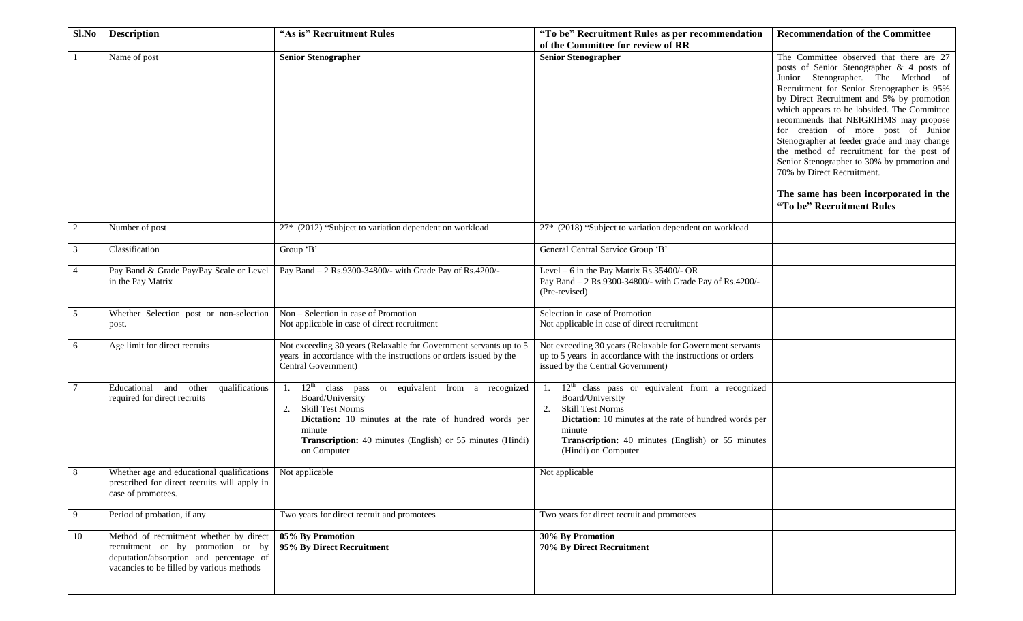| Sl.No  | <b>Description</b>                                                                                                                                                   | "As is" Recruitment Rules                                                                                                                                                                                                                                     | "To be" Recruitment Rules as per recommendation                                                                                                                                                                                                           | <b>Recommendation of the Committee</b>                                                                                                                                                                                                                                                                                                                                                                                                                                                                                                                                                               |
|--------|----------------------------------------------------------------------------------------------------------------------------------------------------------------------|---------------------------------------------------------------------------------------------------------------------------------------------------------------------------------------------------------------------------------------------------------------|-----------------------------------------------------------------------------------------------------------------------------------------------------------------------------------------------------------------------------------------------------------|------------------------------------------------------------------------------------------------------------------------------------------------------------------------------------------------------------------------------------------------------------------------------------------------------------------------------------------------------------------------------------------------------------------------------------------------------------------------------------------------------------------------------------------------------------------------------------------------------|
|        |                                                                                                                                                                      |                                                                                                                                                                                                                                                               | of the Committee for review of RR                                                                                                                                                                                                                         |                                                                                                                                                                                                                                                                                                                                                                                                                                                                                                                                                                                                      |
|        | Name of post                                                                                                                                                         | <b>Senior Stenographer</b>                                                                                                                                                                                                                                    | <b>Senior Stenographer</b>                                                                                                                                                                                                                                | The Committee observed that there are 27<br>posts of Senior Stenographer & 4 posts of<br>Junior Stenographer. The Method of<br>Recruitment for Senior Stenographer is 95%<br>by Direct Recruitment and 5% by promotion<br>which appears to be lobsided. The Committee<br>recommends that NEIGRIHMS may propose<br>for creation of more post of Junior<br>Stenographer at feeder grade and may change<br>the method of recruitment for the post of<br>Senior Stenographer to 30% by promotion and<br>70% by Direct Recruitment.<br>The same has been incorporated in the<br>"To be" Recruitment Rules |
| 2      | Number of post                                                                                                                                                       | 27* (2012) *Subject to variation dependent on workload                                                                                                                                                                                                        | 27* (2018) *Subject to variation dependent on workload                                                                                                                                                                                                    |                                                                                                                                                                                                                                                                                                                                                                                                                                                                                                                                                                                                      |
| 3      | Classification                                                                                                                                                       | Group 'B'                                                                                                                                                                                                                                                     | General Central Service Group 'B'                                                                                                                                                                                                                         |                                                                                                                                                                                                                                                                                                                                                                                                                                                                                                                                                                                                      |
| 4      | Pay Band & Grade Pay/Pay Scale or Level<br>in the Pay Matrix                                                                                                         | Pay Band - 2 Rs.9300-34800/- with Grade Pay of Rs.4200/-                                                                                                                                                                                                      | Level $-6$ in the Pay Matrix Rs.35400/- OR<br>Pay Band - 2 Rs.9300-34800/- with Grade Pay of Rs.4200/-<br>(Pre-revised)                                                                                                                                   |                                                                                                                                                                                                                                                                                                                                                                                                                                                                                                                                                                                                      |
| 5      | Whether Selection post or non-selection<br>post.                                                                                                                     | Non - Selection in case of Promotion<br>Not applicable in case of direct recruitment                                                                                                                                                                          | Selection in case of Promotion<br>Not applicable in case of direct recruitment                                                                                                                                                                            |                                                                                                                                                                                                                                                                                                                                                                                                                                                                                                                                                                                                      |
| 6      | Age limit for direct recruits                                                                                                                                        | Not exceeding 30 years (Relaxable for Government servants up to 5<br>years in accordance with the instructions or orders issued by the<br>Central Government)                                                                                                 | Not exceeding 30 years (Relaxable for Government servants<br>up to 5 years in accordance with the instructions or orders<br>issued by the Central Government)                                                                                             |                                                                                                                                                                                                                                                                                                                                                                                                                                                                                                                                                                                                      |
| $\tau$ | Educational and other<br>qualifications<br>required for direct recruits                                                                                              | $12th$ class pass or equivalent from a recognized<br>-1.<br>Board/University<br><b>Skill Test Norms</b><br>2.<br>Dictation: 10 minutes at the rate of hundred words per<br>minute<br>Transcription: 40 minutes (English) or 55 minutes (Hindi)<br>on Computer | 1. $12th$ class pass or equivalent from a recognized<br>Board/University<br>2.<br><b>Skill Test Norms</b><br>Dictation: 10 minutes at the rate of hundred words per<br>minute<br>Transcription: 40 minutes (English) or 55 minutes<br>(Hindi) on Computer |                                                                                                                                                                                                                                                                                                                                                                                                                                                                                                                                                                                                      |
| 8      | Whether age and educational qualifications<br>prescribed for direct recruits will apply in<br>case of promotees.                                                     | Not applicable                                                                                                                                                                                                                                                | Not applicable                                                                                                                                                                                                                                            |                                                                                                                                                                                                                                                                                                                                                                                                                                                                                                                                                                                                      |
| 9      | Period of probation, if any                                                                                                                                          | Two years for direct recruit and promotees                                                                                                                                                                                                                    | Two years for direct recruit and promotees                                                                                                                                                                                                                |                                                                                                                                                                                                                                                                                                                                                                                                                                                                                                                                                                                                      |
| 10     | Method of recruitment whether by direct<br>recruitment or by promotion or by<br>deputation/absorption and percentage of<br>vacancies to be filled by various methods | 05% By Promotion<br>95% By Direct Recruitment                                                                                                                                                                                                                 | 30% By Promotion<br>70% By Direct Recruitment                                                                                                                                                                                                             |                                                                                                                                                                                                                                                                                                                                                                                                                                                                                                                                                                                                      |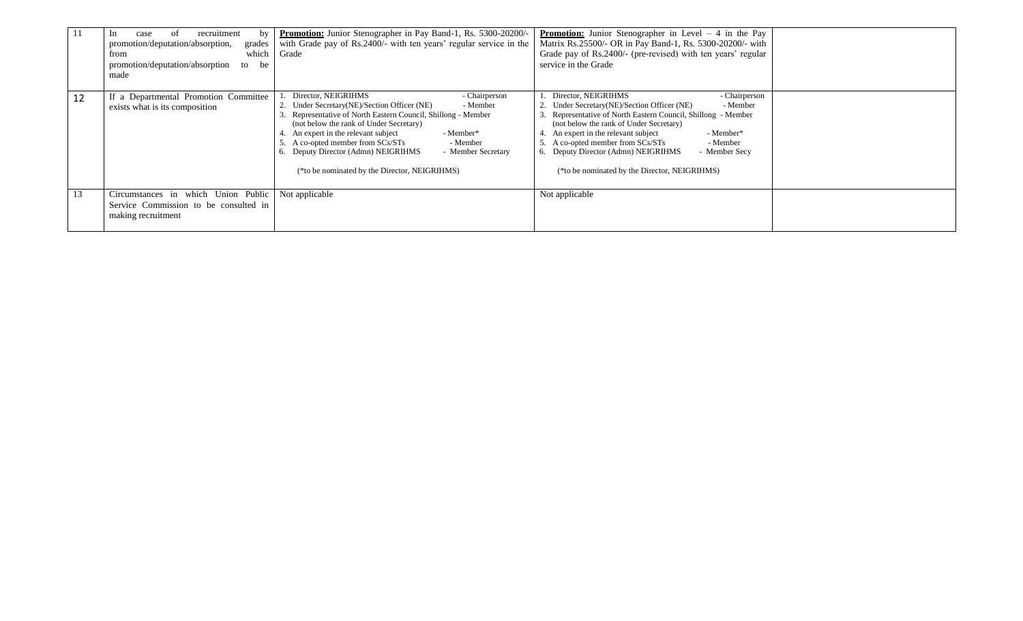|    | recruitment<br>case<br>-ot<br>bv<br>promotion/deputation/absorption,<br>grades<br>which<br>from<br>promotion/deputation/absorption<br>be<br>to<br>made | Promotion: Junior Stenographer in Pay Band-1, Rs. 5300-20200/-<br>with Grade pay of Rs.2400/- with ten years' regular service in the<br>Grade                                                                                                                                                                                                                                                                                    | <b>Promotion:</b> Junior Stenographer in Level $-4$ in the Pay<br>Matrix Rs.25500/- OR in Pay Band-1, Rs. 5300-20200/- with<br>Grade pay of Rs.2400/- (pre-revised) with ten years' regular<br>service in the Grade                                                                                                                                                                                            |  |
|----|--------------------------------------------------------------------------------------------------------------------------------------------------------|----------------------------------------------------------------------------------------------------------------------------------------------------------------------------------------------------------------------------------------------------------------------------------------------------------------------------------------------------------------------------------------------------------------------------------|----------------------------------------------------------------------------------------------------------------------------------------------------------------------------------------------------------------------------------------------------------------------------------------------------------------------------------------------------------------------------------------------------------------|--|
| 12 | If a Departmental Promotion Committee<br>exists what is its composition                                                                                | Director, NEIGRIHMS<br>- Chairperson<br>2. Under Secretary (NE)/Section Officer (NE)<br>- Member<br>3. Representative of North Eastern Council, Shillong - Member<br>(not below the rank of Under Secretary)<br>4. An expert in the relevant subject<br>- Member*<br>5. A co-opted member from SCs/STs<br>- Member<br>6. Deputy Director (Admn) NEIGRIHMS<br>- Member Secretary<br>(*to be nominated by the Director, NEIGRIHMS) | Director, NEIGRIHMS<br>- Chairperson<br>Under Secretary(NE)/Section Officer (NE)<br>- Member<br>Representative of North Eastern Council, Shillong - Member<br>(not below the rank of Under Secretary)<br>An expert in the relevant subject<br>- Member*<br>A co-opted member from SCs/STs<br>- Member<br>6. Deputy Director (Admn) NEIGRIHMS<br>- Member Secv<br>(*to be nominated by the Director, NEIGRIHMS) |  |
| 13 | Circumstances in which Union Public<br>Service Commission to be consulted in<br>making recruitment                                                     | Not applicable                                                                                                                                                                                                                                                                                                                                                                                                                   | Not applicable                                                                                                                                                                                                                                                                                                                                                                                                 |  |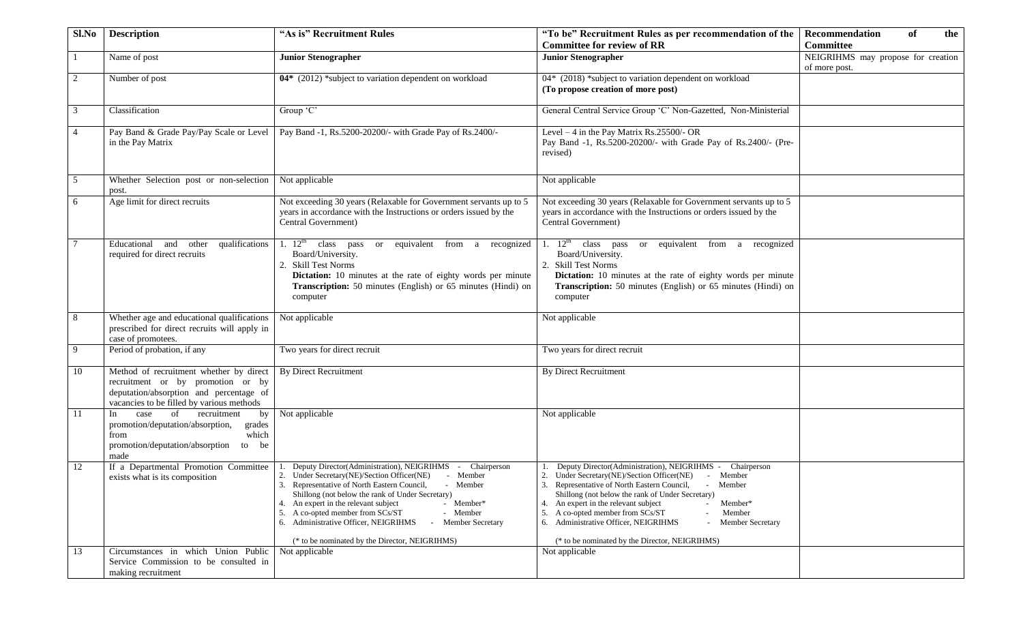| Sl.No           | <b>Description</b>                                                                                                                                                   | "As is" Recruitment Rules                                                                                                                                                                                                                                                                                                                                                                                                                                | "To be" Recruitment Rules as per recommendation of the                                                                                                                                                                                                                                                                                                                                                                                                          | of<br>Recommendation<br>the                         |
|-----------------|----------------------------------------------------------------------------------------------------------------------------------------------------------------------|----------------------------------------------------------------------------------------------------------------------------------------------------------------------------------------------------------------------------------------------------------------------------------------------------------------------------------------------------------------------------------------------------------------------------------------------------------|-----------------------------------------------------------------------------------------------------------------------------------------------------------------------------------------------------------------------------------------------------------------------------------------------------------------------------------------------------------------------------------------------------------------------------------------------------------------|-----------------------------------------------------|
|                 |                                                                                                                                                                      |                                                                                                                                                                                                                                                                                                                                                                                                                                                          | <b>Committee for review of RR</b>                                                                                                                                                                                                                                                                                                                                                                                                                               | <b>Committee</b>                                    |
|                 | Name of post                                                                                                                                                         | <b>Junior Stenographer</b>                                                                                                                                                                                                                                                                                                                                                                                                                               | <b>Junior Stenographer</b>                                                                                                                                                                                                                                                                                                                                                                                                                                      | NEIGRIHMS may propose for creation<br>of more post. |
| 2               | Number of post                                                                                                                                                       | 04* (2012) *subject to variation dependent on workload                                                                                                                                                                                                                                                                                                                                                                                                   | 04* (2018) *subject to variation dependent on workload<br>(To propose creation of more post)                                                                                                                                                                                                                                                                                                                                                                    |                                                     |
| $\overline{3}$  | Classification                                                                                                                                                       | Group 'C'                                                                                                                                                                                                                                                                                                                                                                                                                                                | General Central Service Group 'C' Non-Gazetted, Non-Ministerial                                                                                                                                                                                                                                                                                                                                                                                                 |                                                     |
| $\overline{4}$  | in the Pay Matrix                                                                                                                                                    | Pay Band & Grade Pay/Pay Scale or Level   Pay Band -1, Rs.5200-20200/- with Grade Pay of Rs.2400/-                                                                                                                                                                                                                                                                                                                                                       | Level $-4$ in the Pay Matrix Rs.25500/- OR<br>Pay Band -1, Rs.5200-20200/- with Grade Pay of Rs.2400/- (Pre-<br>revised)                                                                                                                                                                                                                                                                                                                                        |                                                     |
| 5               | Whether Selection post or non-selection Not applicable<br>post.                                                                                                      |                                                                                                                                                                                                                                                                                                                                                                                                                                                          | Not applicable                                                                                                                                                                                                                                                                                                                                                                                                                                                  |                                                     |
| 6               | Age limit for direct recruits                                                                                                                                        | Not exceeding 30 years (Relaxable for Government servants up to 5<br>years in accordance with the Instructions or orders issued by the<br>Central Government)                                                                                                                                                                                                                                                                                            | Not exceeding 30 years (Relaxable for Government servants up to 5<br>years in accordance with the Instructions or orders issued by the<br>Central Government)                                                                                                                                                                                                                                                                                                   |                                                     |
| $7\phantom{.0}$ | qualifications<br>Educational and other<br>required for direct recruits                                                                                              | 1. 12 <sup>th</sup> class pass or equivalent from a recognized<br>Board/University.<br>2. Skill Test Norms<br>Dictation: 10 minutes at the rate of eighty words per minute<br>Transcription: 50 minutes (English) or 65 minutes (Hindi) on<br>computer                                                                                                                                                                                                   | 1. $12^{\text{th}}$ class pass<br>or equivalent from a recognized<br>Board/University.<br>2. Skill Test Norms<br>Dictation: 10 minutes at the rate of eighty words per minute<br>Transcription: 50 minutes (English) or 65 minutes (Hindi) on<br>computer                                                                                                                                                                                                       |                                                     |
| 8               | Whether age and educational qualifications<br>prescribed for direct recruits will apply in<br>case of promotees.                                                     | Not applicable                                                                                                                                                                                                                                                                                                                                                                                                                                           | Not applicable                                                                                                                                                                                                                                                                                                                                                                                                                                                  |                                                     |
| -9              | Period of probation, if any                                                                                                                                          | Two years for direct recruit                                                                                                                                                                                                                                                                                                                                                                                                                             | Two years for direct recruit                                                                                                                                                                                                                                                                                                                                                                                                                                    |                                                     |
| 10              | Method of recruitment whether by direct<br>recruitment or by promotion or by<br>deputation/absorption and percentage of<br>vacancies to be filled by various methods | <b>By Direct Recruitment</b>                                                                                                                                                                                                                                                                                                                                                                                                                             | By Direct Recruitment                                                                                                                                                                                                                                                                                                                                                                                                                                           |                                                     |
| -11             | case of recruitment<br>In<br>by<br>promotion/deputation/absorption,<br>grades<br>which<br>from<br>promotion/deputation/absorption<br>to be<br>made                   | Not applicable                                                                                                                                                                                                                                                                                                                                                                                                                                           | Not applicable                                                                                                                                                                                                                                                                                                                                                                                                                                                  |                                                     |
| 12              | If a Departmental Promotion Committee<br>exists what is its composition                                                                                              | Deputy Director(Administration), NEIGRIHMS - Chairperson<br>2. Under Secretary(NE)/Section Officer(NE) - Member<br>3. Representative of North Eastern Council,<br>- Member<br>Shillong (not below the rank of Under Secretary)<br>4. An expert in the relevant subject<br>- Member*<br>5. A co-opted member from SCs/ST<br>- Member<br>6. Administrative Officer, NEIGRIHMS<br><b>Member Secretary</b><br>(* to be nominated by the Director, NEIGRIHMS) | Deputy Director(Administration), NEIGRIHMS - Chairperson<br>2. Under Secretary(NE)/Section Officer(NE) - Member<br>3. Representative of North Eastern Council,<br>Member<br>$\sim$<br>Shillong (not below the rank of Under Secretary)<br>4. An expert in the relevant subject<br>Member*<br>A co-opted member from SCs/ST<br>Member<br>5.<br>6. Administrative Officer, NEIGRIHMS<br><b>Member Secretary</b><br>(* to be nominated by the Director, NEIGRIHMS) |                                                     |
| 13              | Circumstances in which Union Public<br>Service Commission to be consulted in                                                                                         | Not applicable                                                                                                                                                                                                                                                                                                                                                                                                                                           | Not applicable                                                                                                                                                                                                                                                                                                                                                                                                                                                  |                                                     |
|                 | making recruitment                                                                                                                                                   |                                                                                                                                                                                                                                                                                                                                                                                                                                                          |                                                                                                                                                                                                                                                                                                                                                                                                                                                                 |                                                     |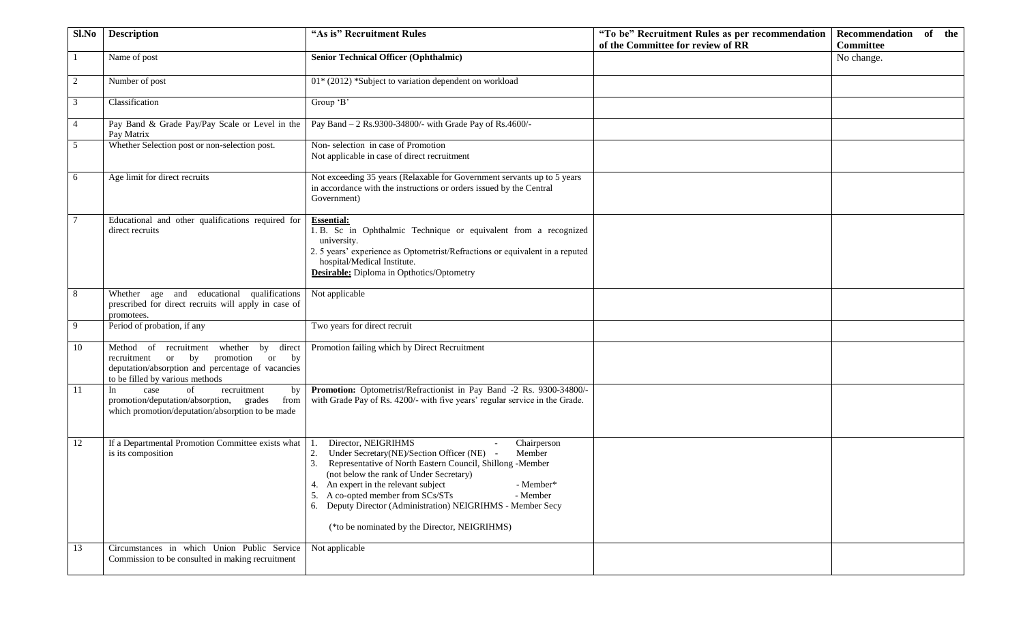| Sl.No          | <b>Description</b>                                                                                                                                                            | "As is" Recruitment Rules                                                                                                                                                                                                                                                                                                                                                                                                            | "To be" Recruitment Rules as per recommendation | Recommendation of the |
|----------------|-------------------------------------------------------------------------------------------------------------------------------------------------------------------------------|--------------------------------------------------------------------------------------------------------------------------------------------------------------------------------------------------------------------------------------------------------------------------------------------------------------------------------------------------------------------------------------------------------------------------------------|-------------------------------------------------|-----------------------|
|                |                                                                                                                                                                               |                                                                                                                                                                                                                                                                                                                                                                                                                                      | of the Committee for review of RR               | <b>Committee</b>      |
|                | Name of post                                                                                                                                                                  | <b>Senior Technical Officer (Ophthalmic)</b>                                                                                                                                                                                                                                                                                                                                                                                         |                                                 | No change.            |
| 2              | Number of post                                                                                                                                                                | 01* (2012) *Subject to variation dependent on workload                                                                                                                                                                                                                                                                                                                                                                               |                                                 |                       |
| 3              | Classification                                                                                                                                                                | Group 'B'                                                                                                                                                                                                                                                                                                                                                                                                                            |                                                 |                       |
| $\overline{4}$ | Pay Band & Grade Pay/Pay Scale or Level in the<br>Pay Matrix                                                                                                                  | Pay Band - 2 Rs.9300-34800/- with Grade Pay of Rs.4600/-                                                                                                                                                                                                                                                                                                                                                                             |                                                 |                       |
| 5              | Whether Selection post or non-selection post.                                                                                                                                 | Non-selection in case of Promotion<br>Not applicable in case of direct recruitment                                                                                                                                                                                                                                                                                                                                                   |                                                 |                       |
| 6              | Age limit for direct recruits                                                                                                                                                 | Not exceeding 35 years (Relaxable for Government servants up to 5 years<br>in accordance with the instructions or orders issued by the Central<br>Government)                                                                                                                                                                                                                                                                        |                                                 |                       |
| $\overline{7}$ | Educational and other qualifications required for<br>direct recruits                                                                                                          | <b>Essential:</b><br>1. B. Sc in Ophthalmic Technique or equivalent from a recognized<br>university.<br>2. 5 years' experience as Optometrist/Refractions or equivalent in a reputed<br>hospital/Medical Institute.<br><b>Desirable:</b> Diploma in Opthotics/Optometry                                                                                                                                                              |                                                 |                       |
| 8              | Whether age and educational qualifications<br>prescribed for direct recruits will apply in case of<br>promotees.                                                              | Not applicable                                                                                                                                                                                                                                                                                                                                                                                                                       |                                                 |                       |
| 9              | Period of probation, if any                                                                                                                                                   | Two years for direct recruit                                                                                                                                                                                                                                                                                                                                                                                                         |                                                 |                       |
| 10             | Method of recruitment whether by direct<br>promotion or<br>or by<br>by<br>recruitment<br>deputation/absorption and percentage of vacancies<br>to be filled by various methods | Promotion failing which by Direct Recruitment                                                                                                                                                                                                                                                                                                                                                                                        |                                                 |                       |
| 11             | In<br>of<br>case<br>recruitment<br>by<br>promotion/deputation/absorption, grades<br>from<br>which promotion/deputation/absorption to be made                                  | Promotion: Optometrist/Refractionist in Pay Band -2 Rs. 9300-34800/-<br>with Grade Pay of Rs. 4200/- with five years' regular service in the Grade.                                                                                                                                                                                                                                                                                  |                                                 |                       |
| 12             | If a Departmental Promotion Committee exists what<br>is its composition                                                                                                       | Director, NEIGRIHMS<br>Chairperson<br>Under Secretary(NE)/Section Officer (NE) -<br>Member<br>2.<br>Representative of North Eastern Council, Shillong -Member<br>3.<br>(not below the rank of Under Secretary)<br>An expert in the relevant subject<br>- Member*<br>A co-opted member from SCs/STs<br>5.<br>- Member<br>6. Deputy Director (Administration) NEIGRIHMS - Member Secy<br>(*to be nominated by the Director, NEIGRIHMS) |                                                 |                       |
| 13             | Circumstances in which Union Public Service<br>Commission to be consulted in making recruitment                                                                               | Not applicable                                                                                                                                                                                                                                                                                                                                                                                                                       |                                                 |                       |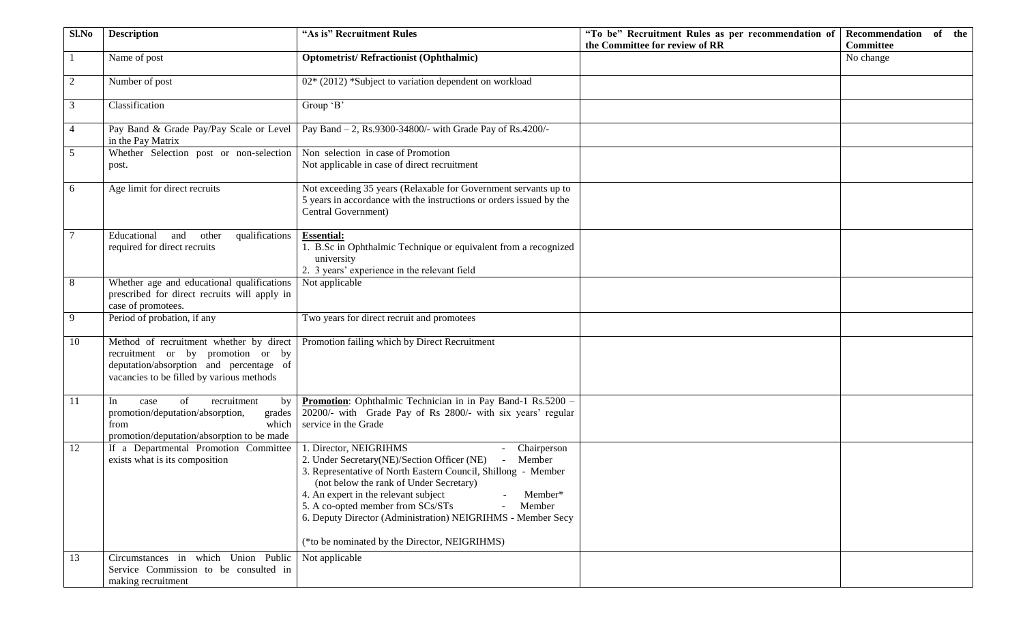| Sl.No          | <b>Description</b>                                                                                                                                                   | "As is" Recruitment Rules                                                                                                                                                                                                                                                                                                                                                                                                        | "To be" Recruitment Rules as per recommendation of | Recommendation of the |
|----------------|----------------------------------------------------------------------------------------------------------------------------------------------------------------------|----------------------------------------------------------------------------------------------------------------------------------------------------------------------------------------------------------------------------------------------------------------------------------------------------------------------------------------------------------------------------------------------------------------------------------|----------------------------------------------------|-----------------------|
|                |                                                                                                                                                                      |                                                                                                                                                                                                                                                                                                                                                                                                                                  | the Committee for review of RR                     | <b>Committee</b>      |
| -1             | Name of post                                                                                                                                                         | <b>Optometrist/Refractionist (Ophthalmic)</b>                                                                                                                                                                                                                                                                                                                                                                                    |                                                    | No change             |
| 2              | Number of post                                                                                                                                                       | 02* (2012) *Subject to variation dependent on workload                                                                                                                                                                                                                                                                                                                                                                           |                                                    |                       |
| 3              | Classification                                                                                                                                                       | Group $\overline{B'}$                                                                                                                                                                                                                                                                                                                                                                                                            |                                                    |                       |
| $\overline{4}$ | Pay Band & Grade Pay/Pay Scale or Level<br>in the Pay Matrix                                                                                                         | Pay Band - 2, Rs.9300-34800/- with Grade Pay of Rs.4200/-                                                                                                                                                                                                                                                                                                                                                                        |                                                    |                       |
| 5              | Whether Selection post or non-selection<br>post.                                                                                                                     | Non selection in case of Promotion<br>Not applicable in case of direct recruitment                                                                                                                                                                                                                                                                                                                                               |                                                    |                       |
| 6              | Age limit for direct recruits                                                                                                                                        | Not exceeding 35 years (Relaxable for Government servants up to<br>5 years in accordance with the instructions or orders issued by the<br>Central Government)                                                                                                                                                                                                                                                                    |                                                    |                       |
| $\tau$         | Educational<br>and<br>other<br>qualifications<br>required for direct recruits                                                                                        | <b>Essential:</b><br>1. B.Sc in Ophthalmic Technique or equivalent from a recognized<br>university<br>2. 3 years' experience in the relevant field                                                                                                                                                                                                                                                                               |                                                    |                       |
| 8              | Whether age and educational qualifications<br>prescribed for direct recruits will apply in<br>case of promotees.                                                     | Not applicable                                                                                                                                                                                                                                                                                                                                                                                                                   |                                                    |                       |
| 9              | Period of probation, if any                                                                                                                                          | Two years for direct recruit and promotees                                                                                                                                                                                                                                                                                                                                                                                       |                                                    |                       |
| 10             | Method of recruitment whether by direct<br>recruitment or by promotion or by<br>deputation/absorption and percentage of<br>vacancies to be filled by various methods | Promotion failing which by Direct Recruitment                                                                                                                                                                                                                                                                                                                                                                                    |                                                    |                       |
| 11             | In<br>of<br>recruitment<br>by<br>case<br>promotion/deputation/absorption,<br>grades<br>which<br>from<br>promotion/deputation/absorption to be made                   | Promotion: Ophthalmic Technician in in Pay Band-1 Rs.5200 -<br>20200/- with Grade Pay of Rs 2800/- with six years' regular<br>service in the Grade                                                                                                                                                                                                                                                                               |                                                    |                       |
| 12             | If a Departmental Promotion Committee<br>exists what is its composition                                                                                              | 1. Director, NEIGRIHMS<br>- Chairperson<br>- Member<br>2. Under Secretary(NE)/Section Officer (NE)<br>3. Representative of North Eastern Council, Shillong - Member<br>(not below the rank of Under Secretary)<br>4. An expert in the relevant subject<br>Member*<br>5. A co-opted member from SCs/STs<br>Member<br>6. Deputy Director (Administration) NEIGRIHMS - Member Secy<br>(*to be nominated by the Director, NEIGRIHMS) |                                                    |                       |
| 13             | Circumstances in which Union Public<br>Service Commission to be consulted in<br>making recruitment                                                                   | Not applicable                                                                                                                                                                                                                                                                                                                                                                                                                   |                                                    |                       |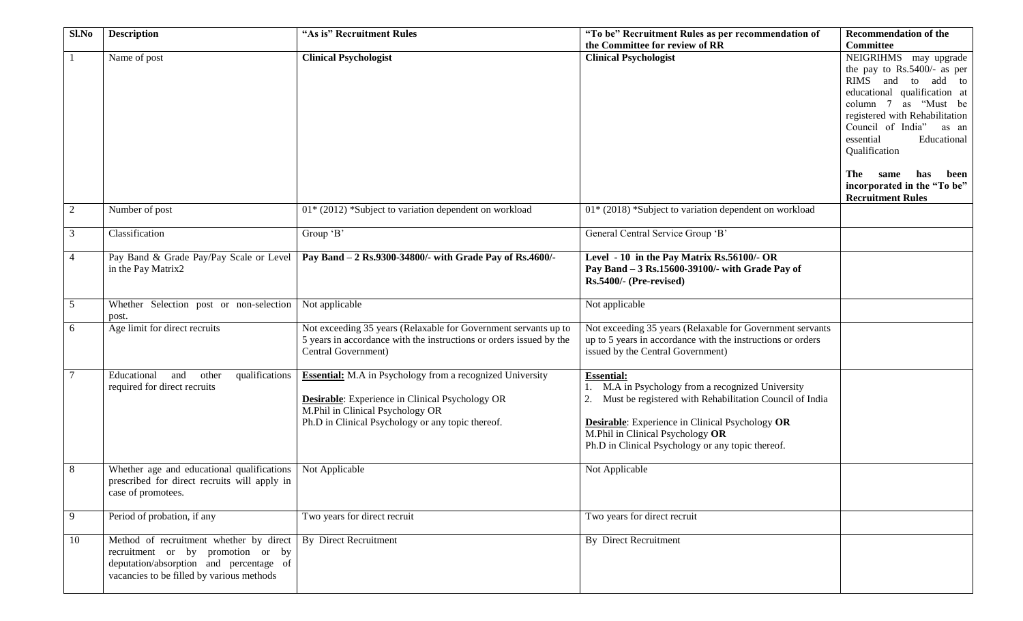| Sl.No           | <b>Description</b>                                                                                                                                                   | "As is" Recruitment Rules                                                                                                                                                                                           | "To be" Recruitment Rules as per recommendation of                                                                                                                                                                                                                         | <b>Recommendation of the</b>                                                                                                                                                                                                                                                                                 |
|-----------------|----------------------------------------------------------------------------------------------------------------------------------------------------------------------|---------------------------------------------------------------------------------------------------------------------------------------------------------------------------------------------------------------------|----------------------------------------------------------------------------------------------------------------------------------------------------------------------------------------------------------------------------------------------------------------------------|--------------------------------------------------------------------------------------------------------------------------------------------------------------------------------------------------------------------------------------------------------------------------------------------------------------|
|                 |                                                                                                                                                                      |                                                                                                                                                                                                                     | the Committee for review of RR                                                                                                                                                                                                                                             | <b>Committee</b>                                                                                                                                                                                                                                                                                             |
| -1              | Name of post                                                                                                                                                         | <b>Clinical Psychologist</b>                                                                                                                                                                                        | <b>Clinical Psychologist</b>                                                                                                                                                                                                                                               | NEIGRIHMS may upgrade<br>the pay to Rs.5400/- as per<br>RIMS and to add to<br>educational qualification at<br>column 7 as "Must be<br>registered with Rehabilitation<br>Council of India"<br>as an<br>essential<br>Educational<br>Qualification<br>The<br>has<br>been<br>same<br>incorporated in the "To be" |
|                 |                                                                                                                                                                      |                                                                                                                                                                                                                     |                                                                                                                                                                                                                                                                            | <b>Recruitment Rules</b>                                                                                                                                                                                                                                                                                     |
| 2               | Number of post                                                                                                                                                       | 01* (2012) *Subject to variation dependent on workload                                                                                                                                                              | 01* (2018) *Subject to variation dependent on workload                                                                                                                                                                                                                     |                                                                                                                                                                                                                                                                                                              |
| 3               | Classification                                                                                                                                                       | Group 'B'                                                                                                                                                                                                           | General Central Service Group 'B'                                                                                                                                                                                                                                          |                                                                                                                                                                                                                                                                                                              |
| $\overline{4}$  | Pay Band & Grade Pay/Pay Scale or Level<br>in the Pay Matrix2                                                                                                        | Pay Band - 2 Rs.9300-34800/- with Grade Pay of Rs.4600/-                                                                                                                                                            | Level - 10 in the Pay Matrix Rs.56100/- OR<br>Pay Band - 3 Rs.15600-39100/- with Grade Pay of<br>Rs.5400/- (Pre-revised)                                                                                                                                                   |                                                                                                                                                                                                                                                                                                              |
| $5\overline{)}$ | Whether Selection post or non-selection<br>post.                                                                                                                     | Not applicable                                                                                                                                                                                                      | Not applicable                                                                                                                                                                                                                                                             |                                                                                                                                                                                                                                                                                                              |
| 6               | Age limit for direct recruits                                                                                                                                        | Not exceeding 35 years (Relaxable for Government servants up to<br>5 years in accordance with the instructions or orders issued by the<br>Central Government)                                                       | Not exceeding 35 years (Relaxable for Government servants<br>up to 5 years in accordance with the instructions or orders<br>issued by the Central Government)                                                                                                              |                                                                                                                                                                                                                                                                                                              |
| 7               | qualifications<br>Educational<br>other<br>and<br>required for direct recruits                                                                                        | <b>Essential:</b> M.A in Psychology from a recognized University<br><b>Desirable:</b> Experience in Clinical Psychology OR<br>M.Phil in Clinical Psychology OR<br>Ph.D in Clinical Psychology or any topic thereof. | <b>Essential:</b><br>M.A in Psychology from a recognized University<br>Must be registered with Rehabilitation Council of India<br>Desirable: Experience in Clinical Psychology OR<br>M.Phil in Clinical Psychology OR<br>Ph.D in Clinical Psychology or any topic thereof. |                                                                                                                                                                                                                                                                                                              |
| 8               | Whether age and educational qualifications<br>prescribed for direct recruits will apply in<br>case of promotees.                                                     | Not Applicable                                                                                                                                                                                                      | Not Applicable                                                                                                                                                                                                                                                             |                                                                                                                                                                                                                                                                                                              |
| 9               | Period of probation, if any                                                                                                                                          | Two years for direct recruit                                                                                                                                                                                        | Two years for direct recruit                                                                                                                                                                                                                                               |                                                                                                                                                                                                                                                                                                              |
| 10              | Method of recruitment whether by direct<br>recruitment or by promotion or by<br>deputation/absorption and percentage of<br>vacancies to be filled by various methods | <b>By Direct Recruitment</b>                                                                                                                                                                                        | <b>By Direct Recruitment</b>                                                                                                                                                                                                                                               |                                                                                                                                                                                                                                                                                                              |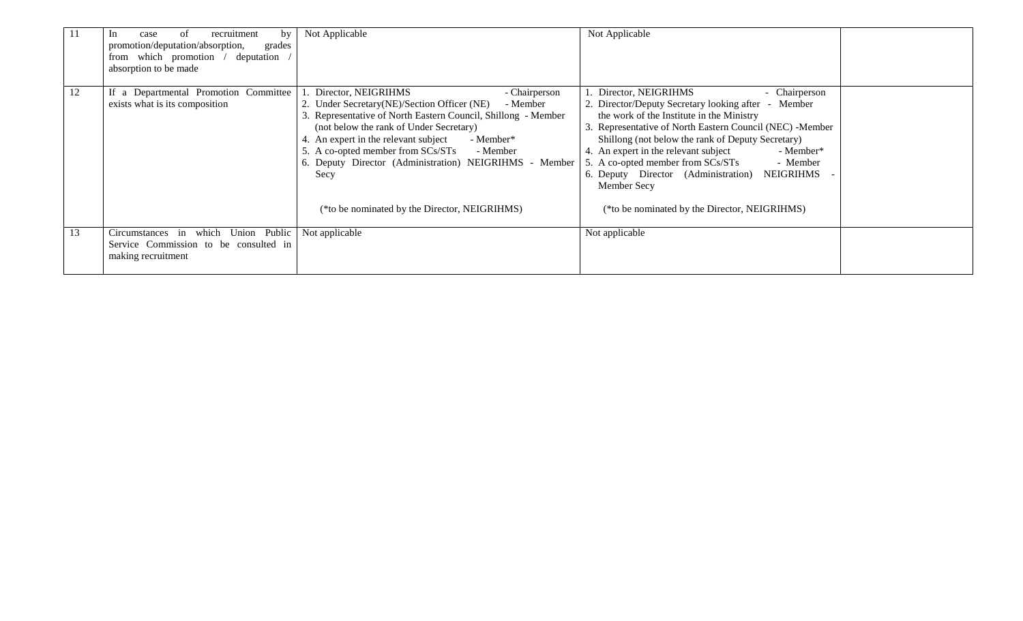| -11 | of<br>recruitment<br>In<br>by<br>case<br>promotion/deputation/absorption,<br>grades<br>from which promotion / deputation<br>absorption to be made | Not Applicable                                                                                                                                                                                                                                                                                                                                                                                                                    | Not Applicable                                                                                                                                                                                                                                                                                                                                                                                                                                                                         |  |
|-----|---------------------------------------------------------------------------------------------------------------------------------------------------|-----------------------------------------------------------------------------------------------------------------------------------------------------------------------------------------------------------------------------------------------------------------------------------------------------------------------------------------------------------------------------------------------------------------------------------|----------------------------------------------------------------------------------------------------------------------------------------------------------------------------------------------------------------------------------------------------------------------------------------------------------------------------------------------------------------------------------------------------------------------------------------------------------------------------------------|--|
| 12  | If a Departmental Promotion Committee<br>exists what is its composition                                                                           | Director, NEIGRIHMS<br>- Chairperson<br>2. Under Secretary(NE)/Section Officer (NE) - Member<br>3. Representative of North Eastern Council, Shillong - Member<br>(not below the rank of Under Secretary)<br>4. An expert in the relevant subject<br>- Member*<br>5. A co-opted member from SCs/STs<br>- Member<br>6. Deputy Director (Administration) NEIGRIHMS - Member<br>Secy<br>(*to be nominated by the Director, NEIGRIHMS) | 1. Director, NEIGRIHMS<br>- Chairperson<br>2. Director/Deputy Secretary looking after - Member<br>the work of the Institute in the Ministry<br>3. Representative of North Eastern Council (NEC) -Member<br>Shillong (not below the rank of Deputy Secretary)<br>4. An expert in the relevant subject<br>- Member*<br>5. A co-opted member from SCs/STs<br>- Member<br>6. Deputy Director (Administration)<br>NEIGRIHMS<br>Member Secy<br>(*to be nominated by the Director, NEIGRIHMS) |  |
| 13  | Circumstances in which Union Public<br>Service Commission to be consulted in<br>making recruitment                                                | Not applicable                                                                                                                                                                                                                                                                                                                                                                                                                    | Not applicable                                                                                                                                                                                                                                                                                                                                                                                                                                                                         |  |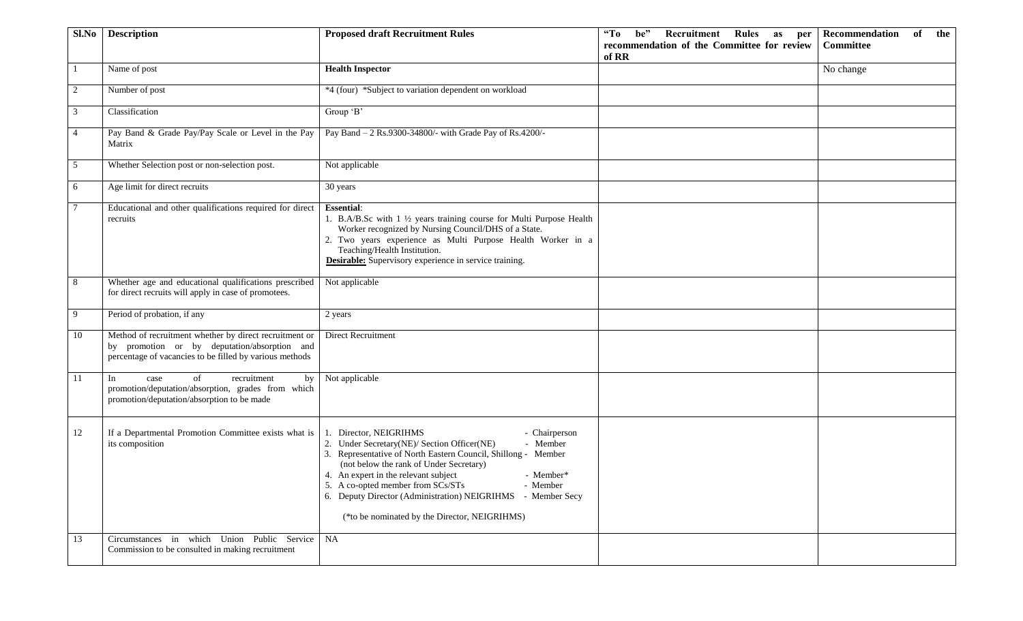| Sl.No          | <b>Description</b>                                                                                                                                                | <b>Proposed draft Recruitment Rules</b>                                                                                                                                                                                                                                                                                                                                                                                              | <b>Recruitment Rules</b><br>$\mathbf{G}$<br>be"<br>as per<br>recommendation of the Committee for review<br>of RR | Recommendation<br>of<br>the<br><b>Committee</b> |
|----------------|-------------------------------------------------------------------------------------------------------------------------------------------------------------------|--------------------------------------------------------------------------------------------------------------------------------------------------------------------------------------------------------------------------------------------------------------------------------------------------------------------------------------------------------------------------------------------------------------------------------------|------------------------------------------------------------------------------------------------------------------|-------------------------------------------------|
|                | Name of post                                                                                                                                                      | <b>Health Inspector</b>                                                                                                                                                                                                                                                                                                                                                                                                              |                                                                                                                  | No change                                       |
| 2              | Number of post                                                                                                                                                    | *4 (four) *Subject to variation dependent on workload                                                                                                                                                                                                                                                                                                                                                                                |                                                                                                                  |                                                 |
| 3              | Classification                                                                                                                                                    | Group 'B'                                                                                                                                                                                                                                                                                                                                                                                                                            |                                                                                                                  |                                                 |
| $\overline{4}$ | Pay Band & Grade Pay/Pay Scale or Level in the Pay<br>Matrix                                                                                                      | Pay Band - 2 Rs.9300-34800/- with Grade Pay of Rs.4200/-                                                                                                                                                                                                                                                                                                                                                                             |                                                                                                                  |                                                 |
| 5              | Whether Selection post or non-selection post.                                                                                                                     | Not applicable                                                                                                                                                                                                                                                                                                                                                                                                                       |                                                                                                                  |                                                 |
| 6              | Age limit for direct recruits                                                                                                                                     | 30 years                                                                                                                                                                                                                                                                                                                                                                                                                             |                                                                                                                  |                                                 |
| 7              | Educational and other qualifications required for direct<br>recruits                                                                                              | <b>Essential:</b><br>1. B.A/B.Sc with 1 1/2 years training course for Multi Purpose Health<br>Worker recognized by Nursing Council/DHS of a State.<br>2. Two years experience as Multi Purpose Health Worker in a<br>Teaching/Health Institution.<br><b>Desirable:</b> Supervisory experience in service training.                                                                                                                   |                                                                                                                  |                                                 |
| 8              | Whether age and educational qualifications prescribed<br>for direct recruits will apply in case of promotees.                                                     | Not applicable                                                                                                                                                                                                                                                                                                                                                                                                                       |                                                                                                                  |                                                 |
| -9             | Period of probation, if any                                                                                                                                       | 2 years                                                                                                                                                                                                                                                                                                                                                                                                                              |                                                                                                                  |                                                 |
| -10            | Method of recruitment whether by direct recruitment or<br>by promotion or by deputation/absorption and<br>percentage of vacancies to be filled by various methods | Direct Recruitment                                                                                                                                                                                                                                                                                                                                                                                                                   |                                                                                                                  |                                                 |
| - 11           | In<br>of<br>recruitment<br>case<br>by<br>promotion/deputation/absorption, grades from which<br>promotion/deputation/absorption to be made                         | Not applicable                                                                                                                                                                                                                                                                                                                                                                                                                       |                                                                                                                  |                                                 |
| 12             | If a Departmental Promotion Committee exists what is<br>its composition                                                                                           | Director, NEIGRIHMS<br>- Chairperson<br>- Member<br>2. Under Secretary(NE)/ Section Officer(NE)<br>3. Representative of North Eastern Council, Shillong - Member<br>(not below the rank of Under Secretary)<br>4. An expert in the relevant subject<br>- Member*<br>5. A co-opted member from SCs/STs<br>- Member<br>6. Deputy Director (Administration) NEIGRIHMS<br>- Member Secy<br>(*to be nominated by the Director, NEIGRIHMS) |                                                                                                                  |                                                 |
| 13             | Circumstances in which Union Public Service<br>Commission to be consulted in making recruitment                                                                   | NA                                                                                                                                                                                                                                                                                                                                                                                                                                   |                                                                                                                  |                                                 |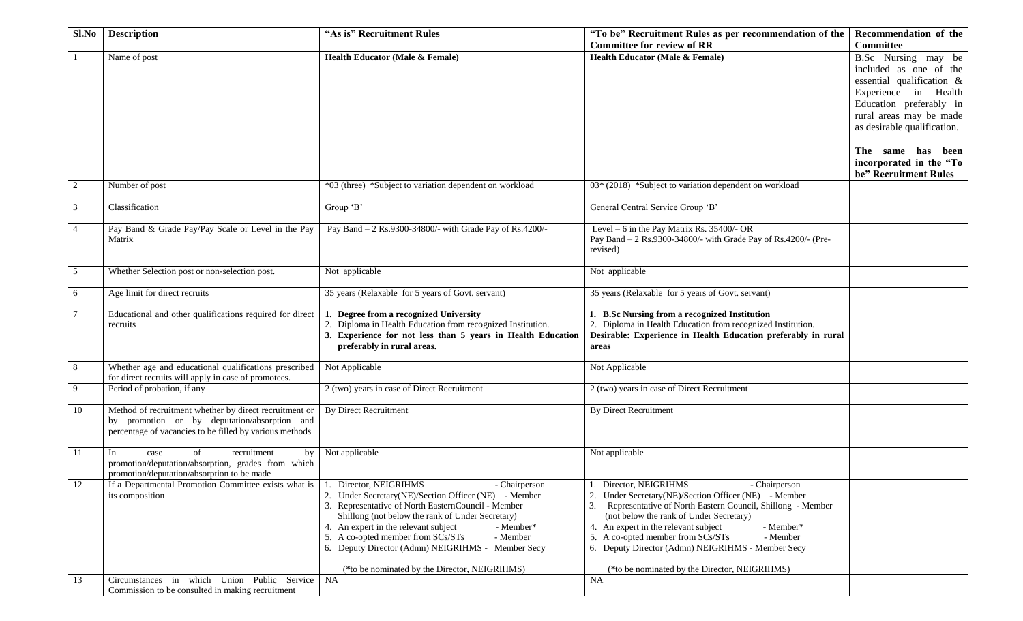| Sl.No          | <b>Description</b>                                                                                                                                                | "As is" Recruitment Rules                                                                                                                                                                                                                                                                                                                                                                                          | "To be" Recruitment Rules as per recommendation of the                                                                                                                                                                                                                                                                                                                                                               | Recommendation of the                                                                                                                                                                                        |
|----------------|-------------------------------------------------------------------------------------------------------------------------------------------------------------------|--------------------------------------------------------------------------------------------------------------------------------------------------------------------------------------------------------------------------------------------------------------------------------------------------------------------------------------------------------------------------------------------------------------------|----------------------------------------------------------------------------------------------------------------------------------------------------------------------------------------------------------------------------------------------------------------------------------------------------------------------------------------------------------------------------------------------------------------------|--------------------------------------------------------------------------------------------------------------------------------------------------------------------------------------------------------------|
|                |                                                                                                                                                                   |                                                                                                                                                                                                                                                                                                                                                                                                                    | <b>Committee for review of RR</b>                                                                                                                                                                                                                                                                                                                                                                                    | <b>Committee</b>                                                                                                                                                                                             |
|                | Name of post                                                                                                                                                      | <b>Health Educator (Male &amp; Female)</b>                                                                                                                                                                                                                                                                                                                                                                         | Health Educator (Male & Female)                                                                                                                                                                                                                                                                                                                                                                                      | B.Sc Nursing may be<br>included as one of the<br>essential qualification &<br>Experience in Health<br>Education preferably in<br>rural areas may be made<br>as desirable qualification.<br>The same has been |
|                |                                                                                                                                                                   |                                                                                                                                                                                                                                                                                                                                                                                                                    |                                                                                                                                                                                                                                                                                                                                                                                                                      | incorporated in the "To<br>be" Recruitment Rules                                                                                                                                                             |
| $\overline{2}$ | Number of post                                                                                                                                                    | *03 (three) *Subject to variation dependent on workload                                                                                                                                                                                                                                                                                                                                                            | 03* (2018) *Subject to variation dependent on workload                                                                                                                                                                                                                                                                                                                                                               |                                                                                                                                                                                                              |
| 3              | Classification                                                                                                                                                    | Group 'B'                                                                                                                                                                                                                                                                                                                                                                                                          | General Central Service Group 'B'                                                                                                                                                                                                                                                                                                                                                                                    |                                                                                                                                                                                                              |
| 4              | Pay Band & Grade Pay/Pay Scale or Level in the Pay<br>Matrix                                                                                                      | Pay Band - 2 Rs.9300-34800/- with Grade Pay of Rs.4200/-                                                                                                                                                                                                                                                                                                                                                           | Level - 6 in the Pay Matrix Rs. 35400/- OR<br>Pay Band - 2 Rs.9300-34800/- with Grade Pay of Rs.4200/- (Pre-<br>revised)                                                                                                                                                                                                                                                                                             |                                                                                                                                                                                                              |
| 5              | Whether Selection post or non-selection post.                                                                                                                     | Not applicable                                                                                                                                                                                                                                                                                                                                                                                                     | Not applicable                                                                                                                                                                                                                                                                                                                                                                                                       |                                                                                                                                                                                                              |
| 6              | Age limit for direct recruits                                                                                                                                     | 35 years (Relaxable for 5 years of Govt. servant)                                                                                                                                                                                                                                                                                                                                                                  | 35 years (Relaxable for 5 years of Govt. servant)                                                                                                                                                                                                                                                                                                                                                                    |                                                                                                                                                                                                              |
| 7              | Educational and other qualifications required for direct<br>recruits                                                                                              | 1. Degree from a recognized University<br>2. Diploma in Health Education from recognized Institution.<br>3. Experience for not less than 5 years in Health Education<br>preferably in rural areas.                                                                                                                                                                                                                 | 1. B.Sc Nursing from a recognized Institution<br>2. Diploma in Health Education from recognized Institution.<br>Desirable: Experience in Health Education preferably in rural<br>areas                                                                                                                                                                                                                               |                                                                                                                                                                                                              |
| 8              | Whether age and educational qualifications prescribed<br>for direct recruits will apply in case of promotees.                                                     | Not Applicable                                                                                                                                                                                                                                                                                                                                                                                                     | Not Applicable                                                                                                                                                                                                                                                                                                                                                                                                       |                                                                                                                                                                                                              |
| 9              | Period of probation, if any                                                                                                                                       | 2 (two) years in case of Direct Recruitment                                                                                                                                                                                                                                                                                                                                                                        | 2 (two) years in case of Direct Recruitment                                                                                                                                                                                                                                                                                                                                                                          |                                                                                                                                                                                                              |
| 10             | Method of recruitment whether by direct recruitment or<br>by promotion or by deputation/absorption and<br>percentage of vacancies to be filled by various methods | <b>By Direct Recruitment</b>                                                                                                                                                                                                                                                                                                                                                                                       | <b>By Direct Recruitment</b>                                                                                                                                                                                                                                                                                                                                                                                         |                                                                                                                                                                                                              |
| 11             | of<br>recruitment<br>In<br>case<br>by<br>promotion/deputation/absorption, grades from which<br>promotion/deputation/absorption to be made                         | Not applicable                                                                                                                                                                                                                                                                                                                                                                                                     | Not applicable                                                                                                                                                                                                                                                                                                                                                                                                       |                                                                                                                                                                                                              |
| 12             | If a Departmental Promotion Committee exists what is<br>its composition                                                                                           | Director, NEIGRIHMS<br>- Chairperson<br>2. Under Secretary(NE)/Section Officer (NE) - Member<br>3. Representative of North EasternCouncil - Member<br>Shillong (not below the rank of Under Secretary)<br>4. An expert in the relevant subject<br>- Member*<br>5. A co-opted member from SCs/STs<br>- Member<br>6. Deputy Director (Admn) NEIGRIHMS - Member Secy<br>(*to be nominated by the Director, NEIGRIHMS) | Director, NEIGRIHMS<br>- Chairperson<br>Under Secretary(NE)/Section Officer (NE) - Member<br>2.<br>Representative of North Eastern Council, Shillong - Member<br>(not below the rank of Under Secretary)<br>4. An expert in the relevant subject<br>- Member*<br>5. A co-opted member from SCs/STs<br>- Member<br>6. Deputy Director (Admn) NEIGRIHMS - Member Secy<br>(*to be nominated by the Director, NEIGRIHMS) |                                                                                                                                                                                                              |
| 13             | Circumstances in which Union Public Service<br>Commission to be consulted in making recruitment                                                                   | <b>NA</b>                                                                                                                                                                                                                                                                                                                                                                                                          | <b>NA</b>                                                                                                                                                                                                                                                                                                                                                                                                            |                                                                                                                                                                                                              |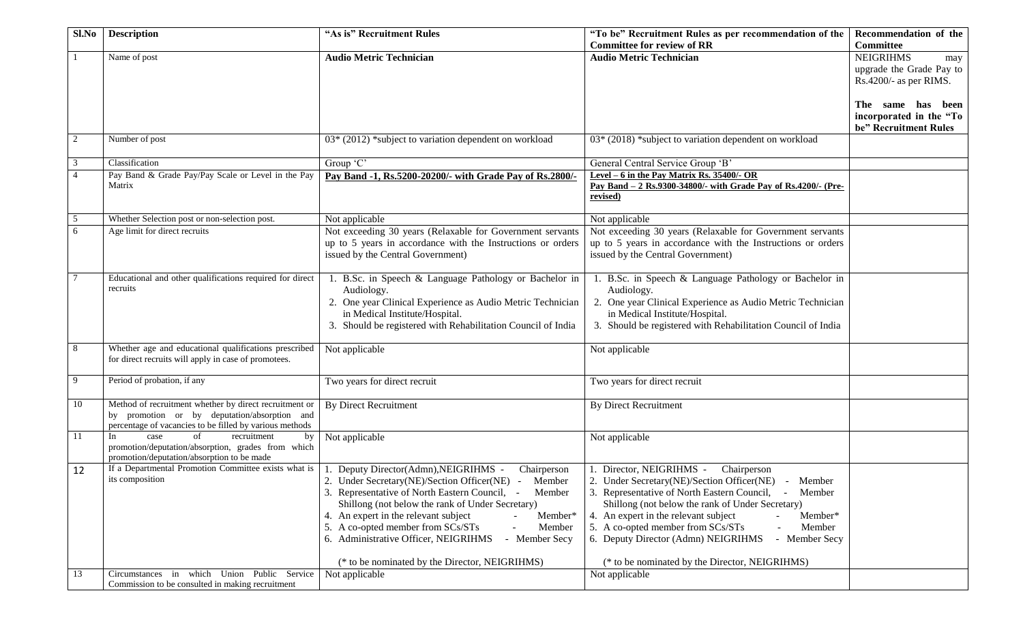| $Sl$ . No      | <b>Description</b>                                                                                      | "As is" Recruitment Rules                                                   | "To be" Recruitment Rules as per recommendation of the                      | Recommendation of the    |
|----------------|---------------------------------------------------------------------------------------------------------|-----------------------------------------------------------------------------|-----------------------------------------------------------------------------|--------------------------|
|                |                                                                                                         |                                                                             | <b>Committee for review of RR</b>                                           | <b>Committee</b>         |
|                | Name of post                                                                                            | <b>Audio Metric Technician</b>                                              | <b>Audio Metric Technician</b>                                              | <b>NEIGRIHMS</b><br>may  |
|                |                                                                                                         |                                                                             |                                                                             | upgrade the Grade Pay to |
|                |                                                                                                         |                                                                             |                                                                             | Rs.4200/- as per RIMS.   |
|                |                                                                                                         |                                                                             |                                                                             |                          |
|                |                                                                                                         |                                                                             |                                                                             | The same has been        |
|                |                                                                                                         |                                                                             |                                                                             | incorporated in the "To  |
|                |                                                                                                         |                                                                             |                                                                             | be" Recruitment Rules    |
| 2              | Number of post                                                                                          | $03*(2012)$ *subject to variation dependent on workload                     | 03* (2018) *subject to variation dependent on workload                      |                          |
|                |                                                                                                         |                                                                             |                                                                             |                          |
| 3              | Classification                                                                                          | Group 'C'                                                                   | General Central Service Group 'B'                                           |                          |
| $\overline{4}$ | Pay Band & Grade Pay/Pay Scale or Level in the Pay                                                      | Pay Band -1, Rs.5200-20200/- with Grade Pay of Rs.2800/-                    | Level $-6$ in the Pay Matrix Rs. 35400/- OR                                 |                          |
|                | Matrix                                                                                                  |                                                                             | <u>Pay Band - 2 Rs.9300-34800/- with Grade Pay of Rs.4200/- (Pre-</u>       |                          |
|                |                                                                                                         |                                                                             | revised)                                                                    |                          |
| 5              | Whether Selection post or non-selection post.                                                           |                                                                             |                                                                             |                          |
| 6              | Age limit for direct recruits                                                                           | Not applicable<br>Not exceeding 30 years (Relaxable for Government servants | Not applicable<br>Not exceeding 30 years (Relaxable for Government servants |                          |
|                |                                                                                                         | up to 5 years in accordance with the Instructions or orders                 | up to 5 years in accordance with the Instructions or orders                 |                          |
|                |                                                                                                         | issued by the Central Government)                                           | issued by the Central Government)                                           |                          |
|                |                                                                                                         |                                                                             |                                                                             |                          |
|                | Educational and other qualifications required for direct                                                | 1. B.Sc. in Speech & Language Pathology or Bachelor in                      | 1. B.Sc. in Speech & Language Pathology or Bachelor in                      |                          |
|                | recruits                                                                                                | Audiology.                                                                  | Audiology.                                                                  |                          |
|                |                                                                                                         | 2. One year Clinical Experience as Audio Metric Technician                  | 2. One year Clinical Experience as Audio Metric Technician                  |                          |
|                |                                                                                                         | in Medical Institute/Hospital.                                              | in Medical Institute/Hospital.                                              |                          |
|                |                                                                                                         | 3. Should be registered with Rehabilitation Council of India                | 3. Should be registered with Rehabilitation Council of India                |                          |
|                |                                                                                                         |                                                                             |                                                                             |                          |
| 8              | Whether age and educational qualifications prescribed                                                   | Not applicable                                                              | Not applicable                                                              |                          |
|                | for direct recruits will apply in case of promotees.                                                    |                                                                             |                                                                             |                          |
|                |                                                                                                         |                                                                             |                                                                             |                          |
| 9              | Period of probation, if any                                                                             | Two years for direct recruit                                                | Two years for direct recruit                                                |                          |
|                |                                                                                                         |                                                                             |                                                                             |                          |
| 10             | Method of recruitment whether by direct recruitment or                                                  | <b>By Direct Recruitment</b>                                                | <b>By Direct Recruitment</b>                                                |                          |
|                | by promotion or by deputation/absorption and<br>percentage of vacancies to be filled by various methods |                                                                             |                                                                             |                          |
| 11             | of<br>In<br>case<br>recruitment<br>by                                                                   | Not applicable                                                              | Not applicable                                                              |                          |
|                | promotion/deputation/absorption, grades from which                                                      |                                                                             |                                                                             |                          |
|                | promotion/deputation/absorption to be made                                                              |                                                                             |                                                                             |                          |
| 12             | If a Departmental Promotion Committee exists what is                                                    | 1. Deputy Director(Admn), NEIGRIHMS -<br>Chairperson                        | 1. Director, NEIGRIHMS -<br>Chairperson                                     |                          |
|                | its composition                                                                                         | 2. Under Secretary(NE)/Section Officer(NE) - Member                         | 2. Under Secretary(NE)/Section Officer(NE) - Member                         |                          |
|                |                                                                                                         | 3. Representative of North Eastern Council, -<br>Member                     | 3. Representative of North Eastern Council, -<br>Member                     |                          |
|                |                                                                                                         | Shillong (not below the rank of Under Secretary)                            | Shillong (not below the rank of Under Secretary)                            |                          |
|                |                                                                                                         | 4. An expert in the relevant subject<br>Member*                             | 4. An expert in the relevant subject<br>Member*                             |                          |
|                |                                                                                                         | 5. A co-opted member from SCs/STs<br>Member                                 | 5. A co-opted member from SCs/STs<br>Member                                 |                          |
|                |                                                                                                         | 6. Administrative Officer, NEIGRIHMS<br>- Member Secy                       | 6. Deputy Director (Admn) NEIGRIHMS<br>- Member Secy                        |                          |
|                |                                                                                                         |                                                                             |                                                                             |                          |
|                |                                                                                                         | (* to be nominated by the Director, NEIGRIHMS)                              | (* to be nominated by the Director, NEIGRIHMS)                              |                          |
| 13             | Circumstances in which Union Public Service                                                             | Not applicable                                                              | Not applicable                                                              |                          |
|                | Commission to be consulted in making recruitment                                                        |                                                                             |                                                                             |                          |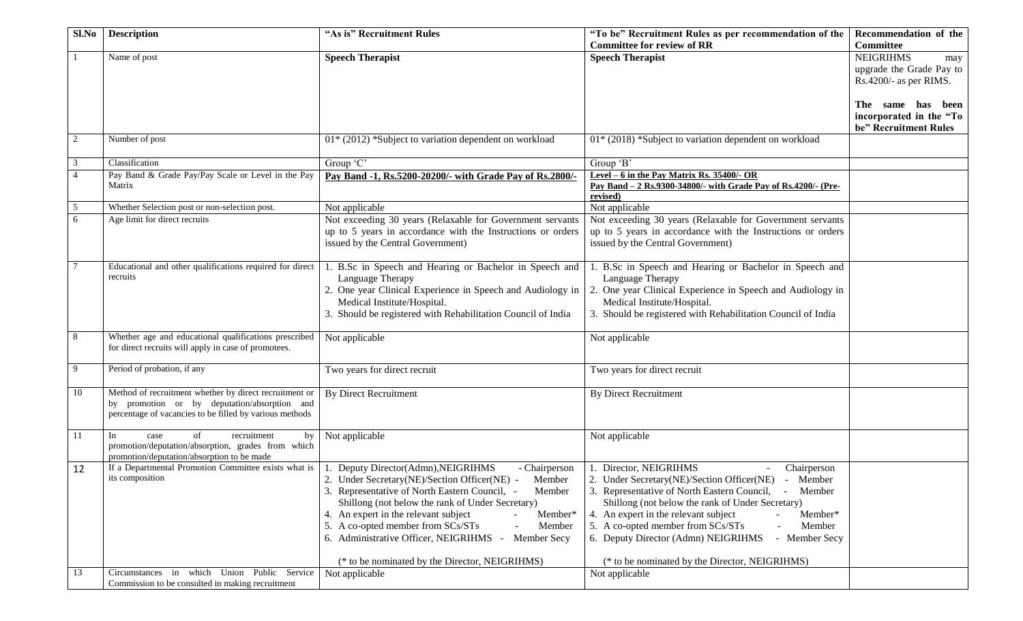| $Sl$ . No      | <b>Description</b>                                               | "As is" Recruitment Rules                                                      | "To be" Recruitment Rules as per recommendation of the                         | Recommendation of the    |
|----------------|------------------------------------------------------------------|--------------------------------------------------------------------------------|--------------------------------------------------------------------------------|--------------------------|
|                |                                                                  |                                                                                | <b>Committee for review of RR</b>                                              | Committee                |
|                | Name of post                                                     | <b>Speech Therapist</b>                                                        | <b>Speech Therapist</b>                                                        | <b>NEIGRIHMS</b><br>may  |
|                |                                                                  |                                                                                |                                                                                | upgrade the Grade Pay to |
|                |                                                                  |                                                                                |                                                                                | Rs.4200/- as per RIMS.   |
|                |                                                                  |                                                                                |                                                                                |                          |
|                |                                                                  |                                                                                |                                                                                | The same has been        |
|                |                                                                  |                                                                                |                                                                                | incorporated in the "To  |
|                |                                                                  |                                                                                |                                                                                | be" Recruitment Rules    |
| 2              | Number of post                                                   | $01*$ (2012) *Subject to variation dependent on workload                       | 01* (2018) *Subject to variation dependent on workload                         |                          |
|                |                                                                  |                                                                                |                                                                                |                          |
| 3              | Classification                                                   | Group 'C'                                                                      | Group 'B'                                                                      |                          |
| $\overline{4}$ | Pay Band & Grade Pay/Pay Scale or Level in the Pay               | Pay Band -1, Rs.5200-20200/- with Grade Pay of Rs.2800/-                       | Level $-6$ in the Pay Matrix Rs. 35400/- OR                                    |                          |
|                | Matrix                                                           |                                                                                | <u>Pay Band - 2 Rs.9300-34800/- with Grade Pay of Rs.4200/- (Pre-</u>          |                          |
|                |                                                                  |                                                                                | revised)                                                                       |                          |
| 5              | Whether Selection post or non-selection post.                    | Not applicable                                                                 | Not applicable                                                                 |                          |
| 6              | Age limit for direct recruits                                    | Not exceeding 30 years (Relaxable for Government servants                      | Not exceeding 30 years (Relaxable for Government servants                      |                          |
|                |                                                                  | up to 5 years in accordance with the Instructions or orders                    | up to 5 years in accordance with the Instructions or orders                    |                          |
|                |                                                                  | issued by the Central Government)                                              | issued by the Central Government)                                              |                          |
| 7              | Educational and other qualifications required for direct         |                                                                                |                                                                                |                          |
|                | recruits                                                         | 1. B.Sc in Speech and Hearing or Bachelor in Speech and                        | 1. B.Sc in Speech and Hearing or Bachelor in Speech and                        |                          |
|                |                                                                  | Language Therapy<br>2. One year Clinical Experience in Speech and Audiology in | Language Therapy<br>2. One year Clinical Experience in Speech and Audiology in |                          |
|                |                                                                  | Medical Institute/Hospital.                                                    | Medical Institute/Hospital.                                                    |                          |
|                |                                                                  | 3. Should be registered with Rehabilitation Council of India                   | 3. Should be registered with Rehabilitation Council of India                   |                          |
|                |                                                                  |                                                                                |                                                                                |                          |
| 8              | Whether age and educational qualifications prescribed            | Not applicable                                                                 | Not applicable                                                                 |                          |
|                | for direct recruits will apply in case of promotees.             |                                                                                |                                                                                |                          |
|                |                                                                  |                                                                                |                                                                                |                          |
| 9              | Period of probation, if any                                      | Two years for direct recruit                                                   | Two years for direct recruit                                                   |                          |
|                |                                                                  |                                                                                |                                                                                |                          |
| 10             | Method of recruitment whether by direct recruitment or           | <b>By Direct Recruitment</b>                                                   | <b>By Direct Recruitment</b>                                                   |                          |
|                | by promotion or by deputation/absorption and                     |                                                                                |                                                                                |                          |
|                | percentage of vacancies to be filled by various methods          |                                                                                |                                                                                |                          |
| 11             | In<br>of<br>recruitment                                          |                                                                                |                                                                                |                          |
|                | case<br>by<br>promotion/deputation/absorption, grades from which | Not applicable                                                                 | Not applicable                                                                 |                          |
|                | promotion/deputation/absorption to be made                       |                                                                                |                                                                                |                          |
| 12             | If a Departmental Promotion Committee exists what is             | 1. Deputy Director(Admn), NEIGRIHMS<br>- Chairperson                           | 1. Director, NEIGRIHMS<br>Chairperson                                          |                          |
|                | its composition                                                  | 2. Under Secretary(NE)/Section Officer(NE) - Member                            | 2. Under Secretary(NE)/Section Officer(NE) - Member                            |                          |
|                |                                                                  | 3. Representative of North Eastern Council, -<br>Member                        | 3. Representative of North Eastern Council, -<br>Member                        |                          |
|                |                                                                  | Shillong (not below the rank of Under Secretary)                               | Shillong (not below the rank of Under Secretary)                               |                          |
|                |                                                                  | 4. An expert in the relevant subject<br>Member*                                | 4. An expert in the relevant subject<br>Member*                                |                          |
|                |                                                                  | 5. A co-opted member from SCs/STs<br>Member                                    | 5. A co-opted member from SCs/STs<br>Member                                    |                          |
|                |                                                                  | 6. Administrative Officer, NEIGRIHMS - Member Secy                             | 6. Deputy Director (Admn) NEIGRIHMS<br>- Member Secy                           |                          |
|                |                                                                  |                                                                                |                                                                                |                          |
|                |                                                                  | (* to be nominated by the Director, NEIGRIHMS)                                 | (* to be nominated by the Director, NEIGRIHMS)                                 |                          |
| 13             | Union Public Service<br>in which<br>Circumstances                | Not applicable                                                                 | Not applicable                                                                 |                          |
|                | Commission to be consulted in making recruitment                 |                                                                                |                                                                                |                          |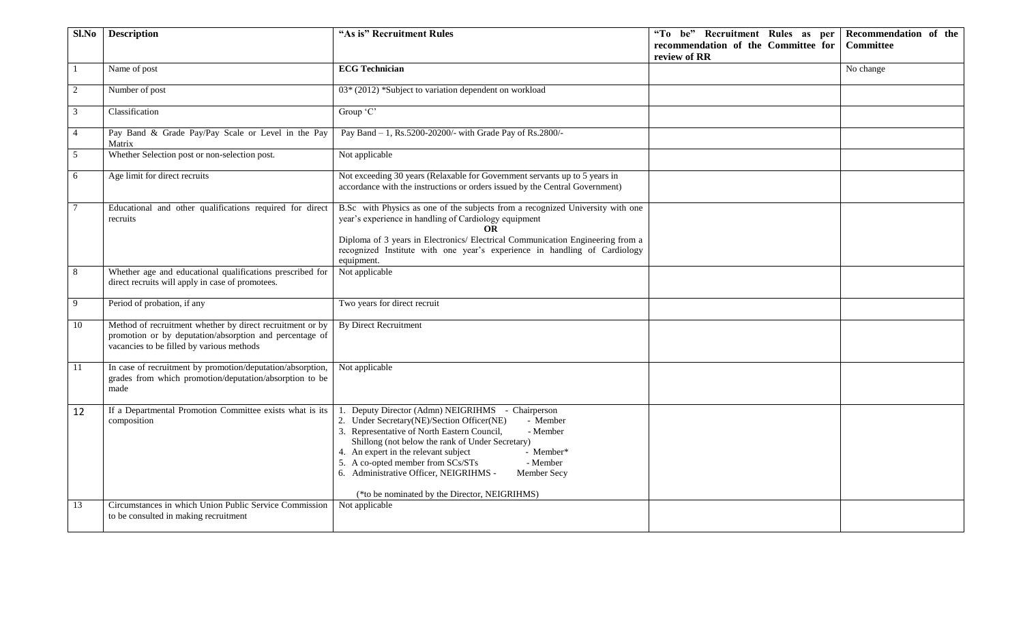| Sl.No          | <b>Description</b>                                                                                                                                                | "As is" Recruitment Rules                                                                                                                                                                                                                                                                                                                                                                                                               | "To be" Recruitment Rules as per<br>recommendation of the Committee for<br>review of RR | Recommendation of the<br><b>Committee</b> |
|----------------|-------------------------------------------------------------------------------------------------------------------------------------------------------------------|-----------------------------------------------------------------------------------------------------------------------------------------------------------------------------------------------------------------------------------------------------------------------------------------------------------------------------------------------------------------------------------------------------------------------------------------|-----------------------------------------------------------------------------------------|-------------------------------------------|
|                | Name of post                                                                                                                                                      | <b>ECG Technician</b>                                                                                                                                                                                                                                                                                                                                                                                                                   |                                                                                         | No change                                 |
| 2              | Number of post                                                                                                                                                    | 03* (2012) *Subject to variation dependent on workload                                                                                                                                                                                                                                                                                                                                                                                  |                                                                                         |                                           |
| 3              | Classification                                                                                                                                                    | Group 'C'                                                                                                                                                                                                                                                                                                                                                                                                                               |                                                                                         |                                           |
| $\overline{4}$ | Pay Band & Grade Pay/Pay Scale or Level in the Pay<br>Matrix                                                                                                      | Pay Band - 1, Rs.5200-20200/- with Grade Pay of Rs.2800/-                                                                                                                                                                                                                                                                                                                                                                               |                                                                                         |                                           |
| 5              | Whether Selection post or non-selection post.                                                                                                                     | Not applicable                                                                                                                                                                                                                                                                                                                                                                                                                          |                                                                                         |                                           |
| 6              | Age limit for direct recruits                                                                                                                                     | Not exceeding 30 years (Relaxable for Government servants up to 5 years in<br>accordance with the instructions or orders issued by the Central Government)                                                                                                                                                                                                                                                                              |                                                                                         |                                           |
|                | Educational and other qualifications required for direct<br>recruits                                                                                              | B.Sc with Physics as one of the subjects from a recognized University with one<br>year's experience in handling of Cardiology equipment<br><b>OR</b><br>Diploma of 3 years in Electronics/ Electrical Communication Engineering from a<br>recognized Institute with one year's experience in handling of Cardiology<br>equipment.                                                                                                       |                                                                                         |                                           |
| 8              | Whether age and educational qualifications prescribed for<br>direct recruits will apply in case of promotees.                                                     | Not applicable                                                                                                                                                                                                                                                                                                                                                                                                                          |                                                                                         |                                           |
| 9              | Period of probation, if any                                                                                                                                       | Two years for direct recruit                                                                                                                                                                                                                                                                                                                                                                                                            |                                                                                         |                                           |
| 10             | Method of recruitment whether by direct recruitment or by<br>promotion or by deputation/absorption and percentage of<br>vacancies to be filled by various methods | <b>By Direct Recruitment</b>                                                                                                                                                                                                                                                                                                                                                                                                            |                                                                                         |                                           |
| 11             | In case of recruitment by promotion/deputation/absorption,<br>grades from which promotion/deputation/absorption to be<br>made                                     | Not applicable                                                                                                                                                                                                                                                                                                                                                                                                                          |                                                                                         |                                           |
| 12             | If a Departmental Promotion Committee exists what is its<br>composition                                                                                           | Deputy Director (Admn) NEIGRIHMS - Chairperson<br>2. Under Secretary(NE)/Section Officer(NE)<br>- Member<br>3. Representative of North Eastern Council,<br>- Member<br>Shillong (not below the rank of Under Secretary)<br>4. An expert in the relevant subject<br>- Member*<br>5. A co-opted member from SCs/STs<br>- Member<br>6. Administrative Officer, NEIGRIHMS -<br>Member Secy<br>(*to be nominated by the Director, NEIGRIHMS) |                                                                                         |                                           |
| 13             | Circumstances in which Union Public Service Commission<br>to be consulted in making recruitment                                                                   | Not applicable                                                                                                                                                                                                                                                                                                                                                                                                                          |                                                                                         |                                           |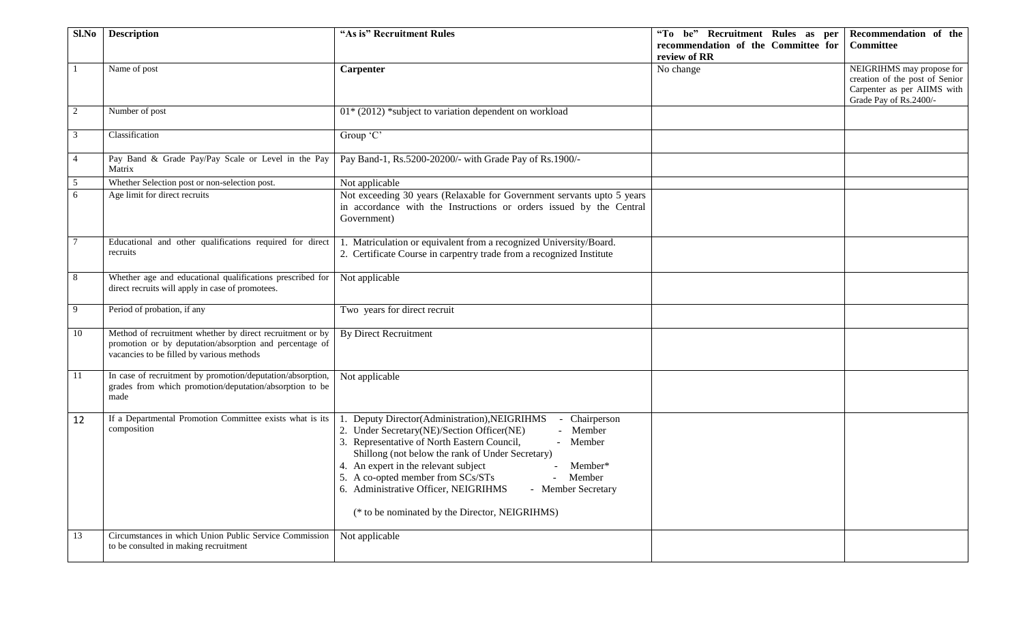| Sl.No          | <b>Description</b>                                                                                                    | "As is" Recruitment Rules                                              | "To be" Recruitment Rules as per    | Recommendation of the                                 |
|----------------|-----------------------------------------------------------------------------------------------------------------------|------------------------------------------------------------------------|-------------------------------------|-------------------------------------------------------|
|                |                                                                                                                       |                                                                        | recommendation of the Committee for | <b>Committee</b>                                      |
|                |                                                                                                                       |                                                                        | review of RR                        |                                                       |
|                | Name of post                                                                                                          | Carpenter                                                              | No change                           | NEIGRIHMS may propose for                             |
|                |                                                                                                                       |                                                                        |                                     | creation of the post of Senior                        |
|                |                                                                                                                       |                                                                        |                                     | Carpenter as per AIIMS with<br>Grade Pay of Rs.2400/- |
| 2              | Number of post                                                                                                        | $01*$ (2012) *subject to variation dependent on workload               |                                     |                                                       |
|                |                                                                                                                       |                                                                        |                                     |                                                       |
| 3              | Classification                                                                                                        | $Group^{\cdot}C^{\cdot}$                                               |                                     |                                                       |
| $\overline{4}$ | Pay Band & Grade Pay/Pay Scale or Level in the Pay<br>Matrix                                                          | Pay Band-1, Rs.5200-20200/- with Grade Pay of Rs.1900/-                |                                     |                                                       |
| 5              | Whether Selection post or non-selection post.                                                                         | Not applicable                                                         |                                     |                                                       |
| 6              | Age limit for direct recruits                                                                                         | Not exceeding 30 years (Relaxable for Government servants upto 5 years |                                     |                                                       |
|                |                                                                                                                       | in accordance with the Instructions or orders issued by the Central    |                                     |                                                       |
|                |                                                                                                                       | Government)                                                            |                                     |                                                       |
|                |                                                                                                                       |                                                                        |                                     |                                                       |
|                | Educational and other qualifications required for direct                                                              | 1. Matriculation or equivalent from a recognized University/Board.     |                                     |                                                       |
|                | recruits                                                                                                              | 2. Certificate Course in carpentry trade from a recognized Institute   |                                     |                                                       |
|                |                                                                                                                       |                                                                        |                                     |                                                       |
| 8              | Whether age and educational qualifications prescribed for                                                             | Not applicable                                                         |                                     |                                                       |
|                | direct recruits will apply in case of promotees.                                                                      |                                                                        |                                     |                                                       |
| 9              | Period of probation, if any                                                                                           | Two years for direct recruit                                           |                                     |                                                       |
|                |                                                                                                                       |                                                                        |                                     |                                                       |
| 10             | Method of recruitment whether by direct recruitment or by                                                             | <b>By Direct Recruitment</b>                                           |                                     |                                                       |
|                | promotion or by deputation/absorption and percentage of                                                               |                                                                        |                                     |                                                       |
|                | vacancies to be filled by various methods                                                                             |                                                                        |                                     |                                                       |
|                |                                                                                                                       |                                                                        |                                     |                                                       |
| 11             | In case of recruitment by promotion/deputation/absorption,<br>grades from which promotion/deputation/absorption to be | Not applicable                                                         |                                     |                                                       |
|                | made                                                                                                                  |                                                                        |                                     |                                                       |
|                |                                                                                                                       |                                                                        |                                     |                                                       |
| 12             | If a Departmental Promotion Committee exists what is its                                                              | Deputy Director(Administration), NEIGRIHMS<br>Chairperson              |                                     |                                                       |
|                | composition                                                                                                           | 2. Under Secretary(NE)/Section Officer(NE)<br>- Member                 |                                     |                                                       |
|                |                                                                                                                       | 3. Representative of North Eastern Council,<br>- Member                |                                     |                                                       |
|                |                                                                                                                       | Shillong (not below the rank of Under Secretary)                       |                                     |                                                       |
|                |                                                                                                                       | 4. An expert in the relevant subject<br>Member*                        |                                     |                                                       |
|                |                                                                                                                       | 5. A co-opted member from SCs/STs<br>Member                            |                                     |                                                       |
|                |                                                                                                                       | 6. Administrative Officer, NEIGRIHMS<br>- Member Secretary             |                                     |                                                       |
|                |                                                                                                                       |                                                                        |                                     |                                                       |
|                |                                                                                                                       | (* to be nominated by the Director, NEIGRIHMS)                         |                                     |                                                       |
| 13             | Circumstances in which Union Public Service Commission                                                                | Not applicable                                                         |                                     |                                                       |
|                | to be consulted in making recruitment                                                                                 |                                                                        |                                     |                                                       |
|                |                                                                                                                       |                                                                        |                                     |                                                       |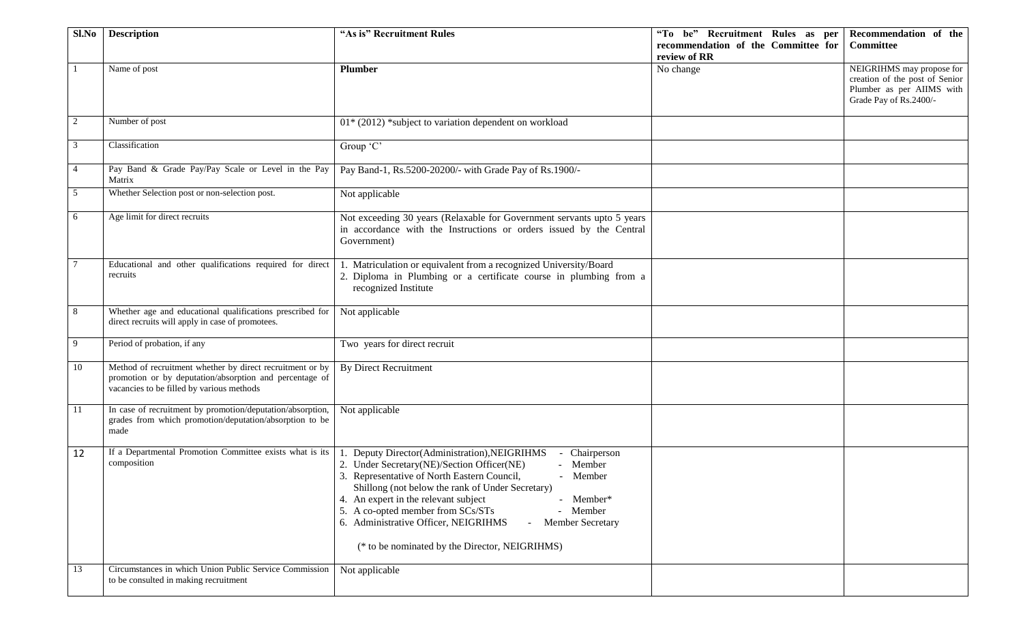| Sl.No          | <b>Description</b>                                                                                                                                                | "As is" Recruitment Rules                                                                                                                                                                                                                                                                                                                                                                                                                                | "To be" Recruitment Rules as per<br>recommendation of the Committee for<br>review of RR | Recommendation of the<br>Committee                                                                                 |
|----------------|-------------------------------------------------------------------------------------------------------------------------------------------------------------------|----------------------------------------------------------------------------------------------------------------------------------------------------------------------------------------------------------------------------------------------------------------------------------------------------------------------------------------------------------------------------------------------------------------------------------------------------------|-----------------------------------------------------------------------------------------|--------------------------------------------------------------------------------------------------------------------|
|                | Name of post                                                                                                                                                      | <b>Plumber</b>                                                                                                                                                                                                                                                                                                                                                                                                                                           | No change                                                                               | NEIGRIHMS may propose for<br>creation of the post of Senior<br>Plumber as per AIIMS with<br>Grade Pay of Rs.2400/- |
| 2              | Number of post                                                                                                                                                    | $01*$ (2012) *subject to variation dependent on workload                                                                                                                                                                                                                                                                                                                                                                                                 |                                                                                         |                                                                                                                    |
| 3              | Classification                                                                                                                                                    | Group 'C'                                                                                                                                                                                                                                                                                                                                                                                                                                                |                                                                                         |                                                                                                                    |
| $\overline{4}$ | Pay Band & Grade Pay/Pay Scale or Level in the Pay<br>Matrix                                                                                                      | Pay Band-1, Rs.5200-20200/- with Grade Pay of Rs.1900/-                                                                                                                                                                                                                                                                                                                                                                                                  |                                                                                         |                                                                                                                    |
| 5              | Whether Selection post or non-selection post.                                                                                                                     | Not applicable                                                                                                                                                                                                                                                                                                                                                                                                                                           |                                                                                         |                                                                                                                    |
| 6              | Age limit for direct recruits                                                                                                                                     | Not exceeding 30 years (Relaxable for Government servants upto 5 years<br>in accordance with the Instructions or orders issued by the Central<br>Government)                                                                                                                                                                                                                                                                                             |                                                                                         |                                                                                                                    |
|                | Educational and other qualifications required for direct<br>recruits                                                                                              | 1. Matriculation or equivalent from a recognized University/Board<br>2. Diploma in Plumbing or a certificate course in plumbing from a<br>recognized Institute                                                                                                                                                                                                                                                                                           |                                                                                         |                                                                                                                    |
| 8              | Whether age and educational qualifications prescribed for<br>direct recruits will apply in case of promotees.                                                     | Not applicable                                                                                                                                                                                                                                                                                                                                                                                                                                           |                                                                                         |                                                                                                                    |
| 9              | Period of probation, if any                                                                                                                                       | Two years for direct recruit                                                                                                                                                                                                                                                                                                                                                                                                                             |                                                                                         |                                                                                                                    |
| 10             | Method of recruitment whether by direct recruitment or by<br>promotion or by deputation/absorption and percentage of<br>vacancies to be filled by various methods | <b>By Direct Recruitment</b>                                                                                                                                                                                                                                                                                                                                                                                                                             |                                                                                         |                                                                                                                    |
| 11             | In case of recruitment by promotion/deputation/absorption,<br>grades from which promotion/deputation/absorption to be<br>made                                     | Not applicable                                                                                                                                                                                                                                                                                                                                                                                                                                           |                                                                                         |                                                                                                                    |
| 12             | If a Departmental Promotion Committee exists what is its<br>composition                                                                                           | Deputy Director(Administration), NEIGRIHMS<br>Chairperson<br>2. Under Secretary(NE)/Section Officer(NE)<br>- Member<br>3. Representative of North Eastern Council,<br>- Member<br>Shillong (not below the rank of Under Secretary)<br>4. An expert in the relevant subject<br>- Member*<br>5. A co-opted member from SCs/STs<br>- Member<br>6. Administrative Officer, NEIGRIHMS<br>- Member Secretary<br>(* to be nominated by the Director, NEIGRIHMS) |                                                                                         |                                                                                                                    |
| 13             | Circumstances in which Union Public Service Commission<br>to be consulted in making recruitment                                                                   | Not applicable                                                                                                                                                                                                                                                                                                                                                                                                                                           |                                                                                         |                                                                                                                    |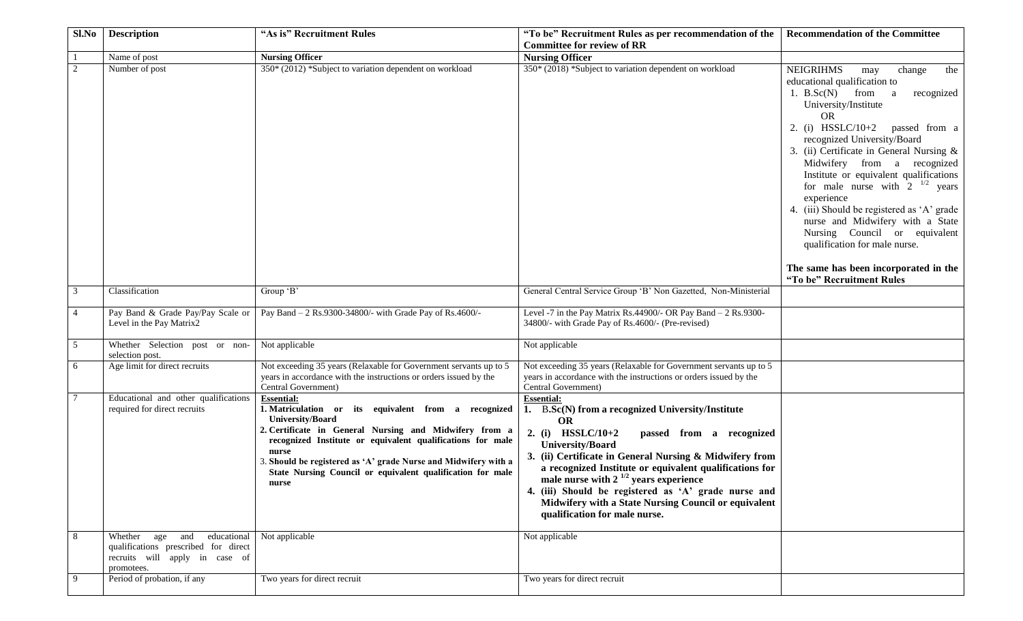| Sl.No          | <b>Description</b>                                                                                                 | "As is" Recruitment Rules                                                                                                                                                                                                                                                                                                                                                | "To be" Recruitment Rules as per recommendation of the<br><b>Committee for review of RR</b>                                                                                                                                                                                                                                                                                                                                                                                                              | <b>Recommendation of the Committee</b>                                                                                                                                                                                                                                                                                                                                                                                                                                                                                                                                                                                           |
|----------------|--------------------------------------------------------------------------------------------------------------------|--------------------------------------------------------------------------------------------------------------------------------------------------------------------------------------------------------------------------------------------------------------------------------------------------------------------------------------------------------------------------|----------------------------------------------------------------------------------------------------------------------------------------------------------------------------------------------------------------------------------------------------------------------------------------------------------------------------------------------------------------------------------------------------------------------------------------------------------------------------------------------------------|----------------------------------------------------------------------------------------------------------------------------------------------------------------------------------------------------------------------------------------------------------------------------------------------------------------------------------------------------------------------------------------------------------------------------------------------------------------------------------------------------------------------------------------------------------------------------------------------------------------------------------|
|                | Name of post                                                                                                       | <b>Nursing Officer</b>                                                                                                                                                                                                                                                                                                                                                   | <b>Nursing Officer</b>                                                                                                                                                                                                                                                                                                                                                                                                                                                                                   |                                                                                                                                                                                                                                                                                                                                                                                                                                                                                                                                                                                                                                  |
| 2              | Number of post                                                                                                     | 350* (2012) *Subject to variation dependent on workload                                                                                                                                                                                                                                                                                                                  | 350* (2018) *Subject to variation dependent on workload                                                                                                                                                                                                                                                                                                                                                                                                                                                  | <b>NEIGRIHMS</b><br>change<br>the<br>may<br>educational qualification to<br>1. $B.Sc(N)$<br>from a<br>recognized<br>University/Institute<br><b>OR</b><br>2. (i) $HSSLC/10+2$<br>passed from a<br>recognized University/Board<br>3. (ii) Certificate in General Nursing &<br>Midwifery from a recognized<br>Institute or equivalent qualifications<br>for male nurse with $2^{1/2}$ years<br>experience<br>4. (iii) Should be registered as 'A' grade<br>nurse and Midwifery with a State<br>Nursing Council or equivalent<br>qualification for male nurse.<br>The same has been incorporated in the<br>"To be" Recruitment Rules |
| 3              | Classification                                                                                                     | Group 'B'                                                                                                                                                                                                                                                                                                                                                                | General Central Service Group 'B' Non Gazetted, Non-Ministerial                                                                                                                                                                                                                                                                                                                                                                                                                                          |                                                                                                                                                                                                                                                                                                                                                                                                                                                                                                                                                                                                                                  |
| $\overline{4}$ | Pay Band & Grade Pay/Pay Scale or<br>Level in the Pay Matrix2                                                      | Pay Band - 2 Rs.9300-34800/- with Grade Pay of Rs.4600/-                                                                                                                                                                                                                                                                                                                 | Level -7 in the Pay Matrix Rs.44900/- OR Pay Band $- 2$ Rs.9300-<br>34800/- with Grade Pay of Rs.4600/- (Pre-revised)                                                                                                                                                                                                                                                                                                                                                                                    |                                                                                                                                                                                                                                                                                                                                                                                                                                                                                                                                                                                                                                  |
| 5              | Whether Selection post or non-<br>selection post.                                                                  | Not applicable                                                                                                                                                                                                                                                                                                                                                           | Not applicable                                                                                                                                                                                                                                                                                                                                                                                                                                                                                           |                                                                                                                                                                                                                                                                                                                                                                                                                                                                                                                                                                                                                                  |
| 6              | Age limit for direct recruits                                                                                      | Not exceeding 35 years (Relaxable for Government servants up to 5<br>years in accordance with the instructions or orders issued by the<br>Central Government)                                                                                                                                                                                                            | Not exceeding 35 years (Relaxable for Government servants up to 5<br>years in accordance with the instructions or orders issued by the<br>Central Government)                                                                                                                                                                                                                                                                                                                                            |                                                                                                                                                                                                                                                                                                                                                                                                                                                                                                                                                                                                                                  |
| 8              | Educational and other qualifications<br>required for direct recruits<br>Whether age and educational Not applicable | <b>Essential:</b><br>1. Matriculation or its equivalent from a recognized<br>University/Board<br>2. Certificate in General Nursing and Midwifery from a<br>recognized Institute or equivalent qualifications for male<br>nurse<br>3. Should be registered as 'A' grade Nurse and Midwifery with a<br>State Nursing Council or equivalent qualification for male<br>nurse | <b>Essential:</b><br>1. B.Sc(N) from a recognized University/Institute<br><b>OR</b><br>2. (i) $HSSLC/10+2$<br>passed from a recognized<br><b>University/Board</b><br>3. (ii) Certificate in General Nursing & Midwifery from<br>a recognized Institute or equivalent qualifications for<br>male nurse with $2^{1/2}$ years experience<br>4. (iii) Should be registered as 'A' grade nurse and<br>Midwifery with a State Nursing Council or equivalent<br>qualification for male nurse.<br>Not applicable |                                                                                                                                                                                                                                                                                                                                                                                                                                                                                                                                                                                                                                  |
|                | qualifications prescribed for direct<br>recruits will apply in case of<br>promotees.                               |                                                                                                                                                                                                                                                                                                                                                                          |                                                                                                                                                                                                                                                                                                                                                                                                                                                                                                          |                                                                                                                                                                                                                                                                                                                                                                                                                                                                                                                                                                                                                                  |
| 9              | Period of probation, if any                                                                                        | Two years for direct recruit                                                                                                                                                                                                                                                                                                                                             | Two years for direct recruit                                                                                                                                                                                                                                                                                                                                                                                                                                                                             |                                                                                                                                                                                                                                                                                                                                                                                                                                                                                                                                                                                                                                  |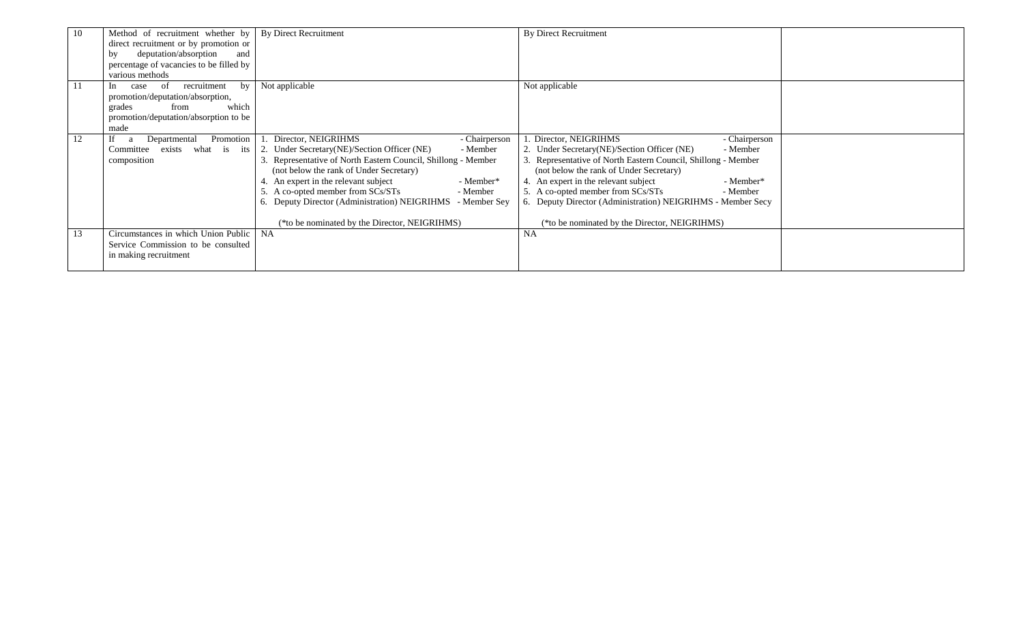| 10 | Method of recruitment whether by   By Direct Recruitment |                                                            | <b>By Direct Recruitment</b>                                  |  |
|----|----------------------------------------------------------|------------------------------------------------------------|---------------------------------------------------------------|--|
|    | direct recruitment or by promotion or                    |                                                            |                                                               |  |
|    | deputation/absorption<br>and<br>by                       |                                                            |                                                               |  |
|    | percentage of vacancies to be filled by                  |                                                            |                                                               |  |
|    | various methods                                          |                                                            |                                                               |  |
| 11 | recruitment<br>-of<br>by<br>In<br>case                   | Not applicable                                             | Not applicable                                                |  |
|    | promotion/deputation/absorption,                         |                                                            |                                                               |  |
|    | which<br>grades<br>from                                  |                                                            |                                                               |  |
|    | promotion/deputation/absorption to be                    |                                                            |                                                               |  |
|    | made                                                     |                                                            |                                                               |  |
|    | If<br>Promotion<br>Departmental<br><sup>2</sup>          | Director, NEIGRIHMS<br>- Chairperson                       | 1. Director, NEIGRIHMS<br>- Chairperson                       |  |
|    | exists<br>what is its<br>Committee                       | 2. Under Secretary (NE)/Section Officer (NE)<br>- Member   | 2. Under Secretary (NE)/Section Officer (NE)<br>- Member      |  |
|    | composition                                              | Representative of North Eastern Council, Shillong - Member | 3. Representative of North Eastern Council, Shillong - Member |  |
|    |                                                          | (not below the rank of Under Secretary)                    | (not below the rank of Under Secretary)                       |  |
|    |                                                          | An expert in the relevant subject<br>- Member*             | 4. An expert in the relevant subject<br>- Member*             |  |
|    |                                                          | 5. A co-opted member from SCs/STs<br>- Member              | 5. A co-opted member from SCs/STs<br>- Member                 |  |
|    |                                                          | Deputy Director (Administration) NEIGRIHMS<br>- Member Sey | 6. Deputy Director (Administration) NEIGRIHMS - Member Secy   |  |
|    |                                                          |                                                            |                                                               |  |
|    |                                                          | (*to be nominated by the Director, NEIGRIHMS)              | (*to be nominated by the Director, NEIGRIHMS)                 |  |
| 13 | Circumstances in which Union Public   NA                 |                                                            | NA                                                            |  |
|    | Service Commission to be consulted                       |                                                            |                                                               |  |
|    | in making recruitment                                    |                                                            |                                                               |  |
|    |                                                          |                                                            |                                                               |  |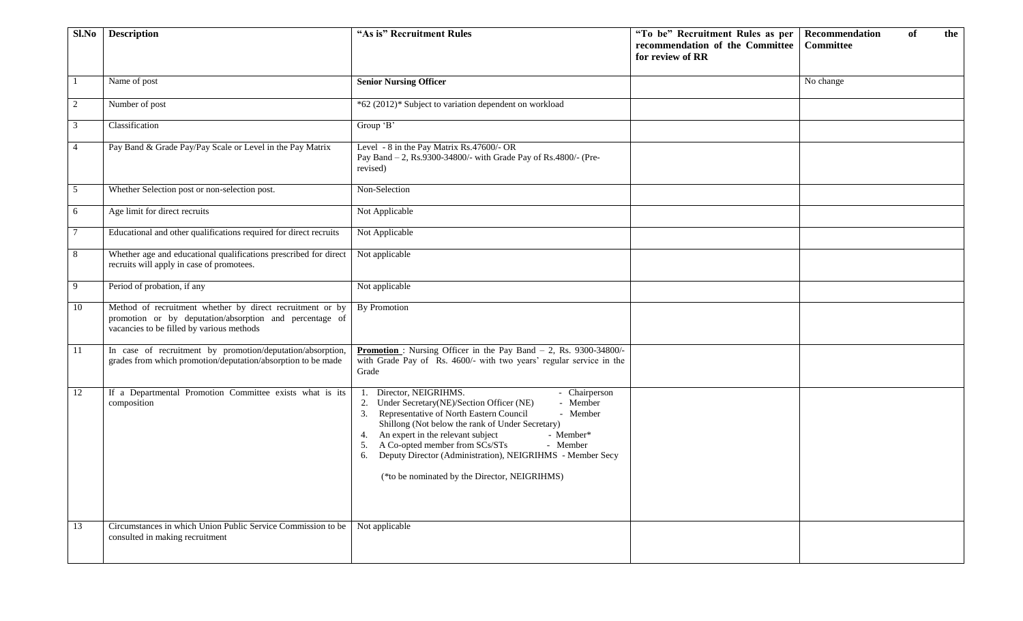| Sl.No          | <b>Description</b>                                                                                                                                                | "As is" Recruitment Rules                                                                                                                                                                                                                                                                                                                                                                                                                         | "To be" Recruitment Rules as per<br>recommendation of the Committee<br>for review of RR | Recommendation<br>of<br>the<br><b>Committee</b> |
|----------------|-------------------------------------------------------------------------------------------------------------------------------------------------------------------|---------------------------------------------------------------------------------------------------------------------------------------------------------------------------------------------------------------------------------------------------------------------------------------------------------------------------------------------------------------------------------------------------------------------------------------------------|-----------------------------------------------------------------------------------------|-------------------------------------------------|
|                | Name of post                                                                                                                                                      | <b>Senior Nursing Officer</b>                                                                                                                                                                                                                                                                                                                                                                                                                     |                                                                                         | No change                                       |
| $\overline{2}$ | Number of post                                                                                                                                                    | *62 (2012)* Subject to variation dependent on workload                                                                                                                                                                                                                                                                                                                                                                                            |                                                                                         |                                                 |
| 3              | Classification                                                                                                                                                    | Group 'B'                                                                                                                                                                                                                                                                                                                                                                                                                                         |                                                                                         |                                                 |
| 4              | Pay Band & Grade Pay/Pay Scale or Level in the Pay Matrix                                                                                                         | Level - 8 in the Pay Matrix Rs.47600/- OR<br>Pay Band - 2, Rs.9300-34800/- with Grade Pay of Rs.4800/- (Pre-<br>revised)                                                                                                                                                                                                                                                                                                                          |                                                                                         |                                                 |
| 5              | Whether Selection post or non-selection post.                                                                                                                     | Non-Selection                                                                                                                                                                                                                                                                                                                                                                                                                                     |                                                                                         |                                                 |
| 6              | Age limit for direct recruits                                                                                                                                     | Not Applicable                                                                                                                                                                                                                                                                                                                                                                                                                                    |                                                                                         |                                                 |
| 7              | Educational and other qualifications required for direct recruits                                                                                                 | Not Applicable                                                                                                                                                                                                                                                                                                                                                                                                                                    |                                                                                         |                                                 |
| 8              | Whether age and educational qualifications prescribed for direct<br>recruits will apply in case of promotees.                                                     | Not applicable                                                                                                                                                                                                                                                                                                                                                                                                                                    |                                                                                         |                                                 |
| 9              | Period of probation, if any                                                                                                                                       | Not applicable                                                                                                                                                                                                                                                                                                                                                                                                                                    |                                                                                         |                                                 |
| 10             | Method of recruitment whether by direct recruitment or by<br>promotion or by deputation/absorption and percentage of<br>vacancies to be filled by various methods | By Promotion                                                                                                                                                                                                                                                                                                                                                                                                                                      |                                                                                         |                                                 |
| 11             | In case of recruitment by promotion/deputation/absorption,<br>grades from which promotion/deputation/absorption to be made                                        | <b>Promotion</b> : Nursing Officer in the Pay Band $- 2$ , Rs. 9300-34800/-<br>with Grade Pay of Rs. 4600/- with two years' regular service in the<br>Grade                                                                                                                                                                                                                                                                                       |                                                                                         |                                                 |
| 12             | If a Departmental Promotion Committee exists what is its<br>composition                                                                                           | Director, NEIGRIHMS.<br>- Chairperson<br>Under Secretary(NE)/Section Officer (NE)<br>- Member<br>2.<br>3. Representative of North Eastern Council<br>- Member<br>Shillong (Not below the rank of Under Secretary)<br>An expert in the relevant subject<br>- Member*<br>4.<br>A Co-opted member from SCs/STs<br>- Member<br>5.<br>Deputy Director (Administration), NEIGRIHMS - Member Secy<br>6.<br>(*to be nominated by the Director, NEIGRIHMS) |                                                                                         |                                                 |
| 13             | Circumstances in which Union Public Service Commission to be<br>consulted in making recruitment                                                                   | Not applicable                                                                                                                                                                                                                                                                                                                                                                                                                                    |                                                                                         |                                                 |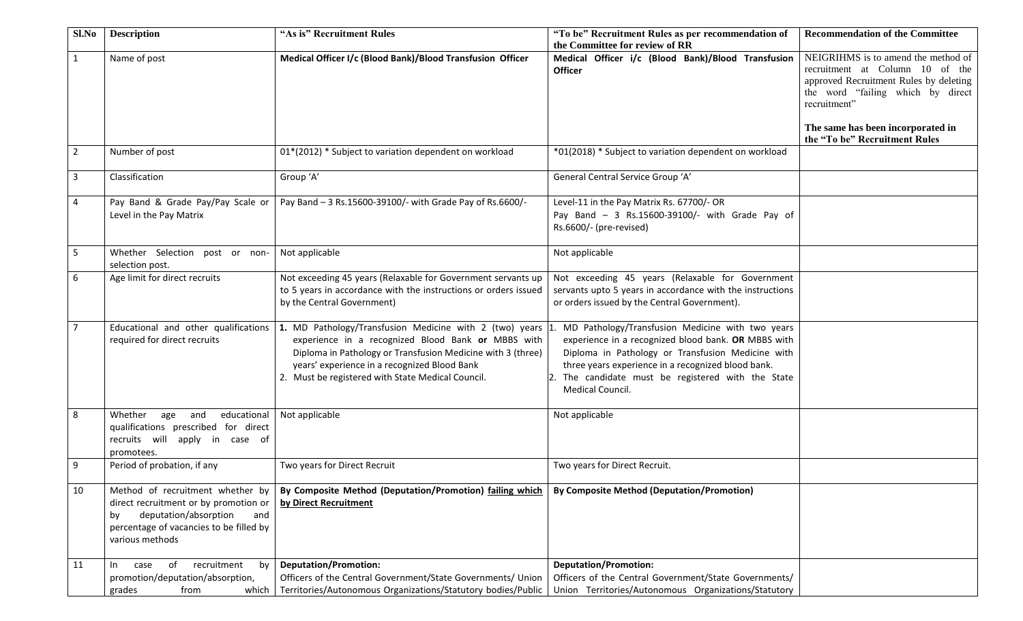| Sl.No          | <b>Description</b>                                                                                                                                                            | "As is" Recruitment Rules                                                                                                                                                                                                                                                         | "To be" Recruitment Rules as per recommendation of<br>the Committee for review of RR                                                                                                                                                                                                         | <b>Recommendation of the Committee</b>                                                                                                                                                                     |
|----------------|-------------------------------------------------------------------------------------------------------------------------------------------------------------------------------|-----------------------------------------------------------------------------------------------------------------------------------------------------------------------------------------------------------------------------------------------------------------------------------|----------------------------------------------------------------------------------------------------------------------------------------------------------------------------------------------------------------------------------------------------------------------------------------------|------------------------------------------------------------------------------------------------------------------------------------------------------------------------------------------------------------|
| $\mathbf{1}$   | Name of post                                                                                                                                                                  | Medical Officer I/c (Blood Bank)/Blood Transfusion Officer                                                                                                                                                                                                                        | Medical Officer i/c (Blood Bank)/Blood Transfusion<br><b>Officer</b>                                                                                                                                                                                                                         | NEIGRIHMS is to amend the method of<br>recruitment at Column 10 of the<br>approved Recruitment Rules by deleting<br>the word "failing which by direct<br>recruitment"<br>The same has been incorporated in |
|                |                                                                                                                                                                               |                                                                                                                                                                                                                                                                                   |                                                                                                                                                                                                                                                                                              | the "To be" Recruitment Rules                                                                                                                                                                              |
| $\overline{2}$ | Number of post                                                                                                                                                                | 01*(2012) * Subject to variation dependent on workload                                                                                                                                                                                                                            | *01(2018) * Subject to variation dependent on workload                                                                                                                                                                                                                                       |                                                                                                                                                                                                            |
| 3              | Classification                                                                                                                                                                | Group 'A'                                                                                                                                                                                                                                                                         | General Central Service Group 'A'                                                                                                                                                                                                                                                            |                                                                                                                                                                                                            |
| 4              | Pay Band & Grade Pay/Pay Scale or<br>Level in the Pay Matrix                                                                                                                  | Pay Band - 3 Rs.15600-39100/- with Grade Pay of Rs.6600/-                                                                                                                                                                                                                         | Level-11 in the Pay Matrix Rs. 67700/- OR<br>Pay Band - 3 Rs.15600-39100/- with Grade Pay of<br>Rs.6600/- (pre-revised)                                                                                                                                                                      |                                                                                                                                                                                                            |
| 5              | Whether Selection post or non-<br>selection post.                                                                                                                             | Not applicable                                                                                                                                                                                                                                                                    | Not applicable                                                                                                                                                                                                                                                                               |                                                                                                                                                                                                            |
| 6              | Age limit for direct recruits                                                                                                                                                 | Not exceeding 45 years (Relaxable for Government servants up<br>to 5 years in accordance with the instructions or orders issued<br>by the Central Government)                                                                                                                     | Not exceeding 45 years (Relaxable for Government<br>servants upto 5 years in accordance with the instructions<br>or orders issued by the Central Government).                                                                                                                                |                                                                                                                                                                                                            |
| $\overline{7}$ | Educational and other qualifications<br>required for direct recruits                                                                                                          | 1. MD Pathology/Transfusion Medicine with 2 (two) years<br>experience in a recognized Blood Bank or MBBS with<br>Diploma in Pathology or Transfusion Medicine with 3 (three)<br>years' experience in a recognized Blood Bank<br>2. Must be registered with State Medical Council. | MD Pathology/Transfusion Medicine with two years<br>experience in a recognized blood bank. OR MBBS with<br>Diploma in Pathology or Transfusion Medicine with<br>three years experience in a recognized blood bank.<br>2. The candidate must be registered with the State<br>Medical Council. |                                                                                                                                                                                                            |
| 8              | Whether<br>educational<br>age<br>and<br>qualifications prescribed for direct<br>recruits will apply in case of<br>promotees.                                                  | Not applicable                                                                                                                                                                                                                                                                    | Not applicable                                                                                                                                                                                                                                                                               |                                                                                                                                                                                                            |
| 9              | Period of probation, if any                                                                                                                                                   | Two years for Direct Recruit                                                                                                                                                                                                                                                      | Two years for Direct Recruit.                                                                                                                                                                                                                                                                |                                                                                                                                                                                                            |
| 10             | Method of recruitment whether by<br>direct recruitment or by promotion or<br>deputation/absorption<br>and<br>by<br>percentage of vacancies to be filled by<br>various methods | By Composite Method (Deputation/Promotion) failing which<br>by Direct Recruitment                                                                                                                                                                                                 | <b>By Composite Method (Deputation/Promotion)</b>                                                                                                                                                                                                                                            |                                                                                                                                                                                                            |
| 11             | of<br>recruitment<br>by<br>case<br>In.<br>promotion/deputation/absorption,<br>grades<br>from<br>which                                                                         | <b>Deputation/Promotion:</b><br>Officers of the Central Government/State Governments/ Union<br>Territories/Autonomous Organizations/Statutory bodies/Public                                                                                                                       | <b>Deputation/Promotion:</b><br>Officers of the Central Government/State Governments/<br>Union Territories/Autonomous Organizations/Statutory                                                                                                                                                |                                                                                                                                                                                                            |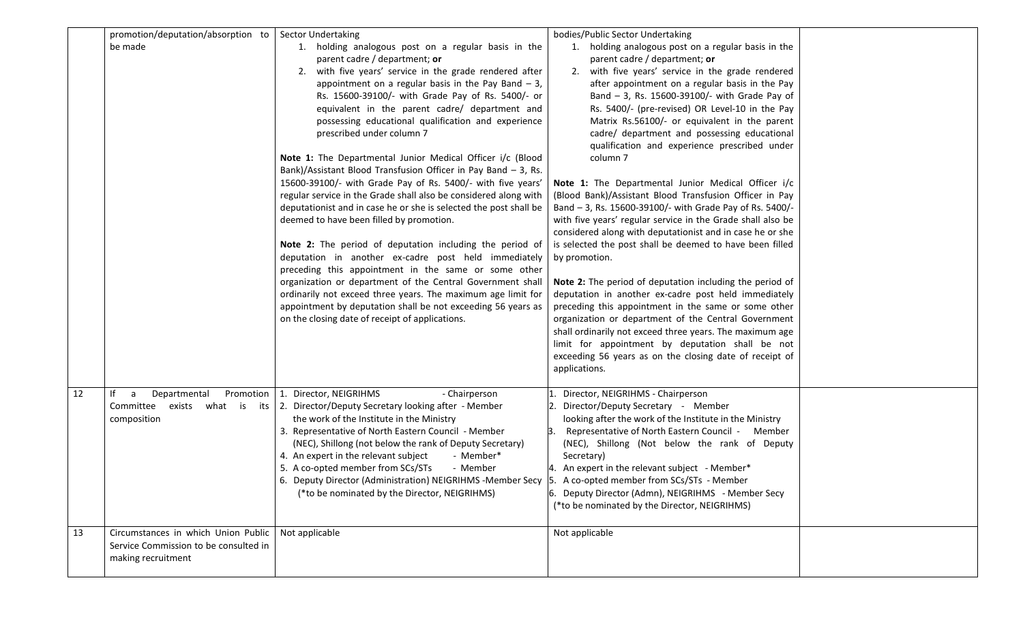| promotion/deputation/absorption to<br>be made                                                            |           | <b>Sector Undertaking</b><br>1. holding analogous post on a regular basis in the<br>parent cadre / department; or<br>2. with five years' service in the grade rendered after<br>appointment on a regular basis in the Pay Band $-3$ ,<br>Rs. 15600-39100/- with Grade Pay of Rs. 5400/- or<br>equivalent in the parent cadre/ department and<br>possessing educational qualification and experience<br>prescribed under column 7<br>Note 1: The Departmental Junior Medical Officer i/c (Blood<br>Bank)/Assistant Blood Transfusion Officer in Pay Band $-$ 3, Rs.<br>15600-39100/- with Grade Pay of Rs. 5400/- with five years'<br>regular service in the Grade shall also be considered along with<br>deputationist and in case he or she is selected the post shall be<br>deemed to have been filled by promotion.<br>Note 2: The period of deputation including the period of<br>deputation in another ex-cadre post held immediately<br>preceding this appointment in the same or some other<br>organization or department of the Central Government shall<br>ordinarily not exceed three years. The maximum age limit for<br>appointment by deputation shall be not exceeding 56 years as<br>on the closing date of receipt of applications. | bodies/Public Sector Undertaking<br>1. holding analogous post on a regular basis in the<br>parent cadre / department; or<br>2. with five years' service in the grade rendered<br>after appointment on a regular basis in the Pay<br>Band - 3, Rs. 15600-39100/- with Grade Pay of<br>Rs. 5400/- (pre-revised) OR Level-10 in the Pay<br>Matrix Rs.56100/- or equivalent in the parent<br>cadre/ department and possessing educational<br>qualification and experience prescribed under<br>column <sub>7</sub><br>Note 1: The Departmental Junior Medical Officer i/c<br>(Blood Bank)/Assistant Blood Transfusion Officer in Pay<br>Band - 3, Rs. 15600-39100/- with Grade Pay of Rs. 5400/-<br>with five years' regular service in the Grade shall also be<br>considered along with deputationist and in case he or she<br>is selected the post shall be deemed to have been filled<br>by promotion.<br>Note 2: The period of deputation including the period of<br>deputation in another ex-cadre post held immediately<br>preceding this appointment in the same or some other<br>organization or department of the Central Government<br>shall ordinarily not exceed three years. The maximum age<br>limit for appointment by deputation shall be not<br>exceeding 56 years as on the closing date of receipt of<br>applications. |  |
|----------------------------------------------------------------------------------------------------------|-----------|-----------------------------------------------------------------------------------------------------------------------------------------------------------------------------------------------------------------------------------------------------------------------------------------------------------------------------------------------------------------------------------------------------------------------------------------------------------------------------------------------------------------------------------------------------------------------------------------------------------------------------------------------------------------------------------------------------------------------------------------------------------------------------------------------------------------------------------------------------------------------------------------------------------------------------------------------------------------------------------------------------------------------------------------------------------------------------------------------------------------------------------------------------------------------------------------------------------------------------------------------------|--------------------------------------------------------------------------------------------------------------------------------------------------------------------------------------------------------------------------------------------------------------------------------------------------------------------------------------------------------------------------------------------------------------------------------------------------------------------------------------------------------------------------------------------------------------------------------------------------------------------------------------------------------------------------------------------------------------------------------------------------------------------------------------------------------------------------------------------------------------------------------------------------------------------------------------------------------------------------------------------------------------------------------------------------------------------------------------------------------------------------------------------------------------------------------------------------------------------------------------------------------------------------------------------------------------------------------------|--|
| 12<br>lf -<br>Departmental<br>a<br>Committee exists what is its<br>composition                           | Promotion | 1. Director, NEIGRIHMS<br>- Chairperson<br>2. Director/Deputy Secretary looking after - Member<br>the work of the Institute in the Ministry<br>3. Representative of North Eastern Council - Member<br>(NEC), Shillong (not below the rank of Deputy Secretary)<br>4. An expert in the relevant subject<br>- Member*<br>5. A co-opted member from SCs/STs<br>- Member<br>6. Deputy Director (Administration) NEIGRIHMS -Member Secy<br>(*to be nominated by the Director, NEIGRIHMS)                                                                                                                                                                                                                                                                                                                                                                                                                                                                                                                                                                                                                                                                                                                                                                 | Director, NEIGRIHMS - Chairperson<br>Director/Deputy Secretary - Member<br>looking after the work of the Institute in the Ministry<br>3. Representative of North Eastern Council -<br>Member<br>(NEC), Shillong (Not below the rank of Deputy<br>Secretary)<br>4. An expert in the relevant subject - Member*<br>5. A co-opted member from SCs/STs - Member<br>6. Deputy Director (Admn), NEIGRIHMS - Member Secy<br>(*to be nominated by the Director, NEIGRIHMS)                                                                                                                                                                                                                                                                                                                                                                                                                                                                                                                                                                                                                                                                                                                                                                                                                                                                   |  |
| Circumstances in which Union Public<br>13<br>Service Commission to be consulted in<br>making recruitment |           | Not applicable                                                                                                                                                                                                                                                                                                                                                                                                                                                                                                                                                                                                                                                                                                                                                                                                                                                                                                                                                                                                                                                                                                                                                                                                                                      | Not applicable                                                                                                                                                                                                                                                                                                                                                                                                                                                                                                                                                                                                                                                                                                                                                                                                                                                                                                                                                                                                                                                                                                                                                                                                                                                                                                                       |  |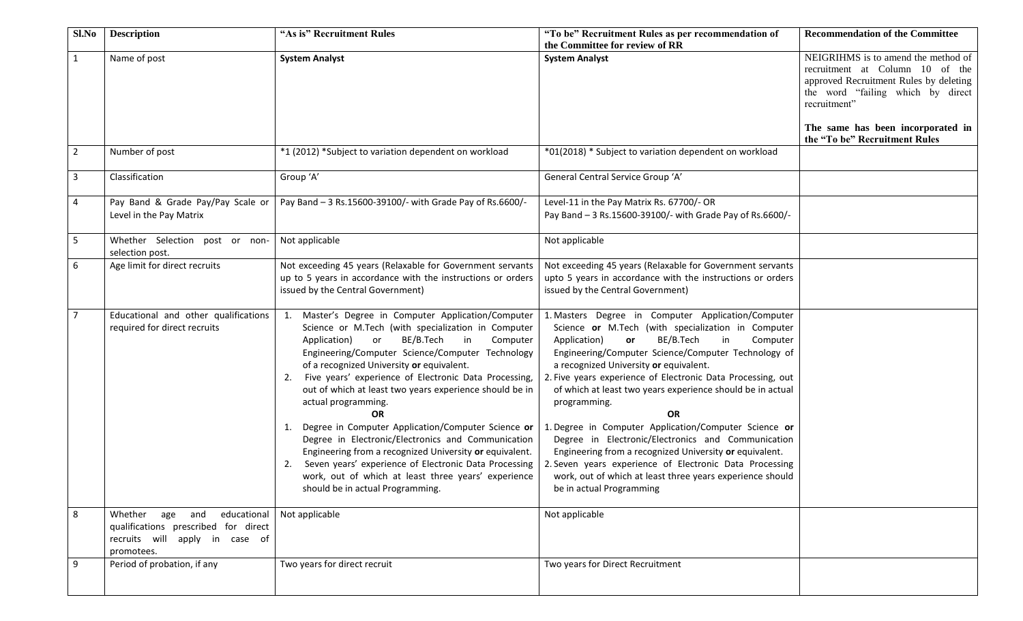| Sl.No          | <b>Description</b>                                                                                                     | "As is" Recruitment Rules                                                                                                                                                                                                                                                                                                                                                                                                                                                                                                                                                                                                                                                                                                                                      | "To be" Recruitment Rules as per recommendation of<br>the Committee for review of RR                                                                                                                                                                                                                                                                                                                                                                                                                                                                                                                                                                                                                                                                   | <b>Recommendation of the Committee</b>                                                                                                                                                                     |
|----------------|------------------------------------------------------------------------------------------------------------------------|----------------------------------------------------------------------------------------------------------------------------------------------------------------------------------------------------------------------------------------------------------------------------------------------------------------------------------------------------------------------------------------------------------------------------------------------------------------------------------------------------------------------------------------------------------------------------------------------------------------------------------------------------------------------------------------------------------------------------------------------------------------|--------------------------------------------------------------------------------------------------------------------------------------------------------------------------------------------------------------------------------------------------------------------------------------------------------------------------------------------------------------------------------------------------------------------------------------------------------------------------------------------------------------------------------------------------------------------------------------------------------------------------------------------------------------------------------------------------------------------------------------------------------|------------------------------------------------------------------------------------------------------------------------------------------------------------------------------------------------------------|
| $\mathbf{1}$   | Name of post                                                                                                           | <b>System Analyst</b>                                                                                                                                                                                                                                                                                                                                                                                                                                                                                                                                                                                                                                                                                                                                          | <b>System Analyst</b>                                                                                                                                                                                                                                                                                                                                                                                                                                                                                                                                                                                                                                                                                                                                  | NEIGRIHMS is to amend the method of<br>recruitment at Column 10 of the<br>approved Recruitment Rules by deleting<br>the word "failing which by direct<br>recruitment"<br>The same has been incorporated in |
|                |                                                                                                                        |                                                                                                                                                                                                                                                                                                                                                                                                                                                                                                                                                                                                                                                                                                                                                                |                                                                                                                                                                                                                                                                                                                                                                                                                                                                                                                                                                                                                                                                                                                                                        | the "To be" Recruitment Rules                                                                                                                                                                              |
| $\overline{2}$ | Number of post                                                                                                         | *1 (2012) *Subject to variation dependent on workload                                                                                                                                                                                                                                                                                                                                                                                                                                                                                                                                                                                                                                                                                                          | *01(2018) * Subject to variation dependent on workload                                                                                                                                                                                                                                                                                                                                                                                                                                                                                                                                                                                                                                                                                                 |                                                                                                                                                                                                            |
| 3              | Classification                                                                                                         | Group 'A'                                                                                                                                                                                                                                                                                                                                                                                                                                                                                                                                                                                                                                                                                                                                                      | General Central Service Group 'A'                                                                                                                                                                                                                                                                                                                                                                                                                                                                                                                                                                                                                                                                                                                      |                                                                                                                                                                                                            |
| 4              | Pay Band & Grade Pay/Pay Scale or<br>Level in the Pay Matrix                                                           | Pay Band - 3 Rs.15600-39100/- with Grade Pay of Rs.6600/-                                                                                                                                                                                                                                                                                                                                                                                                                                                                                                                                                                                                                                                                                                      | Level-11 in the Pay Matrix Rs. 67700/- OR<br>Pay Band - 3 Rs.15600-39100/- with Grade Pay of Rs.6600/-                                                                                                                                                                                                                                                                                                                                                                                                                                                                                                                                                                                                                                                 |                                                                                                                                                                                                            |
| 5              | Whether Selection post or non-<br>selection post.                                                                      | Not applicable                                                                                                                                                                                                                                                                                                                                                                                                                                                                                                                                                                                                                                                                                                                                                 | Not applicable                                                                                                                                                                                                                                                                                                                                                                                                                                                                                                                                                                                                                                                                                                                                         |                                                                                                                                                                                                            |
| 6              | Age limit for direct recruits                                                                                          | Not exceeding 45 years (Relaxable for Government servants<br>up to 5 years in accordance with the instructions or orders<br>issued by the Central Government)                                                                                                                                                                                                                                                                                                                                                                                                                                                                                                                                                                                                  | Not exceeding 45 years (Relaxable for Government servants<br>upto 5 years in accordance with the instructions or orders<br>issued by the Central Government)                                                                                                                                                                                                                                                                                                                                                                                                                                                                                                                                                                                           |                                                                                                                                                                                                            |
| $\overline{7}$ | Educational and other qualifications<br>required for direct recruits                                                   | 1. Master's Degree in Computer Application/Computer<br>Science or M.Tech (with specialization in Computer<br>BE/B.Tech<br>or<br>in<br>Computer<br>Application)<br>Engineering/Computer Science/Computer Technology<br>of a recognized University or equivalent.<br>2. Five years' experience of Electronic Data Processing,<br>out of which at least two years experience should be in<br>actual programming.<br><b>OR</b><br>1. Degree in Computer Application/Computer Science or<br>Degree in Electronic/Electronics and Communication<br>Engineering from a recognized University or equivalent.<br>Seven years' experience of Electronic Data Processing<br>2.<br>work, out of which at least three years' experience<br>should be in actual Programming. | 1. Masters Degree in Computer Application/Computer<br>Science or M.Tech (with specialization in Computer<br>BE/B.Tech<br>Application)<br>in<br>Computer<br>or<br>Engineering/Computer Science/Computer Technology of<br>a recognized University or equivalent.<br>2. Five years experience of Electronic Data Processing, out<br>of which at least two years experience should be in actual<br>programming.<br><b>OR</b><br>1. Degree in Computer Application/Computer Science or<br>Degree in Electronic/Electronics and Communication<br>Engineering from a recognized University or equivalent.<br>2. Seven years experience of Electronic Data Processing<br>work, out of which at least three years experience should<br>be in actual Programming |                                                                                                                                                                                                            |
| 8              | Whether age and<br>educational<br>qualifications prescribed for direct<br>recruits will apply in case of<br>promotees. | Not applicable                                                                                                                                                                                                                                                                                                                                                                                                                                                                                                                                                                                                                                                                                                                                                 | Not applicable                                                                                                                                                                                                                                                                                                                                                                                                                                                                                                                                                                                                                                                                                                                                         |                                                                                                                                                                                                            |
| 9              | Period of probation, if any                                                                                            | Two years for direct recruit                                                                                                                                                                                                                                                                                                                                                                                                                                                                                                                                                                                                                                                                                                                                   | Two years for Direct Recruitment                                                                                                                                                                                                                                                                                                                                                                                                                                                                                                                                                                                                                                                                                                                       |                                                                                                                                                                                                            |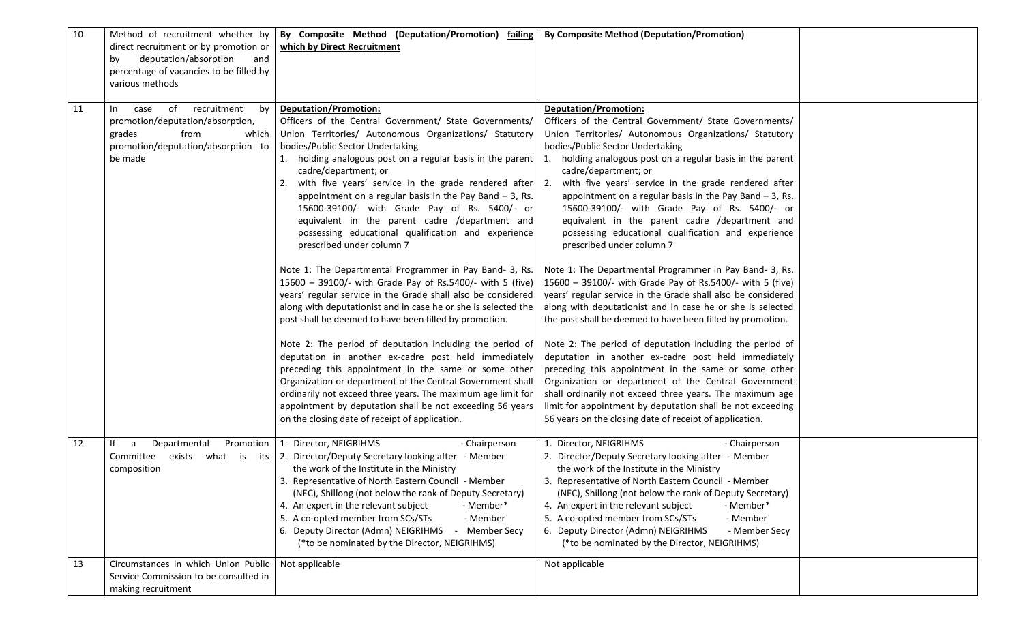| 10 | Method of recruitment whether by<br>direct recruitment or by promotion or<br>deputation/absorption<br>and<br>by<br>percentage of vacancies to be filled by<br>various methods | By Composite Method (Deputation/Promotion) failing<br>which by Direct Recruitment                                                                                                                                                                                                                                                                                                                                                                                                                                                                                                                                                                                                                                                                                                                                                                                                                                                                                                                                                                                                                                                                                                                                                                                                                                                                            | <b>By Composite Method (Deputation/Promotion)</b>                                                                                                                                                                                                                                                                                                                                                                                                                                                                                                                                                                                                                                                                                                                                                                                                                                                                                                                                                                                                                                                                                                                                                                                                                                                                                |  |
|----|-------------------------------------------------------------------------------------------------------------------------------------------------------------------------------|--------------------------------------------------------------------------------------------------------------------------------------------------------------------------------------------------------------------------------------------------------------------------------------------------------------------------------------------------------------------------------------------------------------------------------------------------------------------------------------------------------------------------------------------------------------------------------------------------------------------------------------------------------------------------------------------------------------------------------------------------------------------------------------------------------------------------------------------------------------------------------------------------------------------------------------------------------------------------------------------------------------------------------------------------------------------------------------------------------------------------------------------------------------------------------------------------------------------------------------------------------------------------------------------------------------------------------------------------------------|----------------------------------------------------------------------------------------------------------------------------------------------------------------------------------------------------------------------------------------------------------------------------------------------------------------------------------------------------------------------------------------------------------------------------------------------------------------------------------------------------------------------------------------------------------------------------------------------------------------------------------------------------------------------------------------------------------------------------------------------------------------------------------------------------------------------------------------------------------------------------------------------------------------------------------------------------------------------------------------------------------------------------------------------------------------------------------------------------------------------------------------------------------------------------------------------------------------------------------------------------------------------------------------------------------------------------------|--|
| 11 | recruitment<br>by<br>of<br>In<br>case<br>promotion/deputation/absorption,<br>grades<br>from<br>which<br>promotion/deputation/absorption to<br>be made                         | <b>Deputation/Promotion:</b><br>Officers of the Central Government/ State Governments/<br>Union Territories/ Autonomous Organizations/ Statutory<br>bodies/Public Sector Undertaking<br>1. holding analogous post on a regular basis in the parent $\vert$ 1.<br>cadre/department; or<br>2. with five years' service in the grade rendered after $\vert$ 2.<br>appointment on a regular basis in the Pay Band $-3$ , Rs.<br>15600-39100/- with Grade Pay of Rs. 5400/- or<br>equivalent in the parent cadre /department and<br>possessing educational qualification and experience<br>prescribed under column 7<br>Note 1: The Departmental Programmer in Pay Band- 3, Rs.<br>15600 - 39100/- with Grade Pay of Rs.5400/- with 5 (five)<br>years' regular service in the Grade shall also be considered<br>along with deputationist and in case he or she is selected the<br>post shall be deemed to have been filled by promotion.<br>Note 2: The period of deputation including the period of<br>deputation in another ex-cadre post held immediately<br>preceding this appointment in the same or some other<br>Organization or department of the Central Government shall<br>ordinarily not exceed three years. The maximum age limit for<br>appointment by deputation shall be not exceeding 56 years<br>on the closing date of receipt of application. | <b>Deputation/Promotion:</b><br>Officers of the Central Government/ State Governments/<br>Union Territories/ Autonomous Organizations/ Statutory<br>bodies/Public Sector Undertaking<br>holding analogous post on a regular basis in the parent<br>cadre/department; or<br>with five years' service in the grade rendered after<br>appointment on a regular basis in the Pay Band $-$ 3, Rs.<br>15600-39100/- with Grade Pay of Rs. 5400/- or<br>equivalent in the parent cadre /department and<br>possessing educational qualification and experience<br>prescribed under column 7<br>Note 1: The Departmental Programmer in Pay Band- 3, Rs.<br>15600 - 39100/- with Grade Pay of Rs.5400/- with 5 (five)<br>years' regular service in the Grade shall also be considered<br>along with deputationist and in case he or she is selected<br>the post shall be deemed to have been filled by promotion.<br>Note 2: The period of deputation including the period of<br>deputation in another ex-cadre post held immediately<br>preceding this appointment in the same or some other<br>Organization or department of the Central Government<br>shall ordinarily not exceed three years. The maximum age<br>limit for appointment by deputation shall be not exceeding<br>56 years on the closing date of receipt of application. |  |
| 12 | lf<br>Promotion  <br>Departmental<br>a<br>Committee<br>composition                                                                                                            | 1. Director, NEIGRIHMS<br>- Chairperson<br>exists what is its 2. Director/Deputy Secretary looking after - Member<br>the work of the Institute in the Ministry<br>3. Representative of North Eastern Council - Member<br>(NEC), Shillong (not below the rank of Deputy Secretary)<br>4. An expert in the relevant subject<br>- Member*<br>5. A co-opted member from SCs/STs<br>- Member<br>6. Deputy Director (Admn) NEIGRIHMS<br>Member Secy<br>(*to be nominated by the Director, NEIGRIHMS)                                                                                                                                                                                                                                                                                                                                                                                                                                                                                                                                                                                                                                                                                                                                                                                                                                                               | 1. Director, NEIGRIHMS<br>- Chairperson<br>2. Director/Deputy Secretary looking after - Member<br>the work of the Institute in the Ministry<br>3. Representative of North Eastern Council - Member<br>(NEC), Shillong (not below the rank of Deputy Secretary)<br>4. An expert in the relevant subject<br>- Member*<br>5. A co-opted member from SCs/STs<br>- Member<br>6. Deputy Director (Admn) NEIGRIHMS<br>- Member Secy<br>(*to be nominated by the Director, NEIGRIHMS)                                                                                                                                                                                                                                                                                                                                                                                                                                                                                                                                                                                                                                                                                                                                                                                                                                                    |  |
| 13 | Circumstances in which Union Public<br>Service Commission to be consulted in<br>making recruitment                                                                            | Not applicable                                                                                                                                                                                                                                                                                                                                                                                                                                                                                                                                                                                                                                                                                                                                                                                                                                                                                                                                                                                                                                                                                                                                                                                                                                                                                                                                               | Not applicable                                                                                                                                                                                                                                                                                                                                                                                                                                                                                                                                                                                                                                                                                                                                                                                                                                                                                                                                                                                                                                                                                                                                                                                                                                                                                                                   |  |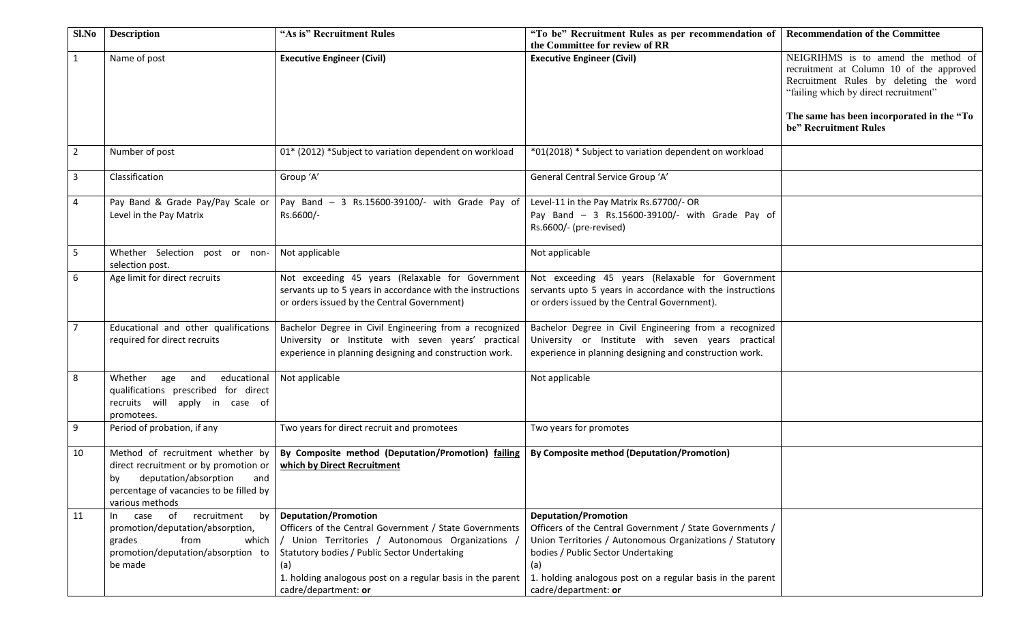| Sl.No          | <b>Description</b>                                                                                                                                                         | "As is" Recruitment Rules                                                                                                                                                                                                                                                            | "To be" Recruitment Rules as per recommendation of<br>the Committee for review of RR                                                                                                                                                                                                   | <b>Recommendation of the Committee</b>                                                                                                                                                                                                   |
|----------------|----------------------------------------------------------------------------------------------------------------------------------------------------------------------------|--------------------------------------------------------------------------------------------------------------------------------------------------------------------------------------------------------------------------------------------------------------------------------------|----------------------------------------------------------------------------------------------------------------------------------------------------------------------------------------------------------------------------------------------------------------------------------------|------------------------------------------------------------------------------------------------------------------------------------------------------------------------------------------------------------------------------------------|
| $\mathbf{1}$   | Name of post                                                                                                                                                               | <b>Executive Engineer (Civil)</b>                                                                                                                                                                                                                                                    | <b>Executive Engineer (Civil)</b>                                                                                                                                                                                                                                                      | NEIGRIHMS is to amend the method of<br>recruitment at Column 10 of the approved<br>Recruitment Rules by deleting the word<br>"failing which by direct recruitment"<br>The same has been incorporated in the "To<br>be" Recruitment Rules |
| $\overline{2}$ | Number of post                                                                                                                                                             | 01* (2012) *Subject to variation dependent on workload                                                                                                                                                                                                                               | *01(2018) * Subject to variation dependent on workload                                                                                                                                                                                                                                 |                                                                                                                                                                                                                                          |
| 3              | Classification                                                                                                                                                             | Group 'A'                                                                                                                                                                                                                                                                            | General Central Service Group 'A'                                                                                                                                                                                                                                                      |                                                                                                                                                                                                                                          |
| 4              | Pay Band & Grade Pay/Pay Scale or<br>Level in the Pay Matrix                                                                                                               | Pay Band - 3 Rs.15600-39100/- with Grade Pay of<br>Rs.6600/-                                                                                                                                                                                                                         | Level-11 in the Pay Matrix Rs.67700/- OR<br>Pay Band - 3 Rs.15600-39100/- with Grade Pay of<br>Rs.6600/- (pre-revised)                                                                                                                                                                 |                                                                                                                                                                                                                                          |
| 5              | Whether Selection post or non-<br>selection post.                                                                                                                          | Not applicable                                                                                                                                                                                                                                                                       | Not applicable                                                                                                                                                                                                                                                                         |                                                                                                                                                                                                                                          |
| 6              | Age limit for direct recruits                                                                                                                                              | Not exceeding 45 years (Relaxable for Government<br>servants up to 5 years in accordance with the instructions<br>or orders issued by the Central Government)                                                                                                                        | Not exceeding 45 years (Relaxable for Government<br>servants upto 5 years in accordance with the instructions<br>or orders issued by the Central Government).                                                                                                                          |                                                                                                                                                                                                                                          |
| $\overline{7}$ | Educational and other qualifications<br>required for direct recruits                                                                                                       | Bachelor Degree in Civil Engineering from a recognized<br>University or Institute with seven years' practical<br>experience in planning designing and construction work.                                                                                                             | Bachelor Degree in Civil Engineering from a recognized<br>University or Institute with seven years practical<br>experience in planning designing and construction work.                                                                                                                |                                                                                                                                                                                                                                          |
| 8              | Whether age<br>and<br>educational<br>qualifications prescribed for direct<br>recruits will apply in case of<br>promotees.                                                  | Not applicable                                                                                                                                                                                                                                                                       | Not applicable                                                                                                                                                                                                                                                                         |                                                                                                                                                                                                                                          |
| 9              | Period of probation, if any                                                                                                                                                | Two years for direct recruit and promotees                                                                                                                                                                                                                                           | Two years for promotes                                                                                                                                                                                                                                                                 |                                                                                                                                                                                                                                          |
| 10             | Method of recruitment whether by<br>direct recruitment or by promotion or<br>by deputation/absorption<br>and<br>percentage of vacancies to be filled by<br>various methods | By Composite method (Deputation/Promotion) failing<br>which by Direct Recruitment                                                                                                                                                                                                    | <b>By Composite method (Deputation/Promotion)</b>                                                                                                                                                                                                                                      |                                                                                                                                                                                                                                          |
| 11             | recruitment<br>of<br>by<br>case<br>In In<br>promotion/deputation/absorption,<br>from<br>grades<br>which<br>promotion/deputation/absorption to<br>be made                   | <b>Deputation/Promotion</b><br>Officers of the Central Government / State Governments<br>/ Union Territories / Autonomous Organizations<br>Statutory bodies / Public Sector Undertaking<br>(a)<br>1. holding analogous post on a regular basis in the parent<br>cadre/department: or | <b>Deputation/Promotion</b><br>Officers of the Central Government / State Governments /<br>Union Territories / Autonomous Organizations / Statutory<br>bodies / Public Sector Undertaking<br>(a)<br>1. holding analogous post on a regular basis in the parent<br>cadre/department: or |                                                                                                                                                                                                                                          |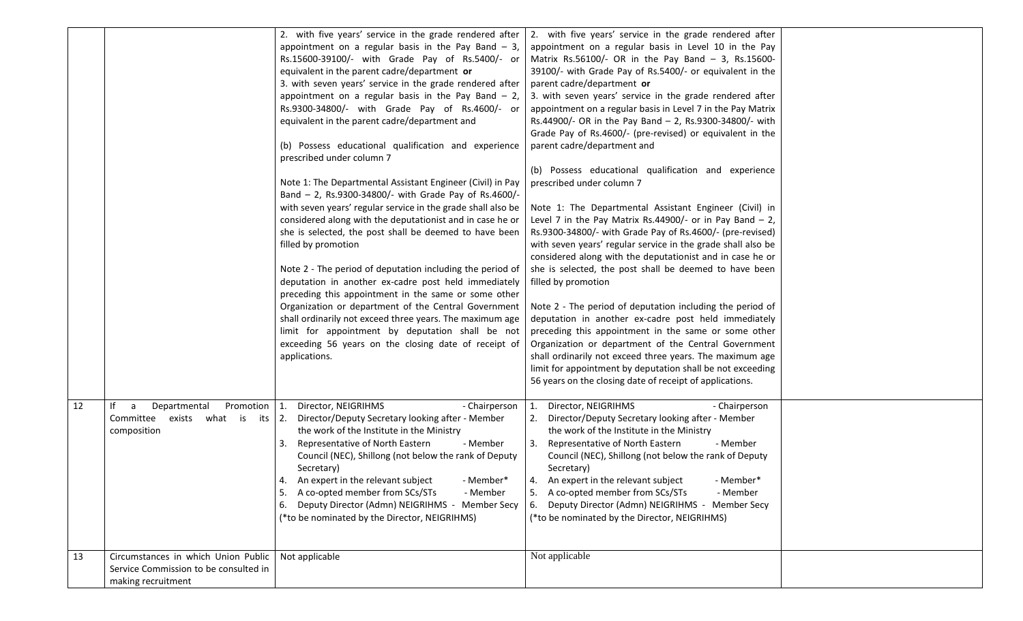|    |                                                                                                      | 2. with five years' service in the grade rendered after<br>appointment on a regular basis in the Pay Band $-3$ ,<br>Rs.15600-39100/- with Grade Pay of Rs.5400/- or<br>equivalent in the parent cadre/department or<br>3. with seven years' service in the grade rendered after<br>appointment on a regular basis in the Pay Band $-2$ ,<br>Rs.9300-34800/- with Grade Pay of Rs.4600/- or<br>equivalent in the parent cadre/department and<br>(b) Possess educational qualification and experience<br>prescribed under column 7<br>Note 1: The Departmental Assistant Engineer (Civil) in Pay<br>Band - 2, Rs.9300-34800/- with Grade Pay of Rs.4600/-<br>with seven years' regular service in the grade shall also be<br>considered along with the deputationist and in case he or<br>she is selected, the post shall be deemed to have been<br>filled by promotion<br>Note 2 - The period of deputation including the period of<br>deputation in another ex-cadre post held immediately<br>preceding this appointment in the same or some other<br>Organization or department of the Central Government<br>shall ordinarily not exceed three years. The maximum age<br>limit for appointment by deputation shall be not<br>exceeding 56 years on the closing date of receipt of<br>applications. | 2. with five years' service in the grade rendered after<br>appointment on a regular basis in Level 10 in the Pay<br>Matrix Rs.56100/- OR in the Pay Band $-$ 3, Rs.15600-<br>39100/- with Grade Pay of Rs.5400/- or equivalent in the<br>parent cadre/department or<br>3. with seven years' service in the grade rendered after<br>appointment on a regular basis in Level 7 in the Pay Matrix<br>Rs.44900/- OR in the Pay Band - 2, Rs.9300-34800/- with<br>Grade Pay of Rs.4600/- (pre-revised) or equivalent in the<br>parent cadre/department and<br>(b) Possess educational qualification and experience<br>prescribed under column 7<br>Note 1: The Departmental Assistant Engineer (Civil) in<br>Level 7 in the Pay Matrix Rs.44900/- or in Pay Band $-2$ ,<br>Rs.9300-34800/- with Grade Pay of Rs.4600/- (pre-revised)<br>with seven years' regular service in the grade shall also be<br>considered along with the deputationist and in case he or<br>she is selected, the post shall be deemed to have been<br>filled by promotion<br>Note 2 - The period of deputation including the period of<br>deputation in another ex-cadre post held immediately<br>preceding this appointment in the same or some other<br>Organization or department of the Central Government<br>shall ordinarily not exceed three years. The maximum age<br>limit for appointment by deputation shall be not exceeding<br>56 years on the closing date of receipt of applications. |  |
|----|------------------------------------------------------------------------------------------------------|-----------------------------------------------------------------------------------------------------------------------------------------------------------------------------------------------------------------------------------------------------------------------------------------------------------------------------------------------------------------------------------------------------------------------------------------------------------------------------------------------------------------------------------------------------------------------------------------------------------------------------------------------------------------------------------------------------------------------------------------------------------------------------------------------------------------------------------------------------------------------------------------------------------------------------------------------------------------------------------------------------------------------------------------------------------------------------------------------------------------------------------------------------------------------------------------------------------------------------------------------------------------------------------------------------|--------------------------------------------------------------------------------------------------------------------------------------------------------------------------------------------------------------------------------------------------------------------------------------------------------------------------------------------------------------------------------------------------------------------------------------------------------------------------------------------------------------------------------------------------------------------------------------------------------------------------------------------------------------------------------------------------------------------------------------------------------------------------------------------------------------------------------------------------------------------------------------------------------------------------------------------------------------------------------------------------------------------------------------------------------------------------------------------------------------------------------------------------------------------------------------------------------------------------------------------------------------------------------------------------------------------------------------------------------------------------------------------------------------------------------------------------------------------------|--|
| 12 | Departmental<br>Promotion   1.<br>lf<br>a<br>Committee<br>exists<br>what is its $2$ .<br>composition | Director, NEIGRIHMS<br>- Chairperson<br>Director/Deputy Secretary looking after - Member<br>the work of the Institute in the Ministry<br>Representative of North Eastern<br>- Member<br>Council (NEC), Shillong (not below the rank of Deputy<br>Secretary)<br>An expert in the relevant subject<br>- Member*<br>A co-opted member from SCs/STs<br>-5.<br>- Member<br>Deputy Director (Admn) NEIGRIHMS - Member Secy<br>6.<br>(*to be nominated by the Director, NEIGRIHMS)                                                                                                                                                                                                                                                                                                                                                                                                                                                                                                                                                                                                                                                                                                                                                                                                                         | Director, NEIGRIHMS<br>- Chairperson<br>1.<br>2. Director/Deputy Secretary looking after - Member<br>the work of the Institute in the Ministry<br>3. Representative of North Eastern<br>- Member<br>Council (NEC), Shillong (not below the rank of Deputy<br>Secretary)<br>4. An expert in the relevant subject<br>- Member*<br>5. A co-opted member from SCs/STs<br>- Member<br>6. Deputy Director (Admn) NEIGRIHMS - Member Secy<br>(*to be nominated by the Director, NEIGRIHMS)                                                                                                                                                                                                                                                                                                                                                                                                                                                                                                                                                                                                                                                                                                                                                                                                                                                                                                                                                                                      |  |
| 13 | Circumstances in which Union Public<br>Service Commission to be consulted in<br>making recruitment   | Not applicable                                                                                                                                                                                                                                                                                                                                                                                                                                                                                                                                                                                                                                                                                                                                                                                                                                                                                                                                                                                                                                                                                                                                                                                                                                                                                      | Not applicable                                                                                                                                                                                                                                                                                                                                                                                                                                                                                                                                                                                                                                                                                                                                                                                                                                                                                                                                                                                                                                                                                                                                                                                                                                                                                                                                                                                                                                                           |  |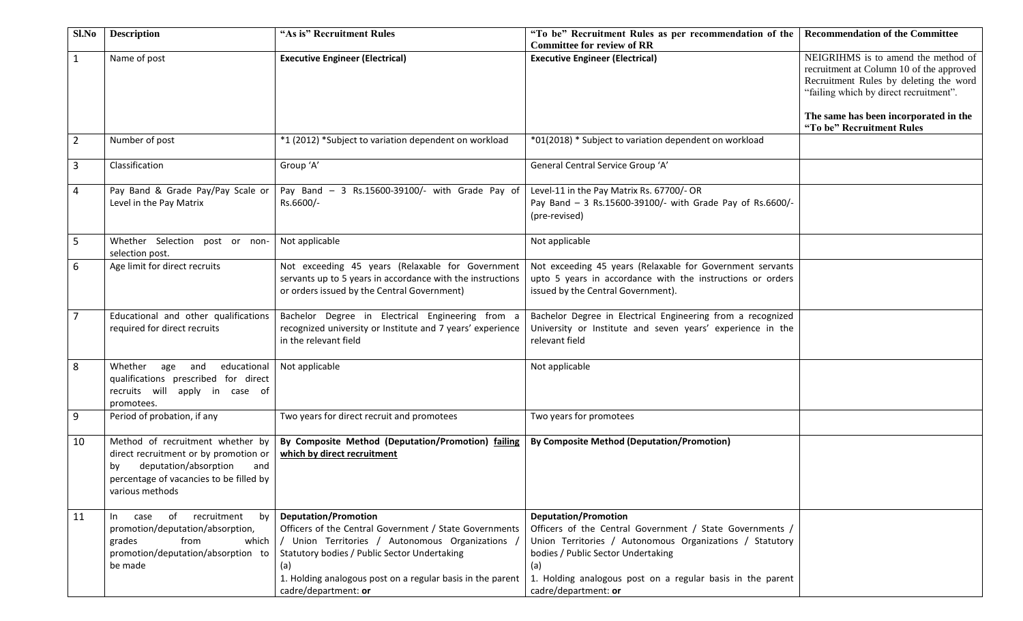| Sl.No          | <b>Description</b>                                                                                                                                                            | "As is" Recruitment Rules                                                                                                                                                                                                                                                              | "To be" Recruitment Rules as per recommendation of the<br><b>Committee for review of RR</b>                                                                                                                                                                                            | <b>Recommendation of the Committee</b>                                                                                                                                                                       |
|----------------|-------------------------------------------------------------------------------------------------------------------------------------------------------------------------------|----------------------------------------------------------------------------------------------------------------------------------------------------------------------------------------------------------------------------------------------------------------------------------------|----------------------------------------------------------------------------------------------------------------------------------------------------------------------------------------------------------------------------------------------------------------------------------------|--------------------------------------------------------------------------------------------------------------------------------------------------------------------------------------------------------------|
| $\mathbf{1}$   | Name of post                                                                                                                                                                  | <b>Executive Engineer (Electrical)</b>                                                                                                                                                                                                                                                 | <b>Executive Engineer (Electrical)</b>                                                                                                                                                                                                                                                 | NEIGRIHMS is to amend the method of<br>recruitment at Column 10 of the approved<br>Recruitment Rules by deleting the word<br>"failing which by direct recruitment".<br>The same has been incorporated in the |
| $\overline{2}$ | Number of post                                                                                                                                                                | *1 (2012) *Subject to variation dependent on workload                                                                                                                                                                                                                                  | *01(2018) * Subject to variation dependent on workload                                                                                                                                                                                                                                 | "To be" Recruitment Rules                                                                                                                                                                                    |
| $\mathbf{3}$   | Classification                                                                                                                                                                | Group 'A'                                                                                                                                                                                                                                                                              | General Central Service Group 'A'                                                                                                                                                                                                                                                      |                                                                                                                                                                                                              |
| 4              | Pay Band & Grade Pay/Pay Scale or<br>Level in the Pay Matrix                                                                                                                  | Pay Band - 3 Rs.15600-39100/- with Grade Pay of<br>Rs.6600/-                                                                                                                                                                                                                           | Level-11 in the Pay Matrix Rs. 67700/- OR<br>Pay Band - 3 Rs.15600-39100/- with Grade Pay of Rs.6600/-<br>(pre-revised)                                                                                                                                                                |                                                                                                                                                                                                              |
| 5              | Whether Selection post or non-<br>selection post.                                                                                                                             | Not applicable                                                                                                                                                                                                                                                                         | Not applicable                                                                                                                                                                                                                                                                         |                                                                                                                                                                                                              |
| 6              | Age limit for direct recruits                                                                                                                                                 | Not exceeding 45 years (Relaxable for Government<br>servants up to 5 years in accordance with the instructions<br>or orders issued by the Central Government)                                                                                                                          | Not exceeding 45 years (Relaxable for Government servants<br>upto 5 years in accordance with the instructions or orders<br>issued by the Central Government).                                                                                                                          |                                                                                                                                                                                                              |
| $\overline{7}$ | Educational and other qualifications<br>required for direct recruits                                                                                                          | Bachelor Degree in Electrical Engineering from a<br>recognized university or Institute and 7 years' experience<br>in the relevant field                                                                                                                                                | Bachelor Degree in Electrical Engineering from a recognized<br>University or Institute and seven years' experience in the<br>relevant field                                                                                                                                            |                                                                                                                                                                                                              |
| 8              | age and educational<br>Whether<br>qualifications prescribed for direct<br>recruits will apply in case of<br>promotees.                                                        | Not applicable                                                                                                                                                                                                                                                                         | Not applicable                                                                                                                                                                                                                                                                         |                                                                                                                                                                                                              |
| 9              | Period of probation, if any                                                                                                                                                   | Two years for direct recruit and promotees                                                                                                                                                                                                                                             | Two years for promotees                                                                                                                                                                                                                                                                |                                                                                                                                                                                                              |
| 10             | Method of recruitment whether by<br>direct recruitment or by promotion or<br>deputation/absorption<br>and<br>by<br>percentage of vacancies to be filled by<br>various methods | By Composite Method (Deputation/Promotion) failing<br>which by direct recruitment                                                                                                                                                                                                      | <b>By Composite Method (Deputation/Promotion)</b>                                                                                                                                                                                                                                      |                                                                                                                                                                                                              |
| 11             | of recruitment<br>by  <br>In In<br>case<br>promotion/deputation/absorption,<br>from<br>grades<br>which<br>promotion/deputation/absorption to<br>be made                       | <b>Deputation/Promotion</b><br>Officers of the Central Government / State Governments<br>/ Union Territories / Autonomous Organizations /<br>Statutory bodies / Public Sector Undertaking<br>(a)<br>1. Holding analogous post on a regular basis in the parent<br>cadre/department: or | <b>Deputation/Promotion</b><br>Officers of the Central Government / State Governments /<br>Union Territories / Autonomous Organizations / Statutory<br>bodies / Public Sector Undertaking<br>(a)<br>1. Holding analogous post on a regular basis in the parent<br>cadre/department: or |                                                                                                                                                                                                              |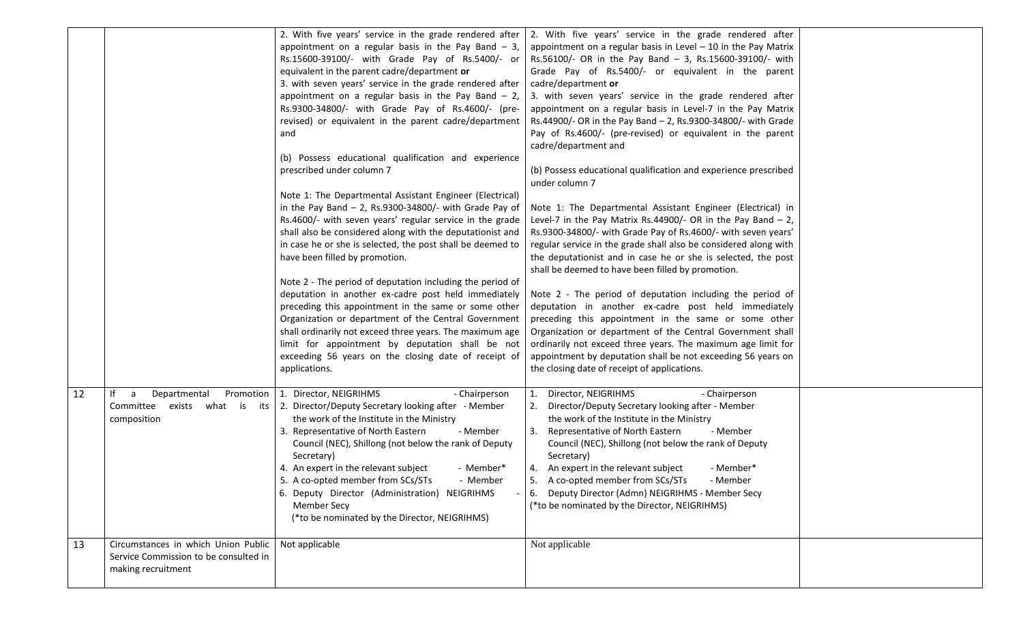|    |                                                                                                    | 2. With five years' service in the grade rendered after<br>appointment on a regular basis in the Pay Band $-3$ ,<br>Rs.15600-39100/- with Grade Pay of Rs.5400/- or<br>equivalent in the parent cadre/department or<br>3. with seven years' service in the grade rendered after<br>appointment on a regular basis in the Pay Band $-2$ ,<br>Rs.9300-34800/- with Grade Pay of Rs.4600/- (pre-<br>revised) or equivalent in the parent cadre/department<br>and<br>(b) Possess educational qualification and experience<br>prescribed under column 7<br>Note 1: The Departmental Assistant Engineer (Electrical)<br>in the Pay Band $-$ 2, Rs.9300-34800/- with Grade Pay of | 2. With five years' service in the grade rendered after<br>appointment on a regular basis in Level $-$ 10 in the Pay Matrix<br>Rs.56100/- OR in the Pay Band - 3, Rs.15600-39100/- with<br>Grade Pay of Rs.5400/- or equivalent in the parent<br>cadre/department or<br>3. with seven years' service in the grade rendered after<br>appointment on a regular basis in Level-7 in the Pay Matrix<br>Rs.44900/- OR in the Pay Band - 2, Rs.9300-34800/- with Grade<br>Pay of Rs.4600/- (pre-revised) or equivalent in the parent<br>cadre/department and<br>(b) Possess educational qualification and experience prescribed<br>under column 7<br>Note 1: The Departmental Assistant Engineer (Electrical) in |  |
|----|----------------------------------------------------------------------------------------------------|----------------------------------------------------------------------------------------------------------------------------------------------------------------------------------------------------------------------------------------------------------------------------------------------------------------------------------------------------------------------------------------------------------------------------------------------------------------------------------------------------------------------------------------------------------------------------------------------------------------------------------------------------------------------------|------------------------------------------------------------------------------------------------------------------------------------------------------------------------------------------------------------------------------------------------------------------------------------------------------------------------------------------------------------------------------------------------------------------------------------------------------------------------------------------------------------------------------------------------------------------------------------------------------------------------------------------------------------------------------------------------------------|--|
|    |                                                                                                    | Rs.4600/- with seven years' regular service in the grade<br>shall also be considered along with the deputationist and<br>in case he or she is selected, the post shall be deemed to<br>have been filled by promotion.<br>Note 2 - The period of deputation including the period of                                                                                                                                                                                                                                                                                                                                                                                         | Level-7 in the Pay Matrix Rs.44900/- OR in the Pay Band $- 2$ ,<br>Rs.9300-34800/- with Grade Pay of Rs.4600/- with seven years'<br>regular service in the grade shall also be considered along with<br>the deputationist and in case he or she is selected, the post<br>shall be deemed to have been filled by promotion.                                                                                                                                                                                                                                                                                                                                                                                 |  |
|    |                                                                                                    | deputation in another ex-cadre post held immediately<br>preceding this appointment in the same or some other<br>Organization or department of the Central Government<br>shall ordinarily not exceed three years. The maximum age<br>limit for appointment by deputation shall be not<br>exceeding 56 years on the closing date of receipt of<br>applications.                                                                                                                                                                                                                                                                                                              | Note 2 - The period of deputation including the period of<br>deputation in another ex-cadre post held immediately<br>preceding this appointment in the same or some other<br>Organization or department of the Central Government shall<br>ordinarily not exceed three years. The maximum age limit for<br>appointment by deputation shall be not exceeding 56 years on<br>the closing date of receipt of applications.                                                                                                                                                                                                                                                                                    |  |
| 12 | Promotion<br>lf<br>Departmental<br>a<br>Committee exists<br>what is its<br>composition             | - Chairperson<br>1. Director, NEIGRIHMS<br>2. Director/Deputy Secretary looking after - Member<br>the work of the Institute in the Ministry<br>3. Representative of North Eastern<br>- Member<br>Council (NEC), Shillong (not below the rank of Deputy<br>Secretary)<br>4. An expert in the relevant subject<br>- Member*<br>5. A co-opted member from SCs/STs<br>- Member<br>6. Deputy Director (Administration) NEIGRIHMS<br><b>Member Secy</b><br>(*to be nominated by the Director, NEIGRIHMS)                                                                                                                                                                         | Director, NEIGRIHMS<br>- Chairperson<br>2. Director/Deputy Secretary looking after - Member<br>the work of the Institute in the Ministry<br>3. Representative of North Eastern<br>- Member<br>Council (NEC), Shillong (not below the rank of Deputy<br>Secretary)<br>4. An expert in the relevant subject<br>- Member*<br>5. A co-opted member from SCs/STs - Member<br>6. Deputy Director (Admn) NEIGRIHMS - Member Secy<br>(*to be nominated by the Director, NEIGRIHMS)                                                                                                                                                                                                                                 |  |
| 13 | Circumstances in which Union Public<br>Service Commission to be consulted in<br>making recruitment | Not applicable                                                                                                                                                                                                                                                                                                                                                                                                                                                                                                                                                                                                                                                             | Not applicable                                                                                                                                                                                                                                                                                                                                                                                                                                                                                                                                                                                                                                                                                             |  |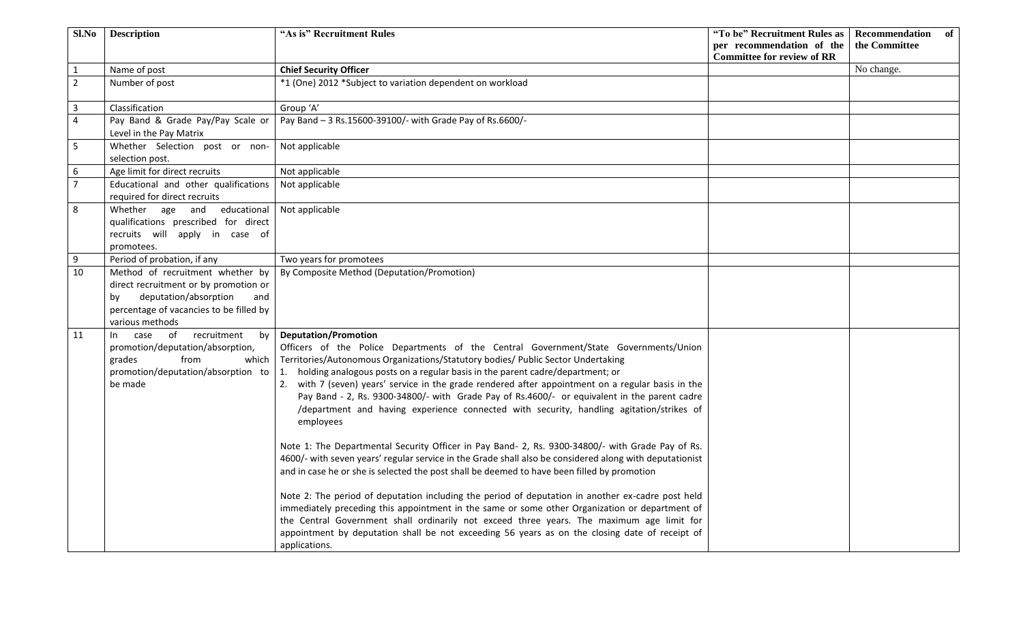| Sl.No          | <b>Description</b>                                                                                                                                                            | "As is" Recruitment Rules                                                                                                                                                                                                                                                                                                                                                                                                                                                                                                                                                                                                                                                                                                                                                                                                                                                                                                                                                                                                                                                                                                                                                                                                                                                                                                                          | "To be" Recruitment Rules as<br>per recommendation of the | Recommendation<br>of<br>the Committee |
|----------------|-------------------------------------------------------------------------------------------------------------------------------------------------------------------------------|----------------------------------------------------------------------------------------------------------------------------------------------------------------------------------------------------------------------------------------------------------------------------------------------------------------------------------------------------------------------------------------------------------------------------------------------------------------------------------------------------------------------------------------------------------------------------------------------------------------------------------------------------------------------------------------------------------------------------------------------------------------------------------------------------------------------------------------------------------------------------------------------------------------------------------------------------------------------------------------------------------------------------------------------------------------------------------------------------------------------------------------------------------------------------------------------------------------------------------------------------------------------------------------------------------------------------------------------------|-----------------------------------------------------------|---------------------------------------|
|                |                                                                                                                                                                               |                                                                                                                                                                                                                                                                                                                                                                                                                                                                                                                                                                                                                                                                                                                                                                                                                                                                                                                                                                                                                                                                                                                                                                                                                                                                                                                                                    | <b>Committee for review of RR</b>                         |                                       |
| $\mathbf{1}$   | Name of post                                                                                                                                                                  | <b>Chief Security Officer</b>                                                                                                                                                                                                                                                                                                                                                                                                                                                                                                                                                                                                                                                                                                                                                                                                                                                                                                                                                                                                                                                                                                                                                                                                                                                                                                                      |                                                           | No change.                            |
| $\overline{2}$ | Number of post                                                                                                                                                                | *1 (One) 2012 *Subject to variation dependent on workload                                                                                                                                                                                                                                                                                                                                                                                                                                                                                                                                                                                                                                                                                                                                                                                                                                                                                                                                                                                                                                                                                                                                                                                                                                                                                          |                                                           |                                       |
| $\mathbf{3}$   | Classification                                                                                                                                                                | Group 'A'                                                                                                                                                                                                                                                                                                                                                                                                                                                                                                                                                                                                                                                                                                                                                                                                                                                                                                                                                                                                                                                                                                                                                                                                                                                                                                                                          |                                                           |                                       |
| $\overline{4}$ | Pay Band & Grade Pay/Pay Scale or<br>Level in the Pay Matrix                                                                                                                  | Pay Band - 3 Rs.15600-39100/- with Grade Pay of Rs.6600/-                                                                                                                                                                                                                                                                                                                                                                                                                                                                                                                                                                                                                                                                                                                                                                                                                                                                                                                                                                                                                                                                                                                                                                                                                                                                                          |                                                           |                                       |
| $5\phantom{.}$ | Whether Selection post or non-<br>selection post.                                                                                                                             | Not applicable                                                                                                                                                                                                                                                                                                                                                                                                                                                                                                                                                                                                                                                                                                                                                                                                                                                                                                                                                                                                                                                                                                                                                                                                                                                                                                                                     |                                                           |                                       |
| 6              | Age limit for direct recruits                                                                                                                                                 | Not applicable                                                                                                                                                                                                                                                                                                                                                                                                                                                                                                                                                                                                                                                                                                                                                                                                                                                                                                                                                                                                                                                                                                                                                                                                                                                                                                                                     |                                                           |                                       |
| $\overline{7}$ | Educational and other qualifications<br>required for direct recruits                                                                                                          | Not applicable                                                                                                                                                                                                                                                                                                                                                                                                                                                                                                                                                                                                                                                                                                                                                                                                                                                                                                                                                                                                                                                                                                                                                                                                                                                                                                                                     |                                                           |                                       |
| 8              | Whether age and educational<br>qualifications prescribed for direct<br>recruits will apply in case of<br>promotees.                                                           | Not applicable                                                                                                                                                                                                                                                                                                                                                                                                                                                                                                                                                                                                                                                                                                                                                                                                                                                                                                                                                                                                                                                                                                                                                                                                                                                                                                                                     |                                                           |                                       |
| 9              | Period of probation, if any                                                                                                                                                   | Two years for promotees                                                                                                                                                                                                                                                                                                                                                                                                                                                                                                                                                                                                                                                                                                                                                                                                                                                                                                                                                                                                                                                                                                                                                                                                                                                                                                                            |                                                           |                                       |
| 10             | Method of recruitment whether by<br>direct recruitment or by promotion or<br>deputation/absorption<br>and<br>bv<br>percentage of vacancies to be filled by<br>various methods | By Composite Method (Deputation/Promotion)                                                                                                                                                                                                                                                                                                                                                                                                                                                                                                                                                                                                                                                                                                                                                                                                                                                                                                                                                                                                                                                                                                                                                                                                                                                                                                         |                                                           |                                       |
| 11             | case of recruitment by<br>$\ln$<br>promotion/deputation/absorption,<br>from<br>grades<br>which<br>promotion/deputation/absorption to<br>be made                               | <b>Deputation/Promotion</b><br>Officers of the Police Departments of the Central Government/State Governments/Union<br>Territories/Autonomous Organizations/Statutory bodies/ Public Sector Undertaking<br>holding analogous posts on a regular basis in the parent cadre/department; or<br>1.<br>2. with 7 (seven) years' service in the grade rendered after appointment on a regular basis in the<br>Pay Band - 2, Rs. 9300-34800/- with Grade Pay of Rs.4600/- or equivalent in the parent cadre<br>/department and having experience connected with security, handling agitation/strikes of<br>employees<br>Note 1: The Departmental Security Officer in Pay Band- 2, Rs. 9300-34800/- with Grade Pay of Rs.<br>4600/- with seven years' regular service in the Grade shall also be considered along with deputationist<br>and in case he or she is selected the post shall be deemed to have been filled by promotion<br>Note 2: The period of deputation including the period of deputation in another ex-cadre post held<br>immediately preceding this appointment in the same or some other Organization or department of<br>the Central Government shall ordinarily not exceed three years. The maximum age limit for<br>appointment by deputation shall be not exceeding 56 years as on the closing date of receipt of<br>applications. |                                                           |                                       |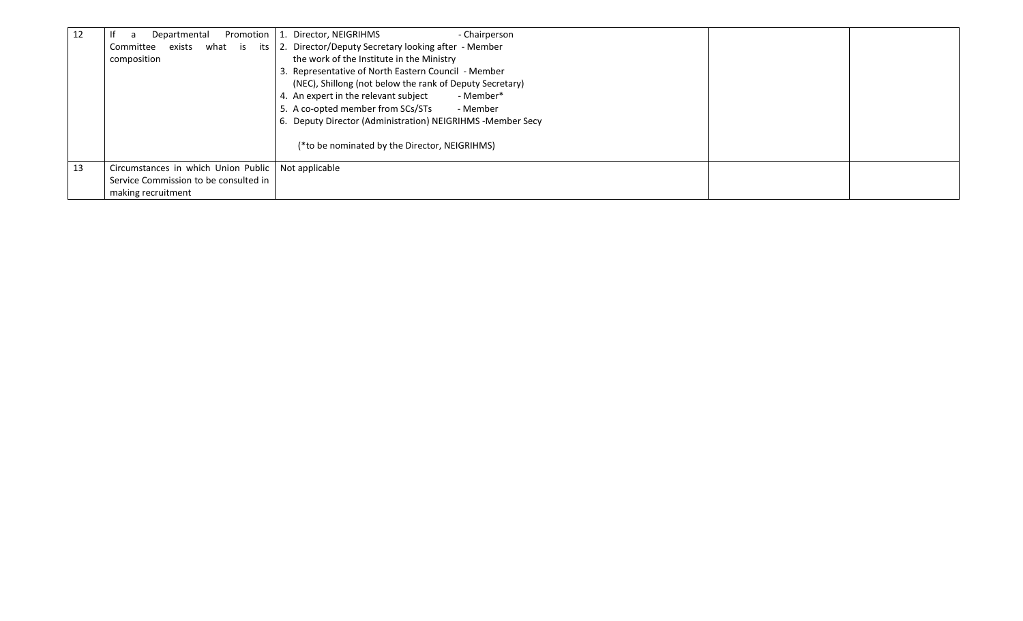| 12 | Promotion<br>Departmental<br>a                       | 1. Director, NEIGRIHMS<br>- Chairperson                    |
|----|------------------------------------------------------|------------------------------------------------------------|
|    | exists what is its<br>Committee                      | 2. Director/Deputy Secretary looking after - Member        |
|    | composition                                          | the work of the Institute in the Ministry                  |
|    |                                                      | 3. Representative of North Eastern Council - Member        |
|    |                                                      | (NEC), Shillong (not below the rank of Deputy Secretary)   |
|    |                                                      | 4. An expert in the relevant subject<br>- Member*          |
|    |                                                      | 5. A co-opted member from SCs/STs<br>- Member              |
|    |                                                      | 6. Deputy Director (Administration) NEIGRIHMS -Member Secy |
|    |                                                      | (*to be nominated by the Director, NEIGRIHMS)              |
| 13 | Circumstances in which Union Public   Not applicable |                                                            |
|    | Service Commission to be consulted in                |                                                            |
|    | making recruitment                                   |                                                            |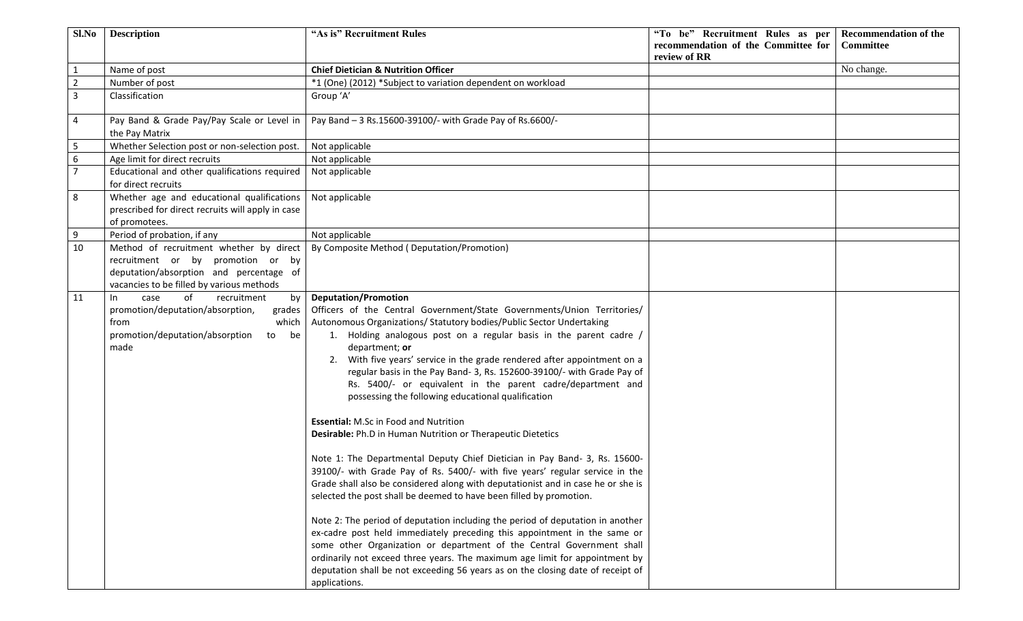| Sl.No          | <b>Description</b>                                | "As is" Recruitment Rules                                                        | "To be" Recruitment Rules as per    | <b>Recommendation of the</b> |
|----------------|---------------------------------------------------|----------------------------------------------------------------------------------|-------------------------------------|------------------------------|
|                |                                                   |                                                                                  | recommendation of the Committee for | Committee                    |
|                |                                                   |                                                                                  | review of RR                        |                              |
| $\mathbf{1}$   | Name of post                                      | <b>Chief Dietician &amp; Nutrition Officer</b>                                   |                                     | No change.                   |
| $\overline{2}$ | Number of post                                    | *1 (One) (2012) *Subject to variation dependent on workload                      |                                     |                              |
| 3              | Classification                                    | Group 'A'                                                                        |                                     |                              |
|                |                                                   |                                                                                  |                                     |                              |
| 4              | Pay Band & Grade Pay/Pay Scale or Level in        | Pay Band - 3 Rs.15600-39100/- with Grade Pay of Rs.6600/-                        |                                     |                              |
|                | the Pay Matrix                                    |                                                                                  |                                     |                              |
| 5              | Whether Selection post or non-selection post.     | Not applicable                                                                   |                                     |                              |
| 6              | Age limit for direct recruits                     | Not applicable                                                                   |                                     |                              |
| $\overline{7}$ | Educational and other qualifications required     | Not applicable                                                                   |                                     |                              |
|                | for direct recruits                               |                                                                                  |                                     |                              |
| 8              | Whether age and educational qualifications        | Not applicable                                                                   |                                     |                              |
|                | prescribed for direct recruits will apply in case |                                                                                  |                                     |                              |
|                | of promotees.                                     |                                                                                  |                                     |                              |
| 9              | Period of probation, if any                       | Not applicable                                                                   |                                     |                              |
| 10             | Method of recruitment whether by direct           | By Composite Method (Deputation/Promotion)                                       |                                     |                              |
|                | recruitment or by promotion or by                 |                                                                                  |                                     |                              |
|                | deputation/absorption and percentage of           |                                                                                  |                                     |                              |
|                | vacancies to be filled by various methods         |                                                                                  |                                     |                              |
| 11             | of<br>recruitment<br>case<br>$\ln$<br>by          | <b>Deputation/Promotion</b>                                                      |                                     |                              |
|                | promotion/deputation/absorption,<br>grades        | Officers of the Central Government/State Governments/Union Territories/          |                                     |                              |
|                | which<br>from                                     | Autonomous Organizations/ Statutory bodies/Public Sector Undertaking             |                                     |                              |
|                | promotion/deputation/absorption<br>to be          | 1. Holding analogous post on a regular basis in the parent cadre /               |                                     |                              |
|                | made                                              | department; or                                                                   |                                     |                              |
|                |                                                   | 2. With five years' service in the grade rendered after appointment on a         |                                     |                              |
|                |                                                   | regular basis in the Pay Band- 3, Rs. 152600-39100/- with Grade Pay of           |                                     |                              |
|                |                                                   | Rs. 5400/- or equivalent in the parent cadre/department and                      |                                     |                              |
|                |                                                   | possessing the following educational qualification                               |                                     |                              |
|                |                                                   |                                                                                  |                                     |                              |
|                |                                                   | <b>Essential: M.Sc in Food and Nutrition</b>                                     |                                     |                              |
|                |                                                   | Desirable: Ph.D in Human Nutrition or Therapeutic Dietetics                      |                                     |                              |
|                |                                                   |                                                                                  |                                     |                              |
|                |                                                   | Note 1: The Departmental Deputy Chief Dietician in Pay Band- 3, Rs. 15600-       |                                     |                              |
|                |                                                   | 39100/- with Grade Pay of Rs. 5400/- with five years' regular service in the     |                                     |                              |
|                |                                                   | Grade shall also be considered along with deputationist and in case he or she is |                                     |                              |
|                |                                                   | selected the post shall be deemed to have been filled by promotion.              |                                     |                              |
|                |                                                   |                                                                                  |                                     |                              |
|                |                                                   | Note 2: The period of deputation including the period of deputation in another   |                                     |                              |
|                |                                                   | ex-cadre post held immediately preceding this appointment in the same or         |                                     |                              |
|                |                                                   | some other Organization or department of the Central Government shall            |                                     |                              |
|                |                                                   | ordinarily not exceed three years. The maximum age limit for appointment by      |                                     |                              |
|                |                                                   | deputation shall be not exceeding 56 years as on the closing date of receipt of  |                                     |                              |
|                |                                                   | applications.                                                                    |                                     |                              |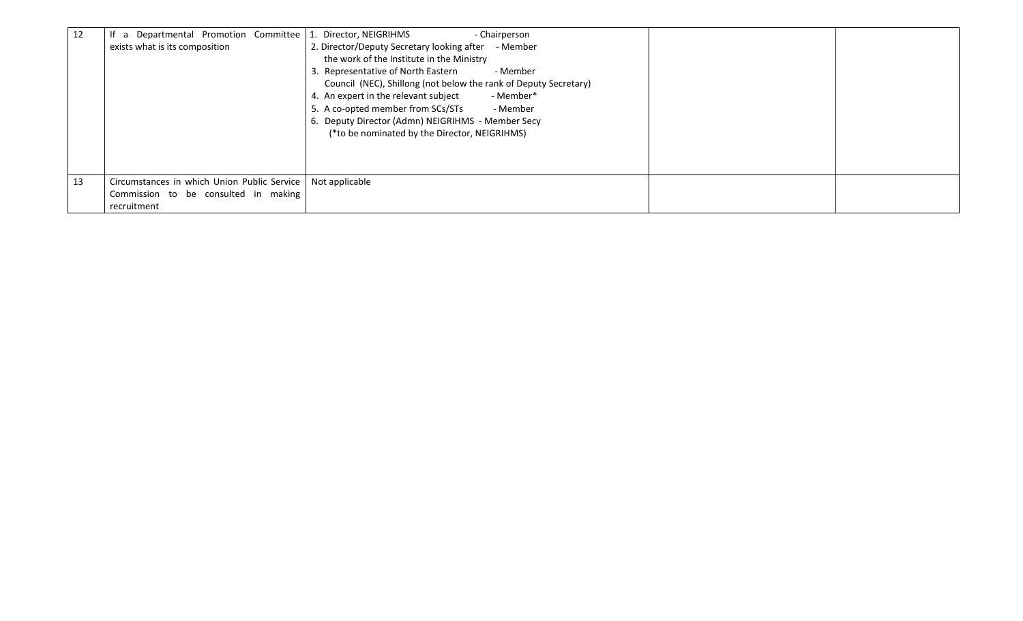| 12 | If a Departmental Promotion Committee<br>exists what is its composition | - Chairperson<br>1. Director, NEIGRIHMS<br>2. Director/Deputy Secretary looking after - Member<br>the work of the Institute in the Ministry<br>3. Representative of North Eastern<br>- Member<br>Council (NEC), Shillong (not below the rank of Deputy Secretary)<br>4. An expert in the relevant subject<br>- Member*<br>5. A co-opted member from SCs/STs<br>- Member<br>6. Deputy Director (Admn) NEIGRIHMS - Member Secy<br>(*to be nominated by the Director, NEIGRIHMS) |  |
|----|-------------------------------------------------------------------------|-------------------------------------------------------------------------------------------------------------------------------------------------------------------------------------------------------------------------------------------------------------------------------------------------------------------------------------------------------------------------------------------------------------------------------------------------------------------------------|--|
|    |                                                                         |                                                                                                                                                                                                                                                                                                                                                                                                                                                                               |  |
| 13 | Circumstances in which Union Public Service                             | Not applicable                                                                                                                                                                                                                                                                                                                                                                                                                                                                |  |
|    | Commission to be consulted in making<br>recruitment                     |                                                                                                                                                                                                                                                                                                                                                                                                                                                                               |  |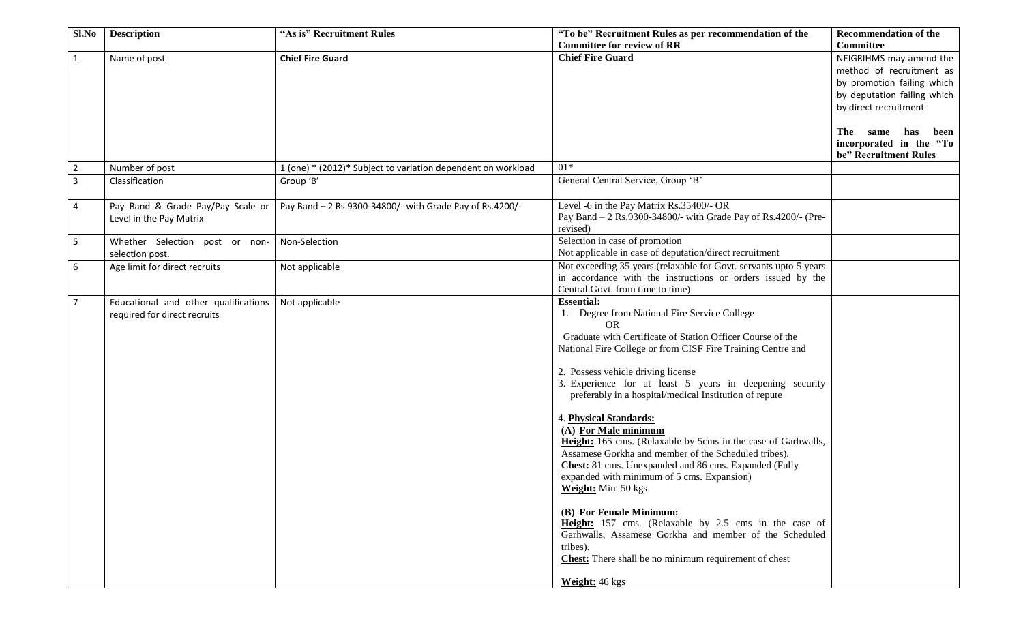| Sl.No          | <b>Description</b>                   | "As is" Recruitment Rules                                    | "To be" Recruitment Rules as per recommendation of the             | <b>Recommendation of the</b> |
|----------------|--------------------------------------|--------------------------------------------------------------|--------------------------------------------------------------------|------------------------------|
|                |                                      |                                                              | <b>Committee for review of RR</b>                                  | <b>Committee</b>             |
| $\mathbf{1}$   | Name of post                         | <b>Chief Fire Guard</b>                                      | <b>Chief Fire Guard</b>                                            | NEIGRIHMS may amend the      |
|                |                                      |                                                              |                                                                    | method of recruitment as     |
|                |                                      |                                                              |                                                                    | by promotion failing which   |
|                |                                      |                                                              |                                                                    | by deputation failing which  |
|                |                                      |                                                              |                                                                    | by direct recruitment        |
|                |                                      |                                                              |                                                                    |                              |
|                |                                      |                                                              |                                                                    | same has<br>been<br>The      |
|                |                                      |                                                              |                                                                    | incorporated in the "To      |
|                |                                      |                                                              |                                                                    | be" Recruitment Rules        |
| $\overline{2}$ | Number of post                       | 1 (one) * (2012)* Subject to variation dependent on workload | $01*$                                                              |                              |
| 3              | Classification                       | Group 'B'                                                    | General Central Service, Group 'B'                                 |                              |
|                |                                      |                                                              |                                                                    |                              |
| 4              | Pay Band & Grade Pay/Pay Scale or    | Pay Band - 2 Rs.9300-34800/- with Grade Pay of Rs.4200/-     | Level -6 in the Pay Matrix Rs.35400/- OR                           |                              |
|                | Level in the Pay Matrix              |                                                              | Pay Band - 2 Rs.9300-34800/- with Grade Pay of Rs.4200/- (Pre-     |                              |
|                |                                      |                                                              | revised)                                                           |                              |
| 5              | Whether Selection post or non-       | Non-Selection                                                | Selection in case of promotion                                     |                              |
|                | selection post.                      |                                                              | Not applicable in case of deputation/direct recruitment            |                              |
| 6              | Age limit for direct recruits        | Not applicable                                               | Not exceeding 35 years (relaxable for Govt. servants upto 5 years) |                              |
|                |                                      |                                                              | in accordance with the instructions or orders issued by the        |                              |
|                |                                      |                                                              | Central.Govt. from time to time)                                   |                              |
| $\overline{7}$ | Educational and other qualifications | Not applicable                                               | <b>Essential:</b>                                                  |                              |
|                | required for direct recruits         |                                                              | 1. Degree from National Fire Service College                       |                              |
|                |                                      |                                                              | <b>OR</b>                                                          |                              |
|                |                                      |                                                              | Graduate with Certificate of Station Officer Course of the         |                              |
|                |                                      |                                                              | National Fire College or from CISF Fire Training Centre and        |                              |
|                |                                      |                                                              | 2. Possess vehicle driving license                                 |                              |
|                |                                      |                                                              | 3. Experience for at least 5 years in deepening security           |                              |
|                |                                      |                                                              | preferably in a hospital/medical Institution of repute             |                              |
|                |                                      |                                                              |                                                                    |                              |
|                |                                      |                                                              | 4. Physical Standards:                                             |                              |
|                |                                      |                                                              | (A) For Male minimum                                               |                              |
|                |                                      |                                                              | Height: 165 cms. (Relaxable by 5cms in the case of Garhwalls,      |                              |
|                |                                      |                                                              | Assamese Gorkha and member of the Scheduled tribes).               |                              |
|                |                                      |                                                              | Chest: 81 cms. Unexpanded and 86 cms. Expanded (Fully              |                              |
|                |                                      |                                                              | expanded with minimum of 5 cms. Expansion)                         |                              |
|                |                                      |                                                              | Weight: Min. 50 kgs                                                |                              |
|                |                                      |                                                              |                                                                    |                              |
|                |                                      |                                                              | (B) For Female Minimum:                                            |                              |
|                |                                      |                                                              | Height: 157 cms. (Relaxable by 2.5 cms in the case of              |                              |
|                |                                      |                                                              | Garhwalls, Assamese Gorkha and member of the Scheduled             |                              |
|                |                                      |                                                              | tribes).                                                           |                              |
|                |                                      |                                                              | <b>Chest:</b> There shall be no minimum requirement of chest       |                              |
|                |                                      |                                                              |                                                                    |                              |
|                |                                      |                                                              | Weight: 46 kgs                                                     |                              |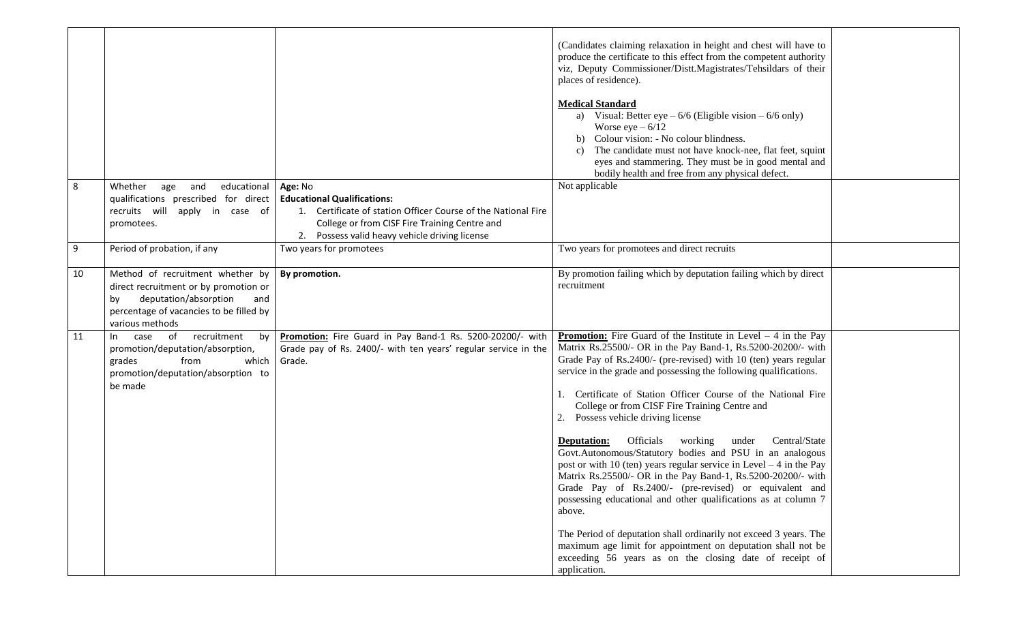|    |                                                                                                                                                                               |                                                                                                                                       | (Candidates claiming relaxation in height and chest will have to<br>produce the certificate to this effect from the competent authority<br>viz, Deputy Commissioner/Distt.Magistrates/Tehsildars of their<br>places of residence).<br><b>Medical Standard</b><br>a) Visual: Better eye $-6/6$ (Eligible vision $-6/6$ only)<br>Worse eye $-6/12$<br>Colour vision: - No colour blindness.<br>b)<br>The candidate must not have knock-nee, flat feet, squint<br>C)<br>eyes and stammering. They must be in good mental and<br>bodily health and free from any physical defect.                                                                                                                                                                                                                                                                                                                                                                                                                                                                                |  |
|----|-------------------------------------------------------------------------------------------------------------------------------------------------------------------------------|---------------------------------------------------------------------------------------------------------------------------------------|--------------------------------------------------------------------------------------------------------------------------------------------------------------------------------------------------------------------------------------------------------------------------------------------------------------------------------------------------------------------------------------------------------------------------------------------------------------------------------------------------------------------------------------------------------------------------------------------------------------------------------------------------------------------------------------------------------------------------------------------------------------------------------------------------------------------------------------------------------------------------------------------------------------------------------------------------------------------------------------------------------------------------------------------------------------|--|
| 8  | Whether<br>and<br>educational<br>age                                                                                                                                          | Age: No                                                                                                                               | Not applicable                                                                                                                                                                                                                                                                                                                                                                                                                                                                                                                                                                                                                                                                                                                                                                                                                                                                                                                                                                                                                                               |  |
|    | qualifications prescribed for direct                                                                                                                                          | <b>Educational Qualifications:</b>                                                                                                    |                                                                                                                                                                                                                                                                                                                                                                                                                                                                                                                                                                                                                                                                                                                                                                                                                                                                                                                                                                                                                                                              |  |
|    | recruits will apply in case of                                                                                                                                                | 1. Certificate of station Officer Course of the National Fire                                                                         |                                                                                                                                                                                                                                                                                                                                                                                                                                                                                                                                                                                                                                                                                                                                                                                                                                                                                                                                                                                                                                                              |  |
|    | promotees.                                                                                                                                                                    | College or from CISF Fire Training Centre and                                                                                         |                                                                                                                                                                                                                                                                                                                                                                                                                                                                                                                                                                                                                                                                                                                                                                                                                                                                                                                                                                                                                                                              |  |
|    |                                                                                                                                                                               | 2. Possess valid heavy vehicle driving license                                                                                        | Two years for promotees and direct recruits                                                                                                                                                                                                                                                                                                                                                                                                                                                                                                                                                                                                                                                                                                                                                                                                                                                                                                                                                                                                                  |  |
| 9  | Period of probation, if any                                                                                                                                                   | Two years for promotees                                                                                                               |                                                                                                                                                                                                                                                                                                                                                                                                                                                                                                                                                                                                                                                                                                                                                                                                                                                                                                                                                                                                                                                              |  |
| 10 | Method of recruitment whether by<br>direct recruitment or by promotion or<br>deputation/absorption<br>by<br>and<br>percentage of vacancies to be filled by<br>various methods | By promotion.                                                                                                                         | By promotion failing which by deputation failing which by direct<br>recruitment                                                                                                                                                                                                                                                                                                                                                                                                                                                                                                                                                                                                                                                                                                                                                                                                                                                                                                                                                                              |  |
| 11 | of recruitment<br>case<br>by<br>$\ln$<br>promotion/deputation/absorption,<br>from<br>which<br>grades<br>promotion/deputation/absorption to<br>be made                         | Promotion: Fire Guard in Pay Band-1 Rs. 5200-20200/- with<br>Grade pay of Rs. 2400/- with ten years' regular service in the<br>Grade. | <b>Promotion:</b> Fire Guard of the Institute in Level $-4$ in the Pay<br>Matrix Rs.25500/- OR in the Pay Band-1, Rs.5200-20200/- with<br>Grade Pay of Rs.2400/- (pre-revised) with 10 (ten) years regular<br>service in the grade and possessing the following qualifications.<br>Certificate of Station Officer Course of the National Fire<br>College or from CISF Fire Training Centre and<br>Possess vehicle driving license<br>Officials<br>working<br>Central/State<br>under<br>Deputation:<br>Govt.Autonomous/Statutory bodies and PSU in an analogous<br>post or with 10 (ten) years regular service in Level $-4$ in the Pay<br>Matrix Rs.25500/- OR in the Pay Band-1, Rs.5200-20200/- with<br>Grade Pay of Rs.2400/- (pre-revised) or equivalent and<br>possessing educational and other qualifications as at column 7<br>above.<br>The Period of deputation shall ordinarily not exceed 3 years. The<br>maximum age limit for appointment on deputation shall not be<br>exceeding 56 years as on the closing date of receipt of<br>application. |  |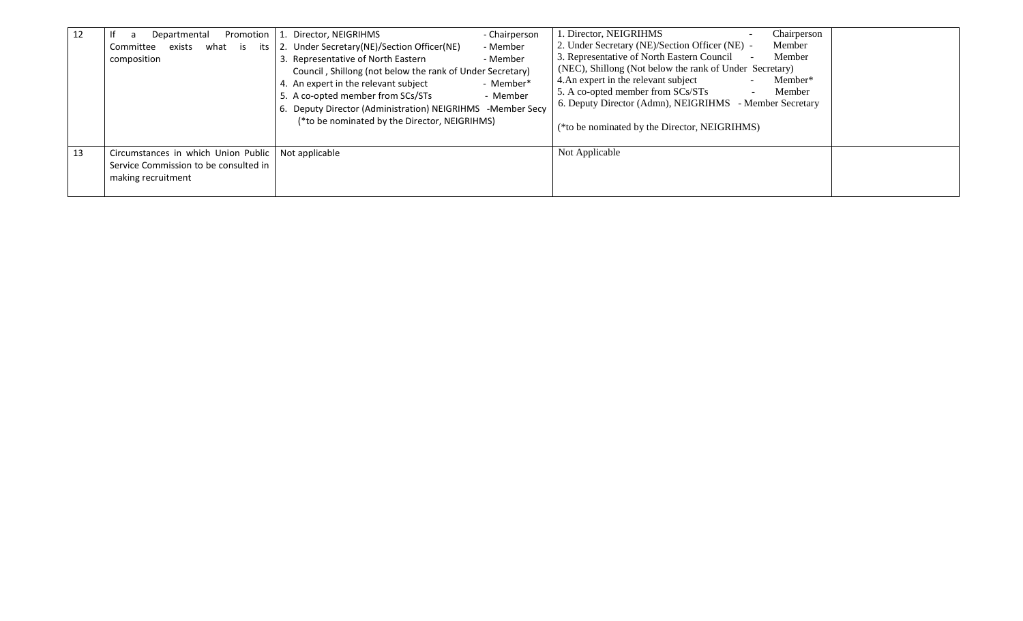| 12 | Promotion  <br>Departmental                                                                                         | - Chairperson<br>1. Director, NEIGRIHMS                                                                                                                                                                                                                                                                                                                                                      | 1. Director, NEIGRIHMS<br>Chairperson                                                                                                                                                                                                                                                                                                                                                                                 |
|----|---------------------------------------------------------------------------------------------------------------------|----------------------------------------------------------------------------------------------------------------------------------------------------------------------------------------------------------------------------------------------------------------------------------------------------------------------------------------------------------------------------------------------|-----------------------------------------------------------------------------------------------------------------------------------------------------------------------------------------------------------------------------------------------------------------------------------------------------------------------------------------------------------------------------------------------------------------------|
|    | exists<br>what is<br>Committee<br>its I<br>composition                                                              | 2. Under Secretary (NE)/Section Officer (NE)<br>- Member<br>3. Representative of North Eastern<br>- Member<br>Council, Shillong (not below the rank of Under Secretary)<br>4. An expert in the relevant subject<br>- Member*<br>5. A co-opted member from SCs/STs<br>- Member<br>6. Deputy Director (Administration) NEIGRIHMS -Member Secy<br>(*to be nominated by the Director, NEIGRIHMS) | 2. Under Secretary (NE)/Section Officer (NE) -<br>Member<br>3. Representative of North Eastern Council<br>Member<br>(NEC), Shillong (Not below the rank of Under Secretary)<br>4. An expert in the relevant subject<br>Member*<br>5. A co-opted member from SCs/STs<br>Member<br>$\overline{\phantom{0}}$<br>6. Deputy Director (Admn), NEIGRIHMS - Member Secretary<br>(*to be nominated by the Director, NEIGRIHMS) |
| 13 | Circumstances in which Union Public   Not applicable<br>Service Commission to be consulted in<br>making recruitment |                                                                                                                                                                                                                                                                                                                                                                                              | Not Applicable                                                                                                                                                                                                                                                                                                                                                                                                        |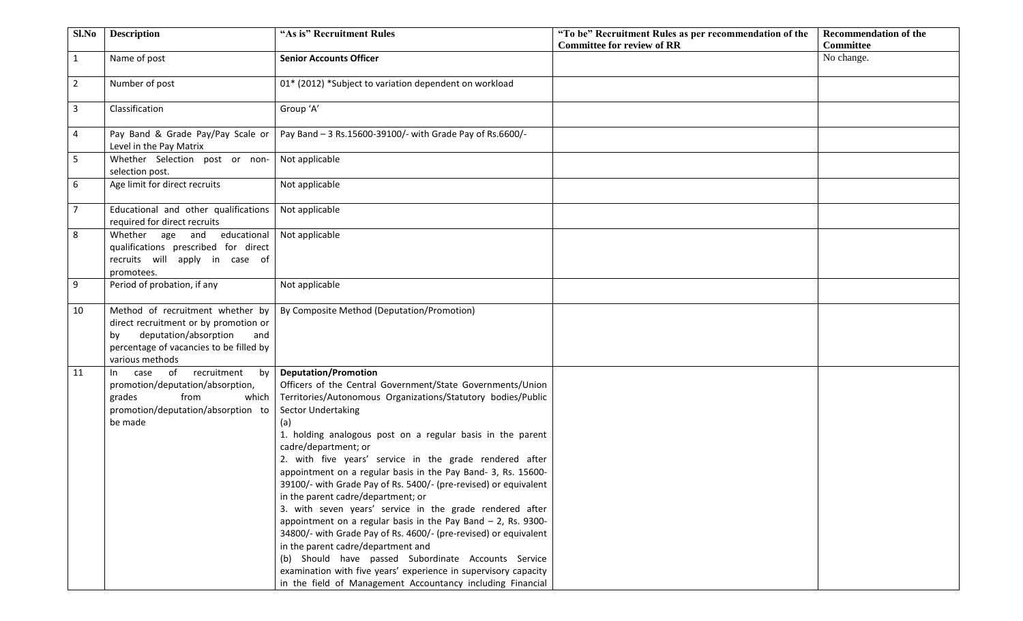| Sl.No          | <b>Description</b>                                                                                                                                                            | "As is" Recruitment Rules                                                                                                                                                                                                                                                                                                                                                                                                                                                                                                                                                                                                                                                                                                                                                                                                                                                                                                                           | "To be" Recruitment Rules as per recommendation of the | <b>Recommendation of the</b> |
|----------------|-------------------------------------------------------------------------------------------------------------------------------------------------------------------------------|-----------------------------------------------------------------------------------------------------------------------------------------------------------------------------------------------------------------------------------------------------------------------------------------------------------------------------------------------------------------------------------------------------------------------------------------------------------------------------------------------------------------------------------------------------------------------------------------------------------------------------------------------------------------------------------------------------------------------------------------------------------------------------------------------------------------------------------------------------------------------------------------------------------------------------------------------------|--------------------------------------------------------|------------------------------|
|                |                                                                                                                                                                               |                                                                                                                                                                                                                                                                                                                                                                                                                                                                                                                                                                                                                                                                                                                                                                                                                                                                                                                                                     | <b>Committee for review of RR</b>                      | <b>Committee</b>             |
| $\mathbf{1}$   | Name of post                                                                                                                                                                  | <b>Senior Accounts Officer</b>                                                                                                                                                                                                                                                                                                                                                                                                                                                                                                                                                                                                                                                                                                                                                                                                                                                                                                                      |                                                        | No change.                   |
| $\overline{2}$ | Number of post                                                                                                                                                                | 01* (2012) *Subject to variation dependent on workload                                                                                                                                                                                                                                                                                                                                                                                                                                                                                                                                                                                                                                                                                                                                                                                                                                                                                              |                                                        |                              |
| $\mathbf{3}$   | Classification                                                                                                                                                                | Group 'A'                                                                                                                                                                                                                                                                                                                                                                                                                                                                                                                                                                                                                                                                                                                                                                                                                                                                                                                                           |                                                        |                              |
| $\overline{4}$ | Pay Band & Grade Pay/Pay Scale or<br>Level in the Pay Matrix                                                                                                                  | Pay Band - 3 Rs.15600-39100/- with Grade Pay of Rs.6600/-                                                                                                                                                                                                                                                                                                                                                                                                                                                                                                                                                                                                                                                                                                                                                                                                                                                                                           |                                                        |                              |
| 5              | Whether Selection post or non-<br>selection post.                                                                                                                             | Not applicable                                                                                                                                                                                                                                                                                                                                                                                                                                                                                                                                                                                                                                                                                                                                                                                                                                                                                                                                      |                                                        |                              |
| 6              | Age limit for direct recruits                                                                                                                                                 | Not applicable                                                                                                                                                                                                                                                                                                                                                                                                                                                                                                                                                                                                                                                                                                                                                                                                                                                                                                                                      |                                                        |                              |
| $\overline{7}$ | Educational and other qualifications<br>required for direct recruits                                                                                                          | Not applicable                                                                                                                                                                                                                                                                                                                                                                                                                                                                                                                                                                                                                                                                                                                                                                                                                                                                                                                                      |                                                        |                              |
| 8              | Whether age and educational<br>qualifications prescribed for direct<br>recruits will apply in case of<br>promotees.                                                           | Not applicable                                                                                                                                                                                                                                                                                                                                                                                                                                                                                                                                                                                                                                                                                                                                                                                                                                                                                                                                      |                                                        |                              |
| 9              | Period of probation, if any                                                                                                                                                   | Not applicable                                                                                                                                                                                                                                                                                                                                                                                                                                                                                                                                                                                                                                                                                                                                                                                                                                                                                                                                      |                                                        |                              |
| 10             | Method of recruitment whether by<br>direct recruitment or by promotion or<br>deputation/absorption<br>and<br>bv<br>percentage of vacancies to be filled by<br>various methods | By Composite Method (Deputation/Promotion)                                                                                                                                                                                                                                                                                                                                                                                                                                                                                                                                                                                                                                                                                                                                                                                                                                                                                                          |                                                        |                              |
| 11             | recruitment<br>case of<br>by<br>In<br>promotion/deputation/absorption,<br>from<br>grades<br>which<br>promotion/deputation/absorption to<br>be made                            | <b>Deputation/Promotion</b><br>Officers of the Central Government/State Governments/Union<br>Territories/Autonomous Organizations/Statutory bodies/Public<br>Sector Undertaking<br>(a)<br>1. holding analogous post on a regular basis in the parent<br>cadre/department; or<br>2. with five years' service in the grade rendered after<br>appointment on a regular basis in the Pay Band- 3, Rs. 15600-<br>39100/- with Grade Pay of Rs. 5400/- (pre-revised) or equivalent<br>in the parent cadre/department; or<br>3. with seven years' service in the grade rendered after<br>appointment on a regular basis in the Pay Band $-$ 2, Rs. 9300-<br>34800/- with Grade Pay of Rs. 4600/- (pre-revised) or equivalent<br>in the parent cadre/department and<br>(b) Should have passed Subordinate Accounts Service<br>examination with five years' experience in supervisory capacity<br>in the field of Management Accountancy including Financial |                                                        |                              |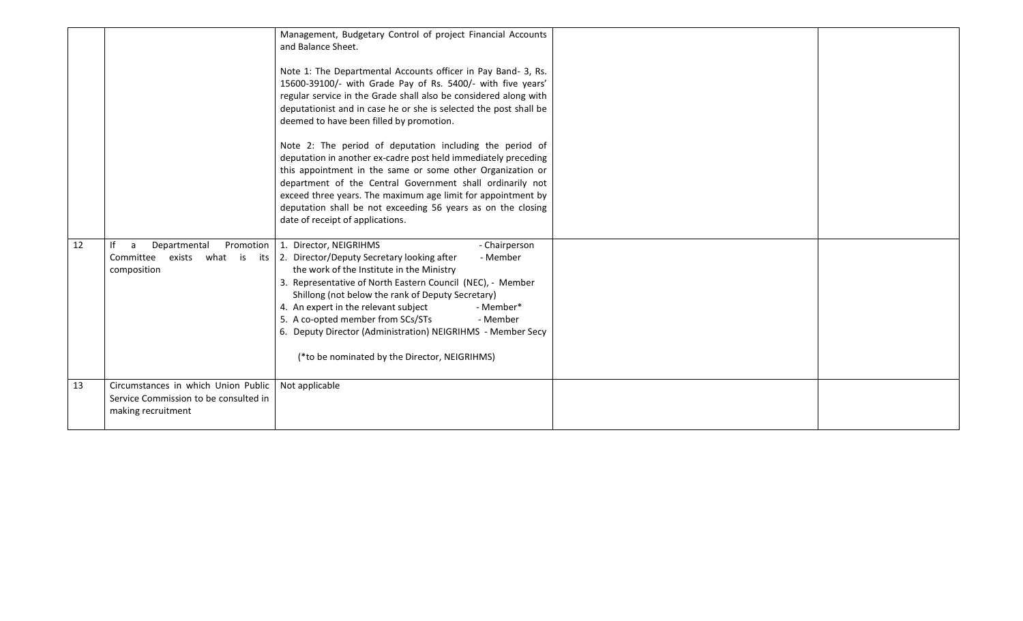|    |                                                                                                    | Management, Budgetary Control of project Financial Accounts<br>and Balance Sheet.<br>Note 1: The Departmental Accounts officer in Pay Band-3, Rs.<br>15600-39100/- with Grade Pay of Rs. 5400/- with five years'<br>regular service in the Grade shall also be considered along with<br>deputationist and in case he or she is selected the post shall be<br>deemed to have been filled by promotion.<br>Note 2: The period of deputation including the period of<br>deputation in another ex-cadre post held immediately preceding<br>this appointment in the same or some other Organization or<br>department of the Central Government shall ordinarily not<br>exceed three years. The maximum age limit for appointment by<br>deputation shall be not exceeding 56 years as on the closing<br>date of receipt of applications. |  |
|----|----------------------------------------------------------------------------------------------------|------------------------------------------------------------------------------------------------------------------------------------------------------------------------------------------------------------------------------------------------------------------------------------------------------------------------------------------------------------------------------------------------------------------------------------------------------------------------------------------------------------------------------------------------------------------------------------------------------------------------------------------------------------------------------------------------------------------------------------------------------------------------------------------------------------------------------------|--|
| 12 | Departmental<br><b>Promotion</b><br>a<br>Committee<br>exists what is<br>composition                | 1. Director, NEIGRIHMS<br>- Chairperson<br>its   2. Director/Deputy Secretary looking after<br>- Member<br>the work of the Institute in the Ministry<br>3. Representative of North Eastern Council (NEC), - Member<br>Shillong (not below the rank of Deputy Secretary)<br>4. An expert in the relevant subject<br>- Member*<br>5. A co-opted member from SCs/STs<br>- Member<br>6. Deputy Director (Administration) NEIGRIHMS - Member Secy<br>(*to be nominated by the Director, NEIGRIHMS)                                                                                                                                                                                                                                                                                                                                      |  |
| 13 | Circumstances in which Union Public<br>Service Commission to be consulted in<br>making recruitment | Not applicable                                                                                                                                                                                                                                                                                                                                                                                                                                                                                                                                                                                                                                                                                                                                                                                                                     |  |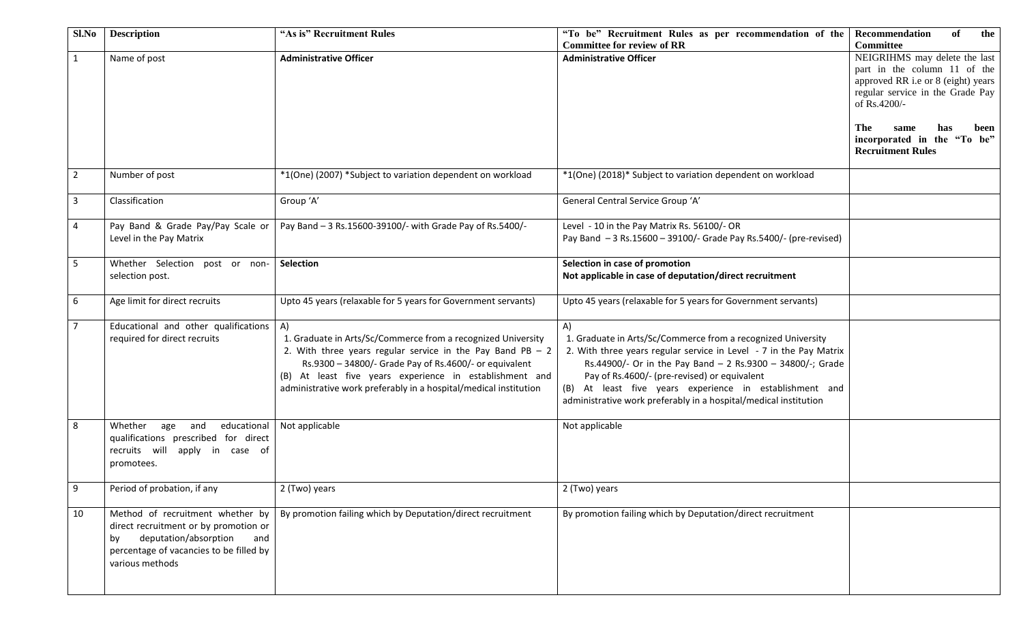| Sl.No          | <b>Description</b>                      | "As is" Recruitment Rules                                        | "To be" Recruitment Rules as per recommendation of the             | of<br><b>Recommendation</b><br>the |
|----------------|-----------------------------------------|------------------------------------------------------------------|--------------------------------------------------------------------|------------------------------------|
|                |                                         |                                                                  | <b>Committee for review of RR</b>                                  | <b>Committee</b>                   |
| $\mathbf{1}$   | Name of post                            | <b>Administrative Officer</b>                                    | <b>Administrative Officer</b>                                      | NEIGRIHMS may delete the last      |
|                |                                         |                                                                  |                                                                    | part in the column 11 of the       |
|                |                                         |                                                                  |                                                                    | approved RR i.e or 8 (eight) years |
|                |                                         |                                                                  |                                                                    | regular service in the Grade Pay   |
|                |                                         |                                                                  |                                                                    | of Rs.4200/-                       |
|                |                                         |                                                                  |                                                                    |                                    |
|                |                                         |                                                                  |                                                                    | The<br>has<br>same<br>been         |
|                |                                         |                                                                  |                                                                    | incorporated in the "To be"        |
|                |                                         |                                                                  |                                                                    | <b>Recruitment Rules</b>           |
|                |                                         |                                                                  |                                                                    |                                    |
| $\overline{2}$ | Number of post                          | *1(One) (2007) *Subject to variation dependent on workload       | *1(One) (2018)* Subject to variation dependent on workload         |                                    |
|                |                                         |                                                                  |                                                                    |                                    |
| $\overline{3}$ | Classification                          | Group 'A'                                                        | General Central Service Group 'A'                                  |                                    |
|                |                                         |                                                                  |                                                                    |                                    |
| $\overline{4}$ | Pay Band & Grade Pay/Pay Scale or       | Pay Band - 3 Rs.15600-39100/- with Grade Pay of Rs.5400/-        | Level - 10 in the Pay Matrix Rs. 56100/- OR                        |                                    |
|                | Level in the Pay Matrix                 |                                                                  | Pay Band - 3 Rs.15600 - 39100/- Grade Pay Rs.5400/- (pre-revised)  |                                    |
|                |                                         |                                                                  |                                                                    |                                    |
| 5              | Whether Selection post or non-          | <b>Selection</b>                                                 | Selection in case of promotion                                     |                                    |
|                | selection post.                         |                                                                  | Not applicable in case of deputation/direct recruitment            |                                    |
|                |                                         |                                                                  |                                                                    |                                    |
| 6              | Age limit for direct recruits           | Upto 45 years (relaxable for 5 years for Government servants)    | Upto 45 years (relaxable for 5 years for Government servants)      |                                    |
|                |                                         |                                                                  |                                                                    |                                    |
| $\overline{7}$ | Educational and other qualifications    | A)                                                               | A)                                                                 |                                    |
|                | required for direct recruits            | 1. Graduate in Arts/Sc/Commerce from a recognized University     | 1. Graduate in Arts/Sc/Commerce from a recognized University       |                                    |
|                |                                         | 2. With three years regular service in the Pay Band PB $-2$      | 2. With three years regular service in Level - 7 in the Pay Matrix |                                    |
|                |                                         | Rs.9300 - 34800/- Grade Pay of Rs.4600/- or equivalent           | Rs.44900/- Or in the Pay Band - 2 Rs.9300 - 34800/-; Grade         |                                    |
|                |                                         | (B) At least five years experience in establishment and          | Pay of Rs.4600/- (pre-revised) or equivalent                       |                                    |
|                |                                         |                                                                  |                                                                    |                                    |
|                |                                         | administrative work preferably in a hospital/medical institution | (B) At least five years experience in establishment and            |                                    |
|                |                                         |                                                                  | administrative work preferably in a hospital/medical institution   |                                    |
| 8              | Whether<br>educational<br>age<br>and    | Not applicable                                                   | Not applicable                                                     |                                    |
|                |                                         |                                                                  |                                                                    |                                    |
|                | qualifications prescribed for direct    |                                                                  |                                                                    |                                    |
|                | recruits will apply in case of          |                                                                  |                                                                    |                                    |
|                | promotees.                              |                                                                  |                                                                    |                                    |
|                |                                         |                                                                  |                                                                    |                                    |
| 9              | Period of probation, if any             | 2 (Two) years                                                    | 2 (Two) years                                                      |                                    |
| 10             | Method of recruitment whether by        | By promotion failing which by Deputation/direct recruitment      | By promotion failing which by Deputation/direct recruitment        |                                    |
|                | direct recruitment or by promotion or   |                                                                  |                                                                    |                                    |
|                | deputation/absorption<br>and            |                                                                  |                                                                    |                                    |
|                | by                                      |                                                                  |                                                                    |                                    |
|                | percentage of vacancies to be filled by |                                                                  |                                                                    |                                    |
|                | various methods                         |                                                                  |                                                                    |                                    |
|                |                                         |                                                                  |                                                                    |                                    |
|                |                                         |                                                                  |                                                                    |                                    |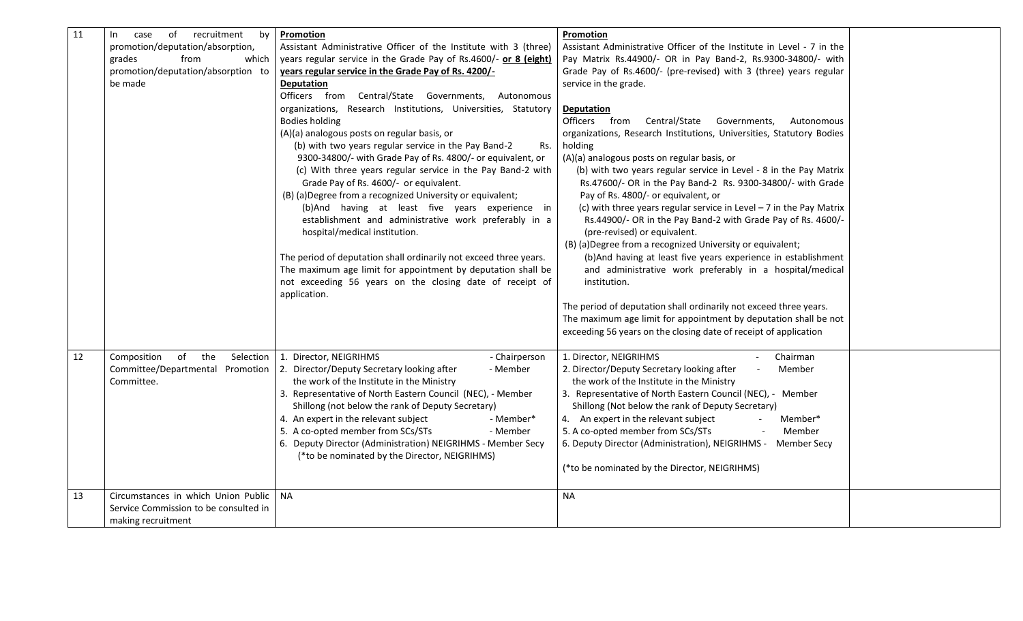| 11 | recruitment<br>of<br>by<br>In.<br>case<br>promotion/deputation/absorption,<br>from<br>grades<br>which<br>promotion/deputation/absorption to<br>be made | Promotion<br>Assistant Administrative Officer of the Institute with 3 (three)<br>years regular service in the Grade Pay of Rs.4600/- or 8 (eight)<br>years regular service in the Grade Pay of Rs. 4200/-<br><b>Deputation</b><br>Officers from Central/State Governments,<br>Autonomous<br>organizations, Research Institutions, Universities, Statutory<br><b>Bodies holding</b><br>(A)(a) analogous posts on regular basis, or<br>(b) with two years regular service in the Pay Band-2<br>Rs.<br>9300-34800/- with Grade Pay of Rs. 4800/- or equivalent, or<br>(c) With three years regular service in the Pay Band-2 with<br>Grade Pay of Rs. 4600/- or equivalent.<br>(B) (a) Degree from a recognized University or equivalent;<br>(b)And having at least five years experience in<br>establishment and administrative work preferably in a<br>hospital/medical institution.<br>The period of deputation shall ordinarily not exceed three years.<br>The maximum age limit for appointment by deputation shall be<br>not exceeding 56 years on the closing date of receipt of<br>application. | Promotion<br>Assistant Administrative Officer of the Institute in Level - 7 in the<br>Pay Matrix Rs.44900/- OR in Pay Band-2, Rs.9300-34800/- with<br>Grade Pay of Rs.4600/- (pre-revised) with 3 (three) years regular<br>service in the grade.<br><b>Deputation</b><br>Officers from<br>Central/State<br>Governments,<br>Autonomous<br>organizations, Research Institutions, Universities, Statutory Bodies<br>holding<br>(A)(a) analogous posts on regular basis, or<br>(b) with two years regular service in Level - 8 in the Pay Matrix<br>Rs.47600/- OR in the Pay Band-2 Rs. 9300-34800/- with Grade<br>Pay of Rs. 4800/- or equivalent, or<br>(c) with three years regular service in Level $-7$ in the Pay Matrix<br>Rs.44900/- OR in the Pay Band-2 with Grade Pay of Rs. 4600/-<br>(pre-revised) or equivalent.<br>(B) (a) Degree from a recognized University or equivalent;<br>(b) And having at least five years experience in establishment<br>and administrative work preferably in a hospital/medical<br>institution.<br>The period of deputation shall ordinarily not exceed three years.<br>The maximum age limit for appointment by deputation shall be not<br>exceeding 56 years on the closing date of receipt of application |  |
|----|--------------------------------------------------------------------------------------------------------------------------------------------------------|------------------------------------------------------------------------------------------------------------------------------------------------------------------------------------------------------------------------------------------------------------------------------------------------------------------------------------------------------------------------------------------------------------------------------------------------------------------------------------------------------------------------------------------------------------------------------------------------------------------------------------------------------------------------------------------------------------------------------------------------------------------------------------------------------------------------------------------------------------------------------------------------------------------------------------------------------------------------------------------------------------------------------------------------------------------------------------------------------|-----------------------------------------------------------------------------------------------------------------------------------------------------------------------------------------------------------------------------------------------------------------------------------------------------------------------------------------------------------------------------------------------------------------------------------------------------------------------------------------------------------------------------------------------------------------------------------------------------------------------------------------------------------------------------------------------------------------------------------------------------------------------------------------------------------------------------------------------------------------------------------------------------------------------------------------------------------------------------------------------------------------------------------------------------------------------------------------------------------------------------------------------------------------------------------------------------------------------------------------------------|--|
| 12 | Composition<br>of the<br>Selection  <br>Committee/Departmental Promotion<br>Committee.                                                                 | 1. Director, NEIGRIHMS<br>- Chairperson<br>2. Director/Deputy Secretary looking after<br>- Member<br>the work of the Institute in the Ministry<br>3. Representative of North Eastern Council (NEC), - Member<br>Shillong (not below the rank of Deputy Secretary)<br>4. An expert in the relevant subject<br>- Member*<br>5. A co-opted member from SCs/STs<br>- Member<br>6. Deputy Director (Administration) NEIGRIHMS - Member Secy<br>(*to be nominated by the Director, NEIGRIHMS)                                                                                                                                                                                                                                                                                                                                                                                                                                                                                                                                                                                                              | 1. Director, NEIGRIHMS<br>Chairman<br>2. Director/Deputy Secretary looking after<br>Member<br>the work of the Institute in the Ministry<br>3. Representative of North Eastern Council (NEC), - Member<br>Shillong (Not below the rank of Deputy Secretary)<br>4. An expert in the relevant subject<br>Member*<br>5. A co-opted member from SCs/STs<br>Member<br>6. Deputy Director (Administration), NEIGRIHMS -<br><b>Member Secy</b><br>(*to be nominated by the Director, NEIGRIHMS)                                                                                                                                                                                                                                                                                                                                                                                                                                                                                                                                                                                                                                                                                                                                                             |  |
| 13 | Circumstances in which Union Public<br>Service Commission to be consulted in<br>making recruitment                                                     | <b>NA</b>                                                                                                                                                                                                                                                                                                                                                                                                                                                                                                                                                                                                                                                                                                                                                                                                                                                                                                                                                                                                                                                                                            | <b>NA</b>                                                                                                                                                                                                                                                                                                                                                                                                                                                                                                                                                                                                                                                                                                                                                                                                                                                                                                                                                                                                                                                                                                                                                                                                                                           |  |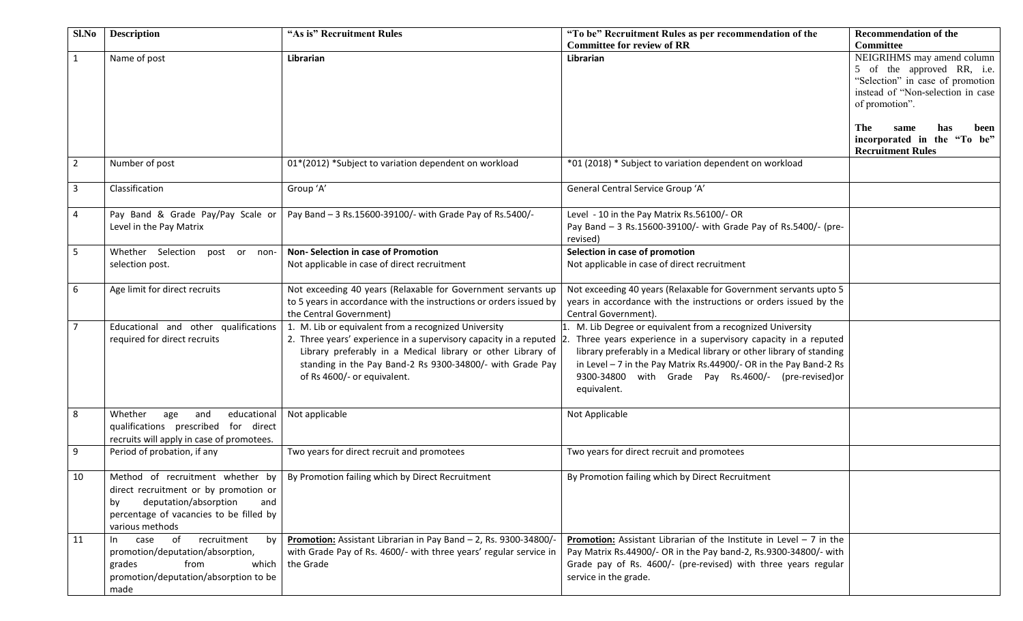| Sl.No          | <b>Description</b>                                                                                                                                    | "As is" Recruitment Rules                                                                                                                                                                                                                                                               | "To be" Recruitment Rules as per recommendation of the<br><b>Committee for review of RR</b>                                                                                                                                                                                                                                                  | <b>Recommendation of the</b><br><b>Committee</b>                                                                                                                                                                                             |
|----------------|-------------------------------------------------------------------------------------------------------------------------------------------------------|-----------------------------------------------------------------------------------------------------------------------------------------------------------------------------------------------------------------------------------------------------------------------------------------|----------------------------------------------------------------------------------------------------------------------------------------------------------------------------------------------------------------------------------------------------------------------------------------------------------------------------------------------|----------------------------------------------------------------------------------------------------------------------------------------------------------------------------------------------------------------------------------------------|
| $\mathbf{1}$   | Name of post                                                                                                                                          | Librarian                                                                                                                                                                                                                                                                               | Librarian                                                                                                                                                                                                                                                                                                                                    | NEIGRIHMS may amend column<br>5 of the approved RR, i.e.<br>"Selection" in case of promotion<br>instead of "Non-selection in case<br>of promotion".<br>The<br>same<br>has<br>been<br>incorporated in the "To be"<br><b>Recruitment Rules</b> |
| $\overline{2}$ | Number of post                                                                                                                                        | 01*(2012) *Subject to variation dependent on workload                                                                                                                                                                                                                                   | *01 (2018) * Subject to variation dependent on workload                                                                                                                                                                                                                                                                                      |                                                                                                                                                                                                                                              |
| 3              | Classification                                                                                                                                        | Group 'A'                                                                                                                                                                                                                                                                               | General Central Service Group 'A'                                                                                                                                                                                                                                                                                                            |                                                                                                                                                                                                                                              |
| 4              | Pay Band & Grade Pay/Pay Scale or<br>Level in the Pay Matrix                                                                                          | Pay Band - 3 Rs.15600-39100/- with Grade Pay of Rs.5400/-                                                                                                                                                                                                                               | Level - 10 in the Pay Matrix Rs.56100/- OR<br>Pay Band - 3 Rs.15600-39100/- with Grade Pay of Rs.5400/- (pre-<br>revised)                                                                                                                                                                                                                    |                                                                                                                                                                                                                                              |
| 5              | Whether Selection post or non-<br>selection post.                                                                                                     | Non- Selection in case of Promotion<br>Not applicable in case of direct recruitment                                                                                                                                                                                                     | Selection in case of promotion<br>Not applicable in case of direct recruitment                                                                                                                                                                                                                                                               |                                                                                                                                                                                                                                              |
| 6              | Age limit for direct recruits                                                                                                                         | Not exceeding 40 years (Relaxable for Government servants up<br>to 5 years in accordance with the instructions or orders issued by<br>the Central Government)                                                                                                                           | Not exceeding 40 years (Relaxable for Government servants upto 5<br>years in accordance with the instructions or orders issued by the<br>Central Government).                                                                                                                                                                                |                                                                                                                                                                                                                                              |
| $\overline{7}$ | Educational and other qualifications<br>required for direct recruits                                                                                  | 1. M. Lib or equivalent from a recognized University<br>2. Three years' experience in a supervisory capacity in a reputed 2.<br>Library preferably in a Medical library or other Library of<br>standing in the Pay Band-2 Rs 9300-34800/- with Grade Pay<br>of Rs 4600/- or equivalent. | M. Lib Degree or equivalent from a recognized University<br>Three years experience in a supervisory capacity in a reputed<br>library preferably in a Medical library or other library of standing<br>in Level - 7 in the Pay Matrix Rs.44900/- OR in the Pay Band-2 Rs<br>9300-34800 with Grade Pay Rs.4600/- (pre-revised)or<br>equivalent. |                                                                                                                                                                                                                                              |
| 8              | Whether<br>age<br>and<br>educational<br>qualifications prescribed for direct<br>recruits will apply in case of promotees.                             | Not applicable                                                                                                                                                                                                                                                                          | Not Applicable                                                                                                                                                                                                                                                                                                                               |                                                                                                                                                                                                                                              |
| 9              | Period of probation, if any                                                                                                                           | Two years for direct recruit and promotees                                                                                                                                                                                                                                              | Two years for direct recruit and promotees                                                                                                                                                                                                                                                                                                   |                                                                                                                                                                                                                                              |
| 10             | direct recruitment or by promotion or<br>deputation/absorption<br>by<br>and<br>percentage of vacancies to be filled by<br>various methods             | Method of recruitment whether by   By Promotion failing which by Direct Recruitment                                                                                                                                                                                                     | By Promotion failing which by Direct Recruitment                                                                                                                                                                                                                                                                                             |                                                                                                                                                                                                                                              |
| 11             | recruitment<br>of<br>by<br>case<br>In<br>promotion/deputation/absorption,<br>from<br>grades<br>which<br>promotion/deputation/absorption to be<br>made | Promotion: Assistant Librarian in Pay Band - 2, Rs. 9300-34800/-<br>with Grade Pay of Rs. 4600/- with three years' regular service in<br>the Grade                                                                                                                                      | <b>Promotion:</b> Assistant Librarian of the Institute in Level $-7$ in the<br>Pay Matrix Rs.44900/- OR in the Pay band-2, Rs.9300-34800/- with<br>Grade pay of Rs. 4600/- (pre-revised) with three years regular<br>service in the grade.                                                                                                   |                                                                                                                                                                                                                                              |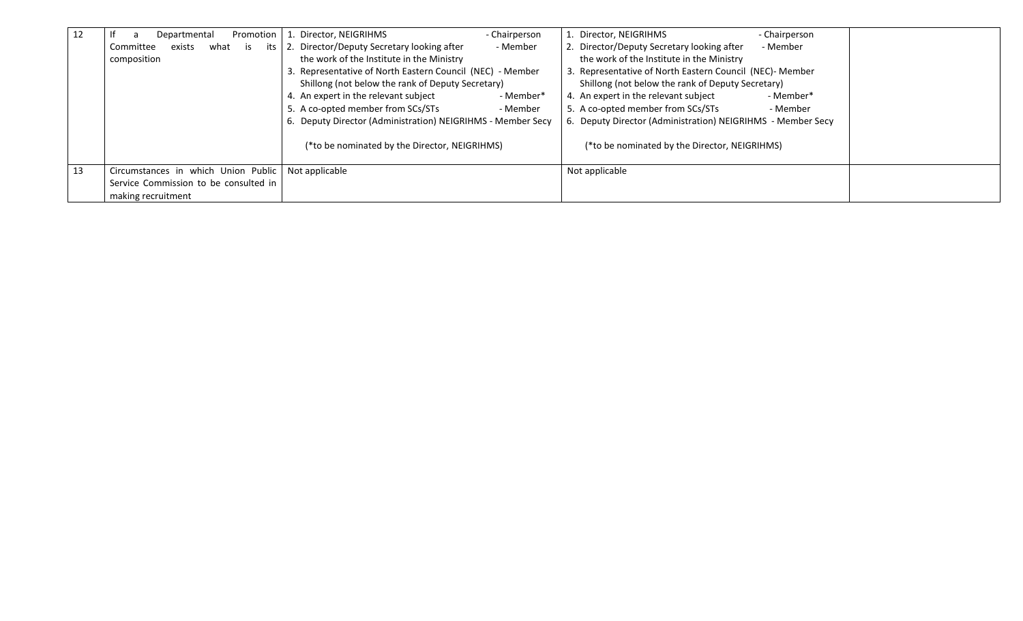| 12 | Promotion<br>Departmental                  | Director, NEIGRIHMS<br>- Chairperson                        | 1. Director, NEIGRIHMS<br>- Chairperson                     |  |
|----|--------------------------------------------|-------------------------------------------------------------|-------------------------------------------------------------|--|
|    | exists<br>what<br>Committee<br>its I<br>is | 2. Director/Deputy Secretary looking after<br>- Member      | 2. Director/Deputy Secretary looking after<br>- Member      |  |
|    | composition                                | the work of the Institute in the Ministry                   | the work of the Institute in the Ministry                   |  |
|    |                                            | 3. Representative of North Eastern Council (NEC) - Member   | 3. Representative of North Eastern Council (NEC)- Member    |  |
|    |                                            | Shillong (not below the rank of Deputy Secretary)           | Shillong (not below the rank of Deputy Secretary)           |  |
|    |                                            | 4. An expert in the relevant subject<br>- Member*           | 4. An expert in the relevant subject<br>- Member*           |  |
|    |                                            | 5. A co-opted member from SCs/STs<br>- Member               | 5. A co-opted member from SCs/STs<br>- Member               |  |
|    |                                            | 6. Deputy Director (Administration) NEIGRIHMS - Member Secy | 6. Deputy Director (Administration) NEIGRIHMS - Member Secy |  |
|    |                                            | (*to be nominated by the Director, NEIGRIHMS)               | (*to be nominated by the Director, NEIGRIHMS)               |  |
| 13 | Circumstances in which Union Public        | Not applicable                                              | Not applicable                                              |  |
|    | Service Commission to be consulted in      |                                                             |                                                             |  |
|    | making recruitment                         |                                                             |                                                             |  |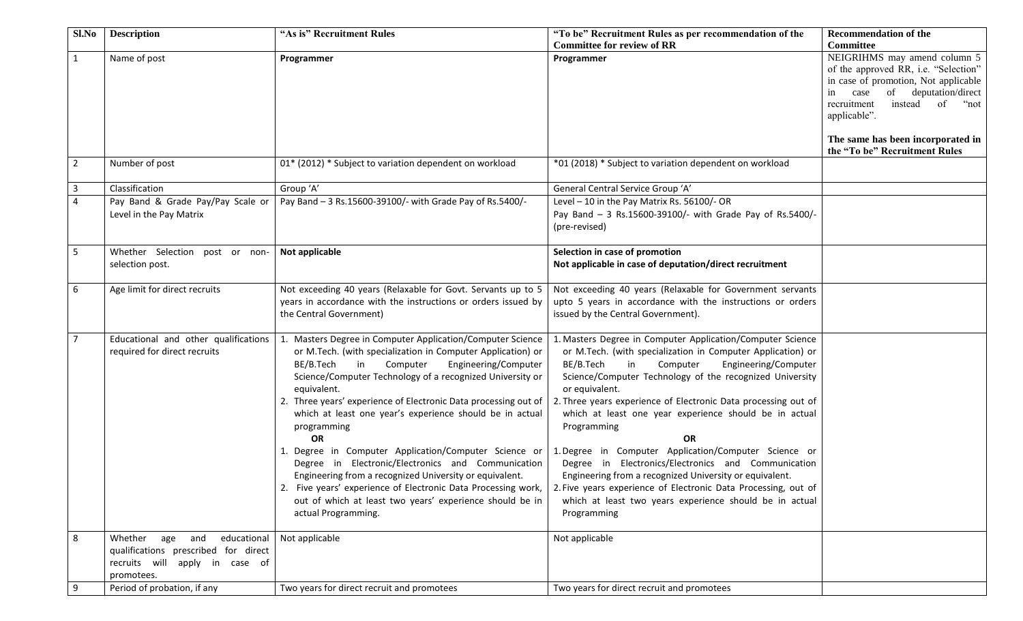| Sl.No          | <b>Description</b>                   | "As is" Recruitment Rules                                       | "To be" Recruitment Rules as per recommendation of the         | <b>Recommendation of the</b>         |
|----------------|--------------------------------------|-----------------------------------------------------------------|----------------------------------------------------------------|--------------------------------------|
|                |                                      |                                                                 | <b>Committee for review of RR</b>                              | <b>Committee</b>                     |
| $\mathbf{1}$   | Name of post                         | Programmer                                                      | Programmer                                                     | NEIGRIHMS may amend column 5         |
|                |                                      |                                                                 |                                                                | of the approved RR, i.e. "Selection" |
|                |                                      |                                                                 |                                                                | in case of promotion, Not applicable |
|                |                                      |                                                                 |                                                                | of deputation/direct<br>case<br>in   |
|                |                                      |                                                                 |                                                                | recruitment<br>instead<br>of<br>"not |
|                |                                      |                                                                 |                                                                | applicable".                         |
|                |                                      |                                                                 |                                                                | The same has been incorporated in    |
|                |                                      |                                                                 |                                                                | the "To be" Recruitment Rules        |
| $\overline{2}$ | Number of post                       | 01* (2012) * Subject to variation dependent on workload         | *01 (2018) * Subject to variation dependent on workload        |                                      |
|                |                                      |                                                                 |                                                                |                                      |
| 3              | Classification                       | Group 'A'                                                       | General Central Service Group 'A'                              |                                      |
| $\overline{4}$ | Pay Band & Grade Pay/Pay Scale or    | Pay Band - 3 Rs.15600-39100/- with Grade Pay of Rs.5400/-       | Level - 10 in the Pay Matrix Rs. 56100/- OR                    |                                      |
|                | Level in the Pay Matrix              |                                                                 | Pay Band - 3 Rs.15600-39100/- with Grade Pay of Rs.5400/-      |                                      |
|                |                                      |                                                                 | (pre-revised)                                                  |                                      |
|                |                                      |                                                                 |                                                                |                                      |
| 5              | Whether Selection post or non-       | Not applicable                                                  | Selection in case of promotion                                 |                                      |
|                | selection post.                      |                                                                 | Not applicable in case of deputation/direct recruitment        |                                      |
|                |                                      |                                                                 |                                                                |                                      |
| 6              | Age limit for direct recruits        | Not exceeding 40 years (Relaxable for Govt. Servants up to 5    | Not exceeding 40 years (Relaxable for Government servants      |                                      |
|                |                                      | years in accordance with the instructions or orders issued by   | upto 5 years in accordance with the instructions or orders     |                                      |
|                |                                      | the Central Government)                                         | issued by the Central Government).                             |                                      |
|                |                                      |                                                                 |                                                                |                                      |
| $\overline{7}$ | Educational and other qualifications | 1. Masters Degree in Computer Application/Computer Science      | 1. Masters Degree in Computer Application/Computer Science     |                                      |
|                | required for direct recruits         | or M.Tech. (with specialization in Computer Application) or     | or M.Tech. (with specialization in Computer Application) or    |                                      |
|                |                                      | in<br>Computer<br>Engineering/Computer<br>BE/B.Tech             | Engineering/Computer<br>in<br>Computer<br>BE/B.Tech            |                                      |
|                |                                      | Science/Computer Technology of a recognized University or       | Science/Computer Technology of the recognized University       |                                      |
|                |                                      | equivalent.                                                     | or equivalent.                                                 |                                      |
|                |                                      | 2. Three years' experience of Electronic Data processing out of | 2. Three years experience of Electronic Data processing out of |                                      |
|                |                                      | which at least one year's experience should be in actual        | which at least one year experience should be in actual         |                                      |
|                |                                      | programming                                                     | Programming                                                    |                                      |
|                |                                      | OR                                                              | <b>OR</b>                                                      |                                      |
|                |                                      | 1. Degree in Computer Application/Computer Science or           | 1. Degree in Computer Application/Computer Science or          |                                      |
|                |                                      | Degree in Electronic/Electronics and Communication              | Degree in Electronics/Electronics and Communication            |                                      |
|                |                                      | Engineering from a recognized University or equivalent.         | Engineering from a recognized University or equivalent.        |                                      |
|                |                                      | 2. Five years' experience of Electronic Data Processing work,   | 2. Five years experience of Electronic Data Processing, out of |                                      |
|                |                                      | out of which at least two years' experience should be in        | which at least two years experience should be in actual        |                                      |
|                |                                      | actual Programming.                                             | Programming                                                    |                                      |
|                |                                      |                                                                 |                                                                |                                      |
| 8              | Whether<br>age<br>and                | educational   Not applicable                                    | Not applicable                                                 |                                      |
|                | qualifications prescribed for direct |                                                                 |                                                                |                                      |
|                | recruits will apply in case of       |                                                                 |                                                                |                                      |
|                | promotees.                           |                                                                 |                                                                |                                      |
|                | Period of probation, if any          | Two years for direct recruit and promotees                      | Two years for direct recruit and promotees                     |                                      |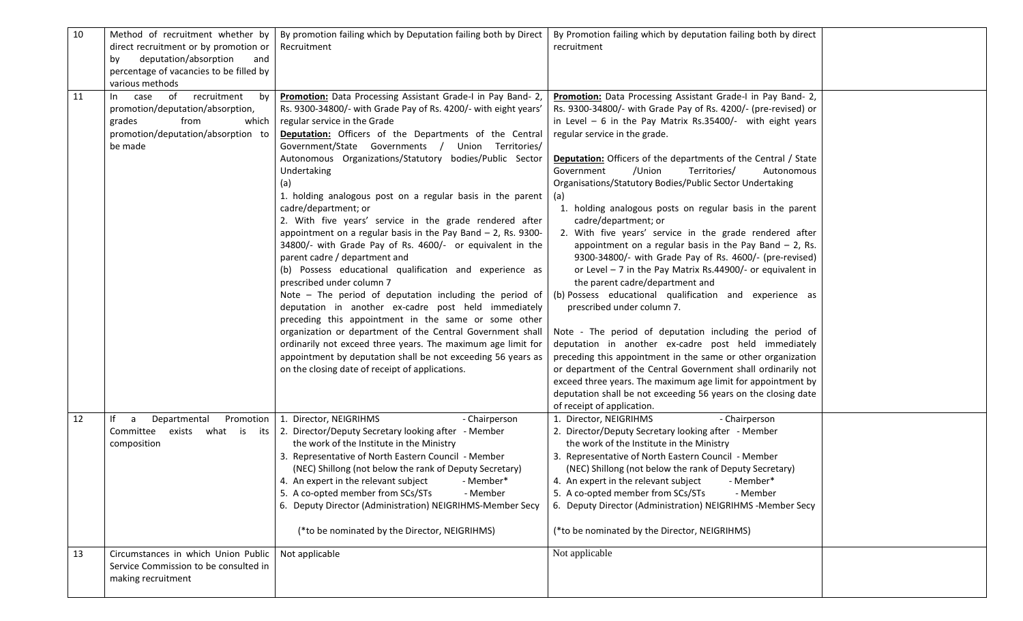| 10 | Method of recruitment whether by        | By promotion failing which by Deputation failing both by Direct                  | By Promotion failing which by deputation failing both by direct       |
|----|-----------------------------------------|----------------------------------------------------------------------------------|-----------------------------------------------------------------------|
|    | direct recruitment or by promotion or   | Recruitment                                                                      | recruitment                                                           |
|    | deputation/absorption<br>by<br>and      |                                                                                  |                                                                       |
|    | percentage of vacancies to be filled by |                                                                                  |                                                                       |
|    | various methods                         |                                                                                  |                                                                       |
| 11 | of<br>recruitment<br>case<br>by<br>In.  | Promotion: Data Processing Assistant Grade-I in Pay Band- 2,                     | Promotion: Data Processing Assistant Grade-I in Pay Band- 2,          |
|    | promotion/deputation/absorption,        | Rs. 9300-34800/- with Grade Pay of Rs. 4200/- with eight years'                  | Rs. 9300-34800/- with Grade Pay of Rs. 4200/- (pre-revised) or        |
|    | grades<br>from<br>which                 | regular service in the Grade                                                     | in Level $-6$ in the Pay Matrix Rs.35400/- with eight years           |
|    | promotion/deputation/absorption to      | Deputation: Officers of the Departments of the Central                           | regular service in the grade.                                         |
|    | be made                                 | Government/State Governments / Union Territories/                                |                                                                       |
|    |                                         | Autonomous Organizations/Statutory bodies/Public Sector                          | <b>Deputation:</b> Officers of the departments of the Central / State |
|    |                                         | Undertaking                                                                      | /Union<br>Territories/<br>Government<br>Autonomous                    |
|    |                                         | (a)                                                                              | Organisations/Statutory Bodies/Public Sector Undertaking              |
|    |                                         | 1. holding analogous post on a regular basis in the parent                       | (a)                                                                   |
|    |                                         | cadre/department; or                                                             | 1. holding analogous posts on regular basis in the parent             |
|    |                                         | 2. With five years' service in the grade rendered after                          | cadre/department; or                                                  |
|    |                                         | appointment on a regular basis in the Pay Band $-$ 2, Rs. 9300-                  | 2. With five years' service in the grade rendered after               |
|    |                                         | 34800/- with Grade Pay of Rs. 4600/- or equivalent in the                        | appointment on a regular basis in the Pay Band $-$ 2, Rs.             |
|    |                                         | parent cadre / department and                                                    | 9300-34800/- with Grade Pay of Rs. 4600/- (pre-revised)               |
|    |                                         | (b) Possess educational qualification and experience as                          | or Level - 7 in the Pay Matrix Rs.44900/- or equivalent in            |
|    |                                         | prescribed under column 7                                                        | the parent cadre/department and                                       |
|    |                                         | Note $-$ The period of deputation including the period of                        | (b) Possess educational qualification and experience as               |
|    |                                         | deputation in another ex-cadre post held immediately                             | prescribed under column 7.                                            |
|    |                                         | preceding this appointment in the same or some other                             |                                                                       |
|    |                                         | organization or department of the Central Government shall                       | Note - The period of deputation including the period of               |
|    |                                         | ordinarily not exceed three years. The maximum age limit for                     | deputation in another ex-cadre post held immediately                  |
|    |                                         | appointment by deputation shall be not exceeding 56 years as                     | preceding this appointment in the same or other organization          |
|    |                                         | on the closing date of receipt of applications.                                  | or department of the Central Government shall ordinarily not          |
|    |                                         |                                                                                  | exceed three years. The maximum age limit for appointment by          |
|    |                                         |                                                                                  | deputation shall be not exceeding 56 years on the closing date        |
|    |                                         |                                                                                  | of receipt of application.                                            |
| 12 | Promotion<br>lf<br>Departmental<br>a    | 1. Director, NEIGRIHMS<br>- Chairperson                                          | 1. Director, NEIGRIHMS<br>- Chairperson                               |
|    |                                         | Committee exists what is its 2. Director/Deputy Secretary looking after - Member | 2. Director/Deputy Secretary looking after - Member                   |
|    | composition                             | the work of the Institute in the Ministry                                        | the work of the Institute in the Ministry                             |
|    |                                         | 3. Representative of North Eastern Council - Member                              | 3. Representative of North Eastern Council - Member                   |
|    |                                         | (NEC) Shillong (not below the rank of Deputy Secretary)                          | (NEC) Shillong (not below the rank of Deputy Secretary)               |
|    |                                         | 4. An expert in the relevant subject - Member*                                   | 4. An expert in the relevant subject - Member*                        |
|    |                                         | 5. A co-opted member from SCs/STs<br>- Member                                    | 5. A co-opted member from SCs/STs<br>- Member                         |
|    |                                         | 6. Deputy Director (Administration) NEIGRIHMS-Member Secy                        | 6. Deputy Director (Administration) NEIGRIHMS -Member Secy            |
|    |                                         |                                                                                  |                                                                       |
|    |                                         | (*to be nominated by the Director, NEIGRIHMS)                                    | (*to be nominated by the Director, NEIGRIHMS)                         |
|    |                                         |                                                                                  |                                                                       |
| 13 | Circumstances in which Union Public     | Not applicable                                                                   | Not applicable                                                        |
|    | Service Commission to be consulted in   |                                                                                  |                                                                       |
|    | making recruitment                      |                                                                                  |                                                                       |
|    |                                         |                                                                                  |                                                                       |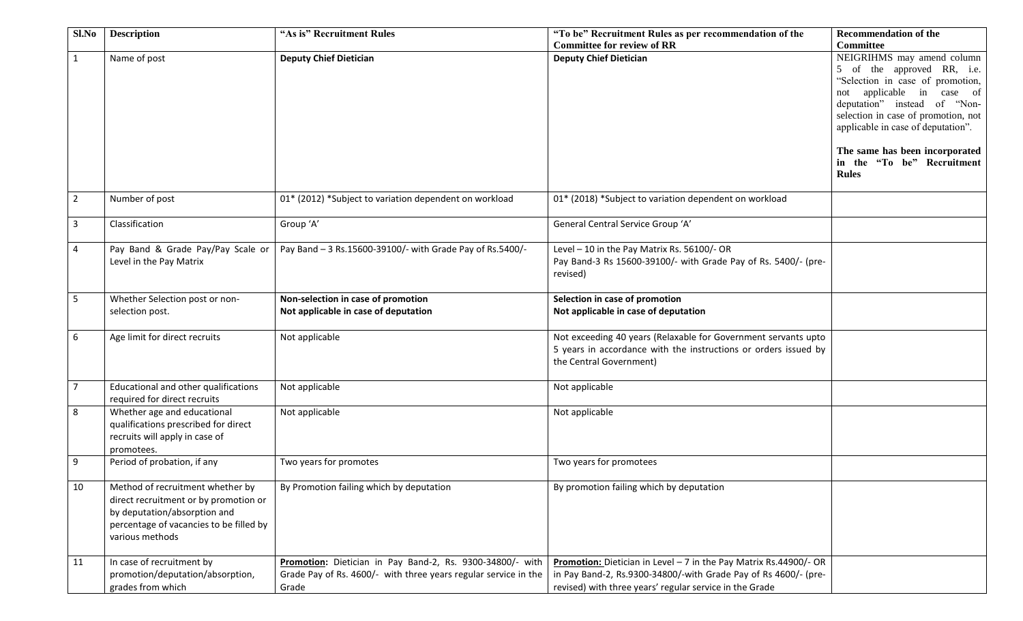| Sl.No          | <b>Description</b>                                                                                                                                                      | "As is" Recruitment Rules                                                                                                             | "To be" Recruitment Rules as per recommendation of the                                                                                                                                          | <b>Recommendation of the</b>                                                                        |
|----------------|-------------------------------------------------------------------------------------------------------------------------------------------------------------------------|---------------------------------------------------------------------------------------------------------------------------------------|-------------------------------------------------------------------------------------------------------------------------------------------------------------------------------------------------|-----------------------------------------------------------------------------------------------------|
|                |                                                                                                                                                                         |                                                                                                                                       | <b>Committee for review of RR</b>                                                                                                                                                               | <b>Committee</b>                                                                                    |
| $\mathbf{1}$   | Name of post                                                                                                                                                            | <b>Deputy Chief Dietician</b>                                                                                                         | <b>Deputy Chief Dietician</b>                                                                                                                                                                   | NEIGRIHMS may amend column<br>5 of the approved RR, i.e.<br>"Selection in case of promotion,        |
|                |                                                                                                                                                                         |                                                                                                                                       |                                                                                                                                                                                                 | applicable in case of<br>not<br>deputation" instead of "Non-<br>selection in case of promotion, not |
|                |                                                                                                                                                                         |                                                                                                                                       |                                                                                                                                                                                                 | applicable in case of deputation".                                                                  |
|                |                                                                                                                                                                         |                                                                                                                                       |                                                                                                                                                                                                 | The same has been incorporated<br>in the "To be" Recruitment<br><b>Rules</b>                        |
| $\overline{2}$ | Number of post                                                                                                                                                          | 01* (2012) *Subject to variation dependent on workload                                                                                | 01* (2018) *Subject to variation dependent on workload                                                                                                                                          |                                                                                                     |
| $\mathbf{3}$   | Classification                                                                                                                                                          | Group 'A'                                                                                                                             | General Central Service Group 'A'                                                                                                                                                               |                                                                                                     |
| 4              | Pay Band & Grade Pay/Pay Scale or<br>Level in the Pay Matrix                                                                                                            | Pay Band - 3 Rs.15600-39100/- with Grade Pay of Rs.5400/-                                                                             | Level - 10 in the Pay Matrix Rs. 56100/- OR<br>Pay Band-3 Rs 15600-39100/- with Grade Pay of Rs. 5400/- (pre-<br>revised)                                                                       |                                                                                                     |
| 5              | Whether Selection post or non-<br>selection post.                                                                                                                       | Non-selection in case of promotion<br>Not applicable in case of deputation                                                            | Selection in case of promotion<br>Not applicable in case of deputation                                                                                                                          |                                                                                                     |
| 6              | Age limit for direct recruits                                                                                                                                           | Not applicable                                                                                                                        | Not exceeding 40 years (Relaxable for Government servants upto<br>5 years in accordance with the instructions or orders issued by<br>the Central Government)                                    |                                                                                                     |
| $\overline{7}$ | Educational and other qualifications<br>required for direct recruits                                                                                                    | Not applicable                                                                                                                        | Not applicable                                                                                                                                                                                  |                                                                                                     |
| 8              | Whether age and educational<br>qualifications prescribed for direct<br>recruits will apply in case of<br>promotees.                                                     | Not applicable                                                                                                                        | Not applicable                                                                                                                                                                                  |                                                                                                     |
| 9              | Period of probation, if any                                                                                                                                             | Two years for promotes                                                                                                                | Two years for promotees                                                                                                                                                                         |                                                                                                     |
| 10             | Method of recruitment whether by<br>direct recruitment or by promotion or<br>by deputation/absorption and<br>percentage of vacancies to be filled by<br>various methods | By Promotion failing which by deputation                                                                                              | By promotion failing which by deputation                                                                                                                                                        |                                                                                                     |
| 11             | In case of recruitment by<br>promotion/deputation/absorption,<br>grades from which                                                                                      | Promotion: Dietician in Pay Band-2, Rs. 9300-34800/- with<br>Grade Pay of Rs. 4600/- with three years regular service in the<br>Grade | Promotion: Dietician in Level - 7 in the Pay Matrix Rs.44900/- OR<br>in Pay Band-2, Rs.9300-34800/-with Grade Pay of Rs 4600/- (pre-<br>revised) with three years' regular service in the Grade |                                                                                                     |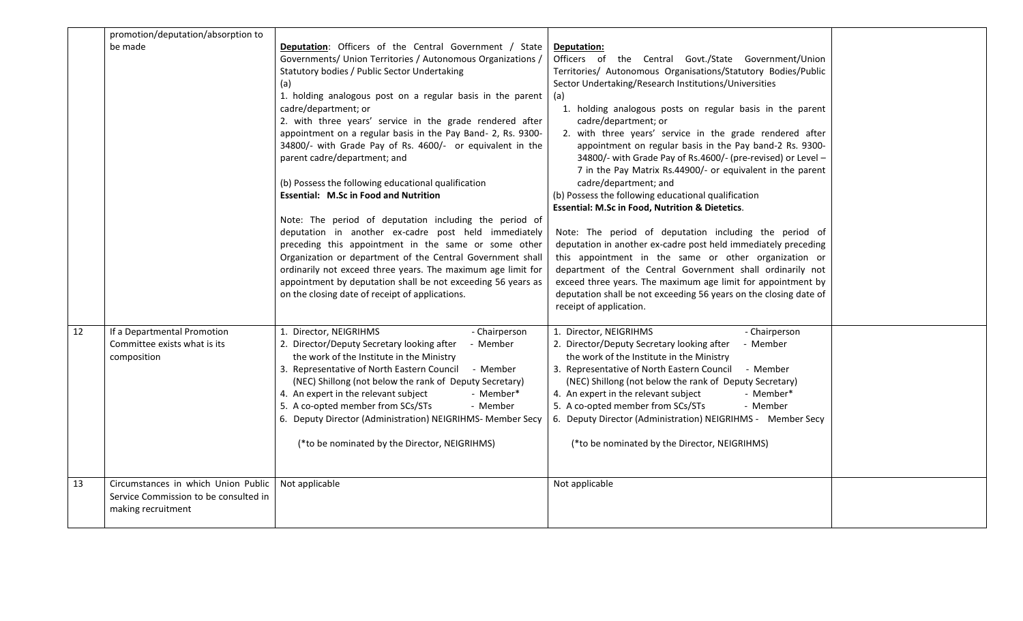|    | promotion/deputation/absorption to                                                                 |                                                                                                                                                                                                                                                                                                                                                                                                                                                                                                                                                                                                                                                                                                                                                                                                                                                                                                                                                                                                                                      |                                                                                                                                                                                                                                                                                                                                                                                                                                                                                                                                                                                                                                                                                                                                                                                                                                                                                                                                                                                                                                                                                                                 |  |
|----|----------------------------------------------------------------------------------------------------|--------------------------------------------------------------------------------------------------------------------------------------------------------------------------------------------------------------------------------------------------------------------------------------------------------------------------------------------------------------------------------------------------------------------------------------------------------------------------------------------------------------------------------------------------------------------------------------------------------------------------------------------------------------------------------------------------------------------------------------------------------------------------------------------------------------------------------------------------------------------------------------------------------------------------------------------------------------------------------------------------------------------------------------|-----------------------------------------------------------------------------------------------------------------------------------------------------------------------------------------------------------------------------------------------------------------------------------------------------------------------------------------------------------------------------------------------------------------------------------------------------------------------------------------------------------------------------------------------------------------------------------------------------------------------------------------------------------------------------------------------------------------------------------------------------------------------------------------------------------------------------------------------------------------------------------------------------------------------------------------------------------------------------------------------------------------------------------------------------------------------------------------------------------------|--|
|    | be made                                                                                            | <b>Deputation:</b> Officers of the Central Government / State<br>Governments/ Union Territories / Autonomous Organizations /<br>Statutory bodies / Public Sector Undertaking<br>(a)<br>1. holding analogous post on a regular basis in the parent<br>cadre/department; or<br>2. with three years' service in the grade rendered after<br>appointment on a regular basis in the Pay Band- 2, Rs. 9300-<br>34800/- with Grade Pay of Rs. 4600/- or equivalent in the<br>parent cadre/department; and<br>(b) Possess the following educational qualification<br><b>Essential: M.Sc in Food and Nutrition</b><br>Note: The period of deputation including the period of<br>deputation in another ex-cadre post held immediately<br>preceding this appointment in the same or some other<br>Organization or department of the Central Government shall<br>ordinarily not exceed three years. The maximum age limit for<br>appointment by deputation shall be not exceeding 56 years as<br>on the closing date of receipt of applications. | Deputation:<br>Officers of the Central Govt./State Government/Union<br>Territories/ Autonomous Organisations/Statutory Bodies/Public<br>Sector Undertaking/Research Institutions/Universities<br>(a)<br>1. holding analogous posts on regular basis in the parent<br>cadre/department; or<br>2. with three years' service in the grade rendered after<br>appointment on regular basis in the Pay band-2 Rs. 9300-<br>34800/- with Grade Pay of Rs.4600/- (pre-revised) or Level -<br>7 in the Pay Matrix Rs.44900/- or equivalent in the parent<br>cadre/department; and<br>(b) Possess the following educational qualification<br><b>Essential: M.Sc in Food, Nutrition &amp; Dietetics.</b><br>Note: The period of deputation including the period of<br>deputation in another ex-cadre post held immediately preceding<br>this appointment in the same or other organization or<br>department of the Central Government shall ordinarily not<br>exceed three years. The maximum age limit for appointment by<br>deputation shall be not exceeding 56 years on the closing date of<br>receipt of application. |  |
| 12 | If a Departmental Promotion<br>Committee exists what is its<br>composition                         | 1. Director, NEIGRIHMS<br>- Chairperson<br>2. Director/Deputy Secretary looking after<br>- Member<br>the work of the Institute in the Ministry<br>3. Representative of North Eastern Council<br>- Member<br>(NEC) Shillong (not below the rank of Deputy Secretary)<br>4. An expert in the relevant subject<br>- Member*<br>5. A co-opted member from SCs/STs<br>- Member<br>6. Deputy Director (Administration) NEIGRIHMS- Member Secy<br>(*to be nominated by the Director, NEIGRIHMS)                                                                                                                                                                                                                                                                                                                                                                                                                                                                                                                                             | 1. Director, NEIGRIHMS<br>- Chairperson<br>2. Director/Deputy Secretary looking after<br>- Member<br>the work of the Institute in the Ministry<br>3. Representative of North Eastern Council<br>- Member<br>(NEC) Shillong (not below the rank of Deputy Secretary)<br>- Member*<br>4. An expert in the relevant subject<br>5. A co-opted member from SCs/STs<br>- Member<br>6. Deputy Director (Administration) NEIGRIHMS - Member Secy<br>(*to be nominated by the Director, NEIGRIHMS)                                                                                                                                                                                                                                                                                                                                                                                                                                                                                                                                                                                                                       |  |
| 13 | Circumstances in which Union Public<br>Service Commission to be consulted in<br>making recruitment | Not applicable                                                                                                                                                                                                                                                                                                                                                                                                                                                                                                                                                                                                                                                                                                                                                                                                                                                                                                                                                                                                                       | Not applicable                                                                                                                                                                                                                                                                                                                                                                                                                                                                                                                                                                                                                                                                                                                                                                                                                                                                                                                                                                                                                                                                                                  |  |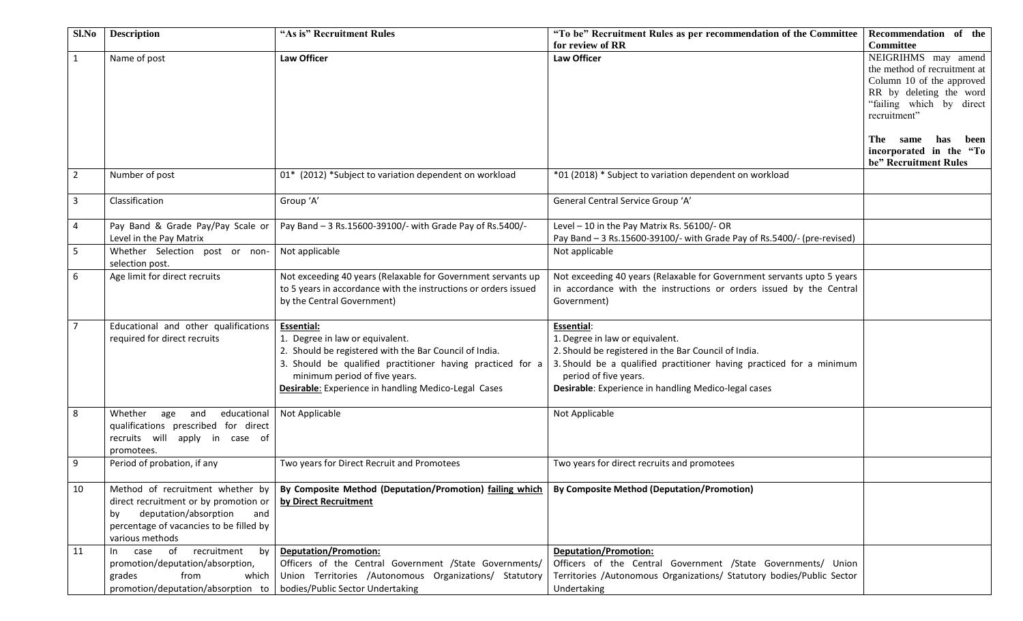| for review of RR<br>Committee<br>NEIGRIHMS may amend<br><b>Law Officer</b><br>$\mathbf{1}$<br>Name of post<br>Law Officer<br>the method of recruitment at<br>Column 10 of the approved<br>RR by deleting the word<br>"failing which by direct<br>recruitment"<br>The<br>same<br>has<br>incorporated in the "To<br>be" Recruitment Rules<br>$\overline{2}$<br>Number of post<br>01* (2012) *Subject to variation dependent on workload<br>*01 (2018) * Subject to variation dependent on workload<br>Classification<br>$\overline{3}$ | Sl.No | <b>Description</b> | "As is" Recruitment Rules | "To be" Recruitment Rules as per recommendation of the Committee | Recommendation of the |
|--------------------------------------------------------------------------------------------------------------------------------------------------------------------------------------------------------------------------------------------------------------------------------------------------------------------------------------------------------------------------------------------------------------------------------------------------------------------------------------------------------------------------------------|-------|--------------------|---------------------------|------------------------------------------------------------------|-----------------------|
|                                                                                                                                                                                                                                                                                                                                                                                                                                                                                                                                      |       |                    |                           |                                                                  |                       |
|                                                                                                                                                                                                                                                                                                                                                                                                                                                                                                                                      |       |                    |                           |                                                                  |                       |
|                                                                                                                                                                                                                                                                                                                                                                                                                                                                                                                                      |       |                    |                           |                                                                  |                       |
|                                                                                                                                                                                                                                                                                                                                                                                                                                                                                                                                      |       |                    |                           |                                                                  |                       |
|                                                                                                                                                                                                                                                                                                                                                                                                                                                                                                                                      |       |                    |                           |                                                                  |                       |
|                                                                                                                                                                                                                                                                                                                                                                                                                                                                                                                                      |       |                    |                           |                                                                  |                       |
|                                                                                                                                                                                                                                                                                                                                                                                                                                                                                                                                      |       |                    |                           |                                                                  |                       |
|                                                                                                                                                                                                                                                                                                                                                                                                                                                                                                                                      |       |                    |                           |                                                                  | been                  |
|                                                                                                                                                                                                                                                                                                                                                                                                                                                                                                                                      |       |                    |                           |                                                                  |                       |
|                                                                                                                                                                                                                                                                                                                                                                                                                                                                                                                                      |       |                    |                           |                                                                  |                       |
|                                                                                                                                                                                                                                                                                                                                                                                                                                                                                                                                      |       |                    |                           |                                                                  |                       |
|                                                                                                                                                                                                                                                                                                                                                                                                                                                                                                                                      |       |                    |                           |                                                                  |                       |
|                                                                                                                                                                                                                                                                                                                                                                                                                                                                                                                                      |       |                    | Group 'A'                 | General Central Service Group 'A'                                |                       |
|                                                                                                                                                                                                                                                                                                                                                                                                                                                                                                                                      |       |                    |                           |                                                                  |                       |
| Pay Band - 3 Rs.15600-39100/- with Grade Pay of Rs.5400/-<br>Level - 10 in the Pay Matrix Rs. 56100/- OR<br>$\overline{4}$<br>Pay Band & Grade Pay/Pay Scale or                                                                                                                                                                                                                                                                                                                                                                      |       |                    |                           |                                                                  |                       |
| Level in the Pay Matrix<br>Pay Band - 3 Rs.15600-39100/- with Grade Pay of Rs.5400/- (pre-revised)                                                                                                                                                                                                                                                                                                                                                                                                                                   |       |                    |                           |                                                                  |                       |
| 5<br>Not applicable<br>Not applicable<br>Whether Selection post or non-                                                                                                                                                                                                                                                                                                                                                                                                                                                              |       |                    |                           |                                                                  |                       |
| selection post.                                                                                                                                                                                                                                                                                                                                                                                                                                                                                                                      |       |                    |                           |                                                                  |                       |
| Age limit for direct recruits<br>6<br>Not exceeding 40 years (Relaxable for Government servants up<br>Not exceeding 40 years (Relaxable for Government servants upto 5 years                                                                                                                                                                                                                                                                                                                                                         |       |                    |                           |                                                                  |                       |
| to 5 years in accordance with the instructions or orders issued<br>in accordance with the instructions or orders issued by the Central                                                                                                                                                                                                                                                                                                                                                                                               |       |                    |                           |                                                                  |                       |
| by the Central Government)<br>Government)                                                                                                                                                                                                                                                                                                                                                                                                                                                                                            |       |                    |                           |                                                                  |                       |
|                                                                                                                                                                                                                                                                                                                                                                                                                                                                                                                                      |       |                    |                           |                                                                  |                       |
| $\overline{7}$<br>Educational and other qualifications<br>Essential:<br>Essential:                                                                                                                                                                                                                                                                                                                                                                                                                                                   |       |                    |                           |                                                                  |                       |
| required for direct recruits<br>1. Degree in law or equivalent.<br>1. Degree in law or equivalent.                                                                                                                                                                                                                                                                                                                                                                                                                                   |       |                    |                           |                                                                  |                       |
| 2. Should be registered with the Bar Council of India.<br>2. Should be registered in the Bar Council of India.                                                                                                                                                                                                                                                                                                                                                                                                                       |       |                    |                           |                                                                  |                       |
| 3. Should be qualified practitioner having practiced for a<br>3. Should be a qualified practitioner having practiced for a minimum                                                                                                                                                                                                                                                                                                                                                                                                   |       |                    |                           |                                                                  |                       |
| minimum period of five years.<br>period of five years.                                                                                                                                                                                                                                                                                                                                                                                                                                                                               |       |                    |                           |                                                                  |                       |
| <b>Desirable:</b> Experience in handling Medico-Legal Cases<br>Desirable: Experience in handling Medico-legal cases                                                                                                                                                                                                                                                                                                                                                                                                                  |       |                    |                           |                                                                  |                       |
|                                                                                                                                                                                                                                                                                                                                                                                                                                                                                                                                      |       |                    |                           |                                                                  |                       |
| 8<br>Whether<br>educational<br>Not Applicable<br>age<br>and<br>Not Applicable                                                                                                                                                                                                                                                                                                                                                                                                                                                        |       |                    |                           |                                                                  |                       |
| qualifications prescribed for direct                                                                                                                                                                                                                                                                                                                                                                                                                                                                                                 |       |                    |                           |                                                                  |                       |
| recruits will apply in case of                                                                                                                                                                                                                                                                                                                                                                                                                                                                                                       |       |                    |                           |                                                                  |                       |
| promotees.                                                                                                                                                                                                                                                                                                                                                                                                                                                                                                                           |       |                    |                           |                                                                  |                       |
| 9<br>Period of probation, if any<br>Two years for Direct Recruit and Promotees<br>Two years for direct recruits and promotees                                                                                                                                                                                                                                                                                                                                                                                                        |       |                    |                           |                                                                  |                       |
| 10<br>Method of recruitment whether by<br>By Composite Method (Deputation/Promotion) failing which   By Composite Method (Deputation/Promotion)                                                                                                                                                                                                                                                                                                                                                                                      |       |                    |                           |                                                                  |                       |
| direct recruitment or by promotion or<br>by Direct Recruitment                                                                                                                                                                                                                                                                                                                                                                                                                                                                       |       |                    |                           |                                                                  |                       |
| deputation/absorption<br>by<br>and                                                                                                                                                                                                                                                                                                                                                                                                                                                                                                   |       |                    |                           |                                                                  |                       |
| percentage of vacancies to be filled by                                                                                                                                                                                                                                                                                                                                                                                                                                                                                              |       |                    |                           |                                                                  |                       |
| various methods                                                                                                                                                                                                                                                                                                                                                                                                                                                                                                                      |       |                    |                           |                                                                  |                       |
| recruitment<br>o <sub>f</sub><br><b>Deputation/Promotion:</b><br><b>Deputation/Promotion:</b><br>11<br>bv<br>case<br>$\ln$                                                                                                                                                                                                                                                                                                                                                                                                           |       |                    |                           |                                                                  |                       |
| Officers of the Central Government /State Governments/<br>Officers of the Central Government /State Governments/ Union<br>promotion/deputation/absorption,                                                                                                                                                                                                                                                                                                                                                                           |       |                    |                           |                                                                  |                       |
| Union Territories /Autonomous Organizations/ Statutory<br>Territories /Autonomous Organizations/ Statutory bodies/Public Sector<br>from<br>grades<br>which                                                                                                                                                                                                                                                                                                                                                                           |       |                    |                           |                                                                  |                       |
| promotion/deputation/absorption to   bodies/Public Sector Undertaking<br>Undertaking                                                                                                                                                                                                                                                                                                                                                                                                                                                 |       |                    |                           |                                                                  |                       |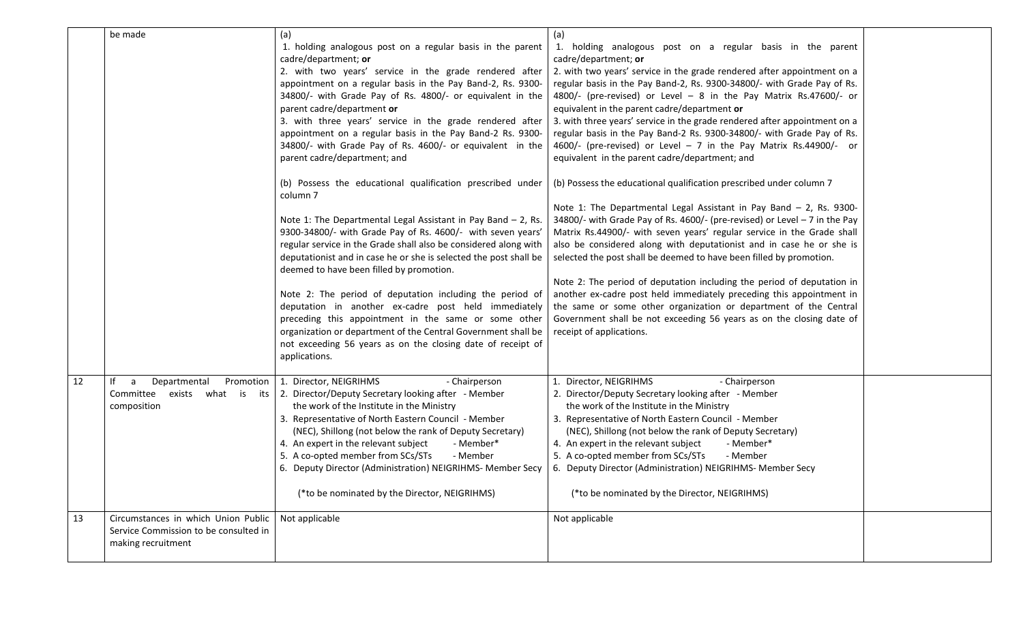|    | be made                                                                                            | (a)<br>1. holding analogous post on a regular basis in the parent<br>cadre/department; or<br>2. with two years' service in the grade rendered after<br>appointment on a regular basis in the Pay Band-2, Rs. 9300-<br>34800/- with Grade Pay of Rs. 4800/- or equivalent in the<br>parent cadre/department or<br>3. with three years' service in the grade rendered after<br>appointment on a regular basis in the Pay Band-2 Rs. 9300-<br>34800/- with Grade Pay of Rs. 4600/- or equivalent in the<br>parent cadre/department; and<br>(b) Possess the educational qualification prescribed under<br>column 7<br>Note 1: The Departmental Legal Assistant in Pay Band $-$ 2, Rs.<br>9300-34800/- with Grade Pay of Rs. 4600/- with seven years'<br>regular service in the Grade shall also be considered along with<br>deputationist and in case he or she is selected the post shall be<br>deemed to have been filled by promotion.<br>Note 2: The period of deputation including the period of<br>deputation in another ex-cadre post held immediately<br>preceding this appointment in the same or some other<br>organization or department of the Central Government shall be<br>not exceeding 56 years as on the closing date of receipt of<br>applications. | (a)<br>1. holding analogous post on a regular basis in the parent<br>cadre/department; or<br>2. with two years' service in the grade rendered after appointment on a<br>regular basis in the Pay Band-2, Rs. 9300-34800/- with Grade Pay of Rs.<br>4800/- (pre-revised) or Level - 8 in the Pay Matrix Rs.47600/- or<br>equivalent in the parent cadre/department or<br>3. with three years' service in the grade rendered after appointment on a<br>regular basis in the Pay Band-2 Rs. 9300-34800/- with Grade Pay of Rs.<br>4600/- (pre-revised) or Level - 7 in the Pay Matrix Rs.44900/- or<br>equivalent in the parent cadre/department; and<br>(b) Possess the educational qualification prescribed under column 7<br>Note 1: The Departmental Legal Assistant in Pay Band $-$ 2, Rs. 9300-<br>34800/- with Grade Pay of Rs. 4600/- (pre-revised) or Level - 7 in the Pay<br>Matrix Rs.44900/- with seven years' regular service in the Grade shall<br>also be considered along with deputationist and in case he or she is<br>selected the post shall be deemed to have been filled by promotion.<br>Note 2: The period of deputation including the period of deputation in<br>another ex-cadre post held immediately preceding this appointment in<br>the same or some other organization or department of the Central<br>Government shall be not exceeding 56 years as on the closing date of<br>receipt of applications. |  |
|----|----------------------------------------------------------------------------------------------------|--------------------------------------------------------------------------------------------------------------------------------------------------------------------------------------------------------------------------------------------------------------------------------------------------------------------------------------------------------------------------------------------------------------------------------------------------------------------------------------------------------------------------------------------------------------------------------------------------------------------------------------------------------------------------------------------------------------------------------------------------------------------------------------------------------------------------------------------------------------------------------------------------------------------------------------------------------------------------------------------------------------------------------------------------------------------------------------------------------------------------------------------------------------------------------------------------------------------------------------------------------------------|-------------------------------------------------------------------------------------------------------------------------------------------------------------------------------------------------------------------------------------------------------------------------------------------------------------------------------------------------------------------------------------------------------------------------------------------------------------------------------------------------------------------------------------------------------------------------------------------------------------------------------------------------------------------------------------------------------------------------------------------------------------------------------------------------------------------------------------------------------------------------------------------------------------------------------------------------------------------------------------------------------------------------------------------------------------------------------------------------------------------------------------------------------------------------------------------------------------------------------------------------------------------------------------------------------------------------------------------------------------------------------------------------------------------------------------|--|
| 12 | lf<br>Departmental<br>Promotion<br>a<br>Committee<br>exists<br>what is its<br>composition          | 1. Director, NEIGRIHMS<br>- Chairperson<br>2. Director/Deputy Secretary looking after - Member<br>the work of the Institute in the Ministry<br>3. Representative of North Eastern Council - Member<br>(NEC), Shillong (not below the rank of Deputy Secretary)<br>4. An expert in the relevant subject<br>- Member*<br>5. A co-opted member from SCs/STs<br>- Member<br>6. Deputy Director (Administration) NEIGRIHMS- Member Secy<br>(*to be nominated by the Director, NEIGRIHMS)                                                                                                                                                                                                                                                                                                                                                                                                                                                                                                                                                                                                                                                                                                                                                                                | 1. Director, NEIGRIHMS<br>- Chairperson<br>2. Director/Deputy Secretary looking after - Member<br>the work of the Institute in the Ministry<br>3. Representative of North Eastern Council - Member<br>(NEC), Shillong (not below the rank of Deputy Secretary)<br>4. An expert in the relevant subject<br>- Member*<br>5. A co-opted member from SCs/STs<br>- Member<br>6. Deputy Director (Administration) NEIGRIHMS- Member Secy<br>(*to be nominated by the Director, NEIGRIHMS)                                                                                                                                                                                                                                                                                                                                                                                                                                                                                                                                                                                                                                                                                                                                                                                                                                                                                                                                                 |  |
| 13 | Circumstances in which Union Public<br>Service Commission to be consulted in<br>making recruitment | Not applicable                                                                                                                                                                                                                                                                                                                                                                                                                                                                                                                                                                                                                                                                                                                                                                                                                                                                                                                                                                                                                                                                                                                                                                                                                                                     | Not applicable                                                                                                                                                                                                                                                                                                                                                                                                                                                                                                                                                                                                                                                                                                                                                                                                                                                                                                                                                                                                                                                                                                                                                                                                                                                                                                                                                                                                                      |  |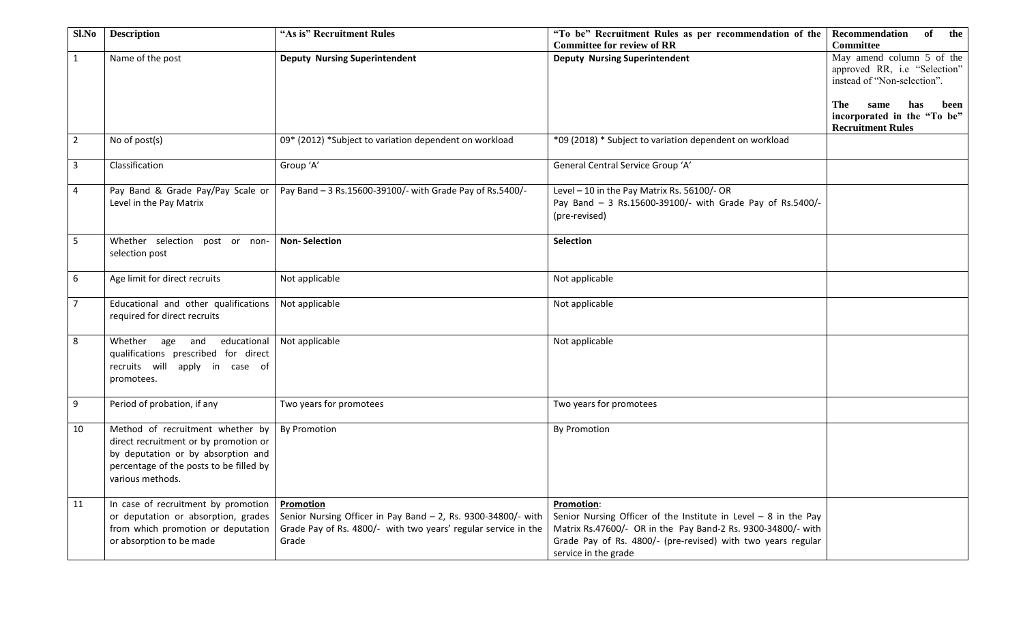| Sl.No          | <b>Description</b>                                                                                                                                                             | "As is" Recruitment Rules                                                                                                                             | "To be" Recruitment Rules as per recommendation of the<br><b>Committee for review of RR</b>                                                                                                                                                   | Recommendation<br>of<br>the<br><b>Committee</b>                                                                                                                                   |
|----------------|--------------------------------------------------------------------------------------------------------------------------------------------------------------------------------|-------------------------------------------------------------------------------------------------------------------------------------------------------|-----------------------------------------------------------------------------------------------------------------------------------------------------------------------------------------------------------------------------------------------|-----------------------------------------------------------------------------------------------------------------------------------------------------------------------------------|
| $\mathbf{1}$   | Name of the post                                                                                                                                                               | <b>Deputy Nursing Superintendent</b>                                                                                                                  | <b>Deputy Nursing Superintendent</b>                                                                                                                                                                                                          | May amend column 5 of the<br>approved RR, i.e "Selection"<br>instead of "Non-selection".<br>The<br>has<br>same<br>been<br>incorporated in the "To be"<br><b>Recruitment Rules</b> |
| $\overline{2}$ | No of post(s)                                                                                                                                                                  | 09* (2012) *Subject to variation dependent on workload                                                                                                | *09 (2018) * Subject to variation dependent on workload                                                                                                                                                                                       |                                                                                                                                                                                   |
| $\mathbf{3}$   | Classification                                                                                                                                                                 | Group 'A'                                                                                                                                             | General Central Service Group 'A'                                                                                                                                                                                                             |                                                                                                                                                                                   |
| 4              | Pay Band & Grade Pay/Pay Scale or<br>Level in the Pay Matrix                                                                                                                   | Pay Band - 3 Rs.15600-39100/- with Grade Pay of Rs.5400/-                                                                                             | Level - 10 in the Pay Matrix Rs. 56100/- OR<br>Pay Band - 3 Rs.15600-39100/- with Grade Pay of Rs.5400/-<br>(pre-revised)                                                                                                                     |                                                                                                                                                                                   |
| 5              | Whether selection post or non-<br>selection post                                                                                                                               | <b>Non-Selection</b>                                                                                                                                  | Selection                                                                                                                                                                                                                                     |                                                                                                                                                                                   |
| 6              | Age limit for direct recruits                                                                                                                                                  | Not applicable                                                                                                                                        | Not applicable                                                                                                                                                                                                                                |                                                                                                                                                                                   |
| $\overline{7}$ | Educational and other qualifications<br>required for direct recruits                                                                                                           | Not applicable                                                                                                                                        | Not applicable                                                                                                                                                                                                                                |                                                                                                                                                                                   |
| 8              | Whether age and<br>educational<br>qualifications prescribed for direct<br>recruits will apply in case of<br>promotees.                                                         | Not applicable                                                                                                                                        | Not applicable                                                                                                                                                                                                                                |                                                                                                                                                                                   |
| 9              | Period of probation, if any                                                                                                                                                    | Two years for promotees                                                                                                                               | Two years for promotees                                                                                                                                                                                                                       |                                                                                                                                                                                   |
| 10             | Method of recruitment whether by<br>direct recruitment or by promotion or<br>by deputation or by absorption and<br>percentage of the posts to be filled by<br>various methods. | <b>By Promotion</b>                                                                                                                                   | <b>By Promotion</b>                                                                                                                                                                                                                           |                                                                                                                                                                                   |
| 11             | In case of recruitment by promotion<br>or deputation or absorption, grades<br>from which promotion or deputation<br>or absorption to be made                                   | Promotion<br>Senior Nursing Officer in Pay Band - 2, Rs. 9300-34800/- with<br>Grade Pay of Rs. 4800/- with two years' regular service in the<br>Grade | <b>Promotion:</b><br>Senior Nursing Officer of the Institute in Level $-8$ in the Pay<br>Matrix Rs.47600/- OR in the Pay Band-2 Rs. 9300-34800/- with<br>Grade Pay of Rs. 4800/- (pre-revised) with two years regular<br>service in the grade |                                                                                                                                                                                   |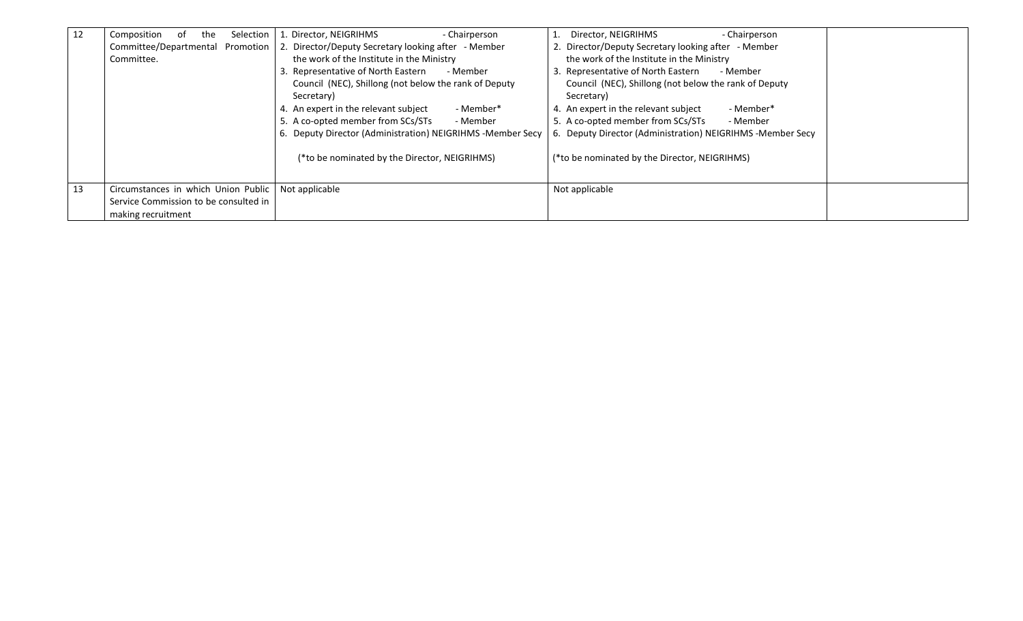| 12 | Selection<br>Composition<br>0t<br>the<br>Committee/Departmental Promotion | 1. Director, NEIGRIHMS<br>- Chairperson<br>2. Director/Deputy Secretary looking after - Member | - Chairperson<br>Director, NEIGRIHMS<br>2. Director/Deputy Secretary looking after - Member |  |
|----|---------------------------------------------------------------------------|------------------------------------------------------------------------------------------------|---------------------------------------------------------------------------------------------|--|
|    | Committee.                                                                | the work of the Institute in the Ministry<br>3. Representative of North Eastern<br>- Member    | the work of the Institute in the Ministry<br>3. Representative of North Eastern<br>- Member |  |
|    |                                                                           | Council (NEC), Shillong (not below the rank of Deputy<br>Secretary)                            | Council (NEC), Shillong (not below the rank of Deputy<br>Secretary)                         |  |
|    |                                                                           | - Member*<br>4. An expert in the relevant subject                                              | - Member*<br>4. An expert in the relevant subject                                           |  |
|    |                                                                           | 5. A co-opted member from SCs/STs<br>- Member                                                  | 5. A co-opted member from SCs/STs<br>- Member                                               |  |
|    |                                                                           | 6. Deputy Director (Administration) NEIGRIHMS -Member Secy                                     | 6. Deputy Director (Administration) NEIGRIHMS -Member Secy                                  |  |
|    |                                                                           | (*to be nominated by the Director, NEIGRIHMS)                                                  | (*to be nominated by the Director, NEIGRIHMS)                                               |  |
| 13 | Circumstances in which Union Public                                       | Not applicable                                                                                 | Not applicable                                                                              |  |
|    | Service Commission to be consulted in                                     |                                                                                                |                                                                                             |  |
|    | making recruitment                                                        |                                                                                                |                                                                                             |  |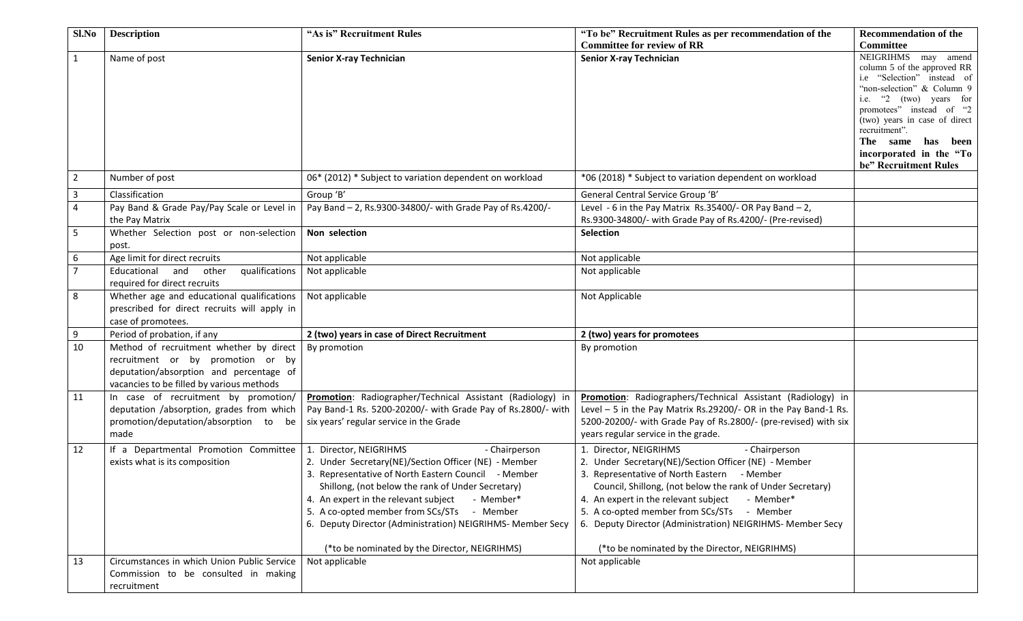| Sl.No          | <b>Description</b>                                                                                                                                                   | "As is" Recruitment Rules                                                                                                                                                                                                                                                                                                                                                                                                     | "To be" Recruitment Rules as per recommendation of the                                                                                                                                                                                                                                                                                                                                                                         | <b>Recommendation of the</b>                                                                                                                                                                                                                                                                         |
|----------------|----------------------------------------------------------------------------------------------------------------------------------------------------------------------|-------------------------------------------------------------------------------------------------------------------------------------------------------------------------------------------------------------------------------------------------------------------------------------------------------------------------------------------------------------------------------------------------------------------------------|--------------------------------------------------------------------------------------------------------------------------------------------------------------------------------------------------------------------------------------------------------------------------------------------------------------------------------------------------------------------------------------------------------------------------------|------------------------------------------------------------------------------------------------------------------------------------------------------------------------------------------------------------------------------------------------------------------------------------------------------|
|                |                                                                                                                                                                      |                                                                                                                                                                                                                                                                                                                                                                                                                               | <b>Committee for review of RR</b>                                                                                                                                                                                                                                                                                                                                                                                              | Committee                                                                                                                                                                                                                                                                                            |
| $\mathbf{1}$   | Name of post                                                                                                                                                         | <b>Senior X-ray Technician</b>                                                                                                                                                                                                                                                                                                                                                                                                | <b>Senior X-ray Technician</b>                                                                                                                                                                                                                                                                                                                                                                                                 | NEIGRIHMS may amend<br>column 5 of the approved RR<br>i.e "Selection" instead of<br>"non-selection" & Column 9<br>"2 (two) years for<br>i.e.<br>promotees" instead of "2"<br>(two) years in case of direct<br>recruitment".<br>The same has been<br>incorporated in the "To<br>be" Recruitment Rules |
| $\overline{2}$ | Number of post                                                                                                                                                       | 06* (2012) * Subject to variation dependent on workload                                                                                                                                                                                                                                                                                                                                                                       | *06 (2018) * Subject to variation dependent on workload                                                                                                                                                                                                                                                                                                                                                                        |                                                                                                                                                                                                                                                                                                      |
| 3              | Classification                                                                                                                                                       | Group 'B'                                                                                                                                                                                                                                                                                                                                                                                                                     | General Central Service Group 'B'                                                                                                                                                                                                                                                                                                                                                                                              |                                                                                                                                                                                                                                                                                                      |
| 4              | Pay Band & Grade Pay/Pay Scale or Level in                                                                                                                           | Pay Band - 2, Rs.9300-34800/- with Grade Pay of Rs.4200/-                                                                                                                                                                                                                                                                                                                                                                     | Level - 6 in the Pay Matrix Rs.35400/- OR Pay Band $-2$ ,                                                                                                                                                                                                                                                                                                                                                                      |                                                                                                                                                                                                                                                                                                      |
|                | the Pay Matrix                                                                                                                                                       |                                                                                                                                                                                                                                                                                                                                                                                                                               | Rs.9300-34800/- with Grade Pay of Rs.4200/- (Pre-revised)                                                                                                                                                                                                                                                                                                                                                                      |                                                                                                                                                                                                                                                                                                      |
| 5              | Whether Selection post or non-selection<br>post.                                                                                                                     | Non selection                                                                                                                                                                                                                                                                                                                                                                                                                 | Selection                                                                                                                                                                                                                                                                                                                                                                                                                      |                                                                                                                                                                                                                                                                                                      |
| 6              | Age limit for direct recruits                                                                                                                                        | Not applicable                                                                                                                                                                                                                                                                                                                                                                                                                | Not applicable                                                                                                                                                                                                                                                                                                                                                                                                                 |                                                                                                                                                                                                                                                                                                      |
| 7 <sup>1</sup> | Educational and<br>qualifications<br>other<br>required for direct recruits                                                                                           | Not applicable                                                                                                                                                                                                                                                                                                                                                                                                                | Not applicable                                                                                                                                                                                                                                                                                                                                                                                                                 |                                                                                                                                                                                                                                                                                                      |
| 8              | Whether age and educational qualifications<br>prescribed for direct recruits will apply in<br>case of promotees.                                                     | Not applicable                                                                                                                                                                                                                                                                                                                                                                                                                | Not Applicable                                                                                                                                                                                                                                                                                                                                                                                                                 |                                                                                                                                                                                                                                                                                                      |
| 9              | Period of probation, if any                                                                                                                                          | 2 (two) years in case of Direct Recruitment                                                                                                                                                                                                                                                                                                                                                                                   | 2 (two) years for promotees                                                                                                                                                                                                                                                                                                                                                                                                    |                                                                                                                                                                                                                                                                                                      |
| 10             | Method of recruitment whether by direct<br>recruitment or by promotion or by<br>deputation/absorption and percentage of<br>vacancies to be filled by various methods | By promotion                                                                                                                                                                                                                                                                                                                                                                                                                  | By promotion                                                                                                                                                                                                                                                                                                                                                                                                                   |                                                                                                                                                                                                                                                                                                      |
| 11             | In case of recruitment by promotion/<br>deputation /absorption, grades from which<br>promotion/deputation/absorption to be<br>made                                   | Promotion: Radiographer/Technical Assistant (Radiology) in<br>Pay Band-1 Rs. 5200-20200/- with Grade Pay of Rs.2800/- with<br>six years' regular service in the Grade                                                                                                                                                                                                                                                         | Promotion: Radiographers/Technical Assistant (Radiology) in<br>Level - 5 in the Pay Matrix Rs.29200/- OR in the Pay Band-1 Rs.<br>5200-20200/- with Grade Pay of Rs.2800/- (pre-revised) with six<br>years regular service in the grade.                                                                                                                                                                                       |                                                                                                                                                                                                                                                                                                      |
| 12             | If a Departmental Promotion Committee<br>exists what is its composition                                                                                              | 1. Director, NEIGRIHMS<br>- Chairperson<br>2. Under Secretary(NE)/Section Officer (NE) - Member<br>3. Representative of North Eastern Council - Member<br>Shillong, (not below the rank of Under Secretary)<br>4. An expert in the relevant subject<br>- Member*<br>5. A co-opted member from SCs/STs - Member<br>6. Deputy Director (Administration) NEIGRIHMS- Member Secy<br>(*to be nominated by the Director, NEIGRIHMS) | 1. Director, NEIGRIHMS<br>- Chairperson<br>2. Under Secretary(NE)/Section Officer (NE) - Member<br>3. Representative of North Eastern - Member<br>Council, Shillong, (not below the rank of Under Secretary)<br>4. An expert in the relevant subject<br>- Member*<br>5. A co-opted member from SCs/STs - Member<br>6. Deputy Director (Administration) NEIGRIHMS- Member Secy<br>(*to be nominated by the Director, NEIGRIHMS) |                                                                                                                                                                                                                                                                                                      |
| 13             | Circumstances in which Union Public Service                                                                                                                          | Not applicable                                                                                                                                                                                                                                                                                                                                                                                                                | Not applicable                                                                                                                                                                                                                                                                                                                                                                                                                 |                                                                                                                                                                                                                                                                                                      |
|                | Commission to be consulted in making<br>recruitment                                                                                                                  |                                                                                                                                                                                                                                                                                                                                                                                                                               |                                                                                                                                                                                                                                                                                                                                                                                                                                |                                                                                                                                                                                                                                                                                                      |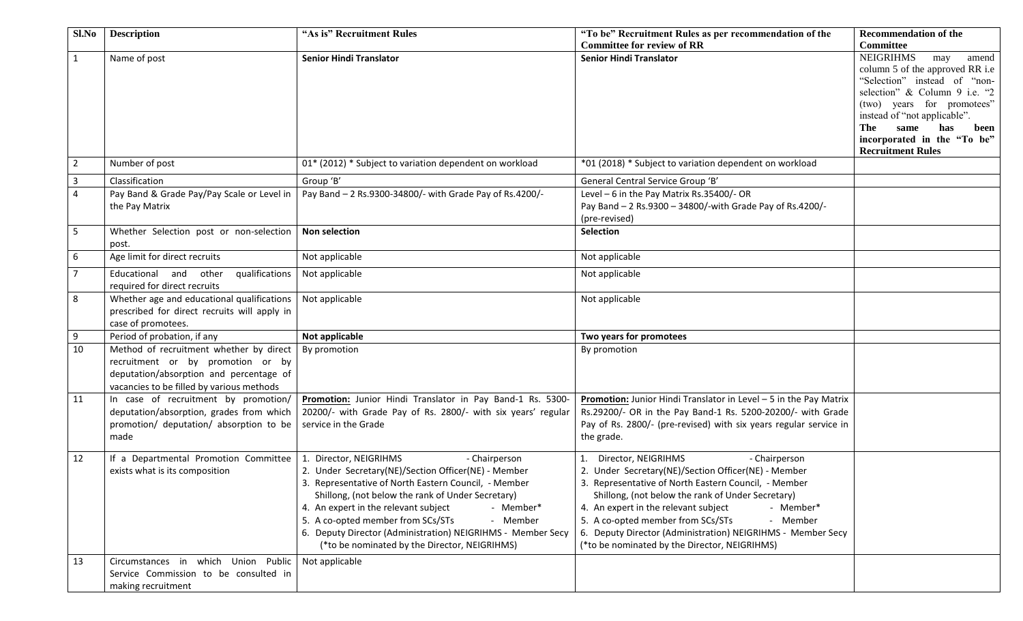| Sl.No          | <b>Description</b>                                                                                                                                                   | "As is" Recruitment Rules                                                                                                                                                                                                                                                                                                                                                                                                         | "To be" Recruitment Rules as per recommendation of the<br><b>Committee for review of RR</b>                                                                                                                                                                                                                                                                                                                                       | <b>Recommendation of the</b><br>Committee                                                                                                                                                                                                                                                   |
|----------------|----------------------------------------------------------------------------------------------------------------------------------------------------------------------|-----------------------------------------------------------------------------------------------------------------------------------------------------------------------------------------------------------------------------------------------------------------------------------------------------------------------------------------------------------------------------------------------------------------------------------|-----------------------------------------------------------------------------------------------------------------------------------------------------------------------------------------------------------------------------------------------------------------------------------------------------------------------------------------------------------------------------------------------------------------------------------|---------------------------------------------------------------------------------------------------------------------------------------------------------------------------------------------------------------------------------------------------------------------------------------------|
| $\mathbf{1}$   | Name of post                                                                                                                                                         | <b>Senior Hindi Translator</b>                                                                                                                                                                                                                                                                                                                                                                                                    | <b>Senior Hindi Translator</b>                                                                                                                                                                                                                                                                                                                                                                                                    | <b>NEIGRIHMS</b><br>may<br>amend<br>column 5 of the approved RR i.e<br>"Selection" instead of "non-<br>selection" & Column 9 i.e. "2<br>(two) years for promotees"<br>instead of "not applicable".<br>The<br>has<br>same<br>been<br>incorporated in the "To be"<br><b>Recruitment Rules</b> |
| $\overline{2}$ | Number of post                                                                                                                                                       | 01* (2012) * Subject to variation dependent on workload                                                                                                                                                                                                                                                                                                                                                                           | *01 (2018) * Subject to variation dependent on workload                                                                                                                                                                                                                                                                                                                                                                           |                                                                                                                                                                                                                                                                                             |
| 3              | Classification                                                                                                                                                       | Group 'B'                                                                                                                                                                                                                                                                                                                                                                                                                         | General Central Service Group 'B'                                                                                                                                                                                                                                                                                                                                                                                                 |                                                                                                                                                                                                                                                                                             |
| $\overline{4}$ | Pay Band & Grade Pay/Pay Scale or Level in<br>the Pay Matrix                                                                                                         | Pay Band - 2 Rs.9300-34800/- with Grade Pay of Rs.4200/-                                                                                                                                                                                                                                                                                                                                                                          | Level - 6 in the Pay Matrix Rs.35400/- OR<br>Pay Band - 2 Rs.9300 - 34800/-with Grade Pay of Rs.4200/-<br>(pre-revised)                                                                                                                                                                                                                                                                                                           |                                                                                                                                                                                                                                                                                             |
| 5              | Whether Selection post or non-selection<br>post.                                                                                                                     | <b>Non selection</b>                                                                                                                                                                                                                                                                                                                                                                                                              | <b>Selection</b>                                                                                                                                                                                                                                                                                                                                                                                                                  |                                                                                                                                                                                                                                                                                             |
| 6              | Age limit for direct recruits                                                                                                                                        | Not applicable                                                                                                                                                                                                                                                                                                                                                                                                                    | Not applicable                                                                                                                                                                                                                                                                                                                                                                                                                    |                                                                                                                                                                                                                                                                                             |
| $\overline{7}$ | Educational and<br>qualifications<br>other<br>required for direct recruits                                                                                           | Not applicable                                                                                                                                                                                                                                                                                                                                                                                                                    | Not applicable                                                                                                                                                                                                                                                                                                                                                                                                                    |                                                                                                                                                                                                                                                                                             |
| 8              | Whether age and educational qualifications<br>prescribed for direct recruits will apply in<br>case of promotees.                                                     | Not applicable                                                                                                                                                                                                                                                                                                                                                                                                                    | Not applicable                                                                                                                                                                                                                                                                                                                                                                                                                    |                                                                                                                                                                                                                                                                                             |
| 9              | Period of probation, if any                                                                                                                                          | Not applicable                                                                                                                                                                                                                                                                                                                                                                                                                    | Two years for promotees                                                                                                                                                                                                                                                                                                                                                                                                           |                                                                                                                                                                                                                                                                                             |
| 10             | Method of recruitment whether by direct<br>recruitment or by promotion or by<br>deputation/absorption and percentage of<br>vacancies to be filled by various methods | By promotion                                                                                                                                                                                                                                                                                                                                                                                                                      | By promotion                                                                                                                                                                                                                                                                                                                                                                                                                      |                                                                                                                                                                                                                                                                                             |
| 11             | In case of recruitment by promotion/<br>deputation/absorption, grades from which<br>promotion/ deputation/ absorption to be<br>made                                  | Promotion: Junior Hindi Translator in Pay Band-1 Rs. 5300-<br>20200/- with Grade Pay of Rs. 2800/- with six years' regular<br>service in the Grade                                                                                                                                                                                                                                                                                | Promotion: Junior Hindi Translator in Level - 5 in the Pay Matrix<br>Rs.29200/- OR in the Pay Band-1 Rs. 5200-20200/- with Grade<br>Pay of Rs. 2800/- (pre-revised) with six years regular service in<br>the grade.                                                                                                                                                                                                               |                                                                                                                                                                                                                                                                                             |
| 12             | If a Departmental Promotion Committee<br>exists what is its composition                                                                                              | 1. Director, NEIGRIHMS<br>- Chairperson<br>2. Under Secretary(NE)/Section Officer(NE) - Member<br>3. Representative of North Eastern Council, - Member<br>Shillong, (not below the rank of Under Secretary)<br>4. An expert in the relevant subject<br>- Member*<br>5. A co-opted member from SCs/STs<br>- Member<br>6. Deputy Director (Administration) NEIGRIHMS - Member Secy<br>(*to be nominated by the Director, NEIGRIHMS) | 1. Director, NEIGRIHMS<br>- Chairperson<br>2. Under Secretary(NE)/Section Officer(NE) - Member<br>3. Representative of North Eastern Council, - Member<br>Shillong, (not below the rank of Under Secretary)<br>4. An expert in the relevant subject<br>- Member*<br>5. A co-opted member from SCs/STs<br>- Member<br>6. Deputy Director (Administration) NEIGRIHMS - Member Secy<br>(*to be nominated by the Director, NEIGRIHMS) |                                                                                                                                                                                                                                                                                             |
| 13             | Circumstances in which Union Public<br>Service Commission to be consulted in<br>making recruitment                                                                   | Not applicable                                                                                                                                                                                                                                                                                                                                                                                                                    |                                                                                                                                                                                                                                                                                                                                                                                                                                   |                                                                                                                                                                                                                                                                                             |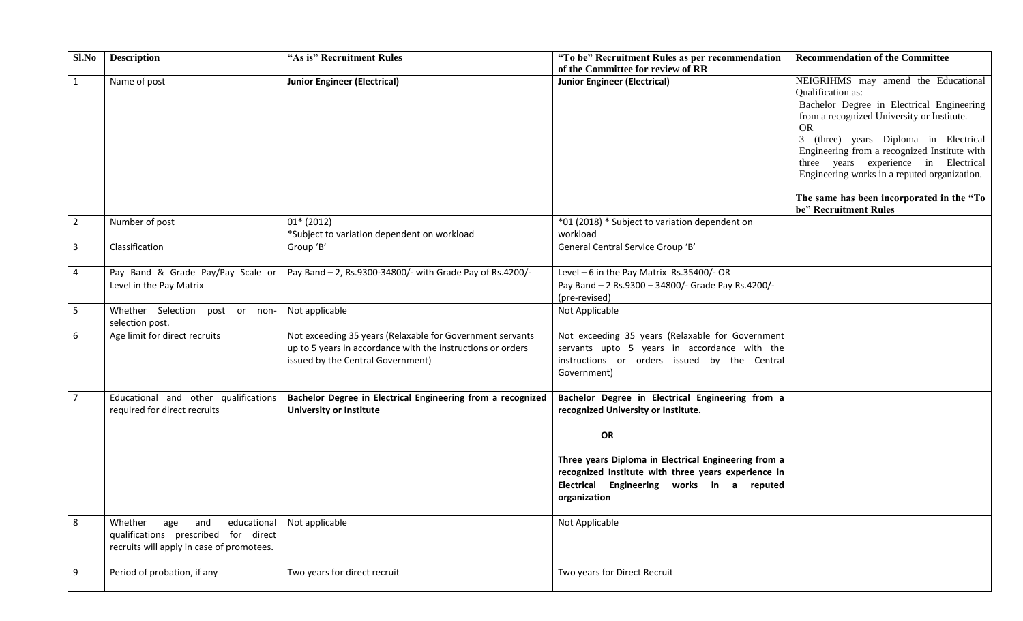| Sl.No          | <b>Description</b>                                                                                                        | "As is" Recruitment Rules                                                                                                                                     | "To be" Recruitment Rules as per recommendation<br>of the Committee for review of RR                                                                                                                                                                                      | <b>Recommendation of the Committee</b>                                                                                                                                                                                                                                                                                                                                                                                  |
|----------------|---------------------------------------------------------------------------------------------------------------------------|---------------------------------------------------------------------------------------------------------------------------------------------------------------|---------------------------------------------------------------------------------------------------------------------------------------------------------------------------------------------------------------------------------------------------------------------------|-------------------------------------------------------------------------------------------------------------------------------------------------------------------------------------------------------------------------------------------------------------------------------------------------------------------------------------------------------------------------------------------------------------------------|
| $\mathbf{1}$   | Name of post                                                                                                              | <b>Junior Engineer (Electrical)</b>                                                                                                                           | <b>Junior Engineer (Electrical)</b>                                                                                                                                                                                                                                       | NEIGRIHMS may amend the Educational<br>Qualification as:<br>Bachelor Degree in Electrical Engineering<br>from a recognized University or Institute.<br><b>OR</b><br>3 (three) years Diploma in Electrical<br>Engineering from a recognized Institute with<br>three years experience in Electrical<br>Engineering works in a reputed organization.<br>The same has been incorporated in the "To<br>be" Recruitment Rules |
| $\overline{2}$ | Number of post                                                                                                            | $01* (2012)$<br>*Subject to variation dependent on workload                                                                                                   | *01 (2018) * Subject to variation dependent on<br>workload                                                                                                                                                                                                                |                                                                                                                                                                                                                                                                                                                                                                                                                         |
| $\mathbf{3}$   | Classification                                                                                                            | Group 'B'                                                                                                                                                     | General Central Service Group 'B'                                                                                                                                                                                                                                         |                                                                                                                                                                                                                                                                                                                                                                                                                         |
| 4              | Pay Band & Grade Pay/Pay Scale or<br>Level in the Pay Matrix                                                              | Pay Band - 2, Rs.9300-34800/- with Grade Pay of Rs.4200/-                                                                                                     | Level $-6$ in the Pay Matrix Rs.35400/-OR<br>Pay Band - 2 Rs.9300 - 34800/- Grade Pay Rs.4200/-<br>(pre-revised)                                                                                                                                                          |                                                                                                                                                                                                                                                                                                                                                                                                                         |
| 5              | Whether Selection post or non-<br>selection post.                                                                         | Not applicable                                                                                                                                                | Not Applicable                                                                                                                                                                                                                                                            |                                                                                                                                                                                                                                                                                                                                                                                                                         |
| 6              | Age limit for direct recruits                                                                                             | Not exceeding 35 years (Relaxable for Government servants<br>up to 5 years in accordance with the instructions or orders<br>issued by the Central Government) | Not exceeding 35 years (Relaxable for Government<br>servants upto 5 years in accordance with the<br>instructions or orders issued by the Central<br>Government)                                                                                                           |                                                                                                                                                                                                                                                                                                                                                                                                                         |
| 7              | Educational and other qualifications<br>required for direct recruits                                                      | Bachelor Degree in Electrical Engineering from a recognized<br><b>University or Institute</b>                                                                 | Bachelor Degree in Electrical Engineering from a<br>recognized University or Institute.<br>OR<br>Three years Diploma in Electrical Engineering from a<br>recognized Institute with three years experience in<br>Electrical Engineering works in a reputed<br>organization |                                                                                                                                                                                                                                                                                                                                                                                                                         |
| 8              | Whether<br>age<br>and<br>educational<br>qualifications prescribed for direct<br>recruits will apply in case of promotees. | Not applicable                                                                                                                                                | Not Applicable                                                                                                                                                                                                                                                            |                                                                                                                                                                                                                                                                                                                                                                                                                         |
| 9              | Period of probation, if any                                                                                               | Two years for direct recruit                                                                                                                                  | Two years for Direct Recruit                                                                                                                                                                                                                                              |                                                                                                                                                                                                                                                                                                                                                                                                                         |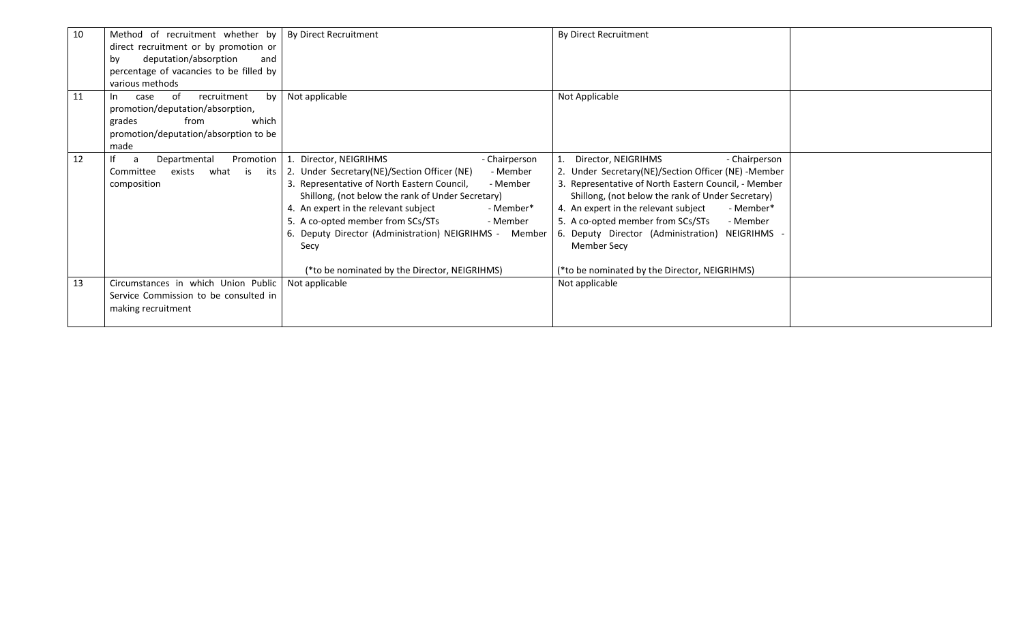| 10 | Method of recruitment whether by         | By Direct Recruitment                                   | By Direct Recruitment                                |  |
|----|------------------------------------------|---------------------------------------------------------|------------------------------------------------------|--|
|    | direct recruitment or by promotion or    |                                                         |                                                      |  |
|    | deputation/absorption<br>by<br>and       |                                                         |                                                      |  |
|    | percentage of vacancies to be filled by  |                                                         |                                                      |  |
|    | various methods                          |                                                         |                                                      |  |
| 11 | of<br>recruitment<br>bv l<br>case<br>In. | Not applicable                                          | Not Applicable                                       |  |
|    | promotion/deputation/absorption,         |                                                         |                                                      |  |
|    | which<br>from<br>grades                  |                                                         |                                                      |  |
|    | promotion/deputation/absorption to be    |                                                         |                                                      |  |
|    | made                                     |                                                         |                                                      |  |
| 12 | Departmental<br>Promotion<br>a           | 1. Director, NEIGRIHMS<br>- Chairperson                 | Director, NEIGRIHMS<br>- Chairperson                 |  |
|    | Committee<br>exists<br>what is<br>its    | 2. Under Secretary(NE)/Section Officer (NE)<br>- Member | 2. Under Secretary(NE)/Section Officer (NE) -Member  |  |
|    | composition                              | 3. Representative of North Eastern Council,<br>- Member | 3. Representative of North Eastern Council, - Member |  |
|    |                                          | Shillong, (not below the rank of Under Secretary)       | Shillong, (not below the rank of Under Secretary)    |  |
|    |                                          | 4. An expert in the relevant subject<br>- Member*       | 4. An expert in the relevant subject<br>- Member*    |  |
|    |                                          | 5. A co-opted member from SCs/STs<br>- Member           | 5. A co-opted member from SCs/STs<br>- Member        |  |
|    |                                          | 6. Deputy Director (Administration) NEIGRIHMS - Member  | 6. Deputy Director (Administration) NEIGRIHMS        |  |
|    |                                          | Secy                                                    | <b>Member Secy</b>                                   |  |
|    |                                          |                                                         |                                                      |  |
|    |                                          | (*to be nominated by the Director, NEIGRIHMS)           | (*to be nominated by the Director, NEIGRIHMS)        |  |
| 13 | Circumstances in which Union Public      | Not applicable                                          | Not applicable                                       |  |
|    | Service Commission to be consulted in    |                                                         |                                                      |  |
|    | making recruitment                       |                                                         |                                                      |  |
|    |                                          |                                                         |                                                      |  |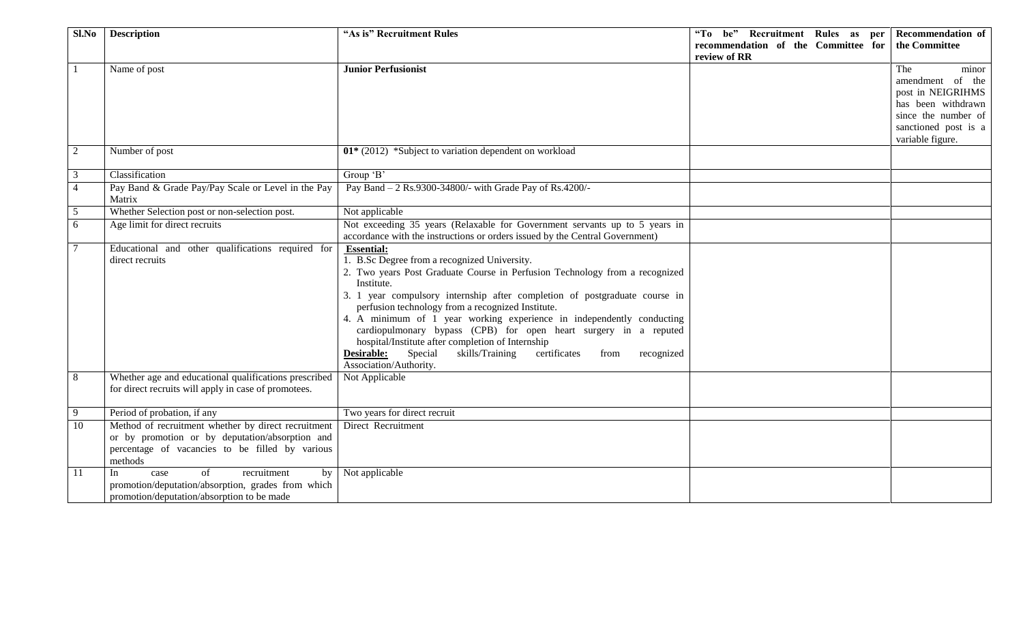| Sl.No           | <b>Description</b>                                    | "As is" Recruitment Rules                                                                                                       | "To be" Recruitment Rules as per    | <b>Recommendation of</b>                 |
|-----------------|-------------------------------------------------------|---------------------------------------------------------------------------------------------------------------------------------|-------------------------------------|------------------------------------------|
|                 |                                                       |                                                                                                                                 | recommendation of the Committee for | the Committee                            |
|                 |                                                       |                                                                                                                                 | review of RR                        |                                          |
|                 | Name of post                                          | <b>Junior Perfusionist</b>                                                                                                      |                                     | The<br>minor                             |
|                 |                                                       |                                                                                                                                 |                                     | amendment of the                         |
|                 |                                                       |                                                                                                                                 |                                     | post in NEIGRIHMS                        |
|                 |                                                       |                                                                                                                                 |                                     | has been withdrawn                       |
|                 |                                                       |                                                                                                                                 |                                     | since the number of                      |
|                 |                                                       |                                                                                                                                 |                                     | sanctioned post is a<br>variable figure. |
| 2               | Number of post                                        | $01*$ (2012) *Subject to variation dependent on workload                                                                        |                                     |                                          |
|                 |                                                       |                                                                                                                                 |                                     |                                          |
| 3               | Classification                                        | Group 'B'                                                                                                                       |                                     |                                          |
| $\overline{4}$  | Pay Band & Grade Pay/Pay Scale or Level in the Pay    | Pay Band - 2 Rs.9300-34800/- with Grade Pay of Rs.4200/-                                                                        |                                     |                                          |
|                 | Matrix                                                |                                                                                                                                 |                                     |                                          |
| 5               | Whether Selection post or non-selection post.         | Not applicable                                                                                                                  |                                     |                                          |
| 6               | Age limit for direct recruits                         | Not exceeding 35 years (Relaxable for Government servants up to 5 years in                                                      |                                     |                                          |
|                 |                                                       | accordance with the instructions or orders issued by the Central Government)                                                    |                                     |                                          |
| $7\phantom{.0}$ | Educational and other qualifications required for     | <b>Essential:</b>                                                                                                               |                                     |                                          |
|                 | direct recruits                                       | 1. B.Sc Degree from a recognized University.                                                                                    |                                     |                                          |
|                 |                                                       | 2. Two years Post Graduate Course in Perfusion Technology from a recognized<br>Institute.                                       |                                     |                                          |
|                 |                                                       | 3. 1 year compulsory internship after completion of postgraduate course in<br>perfusion technology from a recognized Institute. |                                     |                                          |
|                 |                                                       | 4. A minimum of 1 year working experience in independently conducting                                                           |                                     |                                          |
|                 |                                                       | cardiopulmonary bypass (CPB) for open heart surgery in a reputed                                                                |                                     |                                          |
|                 |                                                       | hospital/Institute after completion of Internship                                                                               |                                     |                                          |
|                 |                                                       | Desirable:<br>Special<br>skills/Training<br>certificates<br>from<br>recognized                                                  |                                     |                                          |
|                 |                                                       | Association/Authority.                                                                                                          |                                     |                                          |
| 8               | Whether age and educational qualifications prescribed | Not Applicable                                                                                                                  |                                     |                                          |
|                 | for direct recruits will apply in case of promotees.  |                                                                                                                                 |                                     |                                          |
| 9               | Period of probation, if any                           | Two years for direct recruit                                                                                                    |                                     |                                          |
| 10              | Method of recruitment whether by direct recruitment   | Direct Recruitment                                                                                                              |                                     |                                          |
|                 | or by promotion or by deputation/absorption and       |                                                                                                                                 |                                     |                                          |
|                 | percentage of vacancies to be filled by various       |                                                                                                                                 |                                     |                                          |
|                 | methods                                               |                                                                                                                                 |                                     |                                          |
| -11             | of<br>recruitment<br>In<br>by<br>case                 | Not applicable                                                                                                                  |                                     |                                          |
|                 | promotion/deputation/absorption, grades from which    |                                                                                                                                 |                                     |                                          |
|                 | promotion/deputation/absorption to be made            |                                                                                                                                 |                                     |                                          |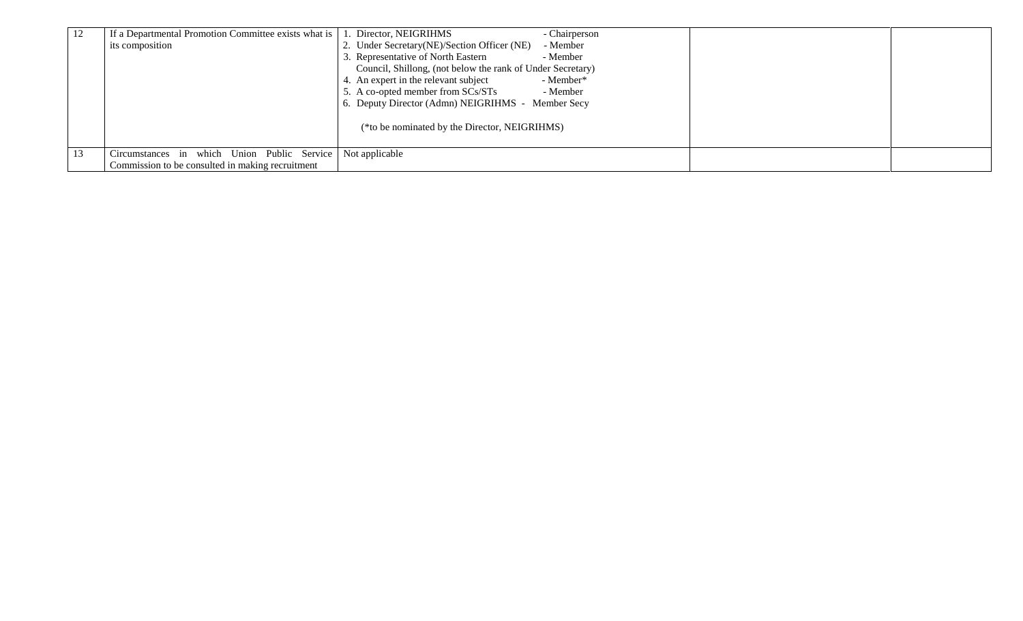| 12 | If a Departmental Promotion Committee exists what is       | 1. Director, NEIGRIHMS<br>- Chairperson                    |  |
|----|------------------------------------------------------------|------------------------------------------------------------|--|
|    | its composition                                            | 2. Under Secretary(NE)/Section Officer (NE)<br>- Member    |  |
|    |                                                            | Representative of North Eastern<br>- Member                |  |
|    |                                                            | Council, Shillong, (not below the rank of Under Secretary) |  |
|    |                                                            | 4. An expert in the relevant subject<br>- Member*          |  |
|    |                                                            | 5. A co-opted member from SCs/STs<br>- Member              |  |
|    |                                                            | 6. Deputy Director (Admn) NEIGRIHMS - Member Secy          |  |
|    |                                                            | (*to be nominated by the Director, NEIGRIHMS)              |  |
|    |                                                            |                                                            |  |
| 13 | Circumstances in which Union Public Service Not applicable |                                                            |  |
|    | Commission to be consulted in making recruitment           |                                                            |  |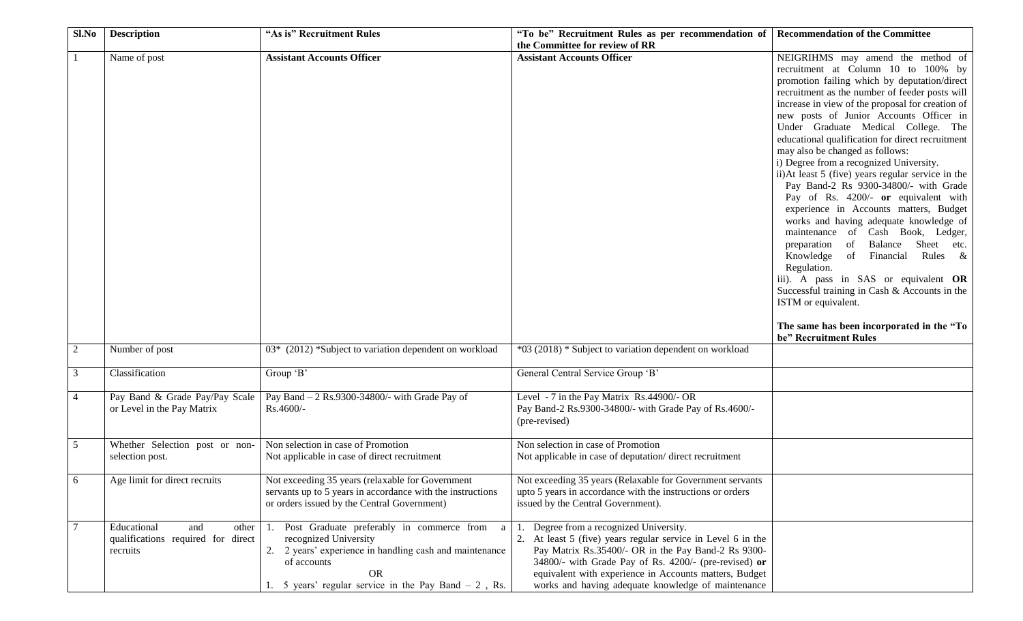| Sl.No          | <b>Description</b>                 | "As is" Recruitment Rules                                  | "To be" Recruitment Rules as per recommendation of         | <b>Recommendation of the Committee</b>                              |
|----------------|------------------------------------|------------------------------------------------------------|------------------------------------------------------------|---------------------------------------------------------------------|
|                |                                    |                                                            | the Committee for review of RR                             |                                                                     |
|                | Name of post                       | <b>Assistant Accounts Officer</b>                          | <b>Assistant Accounts Officer</b>                          | NEIGRIHMS may amend the method of                                   |
|                |                                    |                                                            |                                                            | recruitment at Column 10 to 100% by                                 |
|                |                                    |                                                            |                                                            | promotion failing which by deputation/direct                        |
|                |                                    |                                                            |                                                            | recruitment as the number of feeder posts will                      |
|                |                                    |                                                            |                                                            | increase in view of the proposal for creation of                    |
|                |                                    |                                                            |                                                            | new posts of Junior Accounts Officer in                             |
|                |                                    |                                                            |                                                            | Under Graduate Medical College. The                                 |
|                |                                    |                                                            |                                                            |                                                                     |
|                |                                    |                                                            |                                                            | educational qualification for direct recruitment                    |
|                |                                    |                                                            |                                                            | may also be changed as follows:                                     |
|                |                                    |                                                            |                                                            | i) Degree from a recognized University.                             |
|                |                                    |                                                            |                                                            | ii)At least 5 (five) years regular service in the                   |
|                |                                    |                                                            |                                                            | Pay Band-2 Rs 9300-34800/- with Grade                               |
|                |                                    |                                                            |                                                            | Pay of Rs. 4200/- or equivalent with                                |
|                |                                    |                                                            |                                                            | experience in Accounts matters, Budget                              |
|                |                                    |                                                            |                                                            | works and having adequate knowledge of                              |
|                |                                    |                                                            |                                                            | maintenance of Cash Book, Ledger,                                   |
|                |                                    |                                                            |                                                            | preparation of Balance Sheet etc.                                   |
|                |                                    |                                                            |                                                            | Knowledge of Financial Rules &                                      |
|                |                                    |                                                            |                                                            | Regulation.                                                         |
|                |                                    |                                                            |                                                            | iii). A pass in SAS or equivalent OR                                |
|                |                                    |                                                            |                                                            |                                                                     |
|                |                                    |                                                            |                                                            | Successful training in Cash & Accounts in the                       |
|                |                                    |                                                            |                                                            | ISTM or equivalent.                                                 |
|                |                                    |                                                            |                                                            |                                                                     |
|                |                                    |                                                            |                                                            | The same has been incorporated in the "To"<br>be" Recruitment Rules |
| 2              | Number of post                     | 03* (2012) *Subject to variation dependent on workload     | *03 (2018) * Subject to variation dependent on workload    |                                                                     |
|                |                                    |                                                            |                                                            |                                                                     |
| 3              | Classification                     | Group 'B'                                                  | General Central Service Group 'B'                          |                                                                     |
|                |                                    |                                                            |                                                            |                                                                     |
| $\overline{4}$ | Pay Band & Grade Pay/Pay Scale     | Pay Band $-2$ Rs.9300-34800/- with Grade Pay of            | Level - 7 in the Pay Matrix Rs.44900/- OR                  |                                                                     |
|                | or Level in the Pay Matrix         | Rs.4600/-                                                  | Pay Band-2 Rs.9300-34800/- with Grade Pay of Rs.4600/-     |                                                                     |
|                |                                    |                                                            | (pre-revised)                                              |                                                                     |
|                |                                    |                                                            |                                                            |                                                                     |
| 5              | Whether Selection post or non-     | Non selection in case of Promotion                         | Non selection in case of Promotion                         |                                                                     |
|                | selection post.                    | Not applicable in case of direct recruitment               | Not applicable in case of deputation/direct recruitment    |                                                                     |
|                |                                    |                                                            |                                                            |                                                                     |
| 6              | Age limit for direct recruits      | Not exceeding 35 years (relaxable for Government           | Not exceeding 35 years (Relaxable for Government servants  |                                                                     |
|                |                                    | servants up to 5 years in accordance with the instructions | upto 5 years in accordance with the instructions or orders |                                                                     |
|                |                                    | or orders issued by the Central Government)                | issued by the Central Government).                         |                                                                     |
|                |                                    |                                                            |                                                            |                                                                     |
|                | Educational<br>and<br>other        | 1. Post Graduate preferably in commerce from<br>a          | Degree from a recognized University.                       |                                                                     |
|                | qualifications required for direct | recognized University                                      | At least 5 (five) years regular service in Level 6 in the  |                                                                     |
|                |                                    | 2. 2 years' experience in handling cash and maintenance    | Pay Matrix Rs.35400/- OR in the Pay Band-2 Rs 9300-        |                                                                     |
|                | recruits                           |                                                            |                                                            |                                                                     |
|                |                                    | of accounts                                                | 34800/- with Grade Pay of Rs. 4200/- (pre-revised) or      |                                                                     |
|                |                                    | <b>OR</b>                                                  | equivalent with experience in Accounts matters, Budget     |                                                                     |
|                |                                    | 5 years' regular service in the Pay Band $-2$ , Rs.        | works and having adequate knowledge of maintenance         |                                                                     |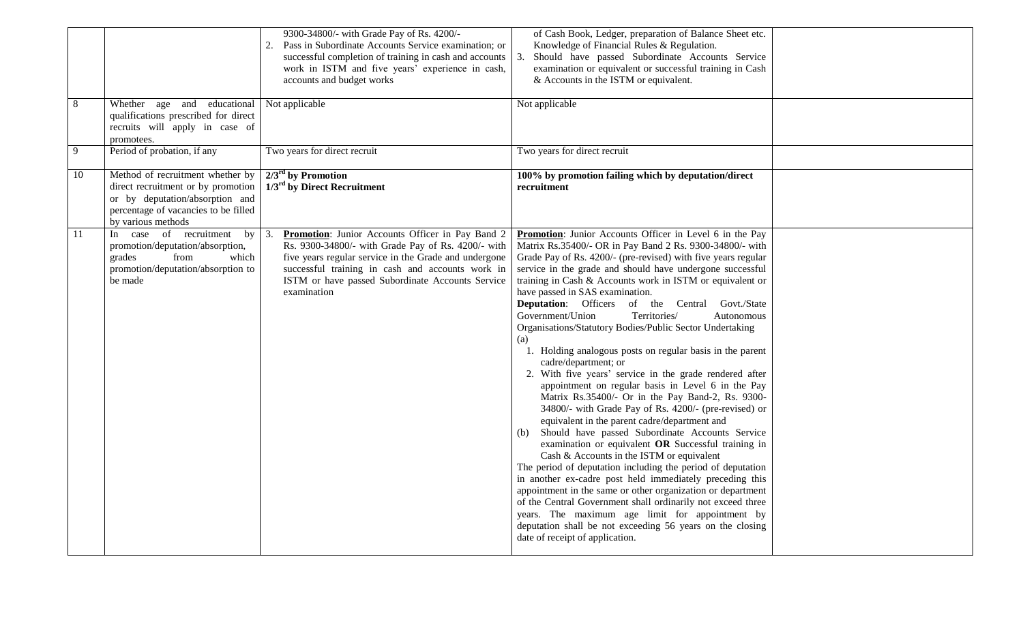|    |                                                                                                                                                                         | 9300-34800/- with Grade Pay of Rs. 4200/-<br>Pass in Subordinate Accounts Service examination; or<br>successful completion of training in cash and accounts<br>work in ISTM and five years' experience in cash,<br>accounts and budget works                                                 | of Cash Book, Ledger, preparation of Balance Sheet etc.<br>Knowledge of Financial Rules & Regulation.<br>Should have passed Subordinate Accounts Service<br>3.<br>examination or equivalent or successful training in Cash<br>& Accounts in the ISTM or equivalent.                                                                                                                                                                                                                                                                                                                                                                                                                                                                                                                                                                                                                                                                                                                                                                                                                                                                                                                                                                                                                                                                                                                                                                                                    |  |
|----|-------------------------------------------------------------------------------------------------------------------------------------------------------------------------|----------------------------------------------------------------------------------------------------------------------------------------------------------------------------------------------------------------------------------------------------------------------------------------------|------------------------------------------------------------------------------------------------------------------------------------------------------------------------------------------------------------------------------------------------------------------------------------------------------------------------------------------------------------------------------------------------------------------------------------------------------------------------------------------------------------------------------------------------------------------------------------------------------------------------------------------------------------------------------------------------------------------------------------------------------------------------------------------------------------------------------------------------------------------------------------------------------------------------------------------------------------------------------------------------------------------------------------------------------------------------------------------------------------------------------------------------------------------------------------------------------------------------------------------------------------------------------------------------------------------------------------------------------------------------------------------------------------------------------------------------------------------------|--|
| 8  | Whether age and educational<br>qualifications prescribed for direct<br>recruits will apply in case of<br>promotees.                                                     | Not applicable                                                                                                                                                                                                                                                                               | Not applicable                                                                                                                                                                                                                                                                                                                                                                                                                                                                                                                                                                                                                                                                                                                                                                                                                                                                                                                                                                                                                                                                                                                                                                                                                                                                                                                                                                                                                                                         |  |
| 9  | Period of probation, if any                                                                                                                                             | Two years for direct recruit                                                                                                                                                                                                                                                                 | Two years for direct recruit                                                                                                                                                                                                                                                                                                                                                                                                                                                                                                                                                                                                                                                                                                                                                                                                                                                                                                                                                                                                                                                                                                                                                                                                                                                                                                                                                                                                                                           |  |
| 10 | Method of recruitment whether by<br>direct recruitment or by promotion<br>or by deputation/absorption and<br>percentage of vacancies to be filled<br>by various methods | $2/3rd$ by Promotion<br>$1/3^{\text{rd}}$ by Direct Recruitment                                                                                                                                                                                                                              | 100% by promotion failing which by deputation/direct<br>recruitment                                                                                                                                                                                                                                                                                                                                                                                                                                                                                                                                                                                                                                                                                                                                                                                                                                                                                                                                                                                                                                                                                                                                                                                                                                                                                                                                                                                                    |  |
| 11 | In case of recruitment by<br>promotion/deputation/absorption,<br>from<br>which<br>grades<br>promotion/deputation/absorption to<br>be made                               | Promotion: Junior Accounts Officer in Pay Band 2<br>3.<br>Rs. 9300-34800/- with Grade Pay of Rs. 4200/- with<br>five years regular service in the Grade and undergone<br>successful training in cash and accounts work in<br>ISTM or have passed Subordinate Accounts Service<br>examination | Promotion: Junior Accounts Officer in Level 6 in the Pay<br>Matrix Rs.35400/- OR in Pay Band 2 Rs. 9300-34800/- with<br>Grade Pay of Rs. 4200/- (pre-revised) with five years regular<br>service in the grade and should have undergone successful<br>training in Cash & Accounts work in ISTM or equivalent or<br>have passed in SAS examination.<br>Deputation: Officers of the Central Govt./State<br>Government/Union<br>Territories/<br>Autonomous<br>Organisations/Statutory Bodies/Public Sector Undertaking<br>(a)<br>1. Holding analogous posts on regular basis in the parent<br>cadre/department; or<br>2. With five years' service in the grade rendered after<br>appointment on regular basis in Level 6 in the Pay<br>Matrix Rs.35400/- Or in the Pay Band-2, Rs. 9300-<br>34800/- with Grade Pay of Rs. 4200/- (pre-revised) or<br>equivalent in the parent cadre/department and<br>(b) Should have passed Subordinate Accounts Service<br>examination or equivalent OR Successful training in<br>Cash & Accounts in the ISTM or equivalent<br>The period of deputation including the period of deputation<br>in another ex-cadre post held immediately preceding this<br>appointment in the same or other organization or department<br>of the Central Government shall ordinarily not exceed three<br>years. The maximum age limit for appointment by<br>deputation shall be not exceeding 56 years on the closing<br>date of receipt of application. |  |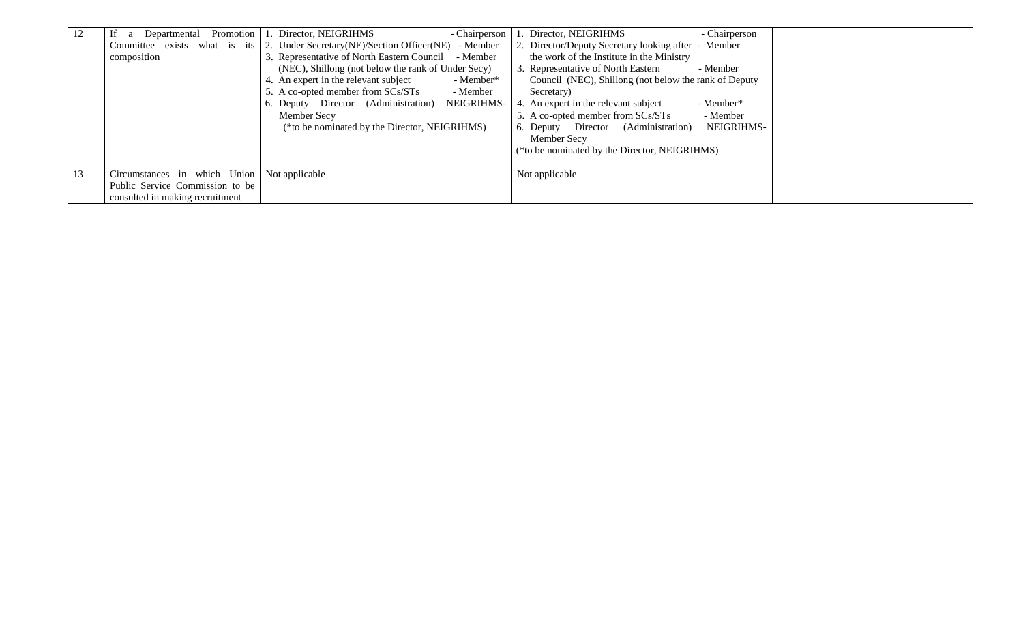| 12 | If a Departmental Promotion 1. Director, NEIGRIHMS | - Chairperson                                                                      | 1. Director, NEIGRIHMS<br>- Chairperson               |
|----|----------------------------------------------------|------------------------------------------------------------------------------------|-------------------------------------------------------|
|    |                                                    | Committee exists what is its 2. Under Secretary (NE)/Section Officer (NE) - Member | 2. Director/Deputy Secretary looking after - Member   |
|    | composition                                        | 3. Representative of North Eastern Council - Member                                | the work of the Institute in the Ministry             |
|    |                                                    | (NEC), Shillong (not below the rank of Under Secy)                                 | 3. Representative of North Eastern<br>- Member        |
|    |                                                    | An expert in the relevant subject<br>- Member*                                     | Council (NEC), Shillong (not below the rank of Deputy |
|    |                                                    | 5. A co-opted member from SCs/STs<br>- Member<br>Secretary)                        |                                                       |
|    |                                                    | 6. Deputy Director (Administration)<br>NEIGRIHMS-                                  | 4. An expert in the relevant subject<br>- Member*     |
|    |                                                    | Member Secy                                                                        | 5. A co-opted member from SCs/STs<br>- Member         |
|    |                                                    | (*to be nominated by the Director, NEIGRIHMS)                                      | 6. Deputy Director (Administration)<br>NEIGRIHMS-     |
|    |                                                    |                                                                                    | Member Secy                                           |
|    |                                                    |                                                                                    | (*to be nominated by the Director, NEIGRIHMS)         |
|    |                                                    |                                                                                    |                                                       |
| 13 | Circumstances in which Union Not applicable        | Not applicable                                                                     |                                                       |
|    | Public Service Commission to be                    |                                                                                    |                                                       |
|    | consulted in making recruitment                    |                                                                                    |                                                       |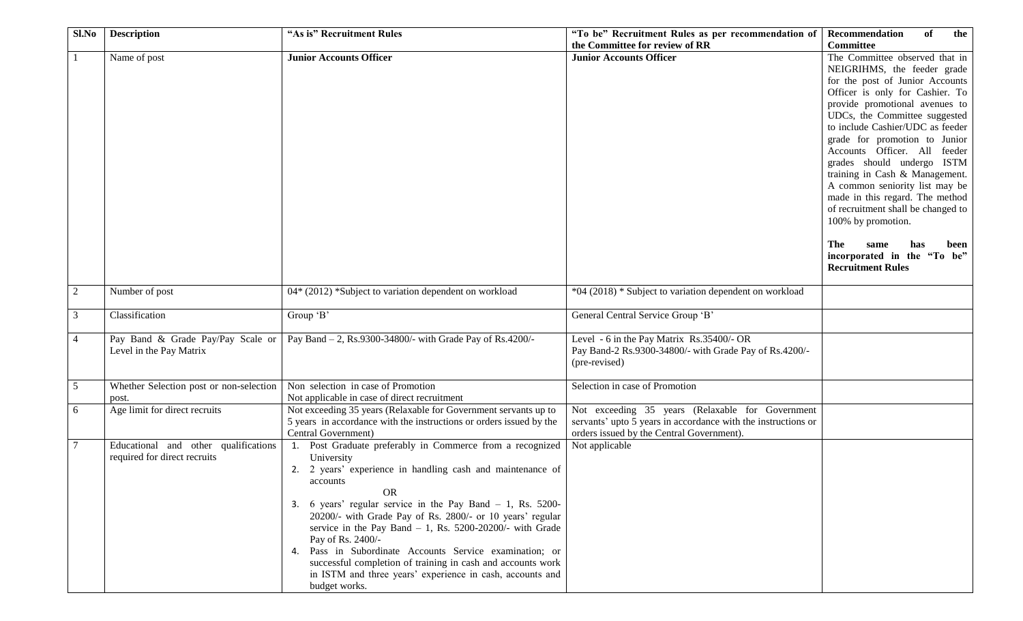| Sl.No           | <b>Description</b>                                                   | "As is" Recruitment Rules                                                                                                                                                                                                                                                                                                                                                                                                                                                                                                                                                              | "To be" Recruitment Rules as per recommendation of                                                                                                             | Recommendation<br>of<br>the                                                                                                                                                                                                                                                                                                                                                                                                                                                                                                                                                                           |
|-----------------|----------------------------------------------------------------------|----------------------------------------------------------------------------------------------------------------------------------------------------------------------------------------------------------------------------------------------------------------------------------------------------------------------------------------------------------------------------------------------------------------------------------------------------------------------------------------------------------------------------------------------------------------------------------------|----------------------------------------------------------------------------------------------------------------------------------------------------------------|-------------------------------------------------------------------------------------------------------------------------------------------------------------------------------------------------------------------------------------------------------------------------------------------------------------------------------------------------------------------------------------------------------------------------------------------------------------------------------------------------------------------------------------------------------------------------------------------------------|
|                 |                                                                      |                                                                                                                                                                                                                                                                                                                                                                                                                                                                                                                                                                                        | the Committee for review of RR                                                                                                                                 | <b>Committee</b>                                                                                                                                                                                                                                                                                                                                                                                                                                                                                                                                                                                      |
|                 | Name of post                                                         | <b>Junior Accounts Officer</b>                                                                                                                                                                                                                                                                                                                                                                                                                                                                                                                                                         | <b>Junior Accounts Officer</b>                                                                                                                                 | The Committee observed that in<br>NEIGRIHMS, the feeder grade<br>for the post of Junior Accounts<br>Officer is only for Cashier. To<br>provide promotional avenues to<br>UDCs, the Committee suggested<br>to include Cashier/UDC as feeder<br>grade for promotion to Junior<br>Accounts Officer. All feeder<br>grades should undergo ISTM<br>training in Cash & Management.<br>A common seniority list may be<br>made in this regard. The method<br>of recruitment shall be changed to<br>100% by promotion.<br>The<br>same<br>has<br>been<br>incorporated in the "To be"<br><b>Recruitment Rules</b> |
| 2               | Number of post                                                       | $04*(2012)$ *Subject to variation dependent on workload                                                                                                                                                                                                                                                                                                                                                                                                                                                                                                                                | *04 (2018) * Subject to variation dependent on workload                                                                                                        |                                                                                                                                                                                                                                                                                                                                                                                                                                                                                                                                                                                                       |
|                 |                                                                      |                                                                                                                                                                                                                                                                                                                                                                                                                                                                                                                                                                                        |                                                                                                                                                                |                                                                                                                                                                                                                                                                                                                                                                                                                                                                                                                                                                                                       |
| 3               | Classification                                                       | Group 'B'                                                                                                                                                                                                                                                                                                                                                                                                                                                                                                                                                                              | General Central Service Group 'B'                                                                                                                              |                                                                                                                                                                                                                                                                                                                                                                                                                                                                                                                                                                                                       |
| $\overline{4}$  | Pay Band & Grade Pay/Pay Scale or<br>Level in the Pay Matrix         | Pay Band - 2, Rs.9300-34800/- with Grade Pay of Rs.4200/-                                                                                                                                                                                                                                                                                                                                                                                                                                                                                                                              | Level - 6 in the Pay Matrix Rs.35400/- OR<br>Pay Band-2 Rs.9300-34800/- with Grade Pay of Rs.4200/-<br>(pre-revised)                                           |                                                                                                                                                                                                                                                                                                                                                                                                                                                                                                                                                                                                       |
| 5               | Whether Selection post or non-selection<br>post.                     | Non selection in case of Promotion<br>Not applicable in case of direct recruitment                                                                                                                                                                                                                                                                                                                                                                                                                                                                                                     | Selection in case of Promotion                                                                                                                                 |                                                                                                                                                                                                                                                                                                                                                                                                                                                                                                                                                                                                       |
| 6               | Age limit for direct recruits                                        | Not exceeding 35 years (Relaxable for Government servants up to<br>5 years in accordance with the instructions or orders issued by the<br>Central Government)                                                                                                                                                                                                                                                                                                                                                                                                                          | Not exceeding 35 years (Relaxable for Government<br>servants' upto 5 years in accordance with the instructions or<br>orders issued by the Central Government). |                                                                                                                                                                                                                                                                                                                                                                                                                                                                                                                                                                                                       |
| $7\phantom{.0}$ | Educational and other qualifications<br>required for direct recruits | 1. Post Graduate preferably in Commerce from a recognized<br>University<br>2. 2 years' experience in handling cash and maintenance of<br>accounts<br><b>OR</b><br>3. 6 years' regular service in the Pay Band $-1$ , Rs. 5200-<br>20200/- with Grade Pay of Rs. 2800/- or 10 years' regular<br>service in the Pay Band $-1$ , Rs. 5200-20200/- with Grade<br>Pay of Rs. 2400/-<br>4. Pass in Subordinate Accounts Service examination; or<br>successful completion of training in cash and accounts work<br>in ISTM and three years' experience in cash, accounts and<br>budget works. | Not applicable                                                                                                                                                 |                                                                                                                                                                                                                                                                                                                                                                                                                                                                                                                                                                                                       |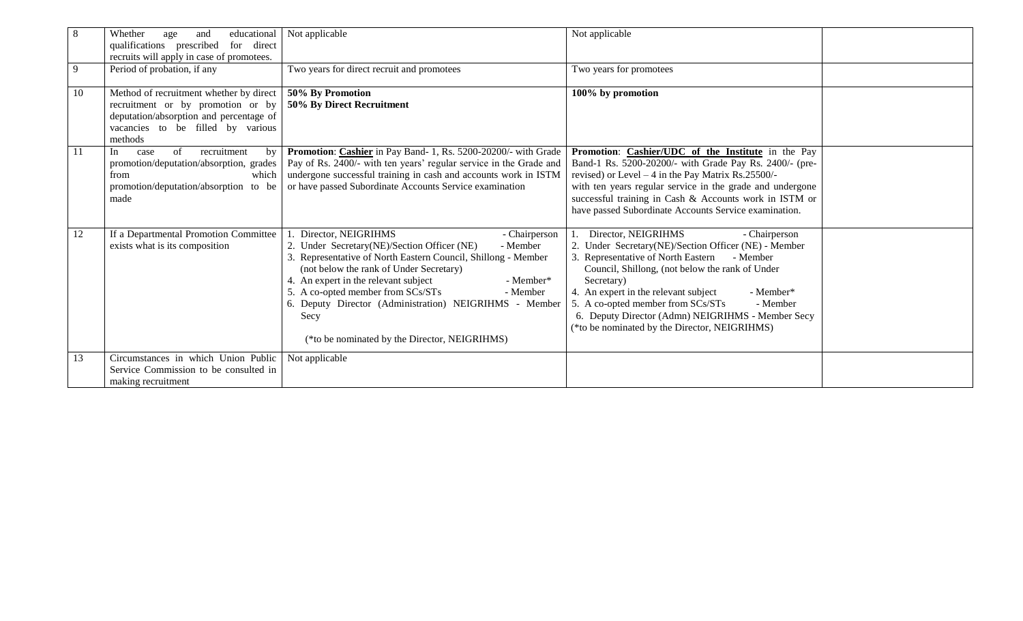| 8  | Whether<br>educational<br>age<br>and<br>for direct<br>qualifications prescribed<br>recruits will apply in case of promotees.                                              | Not applicable                                                                                                                                                                                                                                                                                                                                                                                                                    | Not applicable                                                                                                                                                                                                                                                                                                                                                                                                              |  |
|----|---------------------------------------------------------------------------------------------------------------------------------------------------------------------------|-----------------------------------------------------------------------------------------------------------------------------------------------------------------------------------------------------------------------------------------------------------------------------------------------------------------------------------------------------------------------------------------------------------------------------------|-----------------------------------------------------------------------------------------------------------------------------------------------------------------------------------------------------------------------------------------------------------------------------------------------------------------------------------------------------------------------------------------------------------------------------|--|
| 9  | Period of probation, if any                                                                                                                                               | Two years for direct recruit and promotees                                                                                                                                                                                                                                                                                                                                                                                        | Two years for promotees                                                                                                                                                                                                                                                                                                                                                                                                     |  |
| 10 | Method of recruitment whether by direct  <br>recruitment or by promotion or by<br>deputation/absorption and percentage of<br>vacancies to be filled by various<br>methods | 50% By Promotion<br>50% By Direct Recruitment                                                                                                                                                                                                                                                                                                                                                                                     | 100% by promotion                                                                                                                                                                                                                                                                                                                                                                                                           |  |
| 11 | of<br>recruitment<br>In<br>case<br>by<br>promotion/deputation/absorption, grades<br>from<br>which<br>promotion/deputation/absorption to be<br>made                        | Promotion: Cashier in Pay Band- 1, Rs. 5200-20200/- with Grade<br>Pay of Rs. 2400/- with ten years' regular service in the Grade and<br>undergone successful training in cash and accounts work in ISTM<br>or have passed Subordinate Accounts Service examination                                                                                                                                                                | Promotion: Cashier/UDC of the Institute in the Pay<br>Band-1 Rs. 5200-20200/- with Grade Pay Rs. 2400/- (pre-<br>revised) or Level $-4$ in the Pay Matrix Rs.25500/-<br>with ten years regular service in the grade and undergone<br>successful training in Cash & Accounts work in ISTM or<br>have passed Subordinate Accounts Service examination.                                                                        |  |
| 12 | If a Departmental Promotion Committee<br>exists what is its composition                                                                                                   | Director, NEIGRIHMS<br>- Chairperson<br>2. Under Secretary(NE)/Section Officer (NE)<br>- Member<br>Representative of North Eastern Council, Shillong - Member<br>(not below the rank of Under Secretary)<br>4. An expert in the relevant subject<br>- Member*<br>5. A co-opted member from SCs/STs<br>- Member<br>6. Deputy Director (Administration) NEIGRIHMS - Member<br>Secy<br>(*to be nominated by the Director, NEIGRIHMS) | Director, NEIGRIHMS<br>- Chairperson<br>2. Under Secretary(NE)/Section Officer (NE) - Member<br>3. Representative of North Eastern<br>- Member<br>Council, Shillong, (not below the rank of Under<br>Secretary)<br>4. An expert in the relevant subject<br>- Member*<br>5. A co-opted member from SCs/STs<br>- Member<br>6. Deputy Director (Admn) NEIGRIHMS - Member Secy<br>(*to be nominated by the Director, NEIGRIHMS) |  |
| 13 | Circumstances in which Union Public<br>Service Commission to be consulted in<br>making recruitment                                                                        | Not applicable                                                                                                                                                                                                                                                                                                                                                                                                                    |                                                                                                                                                                                                                                                                                                                                                                                                                             |  |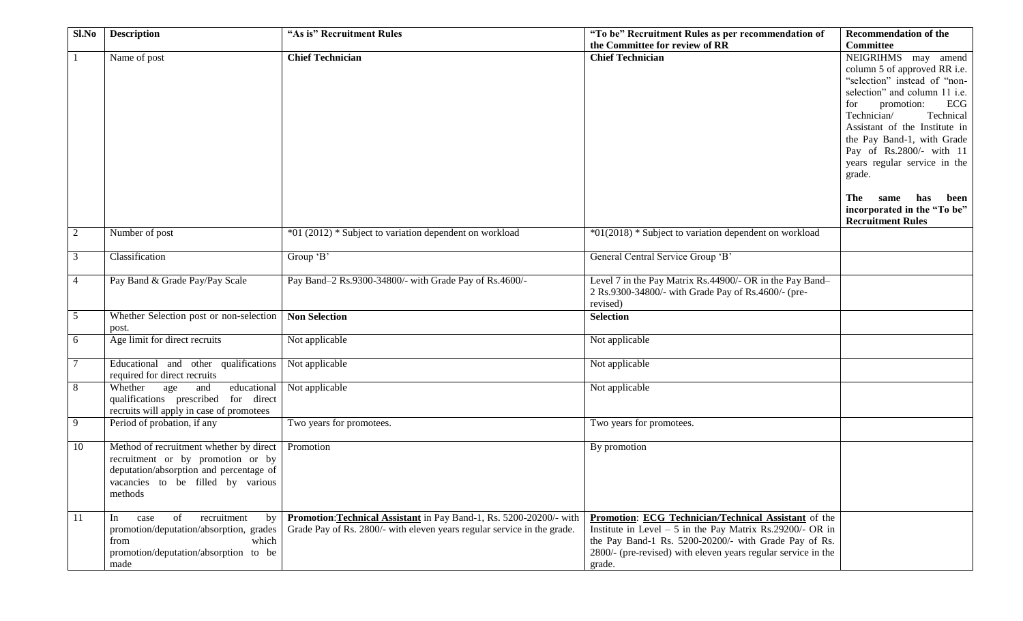| Sl.No          | <b>Description</b>                       | "As is" Recruitment Rules                                               | "To be" Recruitment Rules as per recommendation of              | <b>Recommendation of the</b>                                |
|----------------|------------------------------------------|-------------------------------------------------------------------------|-----------------------------------------------------------------|-------------------------------------------------------------|
|                |                                          |                                                                         | the Committee for review of RR                                  | <b>Committee</b>                                            |
|                | Name of post                             | <b>Chief Technician</b>                                                 | <b>Chief Technician</b>                                         | NEIGRIHMS may amend                                         |
|                |                                          |                                                                         |                                                                 | column 5 of approved RR i.e.                                |
|                |                                          |                                                                         |                                                                 | "selection" instead of "non-                                |
|                |                                          |                                                                         |                                                                 | selection" and column 11 i.e.                               |
|                |                                          |                                                                         |                                                                 | ECG<br>promotion:<br>for                                    |
|                |                                          |                                                                         |                                                                 | Technician/<br>Technical                                    |
|                |                                          |                                                                         |                                                                 | Assistant of the Institute in<br>the Pay Band-1, with Grade |
|                |                                          |                                                                         |                                                                 | Pay of Rs.2800/- with 11                                    |
|                |                                          |                                                                         |                                                                 | years regular service in the                                |
|                |                                          |                                                                         |                                                                 | grade.                                                      |
|                |                                          |                                                                         |                                                                 |                                                             |
|                |                                          |                                                                         |                                                                 | has<br>been<br>The<br>same                                  |
|                |                                          |                                                                         |                                                                 | incorporated in the "To be"                                 |
|                |                                          |                                                                         |                                                                 | <b>Recruitment Rules</b>                                    |
| 2              | Number of post                           | *01 (2012) * Subject to variation dependent on workload                 | *01(2018) * Subject to variation dependent on workload          |                                                             |
|                |                                          |                                                                         |                                                                 |                                                             |
| 3              | Classification                           | Group 'B'                                                               | General Central Service Group 'B'                               |                                                             |
|                |                                          |                                                                         |                                                                 |                                                             |
| $\overline{4}$ | Pay Band & Grade Pay/Pay Scale           | Pay Band-2 Rs.9300-34800/- with Grade Pay of Rs.4600/-                  | Level 7 in the Pay Matrix Rs.44900/- OR in the Pay Band-        |                                                             |
|                |                                          |                                                                         | 2 Rs.9300-34800/- with Grade Pay of Rs.4600/- (pre-<br>revised) |                                                             |
| 5              | Whether Selection post or non-selection  | <b>Non Selection</b>                                                    | <b>Selection</b>                                                |                                                             |
|                | post.                                    |                                                                         |                                                                 |                                                             |
| 6              | Age limit for direct recruits            | Not applicable                                                          | Not applicable                                                  |                                                             |
|                |                                          |                                                                         |                                                                 |                                                             |
| $\overline{7}$ | Educational and other qualifications     | Not applicable                                                          | Not applicable                                                  |                                                             |
|                | required for direct recruits             |                                                                         |                                                                 |                                                             |
| 8              | educational<br>Whether<br>age<br>and     | Not applicable                                                          | Not applicable                                                  |                                                             |
|                | qualifications prescribed for direct     |                                                                         |                                                                 |                                                             |
|                | recruits will apply in case of promotees |                                                                         |                                                                 |                                                             |
| 9              | Period of probation, if any              | Two years for promotees.                                                | Two years for promotees.                                        |                                                             |
| 10             | Method of recruitment whether by direct  | Promotion                                                               | By promotion                                                    |                                                             |
|                | recruitment or by promotion or by        |                                                                         |                                                                 |                                                             |
|                | deputation/absorption and percentage of  |                                                                         |                                                                 |                                                             |
|                | vacancies to be filled by various        |                                                                         |                                                                 |                                                             |
|                | methods                                  |                                                                         |                                                                 |                                                             |
|                |                                          |                                                                         |                                                                 |                                                             |
| <sup>11</sup>  | of<br>recruitment<br>In<br>case<br>by    | Promotion: Technical Assistant in Pay Band-1, Rs. 5200-20200/- with     | Promotion: ECG Technician/Technical Assistant of the            |                                                             |
|                | promotion/deputation/absorption, grades  | Grade Pay of Rs. 2800/- with eleven years regular service in the grade. | Institute in Level $-5$ in the Pay Matrix Rs.29200/- OR in      |                                                             |
|                | which<br>from                            |                                                                         | the Pay Band-1 Rs. 5200-20200/- with Grade Pay of Rs.           |                                                             |
|                | promotion/deputation/absorption to be    |                                                                         | 2800/- (pre-revised) with eleven years regular service in the   |                                                             |
|                | made                                     |                                                                         | grade.                                                          |                                                             |